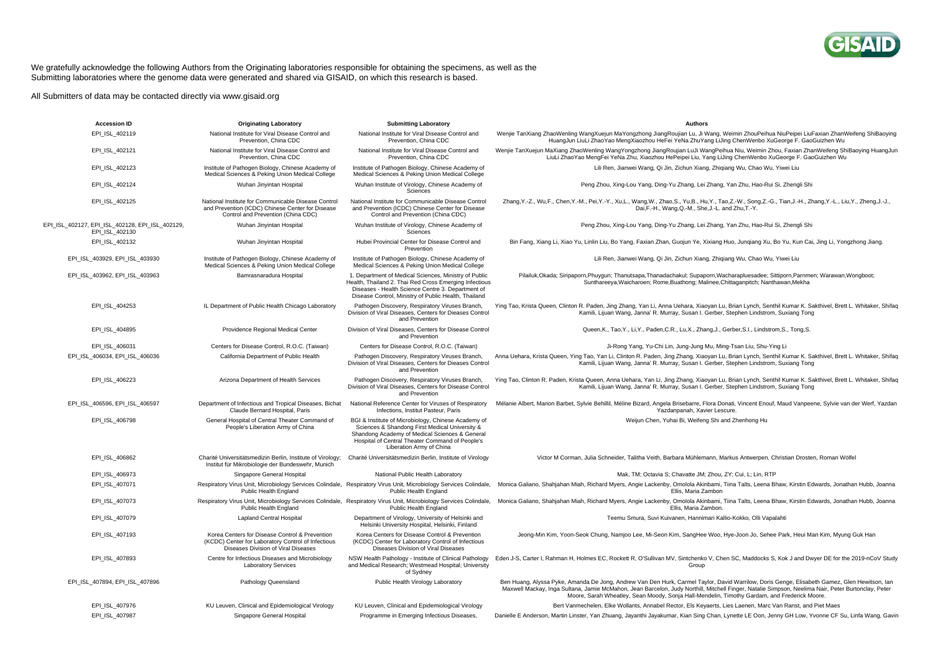

## We gratefully acknowledge the following Authors from the Originating laboratories responsible for obtaining the specimens, as well as the Submitting laboratories where the genome data were generated and shared via GISAID, on which this research is based.

All Submitters of data may be contacted directly via www.gisaid.org

| <b>Accession ID</b>                                               | <b>Originating Laboratory</b>                                                                                                                 | <b>Submitting Laboratory</b>                                                                                                                                                                                                           | <b>Authors</b>                                                                                                                                                                                                                                                                                                                                                                                     |
|-------------------------------------------------------------------|-----------------------------------------------------------------------------------------------------------------------------------------------|----------------------------------------------------------------------------------------------------------------------------------------------------------------------------------------------------------------------------------------|----------------------------------------------------------------------------------------------------------------------------------------------------------------------------------------------------------------------------------------------------------------------------------------------------------------------------------------------------------------------------------------------------|
| EPI_ISL_402119                                                    | National Institute for Viral Disease Control and<br>Prevention, China CDC                                                                     | National Institute for Viral Disease Control and<br>Prevention, China CDC                                                                                                                                                              | Wenjie TanXiang ZhaoWenling WangXuejun MaYongzhong JiangRoujian Lu, Ji Wang, Weimin ZhouPeihua NiuPeipei LiuFaxian ZhanWeifeng ShiBaoying<br>HuangJun LiuLi ZhaoYao MengXiaozhou HeFei YeNa ZhuYang LiJing ChenWenbo XuGeorge F. GaoGuizhen Wu                                                                                                                                                     |
| EPI_ISL_402121                                                    | National Institute for Viral Disease Control and<br>Prevention, China CDC                                                                     | National Institute for Viral Disease Control and<br>Prevention, China CDC                                                                                                                                                              | Wenjie TanXuejun MaXiang ZhaoWenling WangYongzhong JiangRoujian LuJi WangPeihua Niu, Weimin Zhou, Faxian ZhanWeifeng ShiBaoying HuangJun<br>LiuLi ZhaoYao MengFei YeNa Zhu, Xiaozhou HePeipei Liu, Yang LiJing ChenWenbo XuGeorge F. GaoGuizhen Wu                                                                                                                                                 |
| EPI_ISL_402123                                                    | Institute of Pathogen Biology, Chinese Academy of<br>Medical Sciences & Peking Union Medical College                                          | Institute of Pathogen Biology, Chinese Academy of<br>Medical Sciences & Peking Union Medical College                                                                                                                                   | Lili Ren, Jianwei Wang, Qi Jin, Zichun Xiang, Zhiqiang Wu, Chao Wu, Yiwei Liu                                                                                                                                                                                                                                                                                                                      |
| EPI_ISL_402124                                                    | Wuhan Jinyintan Hospital                                                                                                                      | Wuhan Institute of Virology, Chinese Academy of<br>Sciences                                                                                                                                                                            | Peng Zhou, Xing-Lou Yang, Ding-Yu Zhang, Lei Zhang, Yan Zhu, Hao-Rui Si, Zhengli Shi                                                                                                                                                                                                                                                                                                               |
| EPI_ISL_402125                                                    | National Institute for Communicable Disease Control<br>and Prevention (ICDC) Chinese Center for Disease<br>Control and Prevention (China CDC) | National Institute for Communicable Disease Control<br>and Prevention (ICDC) Chinese Center for Disease<br>Control and Prevention (China CDC)                                                                                          | Zhang, Y.-Z., Wu, F., Chen, Y.-M., Pei, Y.-Y., Xu, L., Wang, W., Zhao, S., Yu, B., Hu, Y., Tao, Z.-W., Song, Z.-G., Tian, J.-H., Zhang, Y.-L., Liu, Y., Zheng, J.-J.,<br>Dai,F.-H., Wang,Q.-M., She,J.-L. and Zhu,T.-Y.                                                                                                                                                                            |
| EPI_ISL_402127, EPI_ISL_402128, EPI_ISL_402129,<br>EPI ISL 402130 | Wuhan Jinyintan Hospital                                                                                                                      | Wuhan Institute of Virology, Chinese Academy of<br>Sciences                                                                                                                                                                            | Peng Zhou, Xing-Lou Yang, Ding-Yu Zhang, Lei Zhang, Yan Zhu, Hao-Rui Si, Zhengli Shi                                                                                                                                                                                                                                                                                                               |
| EPI ISL 402132                                                    | Wuhan Jinyintan Hospital                                                                                                                      | Hubei Provincial Center for Disease Control and<br>Prevention                                                                                                                                                                          | Bin Fang, Xiang Li, Xiao Yu, Linlin Liu, Bo Yang, Faxian Zhan, Guojun Ye, Xixiang Huo, Junqiang Xu, Bo Yu, Kun Cai, Jing Li, Yongzhong Jiang.                                                                                                                                                                                                                                                      |
| EPI_ISL_403929, EPI_ISL_403930                                    | Institute of Pathogen Biology, Chinese Academy of<br>Medical Sciences & Peking Union Medical College                                          | Institute of Pathogen Biology, Chinese Academy of<br>Medical Sciences & Peking Union Medical College                                                                                                                                   | Lili Ren, Jianwei Wang, Qi Jin, Zichun Xiang, Zhiqiang Wu, Chao Wu, Yiwei Liu                                                                                                                                                                                                                                                                                                                      |
| EPI ISL 403962, EPI ISL 403963                                    | Bamrasnaradura Hospital                                                                                                                       | 1. Department of Medical Sciences, Ministry of Public<br>Health, Thailand 2. Thai Red Cross Emerging Infectious<br>Diseases - Health Science Centre 3. Department of<br>Disease Control, Ministry of Public Health, Thailand           | Pilailuk, Okada; Siripaporn, Phuygun; Thanutsapa, Thanadachakul; Supaporn, Wacharapluesadee; Sittiporn, Parnmen; Warawan, Wongboot;<br>Sunthareeya, Waicharoen; Rome, Buathong; Malinee, Chittaganpitch; Nanthawan, Mekha                                                                                                                                                                          |
| EPI ISL 404253                                                    | IL Department of Public Health Chicago Laboratory                                                                                             | Pathogen Discovery, Respiratory Viruses Branch,<br>Division of Viral Diseases, Centers for Dieases Control<br>and Prevention                                                                                                           | Ying Tao, Krista Queen, Clinton R. Paden, Jing Zhang, Yan Li, Anna Uehara, Xiaoyan Lu, Brian Lynch, Senthil Kumar K. Sakthivel, Brett L. Whitaker, Shifaq<br>Kamili, Lijuan Wang, Janna' R. Murray, Susan I. Gerber, Stephen Lindstrom, Suxiang Tong                                                                                                                                               |
| EPI ISL 404895                                                    | Providence Regional Medical Center                                                                                                            | Division of Viral Diseases, Centers for Disease Control<br>and Prevention                                                                                                                                                              | Queen, K., Tao, Y., Li, Y., Paden, C.R., Lu, X., Zhang, J., Gerber, S.I., Lindstrom, S., Tong, S.                                                                                                                                                                                                                                                                                                  |
| EPI ISL 406031                                                    | Centers for Disease Control, R.O.C. (Taiwan)                                                                                                  | Centers for Disease Control, R.O.C. (Taiwan)                                                                                                                                                                                           | Ji-Rong Yang, Yu-Chi Lin, Jung-Jung Mu, Ming-Tsan Liu, Shu-Ying Li                                                                                                                                                                                                                                                                                                                                 |
| EPI ISL 406034, EPI ISL 406036                                    | California Department of Public Health                                                                                                        | Pathogen Discovery, Respiratory Viruses Branch,<br>Division of Viral Diseases, Centers for Dieases Control<br>and Prevention                                                                                                           | Anna Uehara, Krista Queen, Ying Tao, Yan Li, Clinton R. Paden, Jing Zhang, Xiaoyan Lu, Brian Lynch, Senthil Kumar K. Sakthivel, Brett L. Whitaker, Shifaq<br>Kamili, Lijuan Wang, Janna' R. Murray, Susan I. Gerber, Stephen Lindstrom, Suxiang Tong                                                                                                                                               |
| EPI ISL 406223                                                    | Arizona Department of Health Services                                                                                                         | Pathogen Discovery, Respiratory Viruses Branch,<br>Division of Viral Diseases, Centers for Disease Control<br>and Prevention                                                                                                           | Ying Tao, Clinton R. Paden, Krista Queen, Anna Uehara, Yan Li, Jing Zhang, Xiaoyan Lu, Brian Lynch, Senthil Kumar K. Sakthivel, Brett L. Whitaker, Shifaq<br>Kamili, Lijuan Wang, Janna' R. Murray, Susan I. Gerber, Stephen Lindstrom, Suxiang Tong                                                                                                                                               |
| EPI ISL 406596, EPI ISL 406597                                    | Department of Infectious and Tropical Diseases, Bichat<br>Claude Bernard Hospital, Paris                                                      | National Reference Center for Viruses of Respiratory<br>Infections, Institut Pasteur, Paris                                                                                                                                            | Mélanie Albert, Marion Barbet, Sylvie Behillil, Méline Bizard, Angela Brisebarre, Flora Donati, Vincent Enouf, Maud Vanpeene, Sylvie van der Werf, Yazdan<br>Yazdanpanah, Xavier Lescure.                                                                                                                                                                                                          |
| EPI_ISL_406798                                                    | General Hospital of Central Theater Command of<br>People's Liberation Army of China                                                           | BGI & Institute of Microbiology, Chinese Academy of<br>Sciences & Shandong First Medical University &<br>Shandong Academy of Medical Sciences & General<br>Hospital of Central Theater Command of People's<br>Liberation Army of China | Weijun Chen, Yuhai Bi, Weifeng Shi and Zhenhong Hu                                                                                                                                                                                                                                                                                                                                                 |
| EPI_ISL_406862                                                    | Charité Universitätsmedizin Berlin, Institute of Virology;<br>Institut für Mikrobiologie der Bundeswehr, Munich                               | Charité Universitätsmedizin Berlin, Institute of Virology                                                                                                                                                                              | Victor M Corman, Julia Schneider, Talitha Veith, Barbara Mühlemann, Markus Antwerpen, Christian Drosten, Roman Wölfel                                                                                                                                                                                                                                                                              |
| EPI ISL 406973                                                    | Singapore General Hospital                                                                                                                    | National Public Health Laboratory                                                                                                                                                                                                      | Mak, TM: Octavia S: Chavatte JM: Zhou, ZY: Cui, L: Lin, RTP                                                                                                                                                                                                                                                                                                                                        |
| EPI ISL 407071                                                    | Public Health England                                                                                                                         | Respiratory Virus Unit, Microbiology Services Colindale, Respiratory Virus Unit, Microbiology Services Colindale,<br>Public Health England                                                                                             | Monica Galiano, Shahjahan Miah, Richard Myers, Angie Lackenby, Omolola Akinbami, Tiina Talts, Leena Bhaw, Kirstin Edwards, Jonathan Hubb, Joanna<br>Ellis, Maria Zambon                                                                                                                                                                                                                            |
| EPI ISL 407073                                                    | Public Health England                                                                                                                         | Respiratory Virus Unit, Microbiology Services Colindale, Respiratory Virus Unit, Microbiology Services Colindale,<br>Public Health England                                                                                             | Monica Galiano, Shahjahan Miah, Richard Myers, Angie Lackenby, Omolola Akinbami, Tiina Talts, Leena Bhaw, Kirstin Edwards, Jonathan Hubb, Joanna<br>Ellis, Maria Zambon.                                                                                                                                                                                                                           |
| EPI ISL 407079                                                    | <b>Lapland Central Hospital</b>                                                                                                               | Department of Virology, University of Helsinki and<br>Helsinki University Hospital, Helsinki, Finland                                                                                                                                  | Teemu Smura, Suvi Kuivanen, Hannimari Kallio-Kokko, Olli Vapalahti                                                                                                                                                                                                                                                                                                                                 |
| EPI ISL 407193                                                    | Korea Centers for Disease Control & Prevention<br>(KCDC) Center for Laboratory Control of Infectious<br>Diseases Division of Viral Diseases   | Korea Centers for Disease Control & Prevention<br>(KCDC) Center for Laboratory Control of Infectious<br>Diseases Division of Viral Diseases                                                                                            | Jeong-Min Kim, Yoon-Seok Chung, Namjoo Lee, Mi-Seon Kim, SangHee Woo, Hye-Joon Jo, Sehee Park, Heui Man Kim, Myung Guk Han                                                                                                                                                                                                                                                                         |
| EPI_ISL_407893                                                    | Centre for Infectious Diseases and Microbiology<br><b>Laboratory Services</b>                                                                 | NSW Health Pathology - Institute of Clinical Pathology<br>and Medical Research; Westmead Hospital; University<br>of Sydney                                                                                                             | Eden J-S, Carter I, Rahman H, Holmes EC, Rockett R, O'Sullivan MV, Sintchenko V, Chen SC, Maddocks S, Kok J and Dwyer DE for the 2019-nCoV Study<br>Group                                                                                                                                                                                                                                          |
| EPI ISL 407894, EPI ISL 407896                                    | Pathology Queensland                                                                                                                          | Public Health Virology Laboratory                                                                                                                                                                                                      | Ben Huang, Alyssa Pyke, Amanda De Jong, Andrew Van Den Hurk, Carmel Taylor, David Warrilow, Doris Genge, Elisabeth Gamez, Glen Hewitson, Ian<br>Maxwell Mackay, Inga Sultana, Jamie McMahon, Jean Barcelon, Judy Northill, Mitchell Finger, Natalie Simpson, Neelima Nair, Peter Burtonclay, Peter<br>Moore, Sarah Wheatley, Sean Moody, Sonja Hall-Mendelin, Timothy Gardam, and Frederick Moore. |
| EPI ISL 407976                                                    | KU Leuven, Clinical and Epidemiological Virology                                                                                              | KU Leuven, Clinical and Epidemiological Virology                                                                                                                                                                                       | Bert Vanmechelen, Elke Wollants, Annabel Rector, Els Keyaerts, Lies Laenen, Marc Van Ranst, and Piet Maes                                                                                                                                                                                                                                                                                          |
| EPI ISL 407987                                                    | Singapore General Hospital                                                                                                                    | Programme in Emerging Infectious Diseases.                                                                                                                                                                                             | Danielle E Anderson, Martin Linster, Yan Zhuang, Jayanthi Jayakumar, Kian Sing Chan, Lynette LE Oon, Jenny GH Low, Yvonne CF Su, Linfa Wang, Gavin                                                                                                                                                                                                                                                 |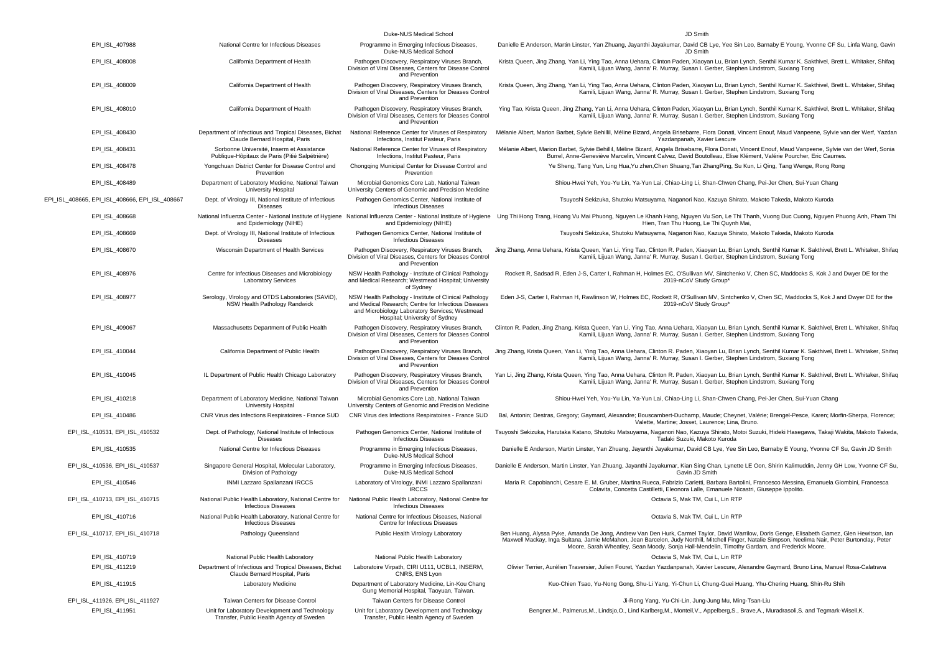| EPI_ISL_407988                                 | National Centre for Infectious Diseases                                                     | Duke-NUS Medical School<br>Programme in Emerging Infectious Diseases,<br>Duke-NUS Medical School                                                                                                   | JD Smith<br>Danielle E Anderson, Martin Linster, Yan Zhuang, Jayanthi Jayakumar, David CB Lye, Yee Sin Leo, Barnaby E Young, Yvonne CF Su, Linfa Wang, Gavin<br>JD Smith                                                                                                                                                                                                                           |
|------------------------------------------------|---------------------------------------------------------------------------------------------|----------------------------------------------------------------------------------------------------------------------------------------------------------------------------------------------------|----------------------------------------------------------------------------------------------------------------------------------------------------------------------------------------------------------------------------------------------------------------------------------------------------------------------------------------------------------------------------------------------------|
| EPI ISL 408008                                 | California Department of Health                                                             | Pathogen Discovery, Respiratory Viruses Branch,<br>Division of Viral Diseases, Centers for Disease Control                                                                                         | Krista Queen, Jing Zhang, Yan Li, Ying Tao, Anna Uehara, Clinton Paden, Xiaoyan Lu, Brian Lynch, Senthil Kumar K. Sakthivel, Brett L. Whitaker, Shifaq<br>Kamili, Lijuan Wang, Janna' R. Murray, Susan I. Gerber, Stephen Lindstrom, Suxiang Tong                                                                                                                                                  |
| EPI_ISL_408009                                 | California Department of Health                                                             | and Prevention<br>Pathogen Discovery, Respiratory Viruses Branch,<br>Division of Viral Diseases, Centers for Dieases Control                                                                       | Krista Queen, Jing Zhang, Yan Li, Ying Tao, Anna Uehara, Clinton Paden, Xiaoyan Lu, Brian Lynch, Senthil Kumar K. Sakthivel, Brett L. Whitaker, Shifaq<br>Kamili, Lijuan Wang, Janna' R. Murray, Susan I. Gerber, Stephen Lindstrom, Suxiang Tong                                                                                                                                                  |
| EPI_ISL_408010                                 | California Department of Health                                                             | and Prevention<br>Pathogen Discovery, Respiratory Viruses Branch,<br>Division of Viral Diseases, Centers for Dieases Control                                                                       | Ying Tao, Krista Queen, Jing Zhang, Yan Li, Anna Uehara, Clinton Paden, Xiaoyan Lu, Brian Lynch, Senthil Kumar K. Sakthivel, Brett L. Whitaker, Shifaq<br>Kamili, Lijuan Wang, Janna' R. Murray, Susan I. Gerber, Stephen Lindstrom, Suxiang Tong                                                                                                                                                  |
| EPI_ISL_408430                                 | Department of Infectious and Tropical Diseases, Bichat<br>Claude Bernard Hospital, Paris    | and Prevention<br>National Reference Center for Viruses of Respiratory<br>Infections, Institut Pasteur, Paris                                                                                      | Mélanie Albert, Marion Barbet, Sylvie Behillil, Méline Bizard, Angela Brisebarre, Flora Donati, Vincent Enouf, Maud Vanpeene, Sylvie van der Werf, Yazdan<br>Yazdanpanah, Xavier Lescure                                                                                                                                                                                                           |
| EPI_ISL_408431                                 | Sorbonne Université, Inserm et Assistance<br>Publique-Hôpitaux de Paris (Pitié Salpétrière) | National Reference Center for Viruses of Respiratory<br>Infections, Institut Pasteur, Paris                                                                                                        | Mélanie Albert, Marion Barbet, Sylvie Behillil, Méline Bizard, Angela Brisebarre, Flora Donati, Vincent Enouf, Maud Vanpeene, Sylvie van der Werf, Sonia<br>Burrel, Anne-Geneviève Marcelin, Vincent Calvez, David Boutolleau, Elise Klément, Valérie Pourcher, Eric Caumes.                                                                                                                       |
| EPI_ISL_408478                                 | Yongchuan District Center for Disease Control and<br>Prevention                             | Chongqing Municipal Center for Disease Control and<br>Prevention                                                                                                                                   | Ye Sheng, Tang Yun, Ling Hua, Yu zhen, Chen Shuang, Tan ZhangPing, Su Kun, Li Qing, Tang Wenge, Rong Rong                                                                                                                                                                                                                                                                                          |
| EPI ISL 408489                                 | Department of Laboratory Medicine, National Taiwan<br>University Hospital                   | Microbial Genomics Core Lab, National Taiwan<br>University Centers of Genomic and Precision Medicine                                                                                               | Shiou-Hwei Yeh, You-Yu Lin, Ya-Yun Lai, Chiao-Ling Li, Shan-Chwen Chang, Pei-Jer Chen, Sui-Yuan Chang                                                                                                                                                                                                                                                                                              |
| EPI_ISL_408665, EPI_ISL_408666, EPI_ISL_408667 | Dept. of Virology III, National Institute of Infectious<br><b>Diseases</b>                  | Pathogen Genomics Center, National Institute of<br><b>Infectious Diseases</b>                                                                                                                      | Tsuyoshi Sekizuka, Shutoku Matsuyama, Naganori Nao, Kazuya Shirato, Makoto Takeda, Makoto Kuroda                                                                                                                                                                                                                                                                                                   |
| EPI_ISL_408668                                 | National Influenza Center - National Institute of Hygiene<br>and Epidemiology (NIHE)        | and Epidemiology (NIHE)                                                                                                                                                                            | National Influenza Center - National Institute of Hygiene Ung Thi Hong Trang, Hoang Vu Mai Phuong, Nguyen Le Khanh Hang, Nguyen Vu Son, Le Thi Thanh, Vuong Duc Cuong, Nguyen Phuong Anh, Pham Thi<br>Hien, Tran Thu Huong, Le Thi Quynh Mai,                                                                                                                                                      |
| EPI_ISL_408669                                 | Dept. of Virology III, National Institute of Infectious<br><b>Diseases</b>                  | Pathogen Genomics Center, National Institute of<br><b>Infectious Diseases</b>                                                                                                                      | Tsuyoshi Sekizuka, Shutoku Matsuyama, Naganori Nao, Kazuya Shirato, Makoto Takeda, Makoto Kuroda                                                                                                                                                                                                                                                                                                   |
| EPI_ISL_408670                                 | Wisconsin Department of Health Services                                                     | Pathogen Discovery, Respiratory Viruses Branch,<br>Division of Viral Diseases, Centers for Dieases Control<br>and Prevention                                                                       | Jing Zhang, Anna Uehara, Krista Queen, Yan Li, Ying Tao, Clinton R. Paden, Xiaoyan Lu, Brian Lynch, Senthil Kumar K. Sakthivel, Brett L. Whitaker, Shifaq<br>Kamili, Lijuan Wang, Janna' R. Murray, Susan I. Gerber, Stephen Lindstrom, Suxiang Tong                                                                                                                                               |
| EPI_ISL_408976                                 | Centre for Infectious Diseases and Microbiology<br><b>Laboratory Services</b>               | NSW Health Pathology - Institute of Clinical Pathology<br>and Medical Research; Westmead Hospital; University<br>of Sydney                                                                         | Rockett R, Sadsad R, Eden J-S, Carter I, Rahman H, Holmes EC, O'Sullivan MV, Sintchenko V, Chen SC, Maddocks S, Kok J and Dwyer DE for the<br>2019-nCoV Study Group'                                                                                                                                                                                                                               |
| EPI_ISL_408977                                 | Serology, Virology and OTDS Laboratories (SAViD),<br>NSW Health Pathology Randwick          | NSW Health Pathology - Institute of Clinical Pathology<br>and Medical Research; Centre for Infectious Diseases<br>and Microbiology Laboratory Services; Westmead<br>Hospital; University of Sydney | Eden J-S, Carter I, Rahman H, Rawlinson W, Holmes EC, Rockett R, O'Sullivan MV, Sintchenko V, Chen SC, Maddocks S, Kok J and Dwyer DE for the<br>2019-nCoV Study Group'                                                                                                                                                                                                                            |
| EPI ISL 409067                                 | Massachusetts Department of Public Health                                                   | Pathogen Discovery, Respiratory Viruses Branch,<br>Division of Viral Diseases, Centers for Dieases Control<br>and Prevention                                                                       | Clinton R. Paden, Jing Zhang, Krista Queen, Yan Li, Ying Tao, Anna Uehara, Xiaoyan Lu, Brian Lynch, Senthil Kumar K. Sakthivel, Brett L. Whitaker, Shifaq<br>Kamili, Lijuan Wang, Janna' R. Murray, Susan I. Gerber, Stephen Lindstrom, Suxiang Tong                                                                                                                                               |
| EPI_ISL_410044                                 | California Department of Public Health                                                      | Pathogen Discovery, Respiratory Viruses Branch,<br>Division of Viral Diseases, Centers for Dieases Control<br>and Prevention                                                                       | Jing Zhang, Krista Queen, Yan Li, Ying Tao, Anna Uehara, Clinton R. Paden, Xiaoyan Lu, Brian Lynch, Senthil Kumar K. Sakthivel, Brett L. Whitaker, Shifaq<br>Kamili, Lijuan Wang, Janna' R. Murray, Susan I. Gerber, Stephen Lindstrom, Suxiang Tong                                                                                                                                               |
| EPI_ISL_410045                                 | IL Department of Public Health Chicago Laboratory                                           | Pathogen Discovery, Respiratory Viruses Branch,<br>Division of Viral Diseases, Centers for Dieases Control<br>and Prevention                                                                       | Yan Li, Jing Zhang, Krista Queen, Ying Tao, Anna Uehara, Clinton R. Paden, Xiaoyan Lu, Brian Lynch, Senthil Kumar K. Sakthivel, Brett L. Whitaker, Shifaq<br>Kamili, Lijuan Wang, Janna' R. Murray, Susan I. Gerber, Stephen Lindstrom, Suxiang Tong                                                                                                                                               |
| EPI_ISL_410218                                 | Department of Laboratory Medicine, National Taiwan<br><b>University Hospital</b>            | Microbial Genomics Core Lab, National Taiwan<br>University Centers of Genomic and Precision Medicine                                                                                               | Shiou-Hwei Yeh, You-Yu Lin, Ya-Yun Lai, Chiao-Ling Li, Shan-Chwen Chang, Pei-Jer Chen, Sui-Yuan Chang                                                                                                                                                                                                                                                                                              |
| EPI_ISL_410486                                 | CNR Virus des Infections Respiratoires - France SUD                                         | CNR Virus des Infections Respiratoires - France SUD                                                                                                                                                | Bal, Antonin; Destras, Gregory; Gaymard, Alexandre; Bouscambert-Duchamp, Maude; Cheynet, Valérie; Brengel-Pesce, Karen; Morfin-Sherpa, Florence;<br>Valette, Martine; Josset, Laurence; Lina, Bruno.                                                                                                                                                                                               |
| EPI_ISL_410531, EPI_ISL_410532                 | Dept. of Pathology, National Institute of Infectious<br><b>Diseases</b>                     | Pathogen Genomics Center, National Institute of<br><b>Infectious Diseases</b>                                                                                                                      | Tsuyoshi Sekizuka, Harutaka Katano, Shutoku Matsuyama, Naganori Nao, Kazuya Shirato, Motoi Suzuki, Hideki Hasegawa, Takaji Wakita, Makoto Takeda,<br>Tadaki Suzuki, Makoto Kuroda                                                                                                                                                                                                                  |
| EPI_ISL_410535                                 | National Centre for Infectious Diseases                                                     | Programme in Emerging Infectious Diseases,<br>Duke-NUS Medical School                                                                                                                              | Danielle E Anderson, Martin Linster, Yan Zhuang, Jayanthi Jayakumar, David CB Lye, Yee Sin Leo, Barnaby E Young, Yvonne CF Su, Gavin JD Smith                                                                                                                                                                                                                                                      |
| EPI ISL 410536, EPI ISL 410537                 | Singapore General Hospital, Molecular Laboratory,<br>Division of Pathology                  | Programme in Emerging Infectious Diseases,<br>Duke-NUS Medical School                                                                                                                              | Danielle E Anderson, Martin Linster, Yan Zhuang, Jayanthi Jayakumar, Kian Sing Chan, Lynette LE Oon, Shirin Kalimuddin, Jenny GH Low, Yvonne CF Su,<br>Gavin JD Smith                                                                                                                                                                                                                              |
| EPI_ISL_410546                                 | INMI Lazzaro Spallanzani IRCCS                                                              | Laboratory of Virology, INMI Lazzaro Spallanzani<br><b>IRCCS</b>                                                                                                                                   | Maria R. Capobianchi, Cesare E. M. Gruber, Martina Rueca, Fabrizio Carletti, Barbara Bartolini, Francesco Messina, Emanuela Giombini, Francesca<br>Colavita, Concetta Castilletti, Eleonora Lalle, Emanuele Nicastri, Giuseppe Ippolito.                                                                                                                                                           |
| EPI_ISL_410713, EPI_ISL_410715                 | National Public Health Laboratory, National Centre for<br><b>Infectious Diseases</b>        | National Public Health Laboratory, National Centre for<br><b>Infectious Diseases</b>                                                                                                               | Octavia S, Mak TM, Cui L, Lin RTP                                                                                                                                                                                                                                                                                                                                                                  |
| EPI_ISL_410716                                 | National Public Health Laboratory, National Centre for<br>Infectious Diseases               | National Centre for Infectious Diseases, National<br>Centre for Infectious Diseases                                                                                                                | Octavia S. Mak TM, Cui L. Lin RTP                                                                                                                                                                                                                                                                                                                                                                  |
| EPI_ISL_410717, EPI_ISL_410718                 | Pathology Queensland                                                                        | Public Health Virology Laboratory                                                                                                                                                                  | Ben Huang, Alyssa Pyke, Amanda De Jong, Andrew Van Den Hurk, Carmel Taylor, David Warrilow, Doris Genge, Elisabeth Gamez, Glen Hewitson, Ian<br>Maxwell Mackay, Inga Sultana, Jamie McMahon, Jean Barcelon, Judy Northill, Mitchell Finger, Natalie Simpson, Neelima Nair, Peter Burtonclay, Peter<br>Moore, Sarah Wheatley, Sean Moody, Sonja Hall-Mendelin, Timothy Gardam, and Frederick Moore. |
| EPI_ISL_410719                                 | National Public Health Laboratory                                                           | National Public Health Laboratory                                                                                                                                                                  | Octavia S, Mak TM, Cui L, Lin RTP                                                                                                                                                                                                                                                                                                                                                                  |
| EPI_ISL_411219                                 | Department of Infectious and Tropical Diseases, Bichat<br>Claude Bernard Hospital, Paris    | Laboratoire Virpath, CIRI U111, UCBL1, INSERM,<br>CNRS, ENS Lyon                                                                                                                                   | Olivier Terrier, Aurélien Traversier, Julien Fouret, Yazdan Yazdanpanah, Xavier Lescure, Alexandre Gaymard, Bruno Lina, Manuel Rosa-Calatrava                                                                                                                                                                                                                                                      |
| EPI_ISL_411915                                 | Laboratory Medicine                                                                         | Department of Laboratory Medicine, Lin-Kou Chang<br>Gung Memorial Hospital, Taoyuan, Taiwan.                                                                                                       | Kuo-Chien Tsao, Yu-Nong Gong, Shu-Li Yang, Yi-Chun Li, Chung-Guei Huang, Yhu-Chering Huang, Shin-Ru Shih                                                                                                                                                                                                                                                                                           |
| EPI_ISL_411926, EPI_ISL_411927                 | Taiwan Centers for Disease Control                                                          | Taiwan Centers for Disease Control                                                                                                                                                                 | Ji-Rong Yang, Yu-Chi-Lin, Jung-Jung Mu, Ming-Tsan-Liu                                                                                                                                                                                                                                                                                                                                              |
| EPI_ISL_411951                                 | Unit for Laboratory Development and Technology<br>Transfer, Public Health Agency of Sweden  | Unit for Laboratory Development and Technology<br>Transfer, Public Health Agency of Sweden                                                                                                         | Bengner, M., Palmerus, M., Lindsjo, O., Lind Karlberg, M., Monteil, V., Appelberg, S., Brave, A., Muradrasoli, S. and Tegmark-Wisell, K.                                                                                                                                                                                                                                                           |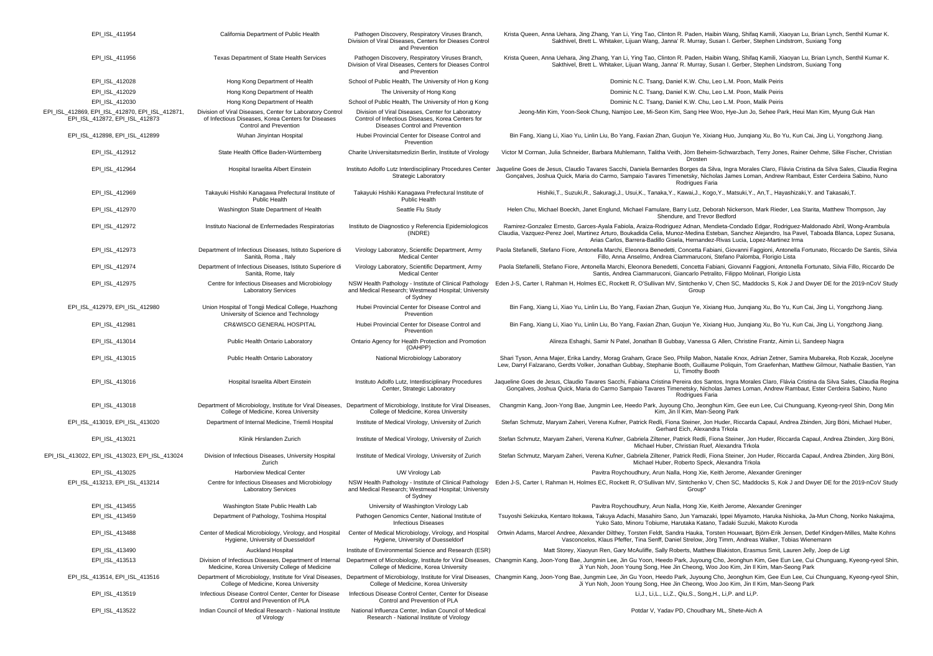| EPI_ISL_411954                                                                    | California Department of Public Health                                                                                                    | Pathogen Discovery, Respiratory Viruses Branch,<br>Division of Viral Diseases, Centers for Dieases Control<br>and Prevention              | Krista Queen, Anna Uehara, Jing Zhang, Yan Li, Ying Tao, Clinton R. Paden, Haibin Wang, Shifaq Kamili, Xiaoyan Lu, Brian Lynch, Senthil Kumar K.<br>Sakthivel, Brett L. Whitaker, Lijuan Wang, Janna' R. Murray, Susan I. Gerber, Stephen Lindstrom, Suxiang Tong                                                                                                                |
|-----------------------------------------------------------------------------------|-------------------------------------------------------------------------------------------------------------------------------------------|-------------------------------------------------------------------------------------------------------------------------------------------|----------------------------------------------------------------------------------------------------------------------------------------------------------------------------------------------------------------------------------------------------------------------------------------------------------------------------------------------------------------------------------|
| EPI_ISL_411956                                                                    | Texas Department of State Health Services                                                                                                 | Pathogen Discovery, Respiratory Viruses Branch,<br>Division of Viral Diseases, Centers for Dieases Control<br>and Prevention              | Krista Queen, Anna Uehara, Jing Zhang, Yan Li, Ying Tao, Clinton R. Paden, Haibin Wang, Shifaq Kamili, Xiaoyan Lu, Brian Lynch, Senthil Kumar K.<br>Sakthivel, Brett L. Whitaker, Lijuan Wang, Janna' R. Murray, Susan I. Gerber, Stephen Lindstrom, Suxiang Tong                                                                                                                |
| EPI_ISL_412028                                                                    | Hong Kong Department of Health                                                                                                            | School of Public Health, The University of Hon g Kong                                                                                     | Dominic N.C. Tsang, Daniel K.W. Chu, Leo L.M. Poon, Malik Peiris                                                                                                                                                                                                                                                                                                                 |
| EPI_ISL_412029                                                                    | Hong Kong Department of Health                                                                                                            | The University of Hong Kong                                                                                                               | Dominic N.C. Tsang, Daniel K.W. Chu, Leo L.M. Poon, Malik Peiris                                                                                                                                                                                                                                                                                                                 |
| EPI ISL 412030                                                                    | Hong Kong Department of Health                                                                                                            | School of Public Health, The University of Hon g Kong                                                                                     | Dominic N.C. Tsang, Daniel K.W. Chu, Leo L.M. Poon, Malik Peiris                                                                                                                                                                                                                                                                                                                 |
| EPI_ISL_412869, EPI_ISL_412870, EPI_ISL_412871,<br>EPI_ISL_412872, EPI_ISL_412873 | Division of Viral Diseases, Center for Laboratory Control<br>of Infectious Diseases, Korea Centers for Diseases<br>Control and Prevention | Division of Viral Diseases, Center for Laboratory<br>Control of Infectious Diseases, Korea Centers for<br>Diseases Control and Prevention | Jeong-Min Kim, Yoon-Seok Chung, Namjoo Lee, Mi-Seon Kim, Sang Hee Woo, Hye-Jun Jo, Sehee Park, Heui Man Kim, Myung Guk Han                                                                                                                                                                                                                                                       |
| EPI_ISL_412898, EPI_ISL_412899                                                    | Wuhan Jinyintan Hospital                                                                                                                  | Hubei Provincial Center for Disease Control and<br>Prevention                                                                             | Bin Fang, Xiang Li, Xiao Yu, Linlin Liu, Bo Yang, Faxian Zhan, Guojun Ye, Xixiang Huo, Junqiang Xu, Bo Yu, Kun Cai, Jing Li, Yongzhong Jiang.                                                                                                                                                                                                                                    |
| EPI ISL 412912                                                                    | State Health Office Baden-Württemberg                                                                                                     | Charite Universitatsmedizin Berlin, Institute of Virology                                                                                 | Victor M Corman, Julia Schneider, Barbara Muhlemann, Talitha Veith, Jörn Beheim-Schwarzbach, Terry Jones, Rainer Oehme, Silke Fischer, Christian<br>Drosten                                                                                                                                                                                                                      |
| EPI_ISL_412964                                                                    | Hospital Israelita Albert Einstein                                                                                                        | <b>Strategic Laboratory</b>                                                                                                               | Instituto Adolfo Lutz Interdisciplinary Procedures Center Jaqueline Goes de Jesus, Claudio Tavares Sacchi, Daniela Bernardes Borges da Silva, Ingra Morales Claro, Flávia Cristina da Silva Sales, Claudia Regina<br>Gonçalves, Joshua Quick, Maria do Carmo, Sampaio Tavares Timenetsky, Nicholas James Loman, Andrew Rambaut, Ester Cerdeira Sabino, Nuno<br>Rodrigues Faria   |
| EPI_ISL_412969                                                                    | Takayuki Hishiki Kanagawa Prefectural Institute of<br><b>Public Health</b>                                                                | Takayuki Hishiki Kanagawa Prefectural Institute of<br>Public Health                                                                       | Hishiki,T., Suzuki,R., Sakuragi,J., Usui,K., Tanaka,Y., Kawai,J., Kogo,Y., Matsuki,Y., An,T., Hayashizaki,Y. and Takasaki,T.                                                                                                                                                                                                                                                     |
| EPI_ISL_412970                                                                    | Washington State Department of Health                                                                                                     | Seattle Flu Study                                                                                                                         | Helen Chu, Michael Boeckh, Janet Englund, Michael Famulare, Barry Lutz, Deborah Nickerson, Mark Rieder, Lea Starita, Matthew Thompson, Jay<br>Shendure, and Trevor Bedford                                                                                                                                                                                                       |
| EPI_ISL_412972                                                                    | Instituto Nacional de Enfermedades Respiratorias                                                                                          | Instituto de Diagnostico y Referencia Epidemiologicos<br>(INDRE)                                                                          | Ramirez-Gonzalez Ernesto, Garces-Ayala Fabiola, Araiza-Rodriguez Adnan, Mendieta-Condado Edgar, Rodriguez-Maldonado Abril, Wong-Arambula<br>Claudia, Vazquez-Perez Joel, Martinez Arturo, Boukadida Celia, Munoz-Medina Esteban, Sanchez Alejandro, Isa Pavel, Taboada Blanca, Lopez Susana,<br>Arias Carlos, Barrera-Badillo Gisela, Hernandez-Rivas Lucia, Lopez-Martinez Irma |
| EPI_ISL_412973                                                                    | Department of Infectious Diseases, Istituto Superiore di<br>Sanità, Roma, Italy                                                           | Virology Laboratory, Scientific Department, Army<br><b>Medical Center</b>                                                                 | Paola Stefanelli, Stefano Fiore, Antonella Marchi, Eleonora Benedetti, Concetta Fabiani, Giovanni Faggioni, Antonella Fortunato, Riccardo De Santis, Silvia<br>Fillo, Anna Anselmo, Andrea Ciammaruconi, Stefano Palomba, Florigio Lista                                                                                                                                         |
| EPI_ISL_412974                                                                    | Department of Infectious Diseases, Istituto Superiore di<br>Sanità, Rome, Italy                                                           | Virology Laboratory, Scientific Department, Army<br>Medical Center                                                                        | Paola Stefanelli, Stefano Fiore, Antonella Marchi, Eleonora Benedetti, Concetta Fabiani, Giovanni Faggioni, Antonella Fortunato, Silvia Fillo, Riccardo De<br>Santis, Andrea Ciammaruconi, Giancarlo Petralito, Filippo Molinari, Florigio Lista                                                                                                                                 |
| EPI_ISL_412975                                                                    | Centre for Infectious Diseases and Microbiology<br><b>Laboratory Services</b>                                                             | NSW Health Pathology - Institute of Clinical Pathology<br>and Medical Research; Westmead Hospital; University<br>of Sydney                | Eden J-S, Carter I, Rahman H, Holmes EC, Rockett R, O'Sullivan MV, Sintchenko V, Chen SC, Maddocks S, Kok J and Dwyer DE for the 2019-nCoV Study<br>Group                                                                                                                                                                                                                        |
| EPI ISL 412979, EPI ISL 412980                                                    | Union Hospital of Tongji Medical College, Huazhong<br>University of Science and Technology                                                | Hubei Provincial Center for Disease Control and<br>Prevention                                                                             | Bin Fang, Xiang Li, Xiao Yu, Linlin Liu, Bo Yang, Faxian Zhan, Guojun Ye, Xixiang Huo, Junqiang Xu, Bo Yu, Kun Cai, Jing Li, Yongzhong Jiang.                                                                                                                                                                                                                                    |
| EPI_ISL_412981                                                                    | CR&WISCO GENERAL HOSPITAL                                                                                                                 | Hubei Provincial Center for Disease Control and<br>Prevention                                                                             | Bin Fang, Xiang Li, Xiao Yu, Linlin Liu, Bo Yang, Faxian Zhan, Guojun Ye, Xixiang Huo, Junqiang Xu, Bo Yu, Kun Cai, Jing Li, Yongzhong Jiang.                                                                                                                                                                                                                                    |
| EPI_ISL_413014                                                                    | Public Health Ontario Laboratory                                                                                                          | Ontario Agency for Health Protection and Promotion<br>(OAHPP)                                                                             | Alireza Eshaghi, Samir N Patel, Jonathan B Gubbay, Vanessa G Allen, Christine Frantz, Aimin Li, Sandeep Nagra                                                                                                                                                                                                                                                                    |
| EPI_ISL_413015                                                                    | Public Health Ontario Laboratory                                                                                                          | National Microbiology Laboratory                                                                                                          | Shari Tyson, Anna Majer, Erika Landry, Morag Graham, Grace Seo, Philip Mabon, Natalie Knox, Adrian Zetner, Samira Mubareka, Rob Kozak, Jocelyne<br>Lew, Darryl Falzarano, Gerdts Volker, Jonathan Gubbay, Stephanie Booth, Guillaume Poliquin, Tom Graefenhan, Matthew Gilmour, Nathalie Bastien, Yan<br>Li, Timothy Booth                                                       |
| EPI ISL 413016                                                                    | Hospital Israelita Albert Einstein                                                                                                        | Instituto Adolfo Lutz, Interdisciplinary Procedures<br>Center, Strategic Laboratory                                                       | Jaqueline Goes de Jesus, Claudio Tavares Sacchi, Fabiana Cristina Pereira dos Santos, Ingra Morales Claro, Flávia Cristina da Silva Sales, Claudia Regina<br>Gonçalves, Joshua Quick, Maria do Carmo Sampaio Tavares Timenetsky, Nicholas James Loman, Andrew Rambaut, Ester Cerdeira Sabino, Nuno<br>Rodrigues Faria                                                            |
| EPI_ISL_413018                                                                    | Department of Microbiology, Institute for Viral Diseases,<br>College of Medicine, Korea University                                        | Department of Microbiology, Institute for Viral Diseases,<br>College of Medicine, Korea University                                        | Changmin Kang, Joon-Yong Bae, Jungmin Lee, Heedo Park, Juyoung Cho, Jeonghun Kim, Gee eun Lee, Cui Chunguang, Kyeong-ryeol Shin, Dong Min<br>Kim, Jin II Kim, Man-Seong Park                                                                                                                                                                                                     |
| EPI_ISL_413019, EPI_ISL_413020                                                    | Department of Internal Medicine, Triemli Hospital                                                                                         | Institute of Medical Virology, University of Zurich                                                                                       | Stefan Schmutz, Maryam Zaheri, Verena Kufner, Patrick Redli, Fiona Steiner, Jon Huder, Riccarda Capaul, Andrea Zbinden, Jürg Böni, Michael Huber,<br>Gerhard Eich, Alexandra Trkola                                                                                                                                                                                              |
| EPI_ISL_413021                                                                    | Klinik Hirslanden Zurich                                                                                                                  | Institute of Medical Virology, University of Zurich                                                                                       | Stefan Schmutz, Maryam Zaheri, Verena Kufner, Gabriela Ziltener, Patrick Redli, Fiona Steiner, Jon Huder, Riccarda Capaul, Andrea Zbinden, Jürg Böni,<br>Michael Huber, Christian Ruef, Alexandra Trkola                                                                                                                                                                         |
| EPI_ISL_413022, EPI_ISL_413023, EPI_ISL_413024                                    | Division of Infectious Diseases, University Hospital<br>Zurich                                                                            | Institute of Medical Virology, University of Zurich                                                                                       | Stefan Schmutz, Maryam Zaheri, Verena Kufner, Gabriela Ziltener, Patrick Redli, Fiona Steiner, Jon Huder, Riccarda Capaul, Andrea Zbinden, Jürg Böni,<br>Michael Huber, Roberto Speck, Alexandra Trkola                                                                                                                                                                          |
| EPI_ISL_413025                                                                    | Harborview Medical Center                                                                                                                 | UW Virology Lab                                                                                                                           | Pavitra Roychoudhury, Arun Nalla, Hong Xie, Keith Jerome, Alexander Greninger                                                                                                                                                                                                                                                                                                    |
| EPI_ISL_413213, EPI_ISL_413214                                                    | Centre for Infectious Diseases and Microbiology<br><b>Laboratory Services</b>                                                             | and Medical Research; Westmead Hospital; University<br>of Sydney                                                                          | NSW Health Pathology - Institute of Clinical Pathology Eden J-S, Carter I, Rahman H, Holmes EC, Rockett R, O'Sullivan MV, Sintchenko V, Chen SC, Maddocks S, Kok J and Dwyer DE for the 2019-nCoV Study<br>Group*                                                                                                                                                                |
| EPI_ISL_413455                                                                    | Washington State Public Health Lab                                                                                                        | University of Washington Virology Lab                                                                                                     | Pavitra Roychoudhury, Arun Nalla, Hong Xie, Keith Jerome, Alexander Greninger                                                                                                                                                                                                                                                                                                    |
| EPI_ISL_413459                                                                    | Department of Pathology, Toshima Hospital                                                                                                 | Pathogen Genomics Center, National Institute of<br><b>Infectious Diseases</b>                                                             | Tsuyoshi Sekizuka, Kentaro Itokawa, Takuya Adachi, Masahiro Sano, Jun Yamazaki, Ippei Miyamoto, Haruka Nishioka, Ja-Mun Chong, Noriko Nakajima<br>Yuko Sato, Minoru Tobiume, Harutaka Katano, Tadaki Suzuki, Makoto Kuroda                                                                                                                                                       |
| EPI_ISL_413488                                                                    | Center of Medical Microbiology, Virology, and Hospital<br>Hygiene, University of Duesseldorf                                              | Hygiene, University of Duesseldorf                                                                                                        | Center of Medical Microbiology, Virology, and Hospital Ortwin Adams, Marcel Andree, Alexander Dilthey, Torsten Feldt, Sandra Hauka, Torsten Houwaart, Björn-Erik Jensen, Detlef Kindgen-Milles, Malte Kohns<br>Vasconcelos, Klaus Pfeffer, Tina Senff, Daniel Strelow, Jörg Timm, Andreas Walker, Tobias Wienemann                                                               |
| EPI_ISL_413490                                                                    | <b>Auckland Hospital</b>                                                                                                                  | Institute of Environmental Science and Research (ESR)                                                                                     | Matt Storey, Xiaoyun Ren, Gary McAuliffe, Sally Roberts, Matthew Blakiston, Erasmus Smit, Lauren Jelly, Joep de Ligt                                                                                                                                                                                                                                                             |
| EPI_ISL_413513                                                                    | Division of Infectious Diseases, Department of Internal<br>Medicine, Korea University College of Medicine                                 | College of Medicine, Korea University                                                                                                     | Department of Microbiology, Institute for Viral Diseases, Changmin Kang, Joon-Yong Bae, Jungmin Lee, Jin Gu Yoon, Heedo Park, Juyoung Cho, Jeonghun Kim, Gee Eun Lee, Cui Chunguang, Kyeong-ryeol Shin,<br>Ji Yun Noh, Joon Young Song, Hee Jin Cheong, Woo Joo Kim, Jin II Kim, Man-Seong Park                                                                                  |
| EPI_ISL_413514, EPI_ISL_413516                                                    | Department of Microbiology, Institute for Viral Diseases,<br>College of Medicine, Korea University                                        | College of Medicine, Korea University                                                                                                     | Department of Microbiology, Institute for Viral Diseases, Changmin Kang, Joon-Yong Bae, Jungmin Lee, Jin Gu Yoon, Heedo Park, Juyoung Cho, Jeonghun Kim, Gee Eun Lee, Cui Chunguang, Kyeong-ryeol Shin,<br>Ji Yun Noh, Joon Young Song, Hee Jin Cheong, Woo Joo Kim, Jin Il Kim, Man-Seong Park                                                                                  |
| EPI_ISL_413519                                                                    | Infectious Disease Control Center, Center for Disease<br>Control and Prevention of PLA                                                    | Infectious Disease Control Center, Center for Disease<br>Control and Prevention of PLA                                                    | Li, J., Li, L., Li, Z., Qiu, S., Song, H., Li, P. and Li, P.                                                                                                                                                                                                                                                                                                                     |
| EPI_ISL_413522                                                                    | Indian Council of Medical Research - National Institute<br>of Virology                                                                    | National Influenza Center, Indian Council of Medical<br>Research - National Institute of Virology                                         | Potdar V, Yadav PD, Choudhary ML, Shete-Aich A                                                                                                                                                                                                                                                                                                                                   |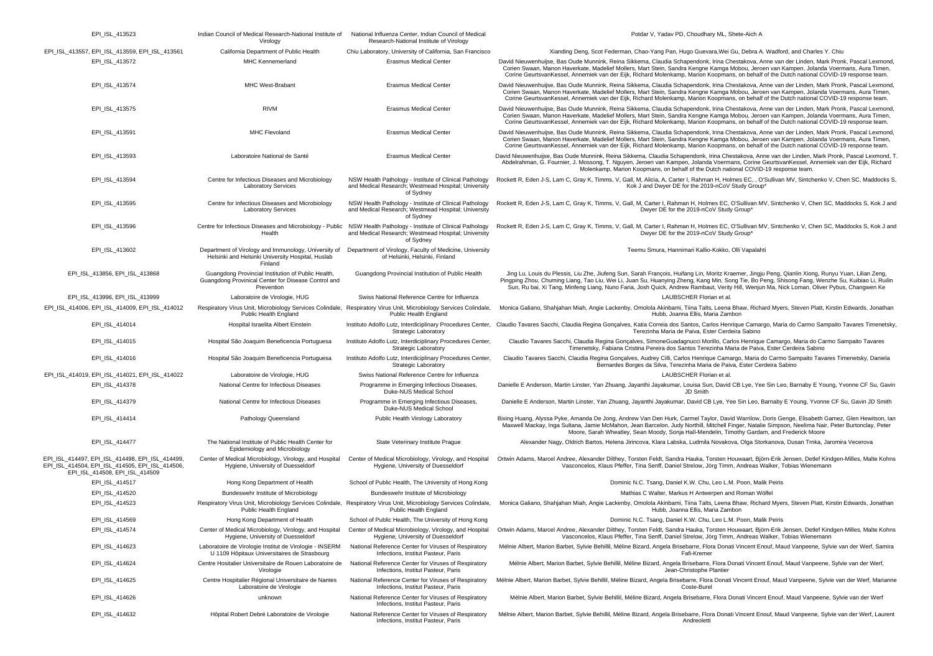| EPI_ISL_413523                                                                                                                       | Indian Council of Medical Research-National Institute of<br>Virology                                                      | National Influenza Center, Indian Council of Medical<br>Research-National Institute of Virology                                            | Potdar V, Yadav PD, Choudhary ML, Shete-Aich A                                                                                                                                                                                                                                                                                                                                                                                                       |
|--------------------------------------------------------------------------------------------------------------------------------------|---------------------------------------------------------------------------------------------------------------------------|--------------------------------------------------------------------------------------------------------------------------------------------|------------------------------------------------------------------------------------------------------------------------------------------------------------------------------------------------------------------------------------------------------------------------------------------------------------------------------------------------------------------------------------------------------------------------------------------------------|
| EPI_ISL_413557, EPI_ISL_413559, EPI_ISL_413561                                                                                       | California Department of Public Health                                                                                    | Chiu Laboratory, University of California, San Francisco                                                                                   | Xianding Deng, Scot Federman, Chao-Yang Pan, Hugo Guevara, Wei Gu, Debra A. Wadford, and Charles Y. Chiu                                                                                                                                                                                                                                                                                                                                             |
| EPI ISL 413572                                                                                                                       | <b>MHC Kennemerland</b>                                                                                                   | <b>Erasmus Medical Center</b>                                                                                                              | David Nieuwenhuijse, Bas Oude Munnink, Reina Sikkema, Claudia Schapendonk, Irina Chestakova, Anne van der Linden, Mark Pronk, Pascal Lexmond,<br>Corien Swaan, Manon Haverkate, Madelief Mollers, Mart Stein, Sandra Kengne Kamga Mobou, Jeroen van Kampen, Jolanda Voermans, Aura Timen,<br>Corine GeurtsvanKessel, Annemiek van der Eijk, Richard Molenkamp, Marion Koopmans, on behalf of the Dutch national COVID-19 response team.              |
| EPI_ISL_413574                                                                                                                       | MHC West-Brabant                                                                                                          | <b>Erasmus Medical Center</b>                                                                                                              | David Nieuwenhuijse, Bas Oude Munnink, Reina Sikkema, Claudia Schapendonk, Irina Chestakova, Anne van der Linden, Mark Pronk, Pascal Lexmond,<br>Corien Swaan, Manon Haverkate, Madelief Mollers, Mart Stein, Sandra Kengne Kamga Mobou, Jeroen van Kampen, Jolanda Voermans, Aura Timen,<br>Corine GeurtsvanKessel, Annemiek van der Eijk, Richard Molenkamp, Marion Koopmans, on behalf of the Dutch national COVID-19 response team.              |
| EPI_ISL_413575                                                                                                                       | <b>RIVM</b>                                                                                                               | <b>Erasmus Medical Center</b>                                                                                                              | David Nieuwenhuijse, Bas Oude Munnink, Reina Sikkema, Claudia Schapendonk, Irina Chestakova, Anne van der Linden, Mark Pronk, Pascal Lexmond,<br>Corien Swaan, Manon Haverkate, Madelief Mollers, Mart Stein, Sandra Kengne Kamga Mobou, Jeroen van Kampen, Jolanda Voermans, Aura Timen,<br>Corine GeurtsvanKessel, Annemiek van der Eijk, Richard Molenkamp, Marion Koopmans, on behalf of the Dutch national COVID-19 response team.              |
| EPI_ISL_413591                                                                                                                       | MHC Flevoland                                                                                                             | <b>Erasmus Medical Center</b>                                                                                                              | David Nieuwenhuijse, Bas Oude Munnink, Reina Sikkema, Claudia Schapendonk, Irina Chestakova, Anne van der Linden, Mark Pronk, Pascal Lexmond,<br>Corien Swaan, Manon Haverkate, Madelief Mollers, Mart Stein, Sandra Kengne Kamga Mobou, Jeroen van Kampen, Jolanda Voermans, Aura Timen,<br>Corine GeurtsvanKessel, Annemiek van der Eijk, Richard Molenkamp, Marion Koopmans, on behalf of the Dutch national COVID-19 response team.              |
| EPI_ISL_413593                                                                                                                       | Laboratoire National de Santé                                                                                             | <b>Erasmus Medical Center</b>                                                                                                              | David Nieuwenhuijse, Bas Oude Munnink, Reina Sikkema, Claudia Schapendonk, Irina Chestakova, Anne van der Linden, Mark Pronk, Pascal Lexmond, T<br>Abdelrahman, G. Fournier, J. Mossong, T. Nguyen, Jeroen van Kampen, Jolanda Voermans, Corine GeurtsvanKessel, Annemiek van der Eijk, Richard<br>Molenkamp, Marion Koopmans, on behalf of the Dutch national COVID-19 response team.                                                               |
| EPI_ISL_413594                                                                                                                       | Centre for Infectious Diseases and Microbiology<br><b>Laboratory Services</b>                                             | NSW Health Pathology - Institute of Clinical Pathology<br>and Medical Research; Westmead Hospital; University<br>of Sydney                 | Rockett R, Eden J-S, Lam C, Gray K, Timms, V, Gall, M, Alicia, A, Carter I, Rahman H, Holmes EC, , O'Sullivan MV, Sintchenko V, Chen SC, Maddocks S,<br>Kok J and Dwyer DE for the 2019-nCoV Study Group*                                                                                                                                                                                                                                            |
| EPI_ISL_413595                                                                                                                       | Centre for Infectious Diseases and Microbiology<br><b>Laboratory Services</b>                                             | NSW Health Pathology - Institute of Clinical Pathology<br>and Medical Research; Westmead Hospital; University<br>of Sydney                 | Rockett R, Eden J-S, Lam C, Gray K, Timms, V, Gall, M, Carter I, Rahman H, Holmes EC, O'Sullivan MV, Sintchenko V, Chen SC, Maddocks S, Kok J and<br>Dwyer DE for the 2019-nCoV Study Group'                                                                                                                                                                                                                                                         |
| EPI_ISL_413596                                                                                                                       | Centre for Infectious Diseases and Microbiology - Public NSW Health Pathology - Institute of Clinical Pathology<br>Health | and Medical Research; Westmead Hospital; University<br>of Sydney                                                                           | Rockett R, Eden J-S, Lam C, Gray K, Timms, V, Gall, M, Carter I, Rahman H, Holmes EC, O'Sullivan MV, Sintchenko V, Chen SC, Maddocks S, Kok J and<br>Dwyer DE for the 2019-nCoV Study Group'                                                                                                                                                                                                                                                         |
| EPI_ISL_413602                                                                                                                       | Department of Virology and Immunology, University of<br>Helsinki and Helsinki University Hospital, Huslab<br>Finland      | Department of Virology, Faculty of Medicine, University<br>of Helsinki, Helsinki, Finland                                                  | Teemu Smura, Hannimari Kallio-Kokko, Olli Vapalahti                                                                                                                                                                                                                                                                                                                                                                                                  |
| EPI_ISL_413856, EPI_ISL_413868                                                                                                       | Guangdong Provincial Institution of Public Health,<br>Guangdong Provinical Center for Disease Control and<br>Prevention   | Guangdong Provincial Institution of Public Health                                                                                          | Jing Lu, Louis du Plessis, Liu Zhe, Jiufeng Sun, Sarah François, Huifang Lin, Moritz Kraemer, Jingju Peng, Qianlin Xiong, Runyu Yuan, Lilian Zeng,<br>Pingping Zhou, Chuming Liang, Tao Liu, Wei Li, Juan Su, Huanying Zheng, Kang Min, Song Tie, Bo Peng, Shisong Fang, Wenzhe Su, Kuibiao Li, Ruilin<br>Sun, Ru bai, Xi Tang, Minfeng Liang, Nuno Faria, Josh Quick, Andrew Rambaut, Verity Hill, Wenjun Ma, Nick Loman, Oliver Pybus, Changwen Ke |
| EPI ISL 413996, EPI ISL 413999                                                                                                       | Laboratoire de Virologie, HUG                                                                                             | Swiss National Reference Centre for Influenza                                                                                              | LAUBSCHER Florian et al.                                                                                                                                                                                                                                                                                                                                                                                                                             |
| EPI_ISL_414006, EPI_ISL_414009, EPI_ISL_414012                                                                                       | Public Health England                                                                                                     | Respiratory Virus Unit, Microbiology Services Colindale, Respiratory Virus Unit, Microbiology Services Colindale,<br>Public Health England | Monica Galiano, Shahjahan Miah, Angie Lackenby, Omolola Akinbami, Tiina Talts, Leena Bhaw, Richard Myers, Steven Platt, Kirstin Edwards, Jonathan<br>Hubb, Joanna Ellis, Maria Zambon                                                                                                                                                                                                                                                                |
| EPI_ISL_414014                                                                                                                       | Hospital Israelita Albert Einstein                                                                                        | <b>Strategic Laboratory</b>                                                                                                                | Instituto Adolfo Lutz, Interdiciplinary Procedures Center, Claudio Tavares Sacchi, Claudia Regina Gonçalves, Katia Correia dos Santos, Carlos Henrique Camargo, Maria do Carmo Sampaito Tavares Timenetsky,<br>Terezinha Maria de Paiva, Ester Cerdeira Sabino                                                                                                                                                                                       |
| EPI_ISL_414015                                                                                                                       | Hospital São Joaquim Beneficencia Portuguesa                                                                              | Instituto Adolfo Lutz, Interdiciplinary Procedures Center,<br><b>Strategic Laboratory</b>                                                  | Claudio Tavares Sacchi, Claudia Regina Gonçalves, SimoneGuadagnucci Morillo, Carlos Henrique Camargo, Maria do Carmo Sampaito Tavares<br>Timenetsky, Fabiana Cristina Pereira dos Santos Terezinha Maria de Paiva, Ester Cerdeira Sabino                                                                                                                                                                                                             |
| EPI_ISL_414016                                                                                                                       | Hospital São Joaquim Beneficencia Portuguesa                                                                              | Instituto Adolfo Lutz, Interdiciplinary Procedures Center,<br><b>Strategic Laboratory</b>                                                  | Claudio Tavares Sacchi, Claudia Regina Gonçalves, Audrey Cilli, Carlos Henrique Camargo, Maria do Carmo Sampaito Tavares Timenetsky, Daniela<br>Bernardes Borges da Silva, Terezinha Maria de Paiva, Ester Cerdeira Sabino                                                                                                                                                                                                                           |
| EPI_ISL_414019, EPI_ISL_414021, EPI_ISL_414022                                                                                       | Laboratoire de Virologie, HUG                                                                                             | Swiss National Reference Centre for Influenza                                                                                              | LAUBSCHER Florian et al.                                                                                                                                                                                                                                                                                                                                                                                                                             |
| EPI_ISL_414378                                                                                                                       | National Centre for Infectious Diseases                                                                                   | Programme in Emerging Infectious Diseases,<br>Duke-NUS Medical School                                                                      | Danielle E Anderson, Martin Linster, Yan Zhuang, Jayanthi Jayakumar, Louisa Sun, David CB Lye, Yee Sin Leo, Barnaby E Young, Yvonne CF Su, Gavin<br>JD Smith                                                                                                                                                                                                                                                                                         |
| EPI_ISL_414379                                                                                                                       | National Centre for Infectious Diseases                                                                                   | Programme in Emerging Infectious Diseases,<br>Duke-NUS Medical School                                                                      | Danielle E Anderson, Martin Linster, Yan Zhuang, Jayanthi Jayakumar, David CB Lye, Yee Sin Leo, Barnaby E Young, Yvonne CF Su, Gavin JD Smith                                                                                                                                                                                                                                                                                                        |
| EPI_ISL_414414                                                                                                                       | Pathology Queensland                                                                                                      | Public Health Virology Laboratory                                                                                                          | Bixing Huang, Alyssa Pyke, Amanda De Jong, Andrew Van Den Hurk, Carmel Taylor, David Warrilow, Doris Genge, Elisabeth Gamez, Glen Hewitson, Iar<br>Maxwell Mackay, Inga Sultana, Jamie McMahon, Jean Barcelon, Judy Northill, Mitchell Finger, Natalie Simpson, Neelima Nair, Peter Burtonclay, Peter<br>Moore, Sarah Wheatley, Sean Moody, Sonja Hall-Mendelin, Timothy Gardam, and Frederick Moore                                                 |
| EPI_ISL_414477                                                                                                                       | The National Institute of Public Health Center for<br>Epidemiology and Microbiology                                       | State Veterinary Institute Prague                                                                                                          | Alexander Nagy, Oldrich Bartos, Helena Jirincova, Klara Labska, Ludmila Novakova, Olga Storkanova, Dusan Trnka, Jaromira Vecerova                                                                                                                                                                                                                                                                                                                    |
| EPI_ISL_414497, EPI_ISL_414498, EPI_ISL_414499,<br>EPI ISL 414504, EPI ISL 414505, EPI ISL 414506,<br>EPI_ISL_414508, EPI_ISL_414509 | Center of Medical Microbiology, Virology, and Hospital<br>Hygiene, University of Duesseldorf                              | Center of Medical Microbiology, Virology, and Hospital<br>Hygiene, University of Duesseldorf                                               | Ortwin Adams, Marcel Andree, Alexander Dilthey, Torsten Feldt, Sandra Hauka, Torsten Houwaart, Björn-Erik Jensen, Detlef Kindgen-Milles, Malte Kohns<br>Vasconcelos, Klaus Pfeffer, Tina Senff, Daniel Strelow, Jörg Timm, Andreas Walker, Tobias Wienemann                                                                                                                                                                                          |
| EPI_ISL_414517                                                                                                                       | Hong Kong Department of Health                                                                                            | School of Public Health, The University of Hong Kong                                                                                       | Dominic N.C. Tsang, Daniel K.W. Chu, Leo L.M. Poon, Malik Peiris                                                                                                                                                                                                                                                                                                                                                                                     |
| EPI_ISL_414520                                                                                                                       | Bundeswehr Institute of Microbiology                                                                                      | Bundeswehr Institute of Microbiology                                                                                                       | Mathias C Walter, Markus H Antwerpen and Roman Wölfel                                                                                                                                                                                                                                                                                                                                                                                                |
| EPI_ISL_414523                                                                                                                       | Respiratory Virus Unit, Microbiology Services Colindale,<br>Public Health England                                         | Respiratory Virus Unit, Microbiology Services Colindale,<br>Public Health England                                                          | Monica Galiano, Shahjahan Miah, Angie Lackenby, Omolola Akinbami, Tiina Talts, Leena Bhaw, Richard Myers, Steven Platt, Kirstin Edwards, Jonathan<br>Hubb, Joanna Ellis, Maria Zambon                                                                                                                                                                                                                                                                |
| EPI_ISL_414569                                                                                                                       | Hong Kong Department of Health                                                                                            | School of Public Health, The University of Hong Kong                                                                                       | Dominic N.C. Tsang, Daniel K.W. Chu, Leo L.M. Poon, Malik Peiris                                                                                                                                                                                                                                                                                                                                                                                     |
| EPI_ISL_414574                                                                                                                       | Center of Medical Microbiology, Virology, and Hospital<br>Hygiene, University of Duesseldorf                              | Hygiene, University of Duesseldorf                                                                                                         | Center of Medical Microbiology, Virology, and Hospital Ortwin Adams, Marcel Andree, Alexander Dilthey, Torsten Feldt, Sandra Hauka, Torsten Houwaart, Björn-Erik Jensen, Detlef Kindgen-Milles, Malte Kohns<br>Vasconcelos, Klaus Pfeffer, Tina Senff, Daniel Strelow, Jörg Timm, Andreas Walker, Tobias Wienemann                                                                                                                                   |
| EPI ISL 414623                                                                                                                       | Laboratoire de Virologie Institut de Virologie - INSERM<br>U 1109 Hôpitaux Universitaires de Strasbourg                   | National Reference Center for Viruses of Respiratory<br>Infections, Institut Pasteur, Paris                                                | Mélnie Albert, Marion Barbet, Sylvie Behillil, Méline Bizard, Angela Brisebarre, Flora Donati Vincent Enouf, Maud Vanpeene, Sylvie van der Werf, Samira<br>Fafi-Kremer                                                                                                                                                                                                                                                                               |
| EPI_ISL_414624                                                                                                                       | Centre Hositalier Universitaire de Rouen Laboratoire de<br>Virologie                                                      | National Reference Center for Viruses of Respiratory<br>Infections, Institut Pasteur, Paris                                                | Mélnie Albert, Marion Barbet, Sylvie Behillil, Méline Bizard, Angela Brisebarre, Flora Donati Vincent Enouf, Maud Vanpeene, Sylvie van der Werf,<br>Jean-Christophe Plantier                                                                                                                                                                                                                                                                         |
| EPI_ISL_414625                                                                                                                       | Centre Hospitalier Régional Universitaire de Nantes<br>Laboratoire de Virologie                                           | National Reference Center for Viruses of Respiratory<br>Infections, Institut Pasteur, Paris                                                | Mélnie Albert, Marion Barbet, Sylvie Behillil, Méline Bizard, Angela Brisebarre, Flora Donati Vincent Enouf, Maud Vanpeene, Sylvie van der Werf, Marianne<br>Coste-Burel                                                                                                                                                                                                                                                                             |
| EPI ISL 414626                                                                                                                       | unknown                                                                                                                   | National Reference Center for Viruses of Respiratory<br>Infections, Institut Pasteur, Paris                                                | Mélnie Albert, Marion Barbet, Sylvie Behillil, Méline Bizard, Angela Brisebarre, Flora Donati Vincent Enouf, Maud Vanpeene, Sylvie van der Werf                                                                                                                                                                                                                                                                                                      |
| EPI ISL 414632                                                                                                                       | Hôpital Robert Debré Laboratoire de Virologie                                                                             | National Reference Center for Viruses of Respiratory<br>Infections, Institut Pasteur, Paris                                                | Mélnie Albert, Marion Barbet, Sylvie Behillil, Méline Bizard, Angela Brisebarre, Flora Donati Vincent Enouf, Maud Vanpeene, Sylvie van der Werf, Laurent<br>Andreoletti                                                                                                                                                                                                                                                                              |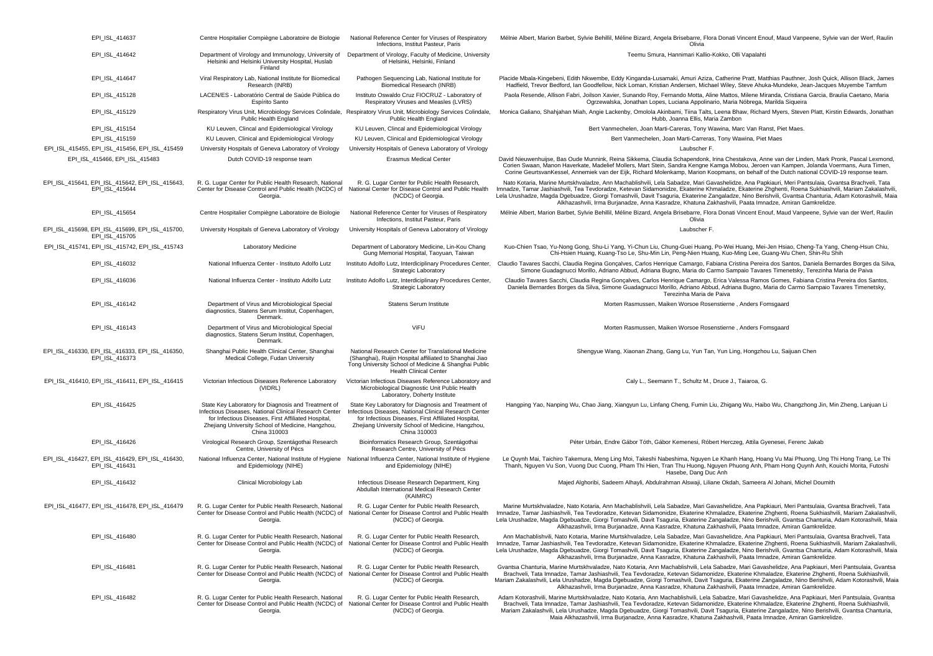| EPI ISL 414637                                                    | Centre Hospitalier Compiègne Laboratoire de Biologie                                                                                                                                                                                      | National Reference Center for Viruses of Respiratory<br>Infections, Institut Pasteur, Paris                                                                                                                                               | Mélnie Albert, Marion Barbet, Sylvie Behillil, Méline Bizard, Angela Brisebarre, Flora Donati Vincent Enouf, Maud Vanpeene, Sylvie van der Werf, Raulin<br>Olivia                                                                                                                                                                                                                                                                                                                                                                                                           |
|-------------------------------------------------------------------|-------------------------------------------------------------------------------------------------------------------------------------------------------------------------------------------------------------------------------------------|-------------------------------------------------------------------------------------------------------------------------------------------------------------------------------------------------------------------------------------------|-----------------------------------------------------------------------------------------------------------------------------------------------------------------------------------------------------------------------------------------------------------------------------------------------------------------------------------------------------------------------------------------------------------------------------------------------------------------------------------------------------------------------------------------------------------------------------|
| EPI_ISL_414642                                                    | Department of Virology and Immunology, University of<br>Helsinki and Helsinki University Hospital, Huslab<br>Finland                                                                                                                      | Department of Virology, Faculty of Medicine, University<br>of Helsinki, Helsinki, Finland                                                                                                                                                 | Teemu Smura, Hannimari Kallio-Kokko, Olli Vapalahti                                                                                                                                                                                                                                                                                                                                                                                                                                                                                                                         |
| EPI_ISL_414647                                                    | Viral Respiratory Lab, National Institute for Biomedical<br>Research (INRB)                                                                                                                                                               | Pathogen Sequencing Lab, National Institute for<br>Biomedical Research (INRB)                                                                                                                                                             | Placide Mbala-Kingebeni, Edith Nkwembe, Eddy Kinganda-Lusamaki, Amuri Aziza, Catherine Pratt, Matthias Pauthner, Josh Quick, Allison Black, James<br>Hadfield, Trevor Bedford, Ian Goodfellow, Nick Loman, Kristian Andersen, Michael Wiley, Steve Ahuka-Mundeke, Jean-Jacques Muyembe Tamfum                                                                                                                                                                                                                                                                               |
| EPI ISL 415128                                                    | LACEN/ES - Laboratório Central de Saúde Pública do<br>Espírito Santo                                                                                                                                                                      | Instituto Oswaldo Cruz FIOCRUZ - Laboratory of<br>Respiratory Viruses and Measles (LVRS)                                                                                                                                                  | Paola Resende, Allison Fabri, Joilson Xavier, Sunando Roy, Fernando Motta, Aline Mattos, Milene Miranda, Cristiana Garcia, Braulia Caetano, Maria<br>Ogrzewalska, Jonathan Lopes, Luciana Appolinario, Maria Nóbrega, Marilda Siqueira                                                                                                                                                                                                                                                                                                                                      |
| EPI_ISL_415129                                                    | Respiratory Virus Unit, Microbiology Services Colindale, Respiratory Virus Unit, Microbiology Services Colindale,<br>Public Health England                                                                                                | Public Health England                                                                                                                                                                                                                     | Monica Galiano, Shahjahan Miah, Angie Lackenby, Omolola Akinbami, Tiina Talts, Leena Bhaw, Richard Myers, Steven Platt, Kirstin Edwards, Jonathan<br>Hubb, Joanna Ellis, Maria Zambon                                                                                                                                                                                                                                                                                                                                                                                       |
| EPI ISL 415154                                                    | KU Leuven, Clincal and Epidemiological Virology                                                                                                                                                                                           | KU Leuven, Clincal and Epidemiological Virology                                                                                                                                                                                           | Bert Vanmechelen, Joan Marti-Careras, Tony Wawina, Marc Van Ranst, Piet Maes.                                                                                                                                                                                                                                                                                                                                                                                                                                                                                               |
| EPI ISL 415159                                                    | KU Leuven, Clinical and Epidemiological Virology                                                                                                                                                                                          | KU Leuven, Clinical and Epidemiological Virology                                                                                                                                                                                          | Bert Vanmechelen, Joan Marti-Carreras, Tony Wawina, Piet Maes                                                                                                                                                                                                                                                                                                                                                                                                                                                                                                               |
| EPI_ISL_415455, EPI_ISL_415456, EPI_ISL_415459                    | University Hospitals of Geneva Laboratory of Virology                                                                                                                                                                                     | University Hospitals of Geneva Laboratory of Virology                                                                                                                                                                                     | Laubscher F.                                                                                                                                                                                                                                                                                                                                                                                                                                                                                                                                                                |
| EPI ISL 415466, EPI ISL 415483                                    | Dutch COVID-19 response team                                                                                                                                                                                                              | <b>Erasmus Medical Center</b>                                                                                                                                                                                                             | David Nieuwenhuijse, Bas Oude Munnink, Reina Sikkema, Claudia Schapendonk, Irina Chestakova, Anne van der Linden, Mark Pronk. Pascal Lexmond.<br>Corien Swaan, Manon Haverkate, Madelief Mollers, Mart Stein, Sandra Kengne Kamga Mobou, Jeroen van Kampen, Jolanda Voermans, Aura Timen,<br>Corine GeurtsvanKessel, Annemiek van der Eijk, Richard Molenkamp, Marion Koopmans, on behalf of the Dutch national COVID-19 response team.                                                                                                                                     |
| EPI ISL 415641, EPI ISL 415642, EPI ISL 415643.<br>EPI ISL 415644 | R. G. Lugar Center for Public Health Research, National<br>Center for Disease Control and Public Health (NCDC) of<br>Georgia.                                                                                                             | R. G. Lugar Center for Public Health Research,<br>National Center for Disease Control and Public Health<br>(NCDC) of Georgia.                                                                                                             | Nato Kotaria, Marine Murtskhvaladze, Ann Machablishvili, Lela Sabadze, Mari Gavashelidze, Ana Papkiauri, Meri Pantsulaia, Gvantsa Brachveli, Tata<br>Imnadze, Tamar Jashiashvili, Tea Tevdoradze, Ketevan Sidamonidze, Ekaterine Khmaladze, Ekaterine Zhghenti, Roena Sukhiashvili, Mariam Zakalashvili,<br>Lela Urushadze, Magda Dgebuadze, Giorgi Tomashvili, Davit Tsaguria, Ekaterine Zangaladze, Nino Berishvili, Gvantsa Chanturia, Adam Kotorashvili, Maia<br>Alkhazashvili, Irma Burjanadze, Anna Kasradze, Khatuna Zakhashvili, Paata Imnadze, Amiran Gamkrelidze. |
| EPI_ISL_415654                                                    | Centre Hospitalier Compiègne Laboratoire de Biologie                                                                                                                                                                                      | National Reference Center for Viruses of Respiratory<br>Infections, Institut Pasteur, Paris                                                                                                                                               | Mélnie Albert, Marion Barbet, Sylvie Behillil, Méline Bizard, Angela Brisebarre, Flora Donati Vincent Enouf, Maud Vanpeene, Sylvie van der Werf, Raulin<br>Olivia                                                                                                                                                                                                                                                                                                                                                                                                           |
| EPI_ISL_415698, EPI_ISL_415699, EPI_ISL_415700,<br>EPI ISL 415705 | University Hospitals of Geneva Laboratory of Virology                                                                                                                                                                                     | University Hospitals of Geneva Laboratory of Virology                                                                                                                                                                                     | Laubscher F.                                                                                                                                                                                                                                                                                                                                                                                                                                                                                                                                                                |
| EPI_ISL_415741, EPI_ISL_415742, EPI_ISL_415743                    | Laboratory Medicine                                                                                                                                                                                                                       | Department of Laboratory Medicine, Lin-Kou Chang<br>Gung Memorial Hospital, Taoyuan, Taiwan                                                                                                                                               | Kuo-Chien Tsao, Yu-Nong Gong, Shu-Li Yang, Yi-Chun Liu, Chung-Guei Huang, Po-Wei Huang, Mei-Jen Hsiao, Cheng-Ta Yang, Cheng-Hsun Chiu,<br>Chi-Hsien Huang, Kuang-Tso Le, Shu-Min Lin, Peng-Nien Huang, Kuo-Ming Lee, Guang-Wu Chen, Shin-Ru Shih                                                                                                                                                                                                                                                                                                                            |
| EPI_ISL_416032                                                    | National Influenza Center - Instituto Adolfo Lutz                                                                                                                                                                                         | Instituto Adolfo Lutz, Interdiciplinary Procedures Center,<br>Strategic Laboratory                                                                                                                                                        | Claudio Tavares Sacchi, Claudia Regina Gonçalves, Carlos Henrique Camargo, Fabiana Cristina Pereira dos Santos, Daniela Bernardes Borges da Silva,<br>Simone Guadagnucci Morillo, Adriano Abbud, Adriana Bugno, Maria do Carmo Sampaio Tavares Timenetsky, Terezinha Maria de Paiva                                                                                                                                                                                                                                                                                         |
| EPI ISL 416036                                                    | National Influenza Center - Instituto Adolfo Lutz                                                                                                                                                                                         | Instituto Adolfo Lutz, Interdiciplinary Procedures Center,<br><b>Strategic Laboratory</b>                                                                                                                                                 | Claudio Tavares Sacchi, Claudia Regina Goncalves, Carlos Henrique Camargo, Erica Valessa Ramos Gomes, Fabiana Cristina Pereira dos Santos,<br>Daniela Bernardes Borges da Silva, Simone Guadagnucci Morillo, Adriano Abbud, Adriana Bugno, Maria do Carmo Sampaio Tavares Timenetsky,<br>Terezinha Maria de Paiva                                                                                                                                                                                                                                                           |
| EPI_ISL_416142                                                    | Department of Virus and Microbiological Special<br>diagnostics, Statens Serum Institut, Copenhagen,<br>Denmark.                                                                                                                           | <b>Statens Serum Institute</b>                                                                                                                                                                                                            | Morten Rasmussen, Maiken Worsoe Rosenstierne, Anders Fomsgaard                                                                                                                                                                                                                                                                                                                                                                                                                                                                                                              |
| EPI_ISL_416143                                                    | Department of Virus and Microbiological Special<br>diagnostics, Statens Serum Institut, Copenhagen,<br>Denmark.                                                                                                                           | ViFU                                                                                                                                                                                                                                      | Morten Rasmussen, Maiken Worsoe Rosenstierne, Anders Fomsgaard                                                                                                                                                                                                                                                                                                                                                                                                                                                                                                              |
| EPI_ISL_416330, EPI_ISL_416333, EPI_ISL_416350,<br>EPI_ISL_416373 | Shanghai Public Health Clinical Center, Shanghai<br>Medical College, Fudan University                                                                                                                                                     | National Research Center for Translational Medicine<br>(Shanghai), Ruijin Hospital affiliated to Shanghai Jiao<br>Tong University School of Medicine & Shanghai Public<br><b>Health Clinical Center</b>                                   | Shengyue Wang, Xiaonan Zhang, Gang Lu, Yun Tan, Yun Ling, Hongzhou Lu, Saijuan Chen                                                                                                                                                                                                                                                                                                                                                                                                                                                                                         |
| EPI_ISL_416410, EPI_ISL_416411, EPI_ISL_416415                    | Victorian Infectious Diseases Reference Laboratory<br>(VIDRL)                                                                                                                                                                             | Victorian Infectious Diseases Reference Laboratory and<br>Microbiological Diagnostic Unit Public Health<br>Laboratory, Doherty Institute                                                                                                  | Caly L., Seemann T., Schultz M., Druce J., Taiaroa, G.                                                                                                                                                                                                                                                                                                                                                                                                                                                                                                                      |
| EPI_ISL_416425                                                    | State Key Laboratory for Diagnosis and Treatment of<br>Infectious Diseases, National Clinical Research Center<br>for Infectious Diseases, First Affiliated Hospital,<br>Zhejiang University School of Medicine, Hangzhou,<br>China 310003 | State Key Laboratory for Diagnosis and Treatment of<br>Infectious Diseases, National Clinical Research Center<br>for Infectious Diseases, First Affiliated Hospital,<br>Zhejiang University School of Medicine, Hangzhou,<br>China 310003 | Hangping Yao, Nanping Wu, Chao Jiang, Xiangyun Lu, Linfang Cheng, Fumin Liu, Zhigang Wu, Haibo Wu, Changzhong Jin, Min Zheng, Lanjuan Li                                                                                                                                                                                                                                                                                                                                                                                                                                    |
| EPI ISL 416426                                                    | Virological Research Group, Szentágothai Research<br>Centre, University of Pécs                                                                                                                                                           | Bioinformatics Research Group, Szentágothai<br>Research Centre, University of Pécs                                                                                                                                                        | Péter Urbán, Endre Gábor Tóth, Gábor Kemenesi, Róbert Herczeg, Attila Gyenesei, Ferenc Jakab                                                                                                                                                                                                                                                                                                                                                                                                                                                                                |
| EPI ISL 416427, EPI ISL 416429, EPI ISL 416430,<br>EPI ISL 416431 | National Influenza Center, National Institute of Hygiene National Influenza Center, National Institute of Hygiene<br>and Epidemiology (NIHE)                                                                                              | and Epidemiology (NIHE)                                                                                                                                                                                                                   | Le Quynh Mai, Taichiro Takemura, Meng Ling Moi, Takeshi Nabeshima, Nguyen Le Khanh Hang, Hoang Vu Mai Phuong, Ung Thi Hong Trang, Le Thi<br>Thanh, Nguyen Vu Son, Vuong Duc Cuong, Pham Thi Hien, Tran Thu Huong, Nguyen Phuong Anh, Pham Hong Quynh Anh, Kouichi Morita, Futoshi<br>Hasebe, Dang Duc Anh                                                                                                                                                                                                                                                                   |
| EPI_ISL_416432                                                    | Clinical Microbiology Lab                                                                                                                                                                                                                 | Infectious Disease Research Department, King<br>Abdullah International Medical Research Center<br>(KAIMRC)                                                                                                                                | Majed Alghoribi, Sadeem Alhayli, Abdulrahman Alswaji, Liliane Okdah, Sameera Al Johani, Michel Doumith                                                                                                                                                                                                                                                                                                                                                                                                                                                                      |
| EPI_ISL_416477, EPI_ISL_416478, EPI_ISL_416479                    | R. G. Lugar Center for Public Health Research, National<br>Center for Disease Control and Public Health (NCDC) of<br>Georgia.                                                                                                             | R. G. Lugar Center for Public Health Research,<br>National Center for Disease Control and Public Health<br>(NCDC) of Georgia.                                                                                                             | Marine Murtskhvaladze, Nato Kotaria, Ann Machablishvili, Lela Sabadze, Mari Gavashelidze, Ana Papkiauri, Meri Pantsulaia, Gvantsa Brachveli, Tata<br>Imnadze, Tamar Jashiashvili, Tea Tevdoradze, Ketevan Sidamonidze, Ekaterine Khmaladze, Ekaterine Zhghenti, Roena Sukhiashvili, Mariam Zakalashvili,<br>Lela Urushadze, Magda Dgebuadze, Giorgi Tomashvili, Davit Tsaguria, Ekaterine Zangaladze, Nino Berishvili, Gvantsa Chanturia, Adam Kotorashvili, Maia<br>Alkhazashvili, Irma Burjanadze, Anna Kasradze, Khatuna Zakhashvili, Paata Imnadze, Amiran Gamkrelidze. |
| EPI_ISL_416480                                                    | R. G. Lugar Center for Public Health Research, National<br>Center for Disease Control and Public Health (NCDC) of National Center for Disease Control and Public Health<br>Georgia.                                                       | R. G. Lugar Center for Public Health Research.<br>(NCDC) of Georgia.                                                                                                                                                                      | Ann Machablishvili, Nato Kotaria, Marine Murtskhvaladze, Lela Sabadze, Mari Gavashelidze, Ana Papkiauri, Meri Pantsulaia, Gvantsa Brachveli, Tata<br>Imnadze, Tamar Jashiashvili, Tea Tevdoradze, Ketevan Sidamonidze, Ekaterine Khmaladze, Ekaterine Zhghenti, Roena Sukhiashvili, Mariam Zakalashvili,<br>Lela Urushadze, Magda Dgebuadze, Giorgi Tomashvili, Davit Tsaguria, Ekaterine Zangaladze, Nino Berishvili, Gvantsa Chanturia, Adam Kotorashvili, Maia<br>Alkhazashvili, Irma Burjanadze, Anna Kasradze, Khatuna Zakhashvili, Paata Imnadze, Amiran Gamkrelidze. |
| EPI_ISL_416481                                                    | R. G. Lugar Center for Public Health Research, National<br>Center for Disease Control and Public Health (NCDC) of<br>Georgia.                                                                                                             | R. G. Lugar Center for Public Health Research,<br>National Center for Disease Control and Public Health<br>(NCDC) of Georgia.                                                                                                             | Gvantsa Chanturia, Marine Murtskhvaladze, Nato Kotaria, Ann Machablishvili, Lela Sabadze, Mari Gavashelidze, Ana Papkiauri, Meri Pantsulaia, Gvantsa<br>Brachveli, Tata Imnadze, Tamar Jashiashvili, Tea Tevdoradze, Ketevan Sidamonidze, Ekaterine Khmaladze, Ekaterine Zhghenti, Roena Sukhiashvili,<br>Mariam Zakalashvili, Lela Urushadze, Magda Dgebuadze, Giorgi Tomashvili, Davit Tsaguria, Ekaterine Zangaladze, Nino Berishvili, Adam Kotorashvili, Maia<br>Alkhazashvili, Irma Burjanadze, Anna Kasradze, Khatuna Zakhashvili, Paata Imnadze, Amiran Gamkrelidze. |
| EPI_ISL_416482                                                    | R. G. Lugar Center for Public Health Research, National<br>Center for Disease Control and Public Health (NCDC) of National Center for Disease Control and Public Health<br>Georgia.                                                       | R. G. Lugar Center for Public Health Research,<br>(NCDC) of Georgia.                                                                                                                                                                      | Adam Kotorashvili, Marine Murtskhvaladze, Nato Kotaria, Ann Machablishvili, Lela Sabadze, Mari Gavashelidze, Ana Papkiauri, Meri Pantsulaia, Gvantsa<br>Brachveli, Tata Imnadze, Tamar Jashiashvili, Tea Teydoradze, Keteyan Sidamonidze, Ekaterine Khmaladze, Ekaterine Zhghenti, Roena Sukhiashvili,<br>Mariam Zakalashvili, Lela Urushadze, Magda Dgebuadze, Giorgi Tomashvili, Davit Tsaguria, Ekaterine Zangaladze, Nino Berishvili, Gvantsa Chanturia,<br>Maia Alkhazashvili, Irma Burjanadze, Anna Kasradze, Khatuna Zakhashvili, Paata Imnadze, Amiran Gamkrelidze. |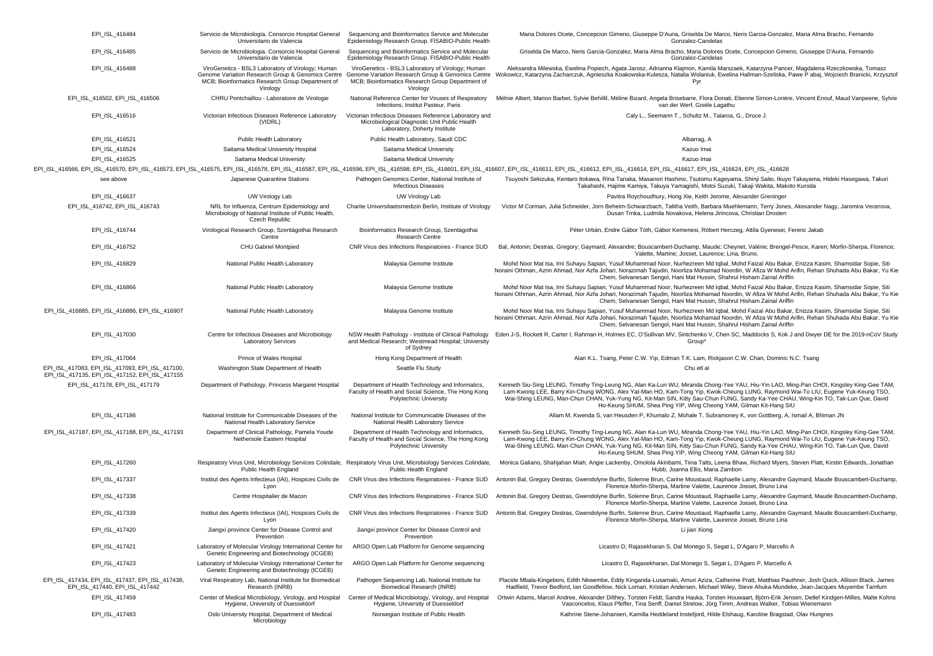| EPI_ISL_416484                                                                                    | Servicio de Microbiología. Consorcio Hospital General<br>Universitario de Valencia                                                                                     | Sequencing and Bioinformatics Service and Molecular<br>Epidemiology Research Group. FISABIO-Public Health                                                              | Maria Dolores Ocete, Concepcion Gimeno, Giuseppe D'Auria, Griselda De Marco, Neris Garcia-Gonzalez, Maria Alma Bracho, Fernando<br>Gonzalez-Candelas                                                                                                                                                                                                                                                                                                                                   |
|---------------------------------------------------------------------------------------------------|------------------------------------------------------------------------------------------------------------------------------------------------------------------------|------------------------------------------------------------------------------------------------------------------------------------------------------------------------|----------------------------------------------------------------------------------------------------------------------------------------------------------------------------------------------------------------------------------------------------------------------------------------------------------------------------------------------------------------------------------------------------------------------------------------------------------------------------------------|
| EPI_ISL_416485                                                                                    | Servicio de Microbiologia. Consorcio Hospital General<br>Universitario de Valencia                                                                                     | Sequencing and Bioinformatics Service and Molecular<br>Epidemiology Research Group. FISABIO-Public Health                                                              | Griselda De Marco, Neris Garcia-Gonzalez, Maria Alma Bracho, Maria Dolores Ocete, Concepcion Gimeno, Giuseppe D'Auria, Fernando<br>Gonzalez-Candelas                                                                                                                                                                                                                                                                                                                                   |
| EPI_ISL_416488                                                                                    | ViroGenetics - BSL3 Laboratory of Virology; Human<br>Genome Variation Research Group & Genomics Centre<br>MCB; Bioinformatics Research Group Department of<br>Virology | ViroGenetics - BSL3 Laboratory of Virology; Human<br>Genome Variation Research Group & Genomics Centre<br>MCB; Bioinformatics Research Group Department of<br>Virology | Aleksandra Milewska, Ewelina Popiech, Agata Jarosz, Adrianna Klajmon, Kamila Marszaek, Katarzyna Pancer, Magdalena Rzeczkowska, Tomasz<br>'okowicz, Katarzyna Zacharczuk, Agnieszka Koakowska-Kulesza, Natalia Wolaniuk, Ewelina Hallman-Szeliska, Pawe P abaj, Wojciech Branicki, Krzysztof<br>Pyr                                                                                                                                                                                    |
| EPI_ISL_416502, EPI_ISL_416506                                                                    | CHRU Pontchaillou - Laboratoire de Virologie                                                                                                                           | National Reference Center for Viruses of Respiratory<br>Infections, Institut Pasteur, Paris                                                                            | Mélnie Albert, Marion Barbet, Sylvie Behillil, Méline Bizard, Angela Brisebarre, Flora Donati, Etienne Simon-Lorière, Vincent Enouf, Maud Vanpeene, Sylvie<br>van der Werf, Gisèle Lagathu                                                                                                                                                                                                                                                                                             |
| EPI_ISL_416516                                                                                    | Victorian Infectious Diseases Reference Laboratory<br>(VIDRL)                                                                                                          | Victorian Infectious Diseases Reference Laboratory and<br>Microbiological Diagnostic Unit Public Health<br>Laboratory, Doherty Institute                               | Caly L., Seemann T., Schultz M., Taiaroa, G., Druce J.                                                                                                                                                                                                                                                                                                                                                                                                                                 |
| EPI_ISL_416521                                                                                    | Public Health Laboratory                                                                                                                                               | Public Health Laboratory, Saudi CDC                                                                                                                                    | Albarrag, A                                                                                                                                                                                                                                                                                                                                                                                                                                                                            |
| EPI ISL 416524                                                                                    | Saitama Medical University Hospital                                                                                                                                    | Saitama Medical University                                                                                                                                             | Kazuo Imai                                                                                                                                                                                                                                                                                                                                                                                                                                                                             |
| EPI_ISL_416525                                                                                    | Saitama Medical University                                                                                                                                             | Saitama Medical University                                                                                                                                             | Kazuo Imai                                                                                                                                                                                                                                                                                                                                                                                                                                                                             |
|                                                                                                   |                                                                                                                                                                        |                                                                                                                                                                        | EPI ISL 416666, EPI ISL 416570, EPI ISL 416573, EPI ISL 416575, EPI ISL 416578, EPI ISL 416587, EPI ISL 416587, EPI ISL 416587, EPI ISL 416587, EPI ISL 416587, EPI ISL 416698, EPI ISL 416698, EPI ISL 416601, EPI ISL 416611                                                                                                                                                                                                                                                         |
| see above                                                                                         | Japanese Quarantine Stations                                                                                                                                           | Pathogen Genomics Center, National Institute of<br><b>Infectious Diseases</b>                                                                                          | Tsuyoshi Sekizuka, Kentaro Itokawa, Rina Tanaka, Masanori Hashino, Tsutomu Kageyama, Shinji Saito, Ikuyo Takayama, Hideki Hasegawa, Takuri<br>Takahashi, Hajime Kamiya, Takuya Yamagishi, Motoi Suzuki, Takaji Wakita, Makoto Kuroda                                                                                                                                                                                                                                                   |
| EPI_ISL_416637                                                                                    | UW Virology Lab                                                                                                                                                        | UW Virology Lab                                                                                                                                                        | Pavitra Roychoudhury, Hong Xie, Keith Jerome, Alexander Greninger                                                                                                                                                                                                                                                                                                                                                                                                                      |
| EPI_ISL_416742, EPI_ISL_416743                                                                    | NRL for Influenza, Centrum Epidemiology and<br>Microbiology of National Institute of Public Health,<br>Czech Republic                                                  | Charite Universitaetsmedizin Berlin, Institute of Virology                                                                                                             | Victor M Corman, Julia Schneider, Jorn Beheim-Schwarzbach, Talitha Veith, Barbara Muehlemann, Terry Jones, Akexander Nagy, Jaromira Vecerova,<br>Dusan Trnka, Ludmila Novakova, Helena Jirincova, Christian Drosten                                                                                                                                                                                                                                                                    |
| EPI_ISL_416744                                                                                    | Virological Research Group, Szentágothai Research<br>Centre                                                                                                            | Bioinformatics Research Group, Szentágothai<br><b>Research Centre</b>                                                                                                  | Péter Urbán, Endre Gábor Tóth, Gábor Kemenesi, Róbert Herczeg, Attila Gyenesei, Ferenc Jakab                                                                                                                                                                                                                                                                                                                                                                                           |
| EPI_ISL_416752                                                                                    | CHU Gabriel Montpied                                                                                                                                                   | CNR Virus des Infections Respiratoires - France SUD                                                                                                                    | Bal, Antonin; Destras, Gregory; Gaymard, Alexandre; Bouscambert-Duchamp, Maude; Cheynet, Valérie; Brengel-Pesce, Karen; Morfin-Sherpa, Florence;<br>Valette, Martine; Josset, Laurence; Lina, Bruno.                                                                                                                                                                                                                                                                                   |
| EPI_ISL_416829                                                                                    | National Public Health Laboratory                                                                                                                                      | Malaysia Genome Institute                                                                                                                                              | Mohd Noor Mat Isa, Irni Suhayu Sapian, Yusuf Muhammad Noor, Nurhezreen Md Iqbal, Mohd Faizal Abu Bakar, Enizza Kasim, Shamsidar Sopie, Siti<br>Noraini Othman, Azrin Ahmad, Nor Azfa Johari, Norazimah Tajudin, Noorliza Mohamad Noordin, W Afiza W Mohd Arifin, Rehan Shuhada Abu Bakar, Yu Kie<br>Chem, Selvanesan Sengol, Hani Mat Hussin, Shahrul Hisham Zainal Ariffin                                                                                                            |
| EPI_ISL_416866                                                                                    | National Public Health Laboratory                                                                                                                                      | Malaysia Genome Institute                                                                                                                                              | Mohd Noor Mat Isa, Irni Suhayu Sapian, Yusuf Muhammad Noor, Nurhezreen Md Iqbal, Mohd Faizal Abu Bakar, Enizza Kasim, Shamsidar Sopie, Siti<br>Noraini Othman, Azrin Ahmad, Nor Azfa Johari, Norazimah Tajudin, Noorliza Mohamad Noordin, W Afiza W Mohd Arifin, Rehan Shuhada Abu Bakar, Yu Kie<br>Chem, Selvanesan Sengol, Hani Mat Hussin, Shahrul Hisham Zainal Ariffin                                                                                                            |
| EPI ISL 416885, EPI ISL 416886, EPI ISL 416907                                                    | National Public Health Laboratory                                                                                                                                      | Malaysia Genome Institute                                                                                                                                              | Mohd Noor Mat Isa, Irni Suhayu Sapian, Yusuf Muhammad Noor, Nurhezreen Md Iqbal, Mohd Faizal Abu Bakar, Enizza Kasim, Shamsidar Sopie, Siti<br>Noraini Othman, Azrin Ahmad, Nor Azfa Johari, Norazimah Tajudin, Noorliza Mohamad Noordin, W Afiza W Mohd Arifin, Rehan Shuhada Abu Bakar, Yu Kie<br>Chem, Selvanesan Sengol, Hani Mat Hussin, Shahrul Hisham Zainal Ariffin                                                                                                            |
| EPI_ISL_417030                                                                                    | Centre for Infectious Diseases and Microbiology<br><b>Laboratory Services</b>                                                                                          | NSW Health Pathology - Institute of Clinical Pathology<br>and Medical Research; Westmead Hospital; University<br>of Sydney                                             | Eden J-S, Rockett R, Carter I, Rahman H, Holmes EC, O'Sullivan MV, Sintchenko V, Chen SC, Maddocks S, Kok J and Dwyer DE for the 2019-nCoV Study<br>Group*                                                                                                                                                                                                                                                                                                                             |
| EPI ISL 417064                                                                                    | Prince of Wales Hospital                                                                                                                                               | Hong Kong Department of Health                                                                                                                                         | Alan K.L. Tsang, Peter C.W. Yip, Edman T.K. Lam, Rickjason C.W. Chan, Dominic N.C. Tsang                                                                                                                                                                                                                                                                                                                                                                                               |
| EPI ISL 417083, EPI ISL 417093, EPI ISL 417100,<br>EPI_ISL_417135, EPI_ISL_417152, EPI_ISL_417155 | Washington State Department of Health                                                                                                                                  | Seattle Flu Study                                                                                                                                                      | Chu etl al                                                                                                                                                                                                                                                                                                                                                                                                                                                                             |
| EPI ISL 417178, EPI ISL 417179                                                                    | Department of Pathology, Princess Margaret Hospital                                                                                                                    | Department of Health Technology and Informatics,<br>Faculty of Health and Social Science, The Hong Kong<br>Polytechnic University                                      | Kenneth Siu-Sing LEUNG, Timothy Ting-Leung NG, Alan Ka-Lun WU, Miranda Chong-Yee YAU, Hiu-Yin LAO, Ming-Pan CHOI, Kingsley King-Gee TAM,<br>Lam-Kwong LEE, Barry Kin-Chung WONG, Alex Yat-Man HO, Kam-Tong Yip, Kwok-Cheung LUNG, Raymond Wai-To LIU, Eugene Yuk-Keung TSO,<br>Wai-Shing LEUNG, Man-Chun CHAN, Yuk-Yung NG, Kit-Man SIN, Kitty Sau-Chun FUNG, Sandy Ka-Yee CHAU, Wing-Kin TO, Tak-Lun Que, David<br>Ho-Keung SHUM, Shea Ping YIP, Wing Cheong YAM, Gilman Kit-Hang SIU |
| EPI_ISL_417186                                                                                    | National Institute for Communicable Diseases of the<br>National Health Laboratory Service                                                                              | National Institute for Communicable Diseases of the<br>National Health Laboratory Service                                                                              | Allam M, Kwenda S, van Heusden P, Khumalo Z, Mohale T, Subramoney K, von Gottberg, A, Ismail A, Bhiman JN                                                                                                                                                                                                                                                                                                                                                                              |
| EPI_ISL_417187, EPI_ISL_417188, EPI_ISL_417193                                                    | Department of Clinical Pathology, Pamela Youde<br>Nethersole Eastern Hospital                                                                                          | Department of Health Technology and Informatics,<br>Faculty of Health and Social Science, The Hong Kong<br>Polytechnic University                                      | Kenneth Siu-Sing LEUNG, Timothy Ting-Leung NG, Alan Ka-Lun WU, Miranda Chong-Yee YAU, Hiu-Yin LAO, Ming-Pan CHOI, Kingsley King-Gee TAM,<br>Lam-Kwong LEE, Barry Kin-Chung WONG, Alex Yat-Man HO, Kam-Tong Yip, Kwok-Cheung LUNG, Raymond Wai-To LIU, Eugene Yuk-Keung TSO,<br>Wai-Shing LEUNG, Man-Chun CHAN, Yuk-Yung NG, Kit-Man SIN, Kitty Sau-Chun FUNG, Sandy Ka-Yee CHAU, Wing-Kin TO, Tak-Lun Que, David<br>Ho-Keung SHUM, Shea Ping YIP, Wing Cheong YAM, Gilman Kit-Hang SIU |
| EPI_ISL_417260                                                                                    | Public Health England                                                                                                                                                  | Respiratory Virus Unit, Microbiology Services Colindale, Respiratory Virus Unit, Microbiology Services Colindale,<br>Public Health England                             | Monica Galiano, Shahjahan Miah, Angie Lackenby, Omolola Akinbami, Tiina Talts, Leena Bhaw, Richard Myers, Steven Platt, Kirstin Edwards, Jonathan<br>Hubb, Joanna Ellis, Maria Zambon                                                                                                                                                                                                                                                                                                  |
| EPI_ISL_417337                                                                                    | Institut des Agents Infectieux (IAI), Hospices Civils de<br>Lyon                                                                                                       |                                                                                                                                                                        | CNR Virus des Infections Respiratoires - France SUD Antonin Bal, Gregory Destras, Gwendolyne Burfin, Solenne Brun, Carine Moustaud, Raphaelle Lamy, Alexandre Gaymard, Maude Bouscambert-Duchamp<br>Florence Morfin-Sherpa, Martine Valette, Laurence Josset, Bruno Lina                                                                                                                                                                                                               |
| EPI_ISL_417338                                                                                    | Centre Hospitalier de Macon                                                                                                                                            | CNR Virus des Infections Respiratoires - France SUD                                                                                                                    | Antonin Bal, Gregory Destras, Gwendolyne Burfin, Solenne Brun, Carine Moustaud, Raphaelle Lamy, Alexandre Gaymard, Maude Bouscambert-Duchamp,<br>Florence Morfin-Sherpa, Martine Valette, Laurence Josset, Bruno Lina                                                                                                                                                                                                                                                                  |
| EPI_ISL_417339                                                                                    | Lyon                                                                                                                                                                   |                                                                                                                                                                        | Institut des Agents Infectieux (IAI), Hospices Civils de CNR Virus des Infections Respiratoires - France SUD Antonin Bal, Gregory Destras, Gwendolyne Burfin, Solenne Brun, Carine Moustaud, Raphaelle Lamy, Alexandre Gaymard<br>Florence Morfin-Sherpa, Martine Valette, Laurence Josset, Bruno Lina                                                                                                                                                                                 |
| EPI_ISL_417420                                                                                    | Jiangxi province Center for Disease Control and<br>Prevention                                                                                                          | Jiangxi province Center for Disease Control and<br>Prevention                                                                                                          | Li jian Xiong                                                                                                                                                                                                                                                                                                                                                                                                                                                                          |
| EPI_ISL_417421                                                                                    | Laboratory of Molecular Virology International Center for<br>Genetic Engineering and Biotechnology (ICGEB)                                                             | ARGO Open Lab Platform for Genome sequencing                                                                                                                           | Licastro D, Rajasekharan S, Dal Monego S, Segat L, D'Agaro P, Marcello A                                                                                                                                                                                                                                                                                                                                                                                                               |
| EPI_ISL_417423                                                                                    | Laboratory of Molecular Virology International Center for<br>Genetic Engineering and Biotechnology (ICGEB)                                                             | ARGO Open Lab Platform for Genome sequencing                                                                                                                           | Licastro D, Rajasekharan, Dal Monego S, Segat L, D'Agaro P, Marcello A                                                                                                                                                                                                                                                                                                                                                                                                                 |
| EPI_ISL_417434, EPI_ISL_417437, EPI_ISL_417438,<br>EPI ISL 417440, EPI ISL 417442                 | Viral Respiratory Lab, National Institute for Biomedical<br>Research (INRB)                                                                                            | Pathogen Sequencing Lab, National Institute for<br>Biomedical Research (INRB)                                                                                          | Placide Mbala-Kingebeni, Edith Nkwembe, Eddy Kinganda-Lusamaki, Amuri Aziza, Catherine Pratt, Matthias Pauthner, Josh Quick, Allison Black, James<br>Hadfield, Trevor Bedford, Ian Goodfellow, Nick Loman, Kristian Andersen, Michael Wiley, Steve Ahuka-Mundeke, Jean-Jacques Muyembe Tamfum                                                                                                                                                                                          |
| EPI_ISL_417459                                                                                    | Center of Medical Microbiology, Virology, and Hospital<br>Hygiene, University of Duesseldorf                                                                           | Center of Medical Microbiology, Virology, and Hospital<br>Hygiene, University of Duesseldorf                                                                           | Ortwin Adams, Marcel Andree, Alexander Dilthey, Torsten Feldt, Sandra Hauka, Torsten Houwaart, Björn-Erik Jensen, Detlef Kindgen-Milles, Malte Kohns<br>Vasconcelos, Klaus Pfeffer, Tina Senff, Daniel Strelow, Jörg Timm, Andreas Walker, Tobias Wienemann                                                                                                                                                                                                                            |
| EPI_ISL_417483                                                                                    | Oslo University Hospital, Department of Medical<br>Microbiology                                                                                                        | Norwegian Institute of Public Health                                                                                                                                   | Kathrine Stene-Johansen, Kamilla Heddeland Instefjord, Hilde Elshaug, Karoline Bragstad, Olav Hungnes                                                                                                                                                                                                                                                                                                                                                                                  |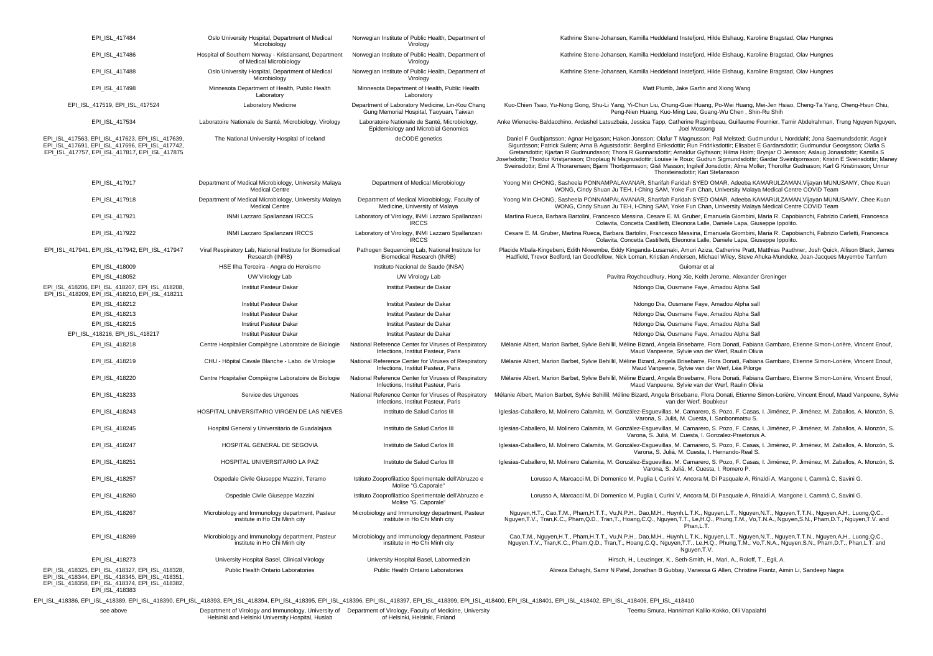| EPI_ISL_417484                                                                                                                                        | Oslo University Hospital, Department of Medical<br>Microbiology                   | Norwegian Institute of Public Health, Department of<br>Virology                             | Kathrine Stene-Johansen, Kamilla Heddeland Instefjord, Hilde Elshaug, Karoline Bragstad, Olav Hungnes                                                                                                                                                                                                                                                                                                                                                                                                                                                                                                                                                                                                                                                                                                     |
|-------------------------------------------------------------------------------------------------------------------------------------------------------|-----------------------------------------------------------------------------------|---------------------------------------------------------------------------------------------|-----------------------------------------------------------------------------------------------------------------------------------------------------------------------------------------------------------------------------------------------------------------------------------------------------------------------------------------------------------------------------------------------------------------------------------------------------------------------------------------------------------------------------------------------------------------------------------------------------------------------------------------------------------------------------------------------------------------------------------------------------------------------------------------------------------|
| EPI_ISL_417486                                                                                                                                        | Hospital of Southern Norway - Kristiansand, Department<br>of Medical Microbiology | Norwegian Institute of Public Health, Department of<br>Virology                             | Kathrine Stene-Johansen, Kamilla Heddeland Instefjord, Hilde Elshaug, Karoline Bragstad, Olav Hungnes                                                                                                                                                                                                                                                                                                                                                                                                                                                                                                                                                                                                                                                                                                     |
| EPI_ISL_417488                                                                                                                                        | Oslo University Hospital, Department of Medical<br>Microbiology                   | Norwegian Institute of Public Health, Department of<br>Virology                             | Kathrine Stene-Johansen, Kamilla Heddeland Instefjord, Hilde Elshaug, Karoline Bragstad, Olav Hungnes                                                                                                                                                                                                                                                                                                                                                                                                                                                                                                                                                                                                                                                                                                     |
| EPI_ISL_417498                                                                                                                                        | Minnesota Department of Health, Public Health<br>Laboratory                       | Minnesota Department of Health, Public Health<br>Laboratory                                 | Matt Plumb, Jake Garfin and Xiong Wang                                                                                                                                                                                                                                                                                                                                                                                                                                                                                                                                                                                                                                                                                                                                                                    |
| EPI_ISL_417519, EPI_ISL_417524                                                                                                                        | Laboratory Medicine                                                               | Department of Laboratory Medicine, Lin-Kou Chang<br>Gung Memorial Hospital, Taoyuan, Taiwan | Kuo-Chien Tsao, Yu-Nong Gong, Shu-Li Yang, Yi-Chun Liu, Chung-Guei Huang, Po-Wei Huang, Mei-Jen Hsiao, Cheng-Ta Yang, Cheng-Hsun Chiu,<br>Peng-Nien Huang, Kuo-Ming Lee, Guang-Wu Chen, Shin-Ru Shih                                                                                                                                                                                                                                                                                                                                                                                                                                                                                                                                                                                                      |
| EPI_ISL_417534                                                                                                                                        | Laboratoire Nationale de Santé, Microbiology, Virology                            | Laboratoire Nationale de Santé, Microbiology,<br>Epidemiology and Microbial Genomics        | Anke Wienecke-Baldacchino, Ardashel Latsuzbaia, Jessica Tapp, Catherine Ragimbeau, Guillaume Fournier, Tamir Abdelrahman, Trung Nguyen Nguyen,<br>Joel Mossong                                                                                                                                                                                                                                                                                                                                                                                                                                                                                                                                                                                                                                            |
| EPI_ISL_417563, EPI_ISL_417623, EPI_ISL_417639,<br>EPI_ISL_417691, EPI_ISL_417696, EPI_ISL_417742,<br>EPI ISL 417757, EPI ISL 417817, EPI ISL 417875  | The National University Hospital of Iceland                                       | deCODE genetics                                                                             | Daniel F Gudbjartsson; Agnar Helgason; Hakon Jonsson; Olafur T Magnusson; Pall Melsted; Gudmundur L Norddahl; Jona Saemundsdottir; Asgeir<br>Sigurdsson; Patrick Sulem; Arna B Agustsdottir; Berglind Eiriksdottir; Run Fridriksdottir; Elisabet E Gardarsdottir; Gudmundur Georgsson; Olafia S<br>Gretarsdottir; Kjartan R Gudmundsson; Thora R Gunnarsdottir; Arnaldur Gylfason; Hilma Holm; Brynjar O Jensson; Aslaug Jonasdottir; Kamilla S<br>Josefsdottir; Thordur Kristjansson; Droplaug N Magnusdottir; Louise le Roux; Gudrun Sigmundsdottir; Gardar Sveinbjornsson; Kristin E Sveinsdottir; Maney<br>Sveinsdottir; Emil A Thorarensen; Bjarni Thorbjornsson; Gisli Masson; Ingileif Jonsdottir; Alma Moller; Thorolfur Gudnason; Karl G Kristinsson; Unnur<br>Thorsteinsdottir: Kari Stefansson |
| EPI_ISL_417917                                                                                                                                        | Department of Medical Microbiology, University Malaya<br><b>Medical Centre</b>    | Department of Medical Microbiology                                                          | Yoong Min CHONG, Sasheela PONNAMPALAVANAR, Sharifah Faridah SYED OMAR, Adeeba KAMARULZAMAN, Vijayan MUNUSAMY, Chee Kuan<br>WONG, Cindy Shuan Ju TEH, I-Ching SAM, Yoke Fun Chan, University Malaya Medical Centre COVID Team                                                                                                                                                                                                                                                                                                                                                                                                                                                                                                                                                                              |
| EPI_ISL_417918                                                                                                                                        | Department of Medical Microbiology, University Malaya<br><b>Medical Centre</b>    | Department of Medical Microbiology, Faculty of<br>Medicine, University of Malaya            | Yoong Min CHONG, Sasheela PONNAMPALAVANAR, Sharifah Faridah SYED OMAR, Adeeba KAMARULZAMAN, Vijayan MUNUSAMY, Chee Kuan<br>WONG, Cindy Shuan Ju TEH, I-Ching SAM, Yoke Fun Chan, University Malaya Medical Centre COVID Team                                                                                                                                                                                                                                                                                                                                                                                                                                                                                                                                                                              |
| EPI_ISL_417921                                                                                                                                        | INMI Lazzaro Spallanzani IRCCS                                                    | Laboratory of Virology, INMI Lazzaro Spallanzani<br><b>IRCCS</b>                            | Martina Rueca, Barbara Bartolini, Francesco Messina, Cesare E. M. Gruber, Emanuela Giombini, Maria R. Capobianchi, Fabrizio Carletti, Francesca<br>Colavita, Concetta Castilletti, Eleonora Lalle, Daniele Lapa, Giuseppe Ippolito.                                                                                                                                                                                                                                                                                                                                                                                                                                                                                                                                                                       |
| EPI_ISL_417922                                                                                                                                        | INMI Lazzaro Spallanzani IRCCS                                                    | Laboratory of Virology, INMI Lazzaro Spallanzani<br><b>IRCCS</b>                            | Cesare E. M. Gruber, Martina Rueca, Barbara Bartolini, Francesco Messina, Emanuela Giombini, Maria R. Capobianchi, Fabrizio Carletti, Francesca<br>Colavita, Concetta Castilletti, Eleonora Lalle, Daniele Lapa, Giuseppe Ippolito.                                                                                                                                                                                                                                                                                                                                                                                                                                                                                                                                                                       |
| EPI_ISL_417941, EPI_ISL_417942, EPI_ISL_417947                                                                                                        | Viral Respiratory Lab, National Institute for Biomedical<br>Research (INRB)       | Pathogen Sequencing Lab, National Institute for<br>Biomedical Research (INRB)               | Placide Mbala-Kingebeni, Edith Nkwembe, Eddy Kinganda-Lusamaki, Amuri Aziza, Catherine Pratt, Matthias Pauthner, Josh Quick, Allison Black, James<br>Hadfield, Trevor Bedford, Ian Goodfellow, Nick Loman, Kristian Andersen, Michael Wiley, Steve Ahuka-Mundeke, Jean-Jacques Muyembe Tamfum                                                                                                                                                                                                                                                                                                                                                                                                                                                                                                             |
| EPI_ISL_418009                                                                                                                                        | HSE Ilha Terceira - Angra do Heroismo                                             | Instituto Nacional de Saude (INSA)                                                          | Guiomar et al                                                                                                                                                                                                                                                                                                                                                                                                                                                                                                                                                                                                                                                                                                                                                                                             |
| EPI ISL 418052                                                                                                                                        | UW Virology Lab                                                                   | UW Virology Lab                                                                             | Pavitra Roychoudhury, Hong Xie, Keith Jerome, Alexander Greninger                                                                                                                                                                                                                                                                                                                                                                                                                                                                                                                                                                                                                                                                                                                                         |
| EPI_ISL_418206, EPI_ISL_418207, EPI_ISL_418208,<br>EPI_ISL_418209, EPI_ISL_418210, EPI_ISL_418211                                                     | <b>Institut Pasteur Dakar</b>                                                     | Institut Pasteur de Dakar                                                                   | Ndongo Dia, Ousmane Faye, Amadou Alpha Sall                                                                                                                                                                                                                                                                                                                                                                                                                                                                                                                                                                                                                                                                                                                                                               |
| EPI_ISL_418212                                                                                                                                        | Institut Pasteur Dakar                                                            | Institut Pasteur de Dakar                                                                   | Ndongo Dia, Ousmane Faye, Amadou Alpha sall                                                                                                                                                                                                                                                                                                                                                                                                                                                                                                                                                                                                                                                                                                                                                               |
| EPI_ISL_418213                                                                                                                                        | <b>Institut Pasteur Dakar</b>                                                     | Institut Pasteur de Dakar                                                                   | Ndongo Dia, Ousmane Faye, Amadou Alpha Sall                                                                                                                                                                                                                                                                                                                                                                                                                                                                                                                                                                                                                                                                                                                                                               |
| EPI_ISL_418215                                                                                                                                        | Instirut Pasteur Dakar                                                            | Institut Pasteur de Dakar                                                                   | Ndongo Dia, Ousmane Faye, Amadou Alpha Sall                                                                                                                                                                                                                                                                                                                                                                                                                                                                                                                                                                                                                                                                                                                                                               |
| EPI_ISL_418216, EPI_ISL_418217                                                                                                                        | Institut Pasteur Dakar                                                            | Institut Pasteur de Dakar                                                                   | Ndongo Dia, Ousmane Faye, Amadou Alpha Sall                                                                                                                                                                                                                                                                                                                                                                                                                                                                                                                                                                                                                                                                                                                                                               |
| EPI ISL 418218                                                                                                                                        | Centre Hospitalier Compiègne Laboratoire de Biologie                              | National Reference Center for Viruses of Respiratory<br>Infections, Institut Pasteur, Paris | Mélanie Albert, Marion Barbet, Sylvie Behillil, Méline Bizard, Angela Brisebarre, Flora Donati, Fabiana Gambaro, Etienne Simon-Lorière, Vincent Enouf,<br>Maud Vanpeene, Sylvie van der Werf, Raulin Olivia                                                                                                                                                                                                                                                                                                                                                                                                                                                                                                                                                                                               |
| EPI ISL 418219                                                                                                                                        | CHU - Hôpital Cavale Blanche - Labo. de Virologie                                 | National Reference Center for Viruses of Respiratory<br>Infections, Institut Pasteur, Paris | Mélanie Albert, Marion Barbet, Sylvie Behillil, Méline Bizard, Angela Brisebarre, Flora Donati, Fabiana Gambaro, Etienne Simon-Lorière, Vincent Enouf,<br>Maud Vanpeene, Sylvie van der Werf, Léa Pilorge                                                                                                                                                                                                                                                                                                                                                                                                                                                                                                                                                                                                 |
| EPI ISL 418220                                                                                                                                        | Centre Hospitalier Compiègne Laboratoire de Biologie                              | National Reference Center for Viruses of Respiratory<br>Infections, Institut Pasteur, Paris | Mélanie Albert, Marion Barbet, Sylvie Behillil, Méline Bizard, Angela Brisebarre, Flora Donati, Fabiana Gambaro, Etienne Simon-Lorière, Vincent Enouf,<br>Maud Vanpeene, Sylvie van der Werf, Raulin Olivia                                                                                                                                                                                                                                                                                                                                                                                                                                                                                                                                                                                               |
| EPI ISL 418233                                                                                                                                        | Service des Urgences                                                              | National Reference Center for Viruses of Respiratory<br>Infections, Institut Pasteur, Paris | Mélanie Albert, Marion Barbet, Sylvie Behillil, Méline Bizard, Angela Brisebarre, Flora Donati, Etienne Simon-Lorière, Vincent Enouf, Maud Vanpeene, Sylvie<br>van der Werf, Boubkeur                                                                                                                                                                                                                                                                                                                                                                                                                                                                                                                                                                                                                     |
| EPI ISL 418243                                                                                                                                        | HOSPITAL UNIVERSITARIO VIRGEN DE LAS NIEVES                                       | Instituto de Salud Carlos III                                                               | Iglesias-Caballero, M. Molinero Calamita, M. González-Esquevillas, M. Camarero, S. Pozo, F. Casas, I. Jiménez, P. Jiménez, M. Zaballos, A. Monzón, S.<br>Varona, S. Juliá, M. Cuesta, I. Sanbonmatsu S.                                                                                                                                                                                                                                                                                                                                                                                                                                                                                                                                                                                                   |
| EPI ISL 418245                                                                                                                                        | Hospital General y Universitario de Guadalajara                                   | Instituto de Salud Carlos III                                                               | Iglesias-Caballero, M. Molinero Calamita, M. González-Esguevillas, M. Camarero, S. Pozo, F. Casas, I. Jiménez, P. Jiménez, M. Zaballos, A. Monzón, S.<br>Varona, S. Juliá, M. Cuesta, I. Gonzalez-Praetorius A.                                                                                                                                                                                                                                                                                                                                                                                                                                                                                                                                                                                           |
| EPI_ISL_418247                                                                                                                                        | HOSPITAL GENERAL DE SEGOVIA                                                       | Instituto de Salud Carlos III                                                               | Iglesias-Caballero, M. Molinero Calamita, M. González-Esguevillas, M. Camarero, S. Pozo, F. Casas, I. Jiménez, P. Jiménez, M. Zaballos, A. Monzón, S.<br>Varona, S. Juliá, M. Cuesta, I. Hernando-Real S.                                                                                                                                                                                                                                                                                                                                                                                                                                                                                                                                                                                                 |
| EPI_ISL_418251                                                                                                                                        | HOSPITAL UNIVERSITARIO LA PAZ                                                     | Instituto de Salud Carlos III                                                               | Iglesias-Caballero, M. Molinero Calamita, M. González-Esguevillas, M. Camarero, S. Pozo, F. Casas, I. Jiménez, P. Jiménez, M. Zaballos, A. Monzón, S.<br>Varona, S. Juliá, M. Cuesta, I. Romero P.                                                                                                                                                                                                                                                                                                                                                                                                                                                                                                                                                                                                        |
| EPI ISL 418257                                                                                                                                        | Ospedale Civile Giuseppe Mazzini, Teramo                                          | Istituto Zooprofilattico Sperimentale dell'Abruzzo e<br>Molise "G.Caporale"                 | Lorusso A, Marcacci M, Di Domenico M, Puglia I, Curini V, Ancora M, Di Pasquale A, Rinaldi A, Mangone I, Cammà C, Savini G.                                                                                                                                                                                                                                                                                                                                                                                                                                                                                                                                                                                                                                                                               |
| EPI ISL 418260                                                                                                                                        | Ospedale Civile Giuseppe Mazzini                                                  | Istituto Zooprofilattico Sperimentale dell'Abruzzo e<br>Molise "G. Caporale"                | Lorusso A, Marcacci M, Di Domenico M, Puglia I, Curini V, Ancora M, Di Pasquale A, Rinaldi A, Mangone I, Cammà C, Savini G.                                                                                                                                                                                                                                                                                                                                                                                                                                                                                                                                                                                                                                                                               |
| EPI ISL 418267                                                                                                                                        | Microbiology and Immunology department, Pasteur<br>institute in Ho Chi Minh city  | Microbiology and Immunology department, Pasteur<br>institute in Ho Chi Minh city            | Nguyen,H.T., Cao,T.M., Pham,H.T.T., Vu,N.P.H., Dao,M.H., Huynh,L.T.K., Nguyen,L.T., Nguyen,N.T., Nguyen,T.T.N., Nguyen,A.H., Luong,Q.C.,<br>Nguyen, T.V., Tran, K.C., Pham, Q.D., Tran, T., Hoang, C.Q., Nguyen, T.T., Le, H.Q., Phung, T.M., Vo, T.N.A., Nguyen, S.N., Pham, D.T., Nguyen, T.V. and<br>Phan, L.T.                                                                                                                                                                                                                                                                                                                                                                                                                                                                                        |
| EPI_ISL_418269                                                                                                                                        | Microbiology and Immunology department, Pasteur<br>institute in Ho Chi Minh city  | Microbiology and Immunology department, Pasteur<br>institute in Ho Chi Minh city            | Cao,T.M., Nguyen,H.T., Pham,H.T.T., Vu,N.P.H., Dao,M.H., Huynh,L.T.K., Nguyen,L.T., Nguyen,N.T., Nguyen,T.T.N., Nguyen,A.H., Luong,Q.C.,<br>Nguyen,T.V., Tran,K.C., Pham,Q.D., Tran,T., Hoang,C.Q., Nguyen,T.T., Le,H.Q., Phung,T.M., Vo,T.N.A., Nguyen,S.N., Pham,D.T., Phan,L.T. and<br>Nguyen, T.V.                                                                                                                                                                                                                                                                                                                                                                                                                                                                                                    |
| EPI_ISL_418273                                                                                                                                        | University Hospital Basel, Clinical Virology                                      | University Hospital Basel, Labormedizin                                                     | Hirsch, H., Leuzinger, K., Seth-Smith, H., Mari, A., Roloff, T., Egli, A.                                                                                                                                                                                                                                                                                                                                                                                                                                                                                                                                                                                                                                                                                                                                 |
| EPI ISL 418325, EPI ISL 418327, EPI ISL 418328,<br>EPI_ISL_418344, EPI_ISL_418345, EPI_ISL_418351,<br>EPI ISL 418358, EPI ISL 418374, EPI ISL 418382, | Public Health Ontario Laboratories                                                | Public Health Ontario Laboratories                                                          | Alireza Eshaghi, Samir N Patel, Jonathan B Gubbay, Vanessa G Allen, Christine Frantz, Aimin Li, Sandeep Nagra                                                                                                                                                                                                                                                                                                                                                                                                                                                                                                                                                                                                                                                                                             |

EPI\_ISL\_418383

EPI\_ISL\_418386, EPI\_ISL\_418389, EPI\_ISL\_418390, EPI\_ISL\_418393, EPI\_ISL\_418394, EPI\_ISL\_418395, EPI\_ISL\_418396, EPI\_ISL\_418397, EPI\_ISL\_418399, EPI\_ISL\_418400, EPI\_ISL\_418401, EPI\_ISL\_418402, EPI\_ISL\_418406, EPI\_ISL\_418410

see above Department of Virology and Immunology, University of Helsinki and Helsinki University Hospital, Huslab Department of Virology, Faculty of Medicine, University of Helsinki, Helsinki, Finland

Teemu Smura, Hannimari Kallio-Kokko, Olli Vapalahti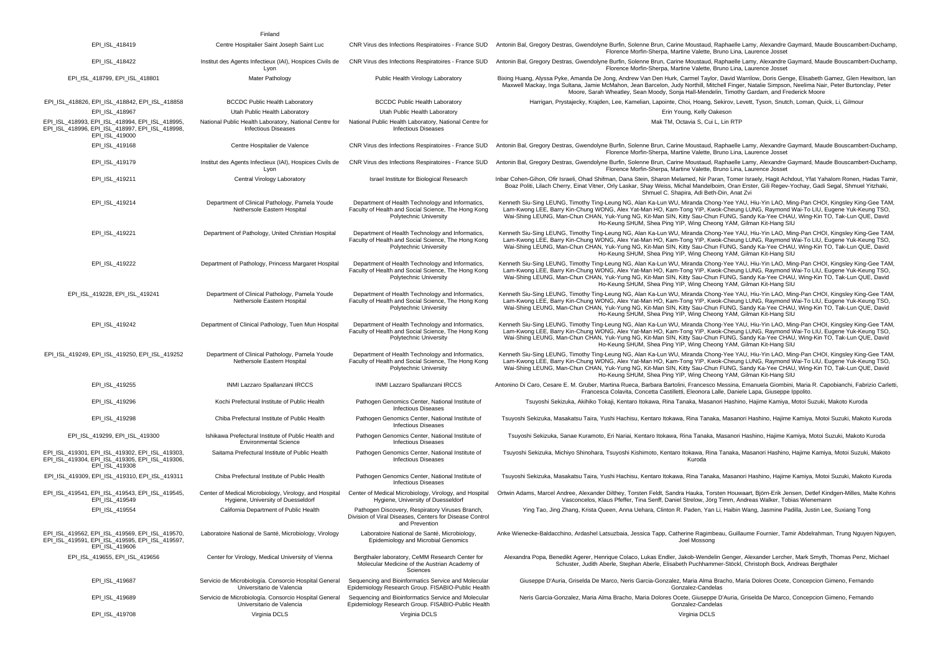|                                                                                                                      | Finland                                                                                      |                                                                                                                                   |                                                                                                                                                                                                                                                                                                                                                                                                                                                                                        |
|----------------------------------------------------------------------------------------------------------------------|----------------------------------------------------------------------------------------------|-----------------------------------------------------------------------------------------------------------------------------------|----------------------------------------------------------------------------------------------------------------------------------------------------------------------------------------------------------------------------------------------------------------------------------------------------------------------------------------------------------------------------------------------------------------------------------------------------------------------------------------|
| EPI_ISL_418419                                                                                                       | Centre Hospitalier Saint Joseph Saint Luc                                                    | CNR Virus des Infections Respiratoires - France SUD                                                                               | Antonin Bal, Gregory Destras, Gwendolyne Burfin, Solenne Brun, Carine Moustaud, Raphaelle Lamy, Alexandre Gaymard, Maude Bouscambert-Duchamp<br>Florence Morfin-Sherpa, Martine Valette, Bruno Lina, Laurence Josset                                                                                                                                                                                                                                                                   |
| EPI_ISL_418422                                                                                                       | Institut des Agents Infectieux (IAI), Hospices Civils de<br>Lyon                             | CNR Virus des Infections Respiratoires - France SUD                                                                               | Antonin Bal, Gregory Destras, Gwendolyne Burfin, Solenne Brun, Carine Moustaud, Raphaelle Lamy, Alexandre Gaymard, Maude Bouscambert-Duchamp,<br>Florence Morfin-Sherpa, Martine Valette, Bruno Lina, Laurence Josset                                                                                                                                                                                                                                                                  |
| EPI_ISL_418799, EPI_ISL_418801                                                                                       | Mater Pathology                                                                              | Public Health Virology Laboratory                                                                                                 | Bixing Huang, Alyssa Pyke, Amanda De Jong, Andrew Van Den Hurk, Carmel Taylor, David Warrilow, Doris Genge, Elisabeth Gamez, Glen Hewitson, Iar<br>Maxwell Mackay, Inga Sultana, Jamie McMahon, Jean Barcelon, Judy Northill, Mitchell Finger, Natalie Simpson, Neelima Nair, Peter Burtonclay, Peter<br>Moore, Sarah Wheatley, Sean Moody, Sonja Hall-Mendelin, Timothy Gardam, and Frederick Moore                                                                                   |
| EPI ISL 418826, EPI ISL 418842, EPI ISL 418858                                                                       | <b>BCCDC Public Health Laboratory</b>                                                        | <b>BCCDC Public Health Laboratory</b>                                                                                             | Harrigan, Prystajecky, Krajden, Lee, Kamelian, Lapointe, Choi, Hoang, Sekirov, Levett, Tyson, Snutch, Loman, Quick, Li, Gilmour                                                                                                                                                                                                                                                                                                                                                        |
| EPI ISL 418967                                                                                                       | Utah Public Health Laboratory                                                                | Utah Public Health Laboratory                                                                                                     | Erin Young, Kelly Oakeson                                                                                                                                                                                                                                                                                                                                                                                                                                                              |
| EPI ISL 418993, EPI ISL 418994, EPI ISL 418995,<br>EPI ISL 418996, EPI ISL 418997, EPI ISL 418998,<br>EPI ISL 419000 | National Public Health Laboratory, National Centre for<br><b>Infectious Diseases</b>         | National Public Health Laboratory, National Centre for<br><b>Infectious Diseases</b>                                              | Mak TM, Octavia S, Cui L, Lin RTP                                                                                                                                                                                                                                                                                                                                                                                                                                                      |
| EPI_ISL_419168                                                                                                       | Centre Hospitalier de Valence                                                                |                                                                                                                                   | CNR Virus des Infections Respiratoires - France SUD Antonin Bal, Gregory Destras, Gwendolyne Burfin, Solenne Brun, Carine Moustaud, Raphaelle Lamy, Alexandre Gaymard, Maude Bouscambert-Duchamp,<br>Florence Morfin-Sherpa, Martine Valette, Bruno Lina, Laurence Josset                                                                                                                                                                                                              |
| EPI_ISL_419179                                                                                                       | Institut des Agents Infectieux (IAI), Hospices Civils de<br>Lyon                             | CNR Virus des Infections Respiratoires - France SUD                                                                               | Antonin Bal, Gregory Destras, Gwendolyne Burfin, Solenne Brun, Carine Moustaud, Raphaelle Lamy, Alexandre Gaymard, Maude Bouscambert-Duchamp<br>Florence Morfin-Sherpa, Martine Valette, Bruno Lina, Laurence Josset                                                                                                                                                                                                                                                                   |
| EPI_ISL_419211                                                                                                       | Central Virology Laboratory                                                                  | Israel Institute for Biological Research                                                                                          | Inbar Cohen-Gihon, Ofir Israeli, Ohad Shifman, Dana Stein, Sharon Melamed, Nir Paran, Tomer Israely, Hagit Achdout, Yfat Yahalom Ronen, Hadas Tamir<br>Boaz Politi, Lilach Cherry, Einat Vitner, Orly Laskar, Shay Weiss, Michal Mandelboim, Oran Erster, Gili Regev-Yochay, Gadi Segal, Shmuel Yitzhaki,<br>Shmuel C. Shapira, Adi Beth-Din, Anat Zvi                                                                                                                                 |
| EPI_ISL_419214                                                                                                       | Department of Clinical Pathology, Pamela Youde<br>Nethersole Eastern Hospital                | Department of Health Technology and Informatics,<br>Faculty of Health and Social Science, The Hong Kong<br>Polytechnic University | Kenneth Siu-Sing LEUNG, Timothy Ting-Leung NG, Alan Ka-Lun WU, Miranda Chong-Yee YAU, Hiu-Yin LAO, Ming-Pan CHOI, Kingsley King-Gee TAM,<br>Lam-Kwong LEE, Barry Kin-Chung WONG, Alex Yat-Man HO, Kam-Tong YIP, Kwok-Cheung LUNG, Raymond Wai-To LIU, Eugene Yuk-Keung TSO,<br>Wai-Shing LEUNG, Man-Chun CHAN, Yuk-Yung NG, Kit-Man SIN, Kitty Sau-Chun FUNG, Sandy Ka-Yee CHAU, Wing-Kin TO, Tak-Lun QUE, David<br>Ho-Keung SHUM, Shea Ping YIP, Wing Cheong YAM, Gilman Kit-Hang SIU |
| EPI_ISL_419221                                                                                                       | Department of Pathology, United Christian Hospital                                           | Department of Health Technology and Informatics,<br>Faculty of Health and Social Science, The Hong Kong<br>Polytechnic University | Kenneth Siu-Sing LEUNG, Timothy Ting-Leung NG, Alan Ka-Lun WU, Miranda Chong-Yee YAU, Hiu-Yin LAO, Ming-Pan CHOI, Kingsley King-Gee TAM,<br>Lam-Kwong LEE, Barry Kin-Chung WONG, Alex Yat-Man HO, Kam-Tong YIP, Kwok-Cheung LUNG, Raymond Wai-To LIU, Eugene Yuk-Keung TSO,<br>Wai-Shing LEUNG, Man-Chun CHAN, Yuk-Yung NG, Kit-Man SIN, Kitty Sau-Chun FUNG, Sandy Ka-Yee CHAU, Wing-Kin TO, Tak-Lun QUE, David<br>Ho-Keung SHUM, Shea Ping YIP, Wing Cheong YAM, Gilman Kit-Hang SIU |
| EPI_ISL_419222                                                                                                       | Department of Pathology, Princess Margaret Hospital                                          | Department of Health Technology and Informatics,<br>Faculty of Health and Social Science. The Hong Kong<br>Polytechnic University | Kenneth Siu-Sing LEUNG, Timothy Ting-Leung NG, Alan Ka-Lun WU, Miranda Chong-Yee YAU, Hiu-Yin LAO, Ming-Pan CHOI, Kingsley King-Gee TAM,<br>Lam-Kwong LEE, Barry Kin-Chung WONG, Alex Yat-Man HO, Kam-Tong YIP, Kwok-Cheung LUNG, Raymond Wai-To LIU, Eugene Yuk-Keung TSO,<br>Wai-Shing LEUNG, Man-Chun CHAN, Yuk-Yung NG, Kit-Man SIN, Kitty Sau-Chun FUNG, Sandy Ka-Yee CHAU, Wing-Kin TO, Tak-Lun QUE, David<br>Ho-Keung SHUM, Shea Ping YIP, Wing Cheong YAM, Gilman Kit-Hang SIU |
| EPI_ISL_419228, EPI_ISL_419241                                                                                       | Department of Clinical Pathology, Pamela Youde<br>Nethersole Eastern Hospital                | Department of Health Technology and Informatics,<br>Faculty of Health and Social Science, The Hong Kong<br>Polytechnic University | Kenneth Siu-Sing LEUNG, Timothy Ting-Leung NG, Alan Ka-Lun WU, Miranda Chong-Yee YAU, Hiu-Yin LAO, Ming-Pan CHOI, Kingsley King-Gee TAM,<br>Lam-Kwong LEE, Barry Kin-Chung WONG, Alex Yat-Man HO, Kam-Tong YIP, Kwok-Cheung LUNG, Raymond Wai-To LIU, Eugene Yuk-Keung TSO,<br>Wai-Shing LEUNG, Man-Chun CHAN, Yuk-Yung NG, Kit-Man SIN, Kitty Sau-Chun FUNG, Sandy Ka-Yee CHAU, Wing-Kin TO, Tak-Lun QUE, David<br>Ho-Keung SHUM, Shea Ping YIP, Wing Cheong YAM, Gilman Kit-Hang SIU |
| EPI_ISL_419242                                                                                                       | Department of Clinical Pathology, Tuen Mun Hospital                                          | Department of Health Technology and Informatics,<br>Faculty of Health and Social Science, The Hong Kong<br>Polytechnic University | Kenneth Siu-Sing LEUNG, Timothy Ting-Leung NG, Alan Ka-Lun WU, Miranda Chong-Yee YAU, Hiu-Yin LAO, Ming-Pan CHOI, Kingsley King-Gee TAM,<br>Lam-Kwong LEE, Barry Kin-Chung WONG, Alex Yat-Man HO, Kam-Tong YIP, Kwok-Cheung LUNG, Raymond Wai-To LIU, Eugene Yuk-Keung TSO,<br>Wai-Shing LEUNG, Man-Chun CHAN, Yuk-Yung NG, Kit-Man SIN, Kitty Sau-Chun FUNG, Sandy Ka-Yee CHAU, Wing-Kin TO, Tak-Lun QUE, David<br>Ho-Keung SHUM, Shea Ping YIP, Wing Cheong YAM, Gilman Kit-Hang SIU |
| EPI_ISL_419249, EPI_ISL_419250, EPI_ISL_419252                                                                       | Department of Clinical Pathology, Pamela Youde<br>Nethersole Eastern Hospital                | Department of Health Technology and Informatics,<br>Faculty of Health and Social Science, The Hong Kong<br>Polytechnic University | Kenneth Siu-Sing LEUNG, Timothy Ting-Leung NG, Alan Ka-Lun WU, Miranda Chong-Yee YAU, Hiu-Yin LAO, Ming-Pan CHOI, Kingsley King-Gee TAM,<br>Lam-Kwong LEE, Barry Kin-Chung WONG, Alex Yat-Man HO, Kam-Tong YIP, Kwok-Cheung LUNG, Raymond Wai-To LIU, Eugene Yuk-Keung TSO,<br>Wai-Shing LEUNG, Man-Chun CHAN, Yuk-Yung NG, Kit-Man SIN, Kitty Sau-Chun FUNG, Sandy Ka-Yee CHAU, Wing-Kin TO, Tak-Lun QUE, David<br>Ho-Keung SHUM, Shea Ping YIP, Wing Cheong YAM, Gilman Kit-Hang SIU |
| EPI_ISL_419255                                                                                                       | INMI Lazzaro Spallanzani IRCCS                                                               | INMI Lazzaro Spallanzani IRCCS                                                                                                    | Antonino Di Caro, Cesare E. M. Gruber, Martina Rueca, Barbara Bartolini, Francesco Messina, Emanuela Giombini, Maria R. Capobianchi, Fabrizio Carletti<br>Francesca Colavita, Concetta Castilletti, Eleonora Lalle, Daniele Lapa, Giuseppe Ippolito.                                                                                                                                                                                                                                   |
| EPI_ISL_419296                                                                                                       | Kochi Prefectural Institute of Public Health                                                 | Pathogen Genomics Center, National Institute of<br><b>Infectious Diseases</b>                                                     | Tsuyoshi Sekizuka, Akihiko Tokaji, Kentaro Itokawa, Rina Tanaka, Masanori Hashino, Hajime Kamiya, Motoi Suzuki, Makoto Kuroda                                                                                                                                                                                                                                                                                                                                                          |
| EPI ISL 419298                                                                                                       | Chiba Prefectural Institute of Public Health                                                 | Pathogen Genomics Center, National Institute of<br><b>Infectious Diseases</b>                                                     | Tsuyoshi Sekizuka, Masakatsu Taira, Yushi Hachisu, Kentaro Itokawa, Rina Tanaka, Masanori Hashino, Hajime Kamiya, Motoi Suzuki, Makoto Kuroda                                                                                                                                                                                                                                                                                                                                          |
| EPI ISL 419299, EPI ISL 419300                                                                                       | Ishikawa Prefectural Institute of Public Health and<br><b>Environmental Science</b>          | Pathogen Genomics Center, National Institute of<br><b>Infectious Diseases</b>                                                     | Tsuyoshi Sekizuka, Sanae Kuramoto, Eri Nariai, Kentaro Itokawa, Rina Tanaka, Masanori Hashino, Hajime Kamiya, Motoi Suzuki, Makoto Kuroda                                                                                                                                                                                                                                                                                                                                              |
| EPI ISL 419301, EPI ISL 419302, EPI ISL 419303,<br>EPI ISL 419304, EPI_ISL_419305, EPI_ISL_419306,<br>EPI ISL 419308 | Saitama Prefectural Institute of Public Health                                               | Pathogen Genomics Center, National Institute of<br><b>Infectious Diseases</b>                                                     | Tsuyoshi Sekizuka, Michiyo Shinohara, Tsuyoshi Kishimoto, Kentaro Itokawa, Rina Tanaka, Masanori Hashino, Hajime Kamiya, Motoi Suzuki, Makoto<br>Kuroda                                                                                                                                                                                                                                                                                                                                |
| EPI ISL 419309, EPI ISL 419310, EPI ISL 419311                                                                       | Chiba Prefectural Institute of Public Health                                                 | Pathogen Genomics Center, National Institute of<br><b>Infectious Diseases</b>                                                     | Tsuyoshi Sekizuka, Masakatsu Taira, Yushi Hachisu, Kentaro Itokawa, Rina Tanaka, Masanori Hashino, Hajime Kamiya, Motoi Suzuki, Makoto Kuroda                                                                                                                                                                                                                                                                                                                                          |
| EPI_ISL_419541, EPI_ISL_419543, EPI_ISL_419545,<br>EPI ISL 419549                                                    | Center of Medical Microbiology, Virology, and Hospital<br>Hygiene, University of Duesseldorf | Center of Medical Microbiology, Virology, and Hospital<br>Hygiene, University of Duesseldorf                                      | Ortwin Adams, Marcel Andree, Alexander Dilthey, Torsten Feldt, Sandra Hauka, Torsten Houwaart, Björn-Erik Jensen, Detlef Kindgen-Milles, Malte Kohns<br>Vasconcelos, Klaus Pfeffer, Tina Senff, Daniel Strelow, Jörg Timm, Andreas Walker, Tobias Wienemann                                                                                                                                                                                                                            |
| EPI_ISL_419554                                                                                                       | California Department of Public Health                                                       | Pathogen Discovery, Respiratory Viruses Branch,<br>Division of Viral Diseases, Centers for Disease Control<br>and Prevention      | Ying Tao, Jing Zhang, Krista Queen, Anna Uehara, Clinton R. Paden, Yan Li, Haibin Wang, Jasmine Padilla, Justin Lee, Suxiang Tong                                                                                                                                                                                                                                                                                                                                                      |
| EPI ISL 419562, EPI ISL 419569, EPI ISL 419570,<br>EPI_ISL_419591, EPI_ISL_419595, EPI_ISL_419597,<br>EPI_ISL_419606 | Laboratoire National de Santé, Microbiology, Virology                                        | Laboratoire National de Santé, Microbiology,<br>Epidemiology and Microbial Genomics                                               | Anke Wienecke-Baldacchino, Ardashel Latsuzbaia, Jessica Tapp, Catherine Ragimbeau, Guillaume Fournier, Tamir Abdelrahman, Trung Nguyen Nguyen,<br>Joel Mossong                                                                                                                                                                                                                                                                                                                         |
| EPI ISL 419655, EPI ISL 419656                                                                                       | Center for Virology, Medical University of Vienna                                            | Bergthaler laboratory, CeMM Research Center for<br>Molecular Medicine of the Austrian Academy of<br>Sciences                      | Alexandra Popa, Benedikt Agerer, Henrique Colaco, Lukas Endler, Jakob-Wendelin Genger, Alexander Lercher, Mark Smyth, Thomas Penz, Michael<br>Schuster, Judith Aberle, Stephan Aberle, Elisabeth Puchhammer-Stöckl, Christoph Bock, Andreas Bergthaler                                                                                                                                                                                                                                 |
| EPI_ISL_419687                                                                                                       | Servicio de Microbiología. Consorcio Hospital General<br>Universitario de Valencia           | Sequencing and Bioinformatics Service and Molecular<br>Epidemiology Research Group. FISABIO-Public Health                         | Giuseppe D'Auria, Griselda De Marco, Neris Garcia-Gonzalez, Maria Alma Bracho, Maria Dolores Ocete, Concepcion Gimeno, Fernando<br>Gonzalez-Candelas                                                                                                                                                                                                                                                                                                                                   |
| EPI_ISL_419689                                                                                                       | Servicio de Microbiología, Consorcio Hospital General<br>Universitario de Valencia           | Sequencing and Bioinformatics Service and Molecular<br>Epidemiology Research Group. FISABIO-Public Health                         | Neris Garcia-Gonzalez, Maria Alma Bracho, Maria Dolores Ocete, Giuseppe D'Auria, Griselda De Marco, Concepcion Gimeno, Fernando<br>Gonzalez-Candelas                                                                                                                                                                                                                                                                                                                                   |
| EPI_ISL_419708                                                                                                       | Virginia DCLS                                                                                | Virginia DCLS                                                                                                                     | Virginia DCLS                                                                                                                                                                                                                                                                                                                                                                                                                                                                          |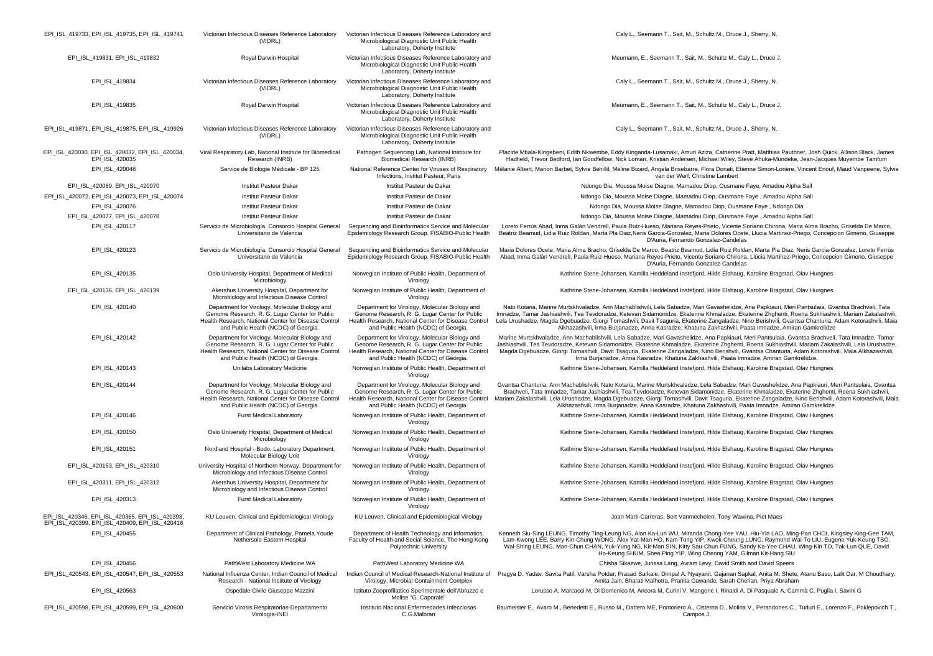| EPI_ISL_419733, EPI_ISL_419735, EPI_ISL_419741                                                    | Victorian Infectious Diseases Reference Laboratory<br>(VIDRL)                                                                                                                                    | Victorian Infectious Diseases Reference Laboratory and<br>Microbiological Diagnostic Unit Public Health<br>Laboratory, Doherty Institute                                                         | Caly L., Seemann T., Sait, M., Schultz M., Druce J., Sherry, N.                                                                                                                                                                                                                                                                                                                                                                                                                                                                                                             |
|---------------------------------------------------------------------------------------------------|--------------------------------------------------------------------------------------------------------------------------------------------------------------------------------------------------|--------------------------------------------------------------------------------------------------------------------------------------------------------------------------------------------------|-----------------------------------------------------------------------------------------------------------------------------------------------------------------------------------------------------------------------------------------------------------------------------------------------------------------------------------------------------------------------------------------------------------------------------------------------------------------------------------------------------------------------------------------------------------------------------|
| EPI_ISL_419831, EPI_ISL_419832                                                                    | Royal Darwin Hospital                                                                                                                                                                            | Victorian Infectious Diseases Reference Laboratory and<br>Microbiological Diagnostic Unit Public Health<br>Laboratory, Doherty Institute                                                         | Meumann, E., Seemann T., Sait, M., Schultz M., Caly L., Druce J.                                                                                                                                                                                                                                                                                                                                                                                                                                                                                                            |
| EPI_ISL_419834                                                                                    | Victorian Infectious Diseases Reference Laboratory<br>(VIDRL)                                                                                                                                    | Victorian Infectious Diseases Reference Laboratory and<br>Microbiological Diagnostic Unit Public Health<br>Laboratory, Doherty Institute                                                         | Caly L., Seemann T., Sait, M., Schultz M., Druce J., Sherry, N.                                                                                                                                                                                                                                                                                                                                                                                                                                                                                                             |
| EPI_ISL_419835                                                                                    | Royal Darwin Hospital                                                                                                                                                                            | Victorian Infectious Diseases Reference Laboratory and<br>Microbiological Diagnostic Unit Public Health<br>Laboratory, Doherty Institute                                                         | Meumann, E., Seemann T., Sait, M., Schultz M., Caly L., Druce J.                                                                                                                                                                                                                                                                                                                                                                                                                                                                                                            |
| EPI_ISL_419871, EPI_ISL_419875, EPI_ISL_419926                                                    | Victorian Infectious Diseases Reference Laboratory<br>(VIDRL)                                                                                                                                    | Victorian Infectious Diseases Reference Laboratory and<br>Microbiological Diagnostic Unit Public Health<br>Laboratory, Doherty Institute                                                         | Caly L., Seemann T., Sait, M., Schultz M., Druce J., Sherry, N.                                                                                                                                                                                                                                                                                                                                                                                                                                                                                                             |
| EPI ISL 420030, EPI ISL 420032, EPI ISL 420034,<br>EPI_ISL_420035                                 | Viral Respiratory Lab, National Institute for Biomedical<br>Research (INRB)                                                                                                                      | Pathogen Sequencing Lab, National Institute for<br>Biomedical Research (INRB)                                                                                                                    | Placide Mbala-Kingebeni, Edith Nkwembe, Eddy Kinganda-Lusamaki, Amuri Aziza, Catherine Pratt, Matthias Pauthner, Josh Quick, Allison Black, James<br>Hadfield, Trevor Bedford, Ian Goodfellow, Nick Loman, Kristian Andersen, Michael Wiley, Steve Ahuka-Mundeke, Jean-Jacques Muyembe Tamfum                                                                                                                                                                                                                                                                               |
| EPI_ISL_420048                                                                                    | Service de Biologie Médicale - BP 125                                                                                                                                                            | National Reference Center for Viruses of Respiratory<br>Infections, Institut Pasteur, Paris                                                                                                      | Mélanie Albert, Marion Barbet, Sylvie Behillil, Méline Bizard, Angela Brisebarre, Flora Donati, Etienne Simon-Lorière, Vincent Enouf, Maud Vanpeene, Sylvie<br>van der Werf, Christine Lambert                                                                                                                                                                                                                                                                                                                                                                              |
| EPI ISL 420069, EPI ISL 420070                                                                    | <b>Institut Pasteur Dakar</b>                                                                                                                                                                    | Institut Pasteur de Dakar                                                                                                                                                                        | Ndongo Dia, Moussa Moise Diagne, Mamadou Diop, Ousmane Faye, Amadou Alpha Sall                                                                                                                                                                                                                                                                                                                                                                                                                                                                                              |
| EPI_ISL_420072, EPI_ISL_420073, EPI_ISL_420074                                                    | <b>Institut Pasteur Dakar</b>                                                                                                                                                                    | Institut Pasteur de Dakar                                                                                                                                                                        | Ndongo Dia, Moussa Moise Diagne, Mamadou Diop, Ousmane Faye, Amadou Alpha Sall                                                                                                                                                                                                                                                                                                                                                                                                                                                                                              |
| EPI_ISL_420076                                                                                    | <b>Institut Pasteur Dakar</b>                                                                                                                                                                    | Institut Pasteur de Dakar                                                                                                                                                                        | Ndongo Dia, Moussa Moise Diagne, Mamadou Diop, Ousmane Faye, Ndongo Dia                                                                                                                                                                                                                                                                                                                                                                                                                                                                                                     |
| EPI_ISL_420077, EPI_ISL_420078                                                                    | <b>Institut Pasteur Dakar</b>                                                                                                                                                                    | Institut Pasteur de Dakar                                                                                                                                                                        | Ndongo Dia, Moussa Moise Diagne, Mamadou Diop, Ousmane Faye, Amadou Alpha Sall                                                                                                                                                                                                                                                                                                                                                                                                                                                                                              |
| EPI_ISL_420117                                                                                    | Servicio de Microbiología. Consorcio Hospital General<br>Universitario de Valencia                                                                                                               | Sequencing and Bioinformatics Service and Molecular<br>Epidemiology Research Group. FISABIO-Public Health                                                                                        | Loreto Ferrús Abad, Inma Galán Vendrell, Paula Ruiz-Hueso, Mariana Reyes-Prieto, Vicente Soriano Chirona, Maria Alma Bracho, Griselda De Marco,<br>Beatriz Beamud, Lidia Ruiz Roldan, Marta Pla Diaz, Neris Garcia-Gonzalez, Maria Dolores Ocete, Llúcia Martínez-Priego, Concepcion Gimeno, Giuseppe<br>D'Auria, Fernando Gonzalez-Candelas                                                                                                                                                                                                                                |
| EPI_ISL_420123                                                                                    | Servicio de Microbiología. Consorcio Hospital General<br>Universitario de Valencia                                                                                                               | Sequencing and Bioinformatics Service and Molecular<br>Epidemiology Research Group. FISABIO-Public Health                                                                                        | Maria Dolores Ocete, Maria Alma Bracho, Griselda De Marco, Beatriz Beamud, Lidia Ruiz Roldan, Marta Pla Diaz, Neris Garcia-Gonzalez, Loreto Ferrús<br>Abad, Inma Galán Vendrell, Paula Ruiz-Hueso, Mariana Reyes-Prieto, Vicente Soriano Chirona, Llúcia Martínez-Priego, Concepcion Gimeno, Giuseppe<br>D'Auria, Fernando Gonzalez-Candelas                                                                                                                                                                                                                                |
| EPI_ISL_420135                                                                                    | Oslo University Hospital, Department of Medical<br>Microbiology                                                                                                                                  | Norwegian Institute of Public Health, Department of<br>Virology                                                                                                                                  | Kathrine Stene-Johansen, Kamilla Heddeland Instefjord, Hilde Elshaug, Karoline Bragstad, Olav Hungnes                                                                                                                                                                                                                                                                                                                                                                                                                                                                       |
| EPI_ISL_420136, EPI_ISL_420139                                                                    | Akershus University Hospital, Department for<br>Microbiology and Infectious Disease Control                                                                                                      | Norwegian Institute of Public Health, Department of<br>Virology                                                                                                                                  | Kathrine Stene-Johansen, Kamilla Heddeland Instefjord, Hilde Elshaug, Karoline Bragstad, Olav Hungnes                                                                                                                                                                                                                                                                                                                                                                                                                                                                       |
| EPI_ISL_420140                                                                                    | Department for Virology, Molecular Biology and<br>Genome Research, R. G. Lugar Center for Public<br>Health Research, National Center for Disease Control<br>and Public Health (NCDC) of Georgia. | Department for Virology, Molecular Biology and<br>Genome Research, R. G. Lugar Center for Public<br>Health Research, National Center for Disease Control<br>and Public Health (NCDC) of Georgia. | Nato Kotaria, Marine Murtskhvaladze, Ann Machablishvili, Lela Sabadze, Mari Gavashelidze, Ana Papkiauri, Meri Pantsulaia, Gvantsa Brachveli, Tata<br>Imnadze, Tamar Jashiashvili, Tea Tevdoradze, Ketevan Sidamonidze, Ekaterine Khmaladze, Ekaterine Zhghenti, Roena Sukhiashvili, Mariam Zakalashvili,<br>Lela Urushadze, Magda Dgebuadze, Giorgi Tomashvili, Davit Tsaguria, Ekaterine Zangaladze, Nino Berishvili, Gvantsa Chanturia, Adam Kotorashvili, Maia<br>Alkhazashvili, Irma Burjanadze, Anna Kasradze, Khatuna Zakhashvili, Paata Imnadze, Amiran Gamkrelidze  |
| EPI_ISL_420142                                                                                    | Department for Virology, Molecular Biology and<br>Genome Research, R. G. Lugar Center for Public<br>Health Research, National Center for Disease Control<br>and Public Health (NCDC) of Georgia. | Department for Virology, Molecular Biology and<br>Genome Research, R. G. Lugar Center for Public<br>Health Research, National Center for Disease Control<br>and Public Health (NCDC) of Georgia. | Marine Murtskhvaladze, Ann Machablishvili, Lela Sabadze, Mari Gavashelidze, Ana Papkiauri, Meri Pantsulaia, Gvantsa Brachveli, Tata Imnadze, Tamar<br>Jashiashvili, Tea Tevdoradze, Ketevan Sidamonidze, Ekaterine Khmaladze, Ekaterine Zhghenti, Roena Sukhiashvili, Mariam Zakalashvili, Lela Urushadze,<br>Magda Dgebuadze, Giorgi Tomashvili, Davit Tsaguria, Ekaterine Zangaladze, Nino Berishvili, Gvantsa Chanturia, Adam Kotorashvili, Maia Alkhazashvili,<br>Irma Burjanadze, Anna Kasradze, Khatuna Zakhashvili, Paata Imnadze, Amiran Gamkrelidze.               |
| EPI_ISL_420143                                                                                    | Unilabs Laboratory Medicine                                                                                                                                                                      | Norwegian Institute of Public Health, Department of<br>Virology                                                                                                                                  | Kathrine Stene-Johansen, Kamilla Heddeland Instefjord, Hilde Elshaug, Karoline Bragstad, Olav Hungnes                                                                                                                                                                                                                                                                                                                                                                                                                                                                       |
| EPI_ISL_420144                                                                                    | Department for Virology, Molecular Biology and<br>Genome Research, R. G. Lugar Center for Public<br>Health Research, National Center for Disease Control<br>and Public Health (NCDC) of Georgia. | Department for Virology, Molecular Biology and<br>Genome Research, R. G. Lugar Center for Public<br>Health Research, National Center for Disease Control<br>and Public Health (NCDC) of Georgia. | Gvantsa Chanturia, Ann Machablishvili, Nato Kotaria, Marine Murtskhvaladze, Lela Sabadze, Mari Gavashelidze, Ana Papkiauri, Meri Pantsulaia, Gvantsa<br>Brachveli, Tata Imnadze, Tamar Jashiashvili, Tea Tevdoradze, Ketevan Sidamonidze, Ekaterine Khmaladze, Ekaterine Zhghenti, Roena Sukhiashvili,<br>Mariam Zakalashvili, Lela Urushadze, Magda Dgebuadze, Giorgi Tomashvili, Davit Tsaguria, Ekaterine Zangaladze, Nino Berishvili, Adam Kotorashvili, Maia<br>Alkhazashvili, Irma Burjanadze, Anna Kasradze, Khatuna Zakhashvili, Paata Imnadze, Amiran Gamkrelidze. |
| EPI_ISL_420146                                                                                    | <b>Furst Medical Laboratory</b>                                                                                                                                                                  | Norwegian Institute of Public Health, Department of<br>Virology                                                                                                                                  | Kathrine Stene-Johansen, Kamilla Heddeland Instefjord, Hilde Elshaug, Karoline Bragstad, Olav Hungnes                                                                                                                                                                                                                                                                                                                                                                                                                                                                       |
| EPI_ISL_420150                                                                                    | Oslo University Hospital, Department of Medical<br>Microbiology                                                                                                                                  | Norwegian Institute of Public Health, Department of<br>Virology                                                                                                                                  | Kathrine Stene-Johansen, Kamilla Heddeland Instefjord, Hilde Elshaug, Karoline Bragstad, Olav Hungnes                                                                                                                                                                                                                                                                                                                                                                                                                                                                       |
| EPI_ISL_420151                                                                                    | Nordland Hospital - Bodo, Laboratory Department,<br>Molecular Biology Unit                                                                                                                       | Norwegian Institute of Public Health, Department of<br>Virology                                                                                                                                  | Kathrine Stene-Johansen, Kamilla Heddeland Instefjord, Hilde Elshaug, Karoline Bragstad, Olav Hungnes                                                                                                                                                                                                                                                                                                                                                                                                                                                                       |
| EPI_ISL_420153, EPI_ISL_420310                                                                    | University Hospital of Northern Norway, Department for<br>Microbiology and Infectious Disease Control                                                                                            | Norwegian Institute of Public Health, Department of<br>Virology                                                                                                                                  | Kathrine Stene-Johansen, Kamilla Heddeland Instefjord, Hilde Elshaug, Karoline Bragstad, Olav Hungnes                                                                                                                                                                                                                                                                                                                                                                                                                                                                       |
| EPI ISL 420311, EPI ISL 420312                                                                    | Akershus University Hospital, Department for<br>Microbiology and Infectious Disease Control                                                                                                      | Norwegian Institute of Public Health, Department of<br>Virology                                                                                                                                  | Kathrine Stene-Johansen, Kamilla Heddeland Instefjord, Hilde Elshaug, Karoline Bragstad, Olav Hungnes                                                                                                                                                                                                                                                                                                                                                                                                                                                                       |
| EPI_ISL_420313                                                                                    | Furst Medical Laboratory                                                                                                                                                                         | Norwegian Institute of Public Health, Department of<br>Virology                                                                                                                                  | Kathrine Stene-Johansen, Kamilla Heddeland Instefjord, Hilde Elshaug, Karoline Bragstad, Olav Hungnes                                                                                                                                                                                                                                                                                                                                                                                                                                                                       |
| EPI_ISL_420346, EPI_ISL_420365, EPI_ISL_420393,<br>EPI_ISL_420399, EPI_ISL_420409, EPI_ISL_420416 | KU Leuven, Clinical and Epidemiological Virology                                                                                                                                                 | KU Leuven, Clinical and Epidemiological Virology                                                                                                                                                 | Joan Marti-Carreras, Bert Vanmechelen, Tony Wawina, Piet Maes                                                                                                                                                                                                                                                                                                                                                                                                                                                                                                               |
| EPI_ISL_420455                                                                                    | Department of Clinical Pathology, Pamela Youde<br>Nethersole Eastern Hospital                                                                                                                    | Department of Health Technology and Informatics,<br>Faculty of Health and Social Science, The Hong Kong<br>Polytechnic University                                                                | Kenneth Siu-Sing LEUNG, Timothy Ting-Leung NG, Alan Ka-Lun WU, Miranda Chong-Yee YAU, Hiu-Yin LAO, Ming-Pan CHOI, Kingsley King-Gee TAM,<br>Lam-Kwong LEE, Barry Kin-Chung WONG, Alex Yat-Man HO, Kam-Tong YIP, Kwok-Cheung LUNG, Raymond Wai-To LIU, Eugene Yuk-Keung TSO,<br>Wai-Shing LEUNG, Man-Chun CHAN, Yuk-Yung NG, Kit-Man SIN, Kitty Sau-Chun FUNG, Sandy Ka-Yee CHAU, Wing-Kin TO, Tak-Lun QUE, David<br>Ho-Keung SHUM, Shea Ping YIP, Wing Cheong YAM, Gilman Kit-Hang SIU                                                                                      |
| EPI_ISL_420456                                                                                    | PathWest Laboratory Medicine WA                                                                                                                                                                  | PathWest Laboratory Medicine WA                                                                                                                                                                  | Chisha Sikazwe, Jurissa Lang, Avram Levy, David Smith and David Speers                                                                                                                                                                                                                                                                                                                                                                                                                                                                                                      |
| EPI ISL 420543, EPI ISL 420547, EPI ISL 420553                                                    | National Influenza Center, Indian Council of Medical<br>Research - National Institute of Virology                                                                                                | Indian Council of Medical Research-National Institute of<br>Virology, Microbial Containment Complex                                                                                              | Pragya D. Yadav. Savita Patil, Varsha Potdar, Prasad Sarkale, Dimpal A. Nyayanit, Gajanan Sapkal, Anita M. Shete, Atanu Basu, Lalit Dar, M Choudhary<br>Amita Jain, Bharati Malhotra, Pranita Gawande, Sarah Cherian, Priya Abraham                                                                                                                                                                                                                                                                                                                                         |
| EPI_ISL_420563                                                                                    | Ospedale Civile Giuseppe Mazzini                                                                                                                                                                 | Istituto Zooprofilattico Sperimentale dell'Abruzzo e<br>Molise "G. Caporale"                                                                                                                     | Lorusso A, Marcacci M, Di Domenico M, Ancora M, Curini V, Mangone I, Rinaldi A, Di Pasquale A, Cammà C, Puglia I, Savini G                                                                                                                                                                                                                                                                                                                                                                                                                                                  |
| EPI_ISL_420598, EPI_ISL_420599, EPI_ISL_420600                                                    | Servicio Virosis Respiratorias-Departamento<br>Virología-INEI                                                                                                                                    | Instituto Nacional Enfermedades Infecciosas<br>C.G.Malbran                                                                                                                                       | Baumeister E., Avaro M., Benedetti E., Russo M., Dattero ME, Pontoriero A., Cisterna D., Molina V., Perandones C., Tuduri E., Lorenzo F., Poklepovich T.<br>Campos J.                                                                                                                                                                                                                                                                                                                                                                                                       |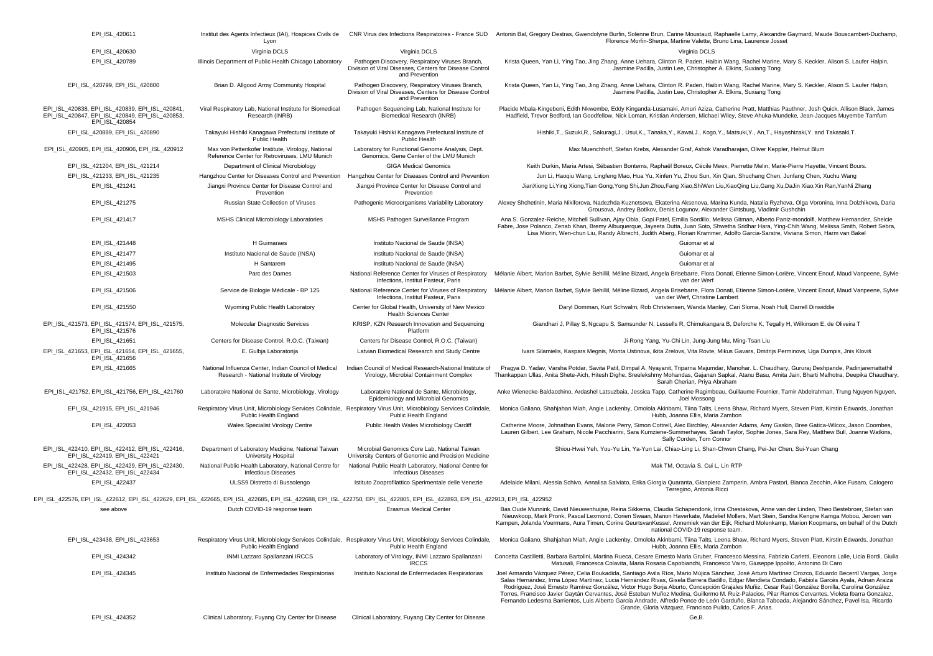| EPI ISL 420611                                                                                                                                                                                                 | Institut des Agents Infectieux (IAI), Hospices Civils de<br>Lyon                                   |                                                                                                                                            | CNR Virus des Infections Respiratoires - France SUD Antonin Bal, Gregory Destras, Gwendolyne Burfin, Solenne Brun, Carine Moustaud, Raphaelle Lamy, Alexandre Gaymard, Maude Bouscambert-Duchamp<br>Florence Morfin-Sherpa, Martine Valette, Bruno Lina, Laurence Josset                                                                                                                                                                                                                                                                                                                                                                                                                                                                                                                                                     |
|----------------------------------------------------------------------------------------------------------------------------------------------------------------------------------------------------------------|----------------------------------------------------------------------------------------------------|--------------------------------------------------------------------------------------------------------------------------------------------|------------------------------------------------------------------------------------------------------------------------------------------------------------------------------------------------------------------------------------------------------------------------------------------------------------------------------------------------------------------------------------------------------------------------------------------------------------------------------------------------------------------------------------------------------------------------------------------------------------------------------------------------------------------------------------------------------------------------------------------------------------------------------------------------------------------------------|
| EPI_ISL_420630                                                                                                                                                                                                 | Virginia DCLS                                                                                      | Virginia DCLS                                                                                                                              | Virginia DCLS                                                                                                                                                                                                                                                                                                                                                                                                                                                                                                                                                                                                                                                                                                                                                                                                                |
| EPI_ISL_420789                                                                                                                                                                                                 | Illinois Department of Public Health Chicago Laboratory                                            | Pathogen Discovery, Respiratory Viruses Branch,<br>Division of Viral Diseases, Centers for Disease Control<br>and Prevention               | Krista Queen, Yan Li, Ying Tao, Jing Zhang, Anne Uehara, Clinton R. Paden, Haibin Wang, Rachel Marine, Mary S. Keckler, Alison S. Laufer Halpin.<br>Jasmine Padilla, Justin Lee, Christopher A. Elkins, Suxiang Tong                                                                                                                                                                                                                                                                                                                                                                                                                                                                                                                                                                                                         |
| EPI_ISL_420799, EPI_ISL_420800                                                                                                                                                                                 | Brian D. Allgood Army Community Hospital                                                           | Pathogen Discovery, Respiratory Viruses Branch,<br>Division of Viral Diseases, Centers for Disease Control<br>and Prevention               | Krista Queen, Yan Li, Ying Tao, Jing Zhang, Anne Uehara, Clinton R. Paden, Haibin Wang, Rachel Marine, Mary S. Keckler, Alison S. Laufer Halpin.<br>Jasmine Padilla, Justin Lee, Christopher A. Elkins, Suxiang Tong                                                                                                                                                                                                                                                                                                                                                                                                                                                                                                                                                                                                         |
| EPI ISL 420838, EPI ISL 420839, EPI ISL 420841,<br>EPI_ISL_420847, EPI_ISL_420849, EPI_ISL_420853,<br>EPI ISL 420854                                                                                           | Viral Respiratory Lab. National Institute for Biomedical<br>Research (INRB)                        | Pathogen Sequencing Lab. National Institute for<br>Biomedical Research (INRB)                                                              | Placide Mbala-Kingebeni, Edith Nkwembe, Eddy Kinganda-Lusamaki, Amuri Aziza, Catherine Pratt, Matthias Pauthner, Josh Quick, Allison Black, James<br>Hadfield, Trevor Bedford, Ian Goodfellow, Nick Loman, Kristian Andersen, Michael Wiley, Steve Ahuka-Mundeke, Jean-Jacques Muyembe Tamfum                                                                                                                                                                                                                                                                                                                                                                                                                                                                                                                                |
| EPI_ISL_420889, EPI_ISL_420890                                                                                                                                                                                 | Takayuki Hishiki Kanagawa Prefectural Institute of<br>Public Health                                | Takayuki Hishiki Kanagawa Prefectural Institute of<br><b>Public Health</b>                                                                 | Hishiki,T., Suzuki,R., Sakuragi,J., Usui,K., Tanaka,Y., Kawai,J., Kogo,Y., Matsuki,Y., An,T., Hayashizaki,Y. and Takasaki,T.                                                                                                                                                                                                                                                                                                                                                                                                                                                                                                                                                                                                                                                                                                 |
| EPI_ISL_420905, EPI_ISL_420906, EPI_ISL_420912                                                                                                                                                                 | Max von Pettenkofer Institute, Virology, National<br>Reference Center for Retroviruses, LMU Munich | Laboratory for Functional Genome Analysis, Dept.<br>Genomics, Gene Center of the LMU Munich                                                | Max Muenchhoff, Stefan Krebs, Alexander Graf, Ashok Varadharajan, Oliver Keppler, Helmut Blum                                                                                                                                                                                                                                                                                                                                                                                                                                                                                                                                                                                                                                                                                                                                |
| EPI ISL 421204, EPI ISL 421214                                                                                                                                                                                 | Department of Clinical Microbiology                                                                | <b>GIGA Medical Genomics</b>                                                                                                               | Keith Durkin, Maria Artesi, Sébastien Bontems, Raphaël Boreux, Cécile Meex, Pierrette Melin, Marie-Pierre Hayette, Vincent Bours.                                                                                                                                                                                                                                                                                                                                                                                                                                                                                                                                                                                                                                                                                            |
| EPI_ISL_421233, EPI_ISL_421235                                                                                                                                                                                 | Hangzhou Center for Diseases Control and Prevention                                                | Hangzhou Center for Diseases Control and Prevention                                                                                        | Jun Li, Haoqiu Wang, Lingfeng Mao, Hua Yu, Xinfen Yu, Zhou Sun, Xin Qian, Shuchang Chen, Junfang Chen, Xuchu Wang                                                                                                                                                                                                                                                                                                                                                                                                                                                                                                                                                                                                                                                                                                            |
| EPI_ISL_421241                                                                                                                                                                                                 | Jiangxi Province Center for Disease Control and<br>Prevention                                      | Jiangxi Province Center for Disease Control and<br>Prevention                                                                              | JianXiong Li, Ying Xiong, Tian Gong, Yong Shi, Jun Zhou, Fang Xiao, ShiWen Liu, XiaoQing Liu, Gang Xu, DaJin Xiao, Xin Ran, YanNi Zhang                                                                                                                                                                                                                                                                                                                                                                                                                                                                                                                                                                                                                                                                                      |
| EPI_ISL_421275                                                                                                                                                                                                 | Russian State Collection of Viruses                                                                | Pathogenic Microorganisms Variability Laboratory                                                                                           | Alexey Shchetinin, Maria Nikiforova, Nadezhda Kuznetsova, Ekaterina Aksenova, Marina Kunda, Natalia Ryzhova, Olga Voronina, Inna Dolzhikova, Daria<br>Grousova, Andrey Botikov, Denis Logunov, Alexander Gintsburg, Vladimir Gushchin                                                                                                                                                                                                                                                                                                                                                                                                                                                                                                                                                                                        |
| EPI_ISL_421417                                                                                                                                                                                                 | MSHS Clinical Microbiology Laboratories                                                            | MSHS Pathogen Surveillance Program                                                                                                         | Ana S. Gonzalez-Reiche, Mitchell Sullivan, Ajay Obla, Gopi Patel, Emilia Sordillo, Melissa Gitman, Alberto Paniz-mondolfi, Matthew Hernandez, Shelcie<br>Fabre, Jose Polanco, Zenab Khan, Bremy Albuquerque, Jayeeta Dutta, Juan Soto, Shwetha Sridhar Hara, Ying-Chih Wang, Melissa Smith, Robert Sebra,<br>Lisa Miorin, Wen-chun Liu, Randy Albrecht, Judith Aberg, Florian Krammer, Adolfo Garcia-Sarstre, Viviana Simon, Harm van Bakel                                                                                                                                                                                                                                                                                                                                                                                  |
| EPI_ISL_421448                                                                                                                                                                                                 | H Guimaraes                                                                                        | Instituto Nacional de Saude (INSA)                                                                                                         | Guiomar et al                                                                                                                                                                                                                                                                                                                                                                                                                                                                                                                                                                                                                                                                                                                                                                                                                |
| EPI_ISL_421477                                                                                                                                                                                                 | Instituto Nacional de Saude (INSA)                                                                 | Instituto Nacional de Saude (INSA)                                                                                                         | Guiomar et al                                                                                                                                                                                                                                                                                                                                                                                                                                                                                                                                                                                                                                                                                                                                                                                                                |
| EPI ISL 421495                                                                                                                                                                                                 | H Santarem                                                                                         | Instituto Nacional de Saude (INSA)                                                                                                         | Guiomar et al                                                                                                                                                                                                                                                                                                                                                                                                                                                                                                                                                                                                                                                                                                                                                                                                                |
| EPI_ISL_421503                                                                                                                                                                                                 | Parc des Dames                                                                                     | National Reference Center for Viruses of Respiratory<br>Infections, Institut Pasteur, Paris                                                | Mélanie Albert, Marion Barbet, Sylvie Behillil, Méline Bizard, Angela Brisebarre, Flora Donati, Etienne Simon-Lorière, Vincent Enouf, Maud Vanpeene, Sylvie<br>van der Werf                                                                                                                                                                                                                                                                                                                                                                                                                                                                                                                                                                                                                                                  |
| EPI_ISL_421506                                                                                                                                                                                                 | Service de Biologie Médicale - BP 125                                                              | National Reference Center for Viruses of Respiratory<br>Infections, Institut Pasteur, Paris                                                | Mélanie Albert, Marion Barbet, Sylvie Behillil, Méline Bizard, Angela Brisebarre, Flora Donati, Etienne Simon-Lorière, Vincent Enouf, Maud Vanpeene, Sylvie<br>van der Werf, Christine Lambert                                                                                                                                                                                                                                                                                                                                                                                                                                                                                                                                                                                                                               |
| EPI_ISL_421550                                                                                                                                                                                                 | Wyoming Public Health Laboratory                                                                   | Center for Global Health, University of New Mexico<br><b>Health Sciences Center</b>                                                        | Daryl Domman, Kurt Schwalm, Rob Christensen, Wanda Manley, Cari Sloma, Noah Hull, Darrell Dinwiddie                                                                                                                                                                                                                                                                                                                                                                                                                                                                                                                                                                                                                                                                                                                          |
| EPI_ISL_421573, EPI_ISL_421574, EPI_ISL_421575,<br>EPI_ISL_421576                                                                                                                                              | Molecular Diagnostic Services                                                                      | KRISP, KZN Research Innovation and Sequencing<br>Platform                                                                                  | Giandhari J, Pillay S, Ngcapu S, Samsunder N, Lessells R, Chimukangara B, Deforche K, Tegally H, Wilkinson E, de Oliveira T                                                                                                                                                                                                                                                                                                                                                                                                                                                                                                                                                                                                                                                                                                  |
| EPI_ISL_421651                                                                                                                                                                                                 | Centers for Disease Control, R.O.C. (Taiwan)                                                       | Centers for Disease Control, R.O.C. (Taiwan)                                                                                               | Ji-Rong Yang, Yu-Chi Lin, Jung-Jung Mu, Ming-Tsan Liu                                                                                                                                                                                                                                                                                                                                                                                                                                                                                                                                                                                                                                                                                                                                                                        |
| EPI_ISL_421653, EPI_ISL_421654, EPI_ISL_421655,<br>EPI_ISL_421656                                                                                                                                              | E. Gulbja Laboratorija                                                                             | Latvian Biomedical Research and Study Centre                                                                                               | Ivars Silamielis, Kaspars Megnis, Monta Ustinova, ikita Zrelovs, Vita Rovte, Mikus Gavars, Dmitrijs Perminovs, Uga Dumpis, Jnis Kloviš                                                                                                                                                                                                                                                                                                                                                                                                                                                                                                                                                                                                                                                                                       |
| EPI_ISL_421665                                                                                                                                                                                                 | National Influenza Center, Indian Council of Medical<br>Research - National Institute of Virology  | Indian Council of Medical Research-National Institute of<br>Virology, Microbial Containment Complex                                        | Pragya D. Yadav, Varsha Potdar, Savita Patil, Dimpal A. Nyayanit, Triparna Majumdar, Manohar. L. Chaudhary, Gururaj Deshpande, Padinjaremattathil<br>Thankappan Ullas, Anita Shete-Aich, Hitesh Dighe, Sreelekshmy Mohandas, Gajanan Sapkal, Atanu Basu, Amita Jain, Bharti Malhotra, Deepika Chaudhary,<br>Sarah Cherian, Priya Abraham                                                                                                                                                                                                                                                                                                                                                                                                                                                                                     |
| EPI_ISL_421752, EPI_ISL_421756, EPI_ISL_421760                                                                                                                                                                 | Laboratoire National de Sante, Microbiology, Virology                                              | Laboratoire National de Sante, Microbiology,<br>Epidemiology and Microbial Genomics                                                        | Anke Wienecke-Baldacchino, Ardashel Latsuzbaia, Jessica Tapp, Catherine Ragimbeau, Guillaume Fournier, Tamir Abdelrahman, Trung Nguyen Nguyen,<br>Joel Mossong                                                                                                                                                                                                                                                                                                                                                                                                                                                                                                                                                                                                                                                               |
| EPI_ISL_421915, EPI_ISL_421946                                                                                                                                                                                 | Public Health England                                                                              | Respiratory Virus Unit, Microbiology Services Colindale, Respiratory Virus Unit, Microbiology Services Colindale,<br>Public Health England | Monica Galiano, Shahjahan Miah, Angie Lackenby, Omolola Akinbami, Tiina Talts, Leena Bhaw, Richard Myers, Steven Platt, Kirstin Edwards, Jonathan<br>Hubb, Joanna Ellis, Maria Zambon                                                                                                                                                                                                                                                                                                                                                                                                                                                                                                                                                                                                                                        |
| EPI_ISL_422053                                                                                                                                                                                                 | Wales Specialist Virology Centre                                                                   | Public Health Wales Microbiology Cardiff                                                                                                   | Catherine Moore, Johnathan Evans, Malorie Perry, Simon Cottrell, Alec Birchley, Alexander Adams, Amy Gaskin, Bree Gatica-Wilcox, Jason Coombes,<br>Lauren Gilbert, Lee Graham, Nicole Pacchiarini, Sara Kumziene-Summerhayes, Sarah Taylor, Sophie Jones, Sara Rey, Matthew Bull, Joanne Watkins,<br>Sally Corden, Tom Connor                                                                                                                                                                                                                                                                                                                                                                                                                                                                                                |
| EPI ISL 422410, EPI ISL 422412, EPI ISL 422416,<br>EPI ISL 422419, EPI ISL 422421                                                                                                                              | Department of Laboratory Medicine, National Taiwan<br><b>University Hospital</b>                   | Microbial Genomics Core Lab, National Taiwan<br>University Centers of Genomic and Precision Medicine                                       | Shiou-Hwei Yeh, You-Yu Lin, Ya-Yun Lai, Chiao-Ling Li, Shan-Chwen Chang, Pei-Jer Chen, Sui-Yuan Chang                                                                                                                                                                                                                                                                                                                                                                                                                                                                                                                                                                                                                                                                                                                        |
| EPI ISL 422428. EPI ISL 422429. EPI ISL 422430.<br>EPI_ISL_422432, EPI_ISL_422434                                                                                                                              | National Public Health Laboratory, National Centre for<br><b>Infectious Diseases</b>               | National Public Health Laboratory, National Centre for<br><b>Infectious Diseases</b>                                                       | Mak TM, Octavia S, Cui L, Lin RTP                                                                                                                                                                                                                                                                                                                                                                                                                                                                                                                                                                                                                                                                                                                                                                                            |
| EPI_ISL_422437                                                                                                                                                                                                 | ULSS9 Distretto di Bussolengo                                                                      | Istituto Zooprofilattico Sperimentale delle Venezie                                                                                        | Adelaide Milani, Alessia Schivo, Annalisa Salviato, Erika Giorgia Quaranta, Gianpiero Zamperin, Ambra Pastori, Bianca Zecchin, Alice Fusaro, Calogero<br>Terregino, Antonia Ricci                                                                                                                                                                                                                                                                                                                                                                                                                                                                                                                                                                                                                                            |
| EPI_ISL_422576, EPI_ISL_422612, EPI_ISL_422629, EPI_ISL_422665, EPI_ISL_422685, EPI_ISL_422688, EPI_ISL_422750, EPI_ISL_422805, EPI_ISL_422893, EPI_ISL_422913, EPI_ISL_422932, EPI_ISL_422913, EPI_ISL_422952 |                                                                                                    |                                                                                                                                            |                                                                                                                                                                                                                                                                                                                                                                                                                                                                                                                                                                                                                                                                                                                                                                                                                              |
| see above                                                                                                                                                                                                      | Dutch COVID-19 response team                                                                       | <b>Erasmus Medical Center</b>                                                                                                              | Bas Oude Munnink, David Nieuwenhuijse, Reina Sikkema, Claudia Schapendonk, Irina Chestakova, Anne van der Linden, Theo Bestebroer, Stefan van<br>Nieuwkoop, Mark Pronk, Pascal Lexmond, Corien Swaan, Manon Haverkate, Madelief Mollers, Mart Stein, Sandra Kengne Kamga Mobou, Jeroen van<br>Kampen, Jolanda Voermans, Aura Timen, Corine GeurtsvanKessel, Annemiek van der Eijk, Richard Molenkamp, Marion Koopmans, on behalf of the Dutch<br>national COVID-19 response                                                                                                                                                                                                                                                                                                                                                  |
| EPI ISL 423438, EPI ISL 423653                                                                                                                                                                                 | Public Health England                                                                              | Public Health England                                                                                                                      | Respiratory Virus Unit, Microbiology Services Colindale, Respiratory Virus Unit, Microbiology Services Colindale, Monica Galiano, Shahjahan Miah, Angie Lackenby, Omolola Akinbami, Tiina Talts, Leena Bhaw, Richard Myers, St<br>Hubb, Joanna Ellis, Maria Zambon                                                                                                                                                                                                                                                                                                                                                                                                                                                                                                                                                           |
| EPI_ISL_424342                                                                                                                                                                                                 | INMI Lazzaro Spallanzani IRCCS                                                                     | Laboratory of Virology, INMI Lazzaro Spallanzani<br><b>IRCCS</b>                                                                           | Concetta Castilletti, Barbara Bartolini, Martina Rueca, Cesare Ernesto Maria Gruber, Francesco Messina, Fabrizio Carletti, Eleonora Lalle, Licia Bordi, Giulia<br>Matusali, Francesca Colavita, Maria Rosaria Capobianchi, Francesco Vairo, Giuseppe Ippolito, Antonino Di Caro                                                                                                                                                                                                                                                                                                                                                                                                                                                                                                                                              |
| EPI_ISL_424345                                                                                                                                                                                                 | Instituto Nacional de Enfermedades Respiratorias                                                   | Instituto Nacional de Enfermedades Respiratorias                                                                                           | Joel Armando Vázquez Pérez, Celia Boukadida, Santiago Avila Ríos, Mario Mújica Sánchez, José Arturo Martínez Orozco, Eduardo Becerril Vargas, Jorge<br>Salas Hernández, Irma López Martínez, Lucia Hernández Rivas, Gisela Barrera Badillo, Edgar Mendieta Condado, Fabiola Garcés Ayala, Adnan Araiza<br>Rodríguez, José Ernesto Ramírez González, Victor Hugo Boria Aburto, Concepción Graiales Muñiz, Cesar Raúl González Bonilla, Carolina González<br>Torres, Francisco Javier Gaytán Cervantes, José Esteban Muñoz Medina, Guillermo M. Ruiz-Palacios, Pilar Ramos Cervantes, Violeta Ibarra Gonzalez,<br>Fernando Ledesma Barrientos, Luis Alberto García Andrade, Alfredo Ponce de León Garduño, Blanca Taboada, Aleiandro Sánchez, Pavel Isa, Ricardo<br>Grande, Gloria Vázquez, Francisco Pulido, Carlos F. Arias. |
| EPI_ISL_424352                                                                                                                                                                                                 | Clinical Laboratory, Fuyang City Center for Disease                                                | Clinical Laboratory, Fuyang City Center for Disease                                                                                        | Ge,B.                                                                                                                                                                                                                                                                                                                                                                                                                                                                                                                                                                                                                                                                                                                                                                                                                        |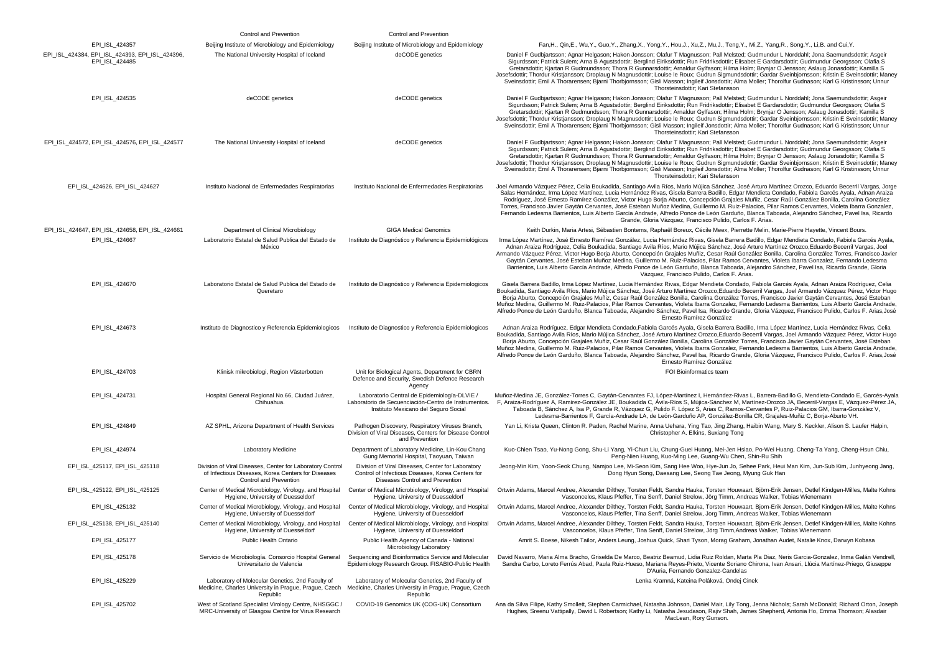|                                                                   | Control and Prevention                                                                                                                           | Control and Prevention                                                                                                                                                      |                                                                                                                                                                                                                                                                                                                                                                                                                                                                                                                                                                                                                                                                                                                                                                                                                              |
|-------------------------------------------------------------------|--------------------------------------------------------------------------------------------------------------------------------------------------|-----------------------------------------------------------------------------------------------------------------------------------------------------------------------------|------------------------------------------------------------------------------------------------------------------------------------------------------------------------------------------------------------------------------------------------------------------------------------------------------------------------------------------------------------------------------------------------------------------------------------------------------------------------------------------------------------------------------------------------------------------------------------------------------------------------------------------------------------------------------------------------------------------------------------------------------------------------------------------------------------------------------|
| EPI_ISL_424357                                                    | Beijing Institute of Microbiology and Epidemiology                                                                                               | Beijing Institute of Microbiology and Epidemiology                                                                                                                          | Fan,H., Qin,E., Wu,Y., Guo,Y., Zhang,X., Yong,Y., Hou,J., Xu,Z., Mu,J., Teng,Y., Mi,Z., Yang,R., Song,Y., Li,B. and Cui,Y.                                                                                                                                                                                                                                                                                                                                                                                                                                                                                                                                                                                                                                                                                                   |
| EPI ISL 424384, EPI ISL 424393, EPI ISL 424396.<br>EPI_ISL_424485 | The National University Hospital of Iceland                                                                                                      | deCODE genetics                                                                                                                                                             | Daniel F Gudbjartsson; Agnar Helgason; Hakon Jonsson; Olafur T Magnusson; Pall Melsted; Gudmundur L Norddahl; Jona Saemundsdottir; Asgeir<br>Sigurdsson; Patrick Sulem; Arna B Agustsdottir; Berglind Eiriksdottir; Run Fridriksdottir; Elisabet E Gardarsdottir; Gudmundur Georgsson; Olafia S<br>Gretarsdottir; Kjartan R Gudmundsson; Thora R Gunnarsdottir; Arnaldur Gylfason; Hilma Holm; Brynjar O Jensson; Aslaug Jonasdottir; Kamilla S<br>Josefsdottir; Thordur Kristjansson; Droplaug N Magnusdottir; Louise le Roux; Gudrun Sigmundsdottir; Gardar Sveinbjornsson; Kristin E Sveinsdottir; Maney<br>Sveinsdottir; Emil A Thorarensen; Bjarni Thorbjornsson; Gisli Masson; Ingileif Jonsdottir; Alma Moller; Thorolfur Gudnason; Karl G Kristinsson; Unnur<br>Thorsteinsdottir: Kari Stefansson                    |
| EPI_ISL_424535                                                    | deCODE genetics                                                                                                                                  | deCODE genetics                                                                                                                                                             | Daniel F Gudbjartsson; Agnar Helgason; Hakon Jonsson; Olafur T Magnusson; Pall Melsted; Gudmundur L Norddahl; Jona Saemundsdottir; Asgeir<br>Sigurdsson; Patrick Sulem; Arna B Agustsdottir; Berglind Eiriksdottir; Run Fridriksdottir; Elisabet E Gardarsdottir; Gudmundur Georgsson; Olafia S<br>Gretarsdottir; Kjartan R Gudmundsson; Thora R Gunnarsdottir; Arnaldur Gylfason; Hilma Holm; Brynjar O Jensson; Aslaug Jonasdottir; Kamilla S<br>Josefsdottir; Thordur Kristjansson; Droplaug N Magnusdottir; Louise le Roux; Gudrun Sigmundsdottir; Gardar Sveinbjornsson; Kristin E Sveinsdottir; Maney<br>Sveinsdottir; Emil A Thorarensen; Bjarni Thorbjornsson; Gisli Masson; Ingileif Jonsdottir; Alma Moller; Thorolfur Gudnason; Karl G Kristinsson; Unnur<br>Thorsteinsdottir; Kari Stefansson                    |
| EPI_ISL_424572, EPI_ISL_424576, EPI_ISL_424577                    | The National University Hospital of Iceland                                                                                                      | deCODE genetics                                                                                                                                                             | Daniel F Gudbiartsson: Agnar Helgason: Hakon Jonsson: Olafur T Magnusson: Pall Melsted: Gudmundur L Norddahl: Jona Saemundsdottir: Asgeir<br>Sigurdsson; Patrick Sulem; Arna B Agustsdottir; Berglind Eiriksdottir; Run Fridriksdottir; Elisabet E Gardarsdottir; Gudmundur Georgsson; Olafia S<br>Gretarsdottir; Kjartan R Gudmundsson; Thora R Gunnarsdottir; Arnaldur Gylfason; Hilma Holm; Brynjar O Jensson; Aslaug Jonasdottir; Kamilla S<br>Josefsdottir: Thordur Kristiansson: Droplaug N Magnusdottir: Louise le Roux: Gudrun Sigmundsdottir: Gardar Sveinbiornsson: Kristin E Sveinsdottir: Maney<br>Sveinsdottir; Emil A Thorarensen; Bjarni Thorbjornsson; Gisli Masson; Ingileif Jonsdottir; Alma Moller; Thorolfur Gudnason; Karl G Kristinsson; Unnur<br>Thorsteinsdottir: Kari Stefansson                    |
| EPI_ISL_424626, EPI_ISL_424627                                    | Instituto Nacional de Enfermedades Respiratorias                                                                                                 | Instituto Nacional de Enfermedades Respiratorias                                                                                                                            | Joel Armando Vázquez Pérez, Celia Boukadida, Santiago Avila Ríos, Mario Mújica Sánchez, José Arturo Martínez Orozco, Eduardo Becerril Vargas, Jorge<br>Salas Hernández, Irma López Martínez, Lucia Hernández Rivas, Gisela Barrera Badillo, Edgar Mendieta Condado, Fabiola Garcés Ayala, Adnan Araiza<br>Rodríguez, José Ernesto Ramírez González, Victor Hugo Borja Aburto, Concepción Grajales Muñiz, Cesar Raúl González Bonilla, Carolina González<br>Torres, Francisco Javier Gaytán Cervantes, José Esteban Muñoz Medina, Guillermo M. Ruiz-Palacios, Pilar Ramos Cervantes, Violeta Ibarra Gonzalez,<br>Fernando Ledesma Barrientos, Luis Alberto García Andrade, Alfredo Ponce de León Garduño, Blanca Taboada, Alejandro Sánchez, Pavel Isa, Ricardo<br>Grande, Gloria Vázquez, Francisco Pulido, Carlos F. Arias. |
| EPI_ISL_424647, EPI_ISL_424658, EPI_ISL_424661                    | Department of Clinical Microbiology                                                                                                              | <b>GIGA Medical Genomics</b>                                                                                                                                                | Keith Durkin, Maria Artesi, Sébastien Bontems, Raphaël Boreux, Cécile Meex, Pierrette Melin, Marie-Pierre Hayette, Vincent Bours.                                                                                                                                                                                                                                                                                                                                                                                                                                                                                                                                                                                                                                                                                            |
| EPI_ISL_424667                                                    | Laboratorio Estatal de Salud Publica del Estado de<br>México                                                                                     | Instituto de Diagnóstico y Referencia Epidemiológicos                                                                                                                       | Irma López Martínez, José Ernesto Ramírez González, Lucia Hernández Rivas, Gisela Barrera Badillo, Edgar Mendieta Condado, Fabiola Garcés Ayala,<br>Adnan Araiza Rodríguez, Celia Boukadida, Santiago Avila Ríos, Mario Mújica Sánchez, José Arturo Martínez Orozco,Eduardo Becerril Vargas, Joel<br>Armando Vázquez Pérez, Victor Hugo Borja Aburto, Concepción Grajales Muñiz, Cesar Raúl González Bonilla, Carolina González Torres, Francisco Javier<br>Gaytán Cervantes, José Esteban Muñoz Medina, Guillermo M. Ruiz-Palacios, Pilar Ramos Cervantes, Violeta Ibarra Gonzalez, Fernando Ledesma<br>Barrientos, Luis Alberto García Andrade, Alfredo Ponce de León Garduño, Blanca Taboada, Alejandro Sánchez, Pavel Isa, Ricardo Grande, Gloria<br>Vázquez, Francisco Pulido, Carlos F. Arias.                         |
| EPI_ISL_424670                                                    | Laboratorio Estatal de Salud Publica del Estado de<br>Queretaro                                                                                  | Instituto de Diagnóstico y Referencia Epidemiologicos                                                                                                                       | Gisela Barrera Badillo, Irma López Martínez, Lucia Hernández Rivas, Edgar Mendieta Condado, Fabiola Garcés Ayala, Adnan Araiza Rodríguez, Celia<br>Boukadida, Santiago Avila Ríos, Mario Múlica Sánchez, José Arturo Martínez Orozco,Eduardo Becerril Vargas, Joel Armando Vázquez Pérez, Victor Hugo<br>Boria Aburto, Concepción Graiales Muñiz, Cesar Raúl González Bonilla, Carolina González Torres, Francisco Javier Gavtán Cervantes, José Esteban<br>Muñoz Medina, Guillermo M. Ruiz-Palacios, Pilar Ramos Cervantes, Violeta Ibarra Gonzalez, Fernando Ledesma Barrientos, Luis Alberto García Andrade<br>Alfredo Ponce de León Garduño, Blanca Taboada, Alejandro Sánchez, Pavel Isa, Ricardo Grande, Gloria Vázquez, Francisco Pulido, Carlos F. Arias, José<br>Ernesto Ramírez González                           |
| EPI_ISL_424673                                                    | Instituto de Diagnostico y Referencia Epidemiologicos                                                                                            | Instituto de Diagnostico y Referencia Epidemiologicos                                                                                                                       | Adnan Araiza Rodríguez, Edgar Mendieta Condado, Fabiola Garcés Ayala, Gisela Barrera Badillo, Irma López Martínez, Lucia Hernández Rivas, Celia<br>Boukadida, Santiago Avila Ríos, Mario Mújica Sánchez, José Arturo Martínez Orozco,Eduardo Becerril Vargas, Joel Armando Vázquez Pérez, Victor Hugo<br>Borja Aburto, Concepción Grajales Muñiz, Cesar Raúl González Bonilla, Carolina González Torres, Francisco Javier Gaytán Cervantes, José Esteban<br>Muñoz Medina, Guillermo M. Ruiz-Palacios, Pilar Ramos Cervantes, Violeta Ibarra Gonzalez, Fernando Ledesma Barrientos, Luis Alberto García Andrade<br>Alfredo Ponce de León Garduño, Blanca Taboada, Alejandro Sánchez, Pavel Isa, Ricardo Grande, Gloria Vázquez, Francisco Pulido, Carlos F. Arias, José<br>Ernesto Ramírez González                           |
| EPI_ISL_424703                                                    | Klinisk mikrobiologi, Region Västerbotten                                                                                                        | Unit for Biological Agents, Department for CBRN<br>Defence and Security, Swedish Defence Research<br>Agency                                                                 | FOI Bioinformatics team                                                                                                                                                                                                                                                                                                                                                                                                                                                                                                                                                                                                                                                                                                                                                                                                      |
| EPI_ISL_424731                                                    | Hospital General Regional No.66, Ciudad Juárez,<br>Chihuahua.                                                                                    | Laboratorio Central de Epidemiología-DLVIE /<br>Laboratorio de Secuenciación-Centro de Instrumentos.<br>Instituto Mexicano del Seguro Social                                | Muñoz-Medina JE, González-Torres C, Gaytán-Cervantes FJ, López-Martínez I, Hernández-Rivas L, Barrera-Badillo G, Mendieta-Condado E, Garcés-Ayala<br>F, Araiza-Rodríguez A, Ramírez-González JE, Boukadida C, Ávila-Ríos S, Mújica-Sánchez M, Martínez-Orozco JA, Becerril-Vargas E, Vázquez-Pérez JA,<br>Taboada B, Sánchez A, Isa P, Grande R, Vázquez G, Pulido F. López S, Arias C, Ramos-Cervantes P, Ruiz-Palacios GM, Ibarra-González V,<br>Ledesma-Barrientos F, García-Andrade LA, de León-Garduño AP, González-Bonilla CR, Grajales-Muñiz C, Borja-Aburto VH.                                                                                                                                                                                                                                                      |
| EPI_ISL_424849                                                    | AZ SPHL, Arizona Department of Health Services                                                                                                   | Pathogen Discovery, Respiratory Viruses Branch,<br>Division of Viral Diseases, Centers for Disease Control<br>and Prevention                                                | Yan Li, Krista Queen, Clinton R. Paden, Rachel Marine, Anna Uehara, Ying Tao, Jing Zhang, Haibin Wang, Mary S. Keckler, Alison S. Laufer Halpin,<br>Christopher A. Elkins, Suxiang Tong                                                                                                                                                                                                                                                                                                                                                                                                                                                                                                                                                                                                                                      |
| EPI_ISL_424974                                                    | <b>Laboratory Medicine</b>                                                                                                                       | Department of Laboratory Medicine, Lin-Kou Chang<br>Gung Memorial Hospital, Taoyuan, Taiwan                                                                                 | Kuo-Chien Tsao, Yu-Nong Gong, Shu-Li Yang, Yi-Chun Liu, Chung-Guei Huang, Mei-Jen Hsiao, Po-Wei Huang, Cheng-Ta Yang, Cheng-Hsun Chiu,<br>Peng-Nien Huang, Kuo-Ming Lee, Guang-Wu Chen, Shin-Ru Shih                                                                                                                                                                                                                                                                                                                                                                                                                                                                                                                                                                                                                         |
| EPI_ISL_425117, EPI_ISL_425118                                    | Division of Viral Diseases, Center for Laboratory Control<br>of Infectious Diseases, Korea Centers for Diseases<br><b>Control and Prevention</b> | Division of Viral Diseases, Center for Laboratory<br>Control of Infectious Diseases, Korea Centers for<br>Diseases Control and Prevention                                   | Jeong-Min Kim, Yoon-Seok Chung, Namjoo Lee, Mi-Seon Kim, Sang Hee Woo, Hye-Jun Jo, Sehee Park, Heui Man Kim, Jun-Sub Kim, Junhyeong Jang,<br>Dong Hyun Song, Daesang Lee, Seong Tae Jeong, Myung Guk Han                                                                                                                                                                                                                                                                                                                                                                                                                                                                                                                                                                                                                     |
| EPI_ISL_425122, EPI_ISL_425125                                    | Center of Medical Microbiology, Virology, and Hospital<br>Hygiene, University of Duesseldorf                                                     | Center of Medical Microbiology, Virology, and Hospital<br>Hygiene, University of Duesseldorf                                                                                | Ortwin Adams, Marcel Andree, Alexander Dilthey, Torsten Feldt, Sandra Hauka, Torsten Houwaart, Björn-Erik Jensen, Detlef Kindgen-Milles, Malte Kohns<br>Vasconcelos, Klaus Pfeffer, Tina Senff, Daniel Strelow, Jörg Timm, Andreas Walker, Tobias Wienemann                                                                                                                                                                                                                                                                                                                                                                                                                                                                                                                                                                  |
| EPI_ISL_425132                                                    | Hygiene, University of Duesseldorf                                                                                                               | Hygiene, University of Duesseldorf                                                                                                                                          | Center of Medical Microbiology, Virology, and Hospital Center of Medical Microbiology, Virology, and Hospital Ontwin Adams, Marcel Andree, Alexander Dilthey, Torsten Feldt, Sandra Hauka, Torsten Houwaart, Bjorn-Erik Jensen<br>Vasconcelos, Klaus Pfeffer, Tina Senff, Daniel Strelow, Jorg Timm, Andreas Walker, Tobias Wienemann                                                                                                                                                                                                                                                                                                                                                                                                                                                                                        |
| EPI_ISL_425138, EPI_ISL_425140                                    | Hygiene, University of Duesseldorf                                                                                                               | Hygiene, University of Duesseldorf                                                                                                                                          | Center of Medical Microbiology, Virology, and Hospital Center of Medical Microbiology, Virology, and Hospital Ortwin Adams, Marcel Andree, Alexander Dilthey, Torsten Feldt, Sandra Hauka, Torsten Houwaart, Björn-Erik Jensen<br>Vasconcelos, Klaus Pfeffer, Tina Senff, Daniel Strelow, Jörg Timm, Andreas Walker, Tobias Wienemann                                                                                                                                                                                                                                                                                                                                                                                                                                                                                        |
| EPI ISL 425177                                                    | Public Health Ontario                                                                                                                            | Public Health Agency of Canada - National<br>Microbiology Laboratory                                                                                                        | Amrit S. Boese, Nikesh Tailor, Anders Leung, Joshua Quick, Shari Tyson, Morag Graham, Jonathan Audet, Natalie Knox, Darwyn Kobasa                                                                                                                                                                                                                                                                                                                                                                                                                                                                                                                                                                                                                                                                                            |
| EPI_ISL_425178                                                    | Servicio de Microbiología. Consorcio Hospital General<br>Universitario de Valencia                                                               | Sequencing and Bioinformatics Service and Molecular<br>Epidemiology Research Group. FISABIO-Public Health                                                                   | David Navarro, Maria Alma Bracho, Griselda De Marco, Beatriz Beamud, Lidia Ruiz Roldan, Marta Pla Diaz, Neris Garcia-Gonzalez, Inma Galán Vendrell,<br>Sandra Carbo, Loreto Ferrús Abad, Paula Ruiz-Hueso, Mariana Reyes-Prieto, Vicente Soriano Chirona, Ivan Ansari, Llúcia Martínez-Priego, Giuseppe<br>D'Auria, Fernando Gonzalez-Candelas                                                                                                                                                                                                                                                                                                                                                                                                                                                                               |
| EPI_ISL_425229                                                    | Laboratory of Molecular Genetics, 2nd Faculty of<br>Republic                                                                                     | Laboratory of Molecular Genetics, 2nd Faculty of<br>Medicine, Charles University in Prague, Prague, Czech Medicine, Charles University in Prague, Prague, Czech<br>Republic | Lenka Kramná, Kateina Poláková, Ondej Cinek                                                                                                                                                                                                                                                                                                                                                                                                                                                                                                                                                                                                                                                                                                                                                                                  |
| EPI_ISL_425702                                                    | West of Scotland Specialist Virology Centre, NHSGGC /<br>MRC-University of Glasgow Centre for Virus Research                                     | COVID-19 Genomics UK (COG-UK) Consortium                                                                                                                                    | Ana da Silva Filipe, Kathy Smollett, Stephen Carmichael, Natasha Johnson, Daniel Mair, Lily Tong, Jenna Nichols; Sarah McDonald; Richard Orton, Joseph<br>Hughes, Sreenu Vattipally, David L Robertson; Kathy Li, Natasha Jesudason, Rajiv Shah, James Shepherd, Antonia Ho, Emma Thomson; Alasdair<br>MacLean, Rory Gunson.                                                                                                                                                                                                                                                                                                                                                                                                                                                                                                 |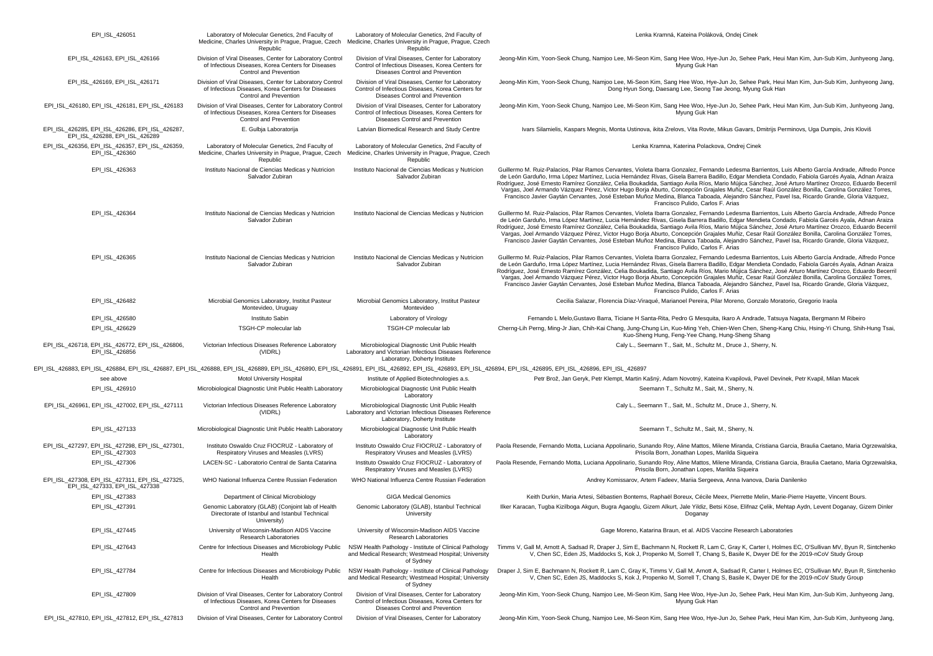| EPI_ISL_426051                                                                                                                                                                                                                 | Laboratory of Molecular Genetics, 2nd Faculty of<br>Medicine, Charles University in Prague, Prague, Czech<br>Republic                            | Laboratory of Molecular Genetics, 2nd Faculty of<br>Medicine, Charles University in Prague, Prague, Czech<br>Republic                     | Lenka Kramná, Kateina Poláková, Ondej Cinek                                                                                                                                                                                                                                                                                                                                                                                                                                                                                                                                                                                                                                                                                                                                                          |
|--------------------------------------------------------------------------------------------------------------------------------------------------------------------------------------------------------------------------------|--------------------------------------------------------------------------------------------------------------------------------------------------|-------------------------------------------------------------------------------------------------------------------------------------------|------------------------------------------------------------------------------------------------------------------------------------------------------------------------------------------------------------------------------------------------------------------------------------------------------------------------------------------------------------------------------------------------------------------------------------------------------------------------------------------------------------------------------------------------------------------------------------------------------------------------------------------------------------------------------------------------------------------------------------------------------------------------------------------------------|
| EPI_ISL_426163, EPI_ISL_426166                                                                                                                                                                                                 | Division of Viral Diseases, Center for Laboratory Control<br>of Infectious Diseases, Korea Centers for Diseases<br><b>Control and Prevention</b> | Division of Viral Diseases, Center for Laboratory<br>Control of Infectious Diseases, Korea Centers for<br>Diseases Control and Prevention | Jeong-Min Kim, Yoon-Seok Chung, Namjoo Lee, Mi-Seon Kim, Sang Hee Woo, Hye-Jun Jo, Sehee Park, Heui Man Kim, Jun-Sub Kim, Junhyeong Jang,<br>Myung Guk Han                                                                                                                                                                                                                                                                                                                                                                                                                                                                                                                                                                                                                                           |
| EPI_ISL_426169, EPI_ISL_426171                                                                                                                                                                                                 | Division of Viral Diseases, Center for Laboratory Control<br>of Infectious Diseases, Korea Centers for Diseases<br>Control and Prevention        | Division of Viral Diseases, Center for Laboratory<br>Control of Infectious Diseases, Korea Centers for<br>Diseases Control and Prevention | Jeong-Min Kim, Yoon-Seok Chung, Namjoo Lee, Mi-Seon Kim, Sang Hee Woo, Hye-Jun Jo, Sehee Park, Heui Man Kim, Jun-Sub Kim, Junhyeong Jang,<br>Dong Hyun Song, Daesang Lee, Seong Tae Jeong, Myung Guk Han                                                                                                                                                                                                                                                                                                                                                                                                                                                                                                                                                                                             |
| EPI_ISL_426180, EPI_ISL_426181, EPI_ISL_426183                                                                                                                                                                                 | Division of Viral Diseases, Center for Laboratory Control<br>of Infectious Diseases, Korea Centers for Diseases<br>Control and Prevention        | Division of Viral Diseases, Center for Laboratory<br>Control of Infectious Diseases, Korea Centers for<br>Diseases Control and Prevention | Jeong-Min Kim, Yoon-Seok Chung, Namjoo Lee, Mi-Seon Kim, Sang Hee Woo, Hye-Jun Jo, Sehee Park, Heui Man Kim, Jun-Sub Kim, Junhyeong Jang,<br>Myung Guk Han                                                                                                                                                                                                                                                                                                                                                                                                                                                                                                                                                                                                                                           |
| EPI ISL 426285, EPI ISL 426286, EPI ISL 426287,<br>EPI_ISL_426288, EPI_ISL_426289                                                                                                                                              | E. Gulbja Laboratorija                                                                                                                           | Latvian Biomedical Research and Study Centre                                                                                              | Ivars Silamielis, Kaspars Megnis, Monta Ustinova, ikita Zrelovs, Vita Rovte, Mikus Gavars, Dmitrijs Perminovs, Uga Dumpis, Jnis Kloviš                                                                                                                                                                                                                                                                                                                                                                                                                                                                                                                                                                                                                                                               |
| EPI_ISL_426356, EPI_ISL_426357, EPI_ISL_426359,<br>EPI ISL 426360                                                                                                                                                              | Laboratory of Molecular Genetics, 2nd Faculty of<br>Medicine, Charles University in Prague, Prague, Czech<br>Republic                            | Laboratory of Molecular Genetics, 2nd Faculty of<br>Medicine, Charles University in Prague, Prague, Czech<br>Republic                     | Lenka Kramna, Katerina Polackova, Ondrej Cinek                                                                                                                                                                                                                                                                                                                                                                                                                                                                                                                                                                                                                                                                                                                                                       |
| EPI_ISL_426363                                                                                                                                                                                                                 | Instituto Nacional de Ciencias Medicas y Nutricion<br>Salvador Zubiran                                                                           | Instituto Nacional de Ciencias Medicas y Nutricion<br>Salvador Zubiran                                                                    | Guillermo M. Ruiz-Palacios, Pilar Ramos Cervantes, Violeta Ibarra Gonzalez, Fernando Ledesma Barrientos, Luis Alberto García Andrade, Alfredo Ponce<br>de León Garduño, Irma López Martínez, Lucia Hernández Rivas, Gisela Barrera Badillo, Edgar Mendieta Condado, Fabiola Garcés Ayala, Adnan Araiza<br>Rodríguez, José Ernesto Ramírez González, Celia Boukadida, Santiago Avila Ríos, Mario Mújica Sánchez, José Arturo Martínez Orozco, Eduardo Becerril<br>Vargas, Joel Armando Vázquez Pérez, Victor Hugo Borja Aburto, Concepción Grajales Muñiz, Cesar Raúl González Bonilla, Carolina González Torres,<br>Francisco Javier Gaytán Cervantes, José Esteban Muñoz Medina, Blanca Taboada, Alejandro Sánchez, Pavel Isa, Ricardo Grande, Gloria Vázquez,<br>Francisco Pulido, Carlos F. Arias |
| EPI_ISL_426364                                                                                                                                                                                                                 | Instituto Nacional de Ciencias Medicas y Nutricion<br>Salvador Zubiran                                                                           | Instituto Nacional de Ciencias Medicas y Nutricion                                                                                        | Guillermo M. Ruiz-Palacios, Pilar Ramos Cervantes, Violeta Ibarra Gonzalez, Fernando Ledesma Barrientos, Luis Alberto García Andrade, Alfredo Ponce<br>de León Garduño, Irma López Martínez, Lucia Hernández Rivas, Gisela Barrera Badillo, Edgar Mendieta Condado, Fabiola Garcés Ayala, Adnan Araiza<br>Rodríguez, José Ernesto Ramírez González, Celia Boukadida, Santiago Avila Ríos, Mario Mújica Sánchez, José Arturo Martínez Orozco, Eduardo Becerril<br>Vargas, Joel Armando Vázquez Pérez, Victor Hugo Borja Aburto, Concepción Grajales Muñiz, Cesar Raúl González Bonilla, Carolina González Torres,<br>Francisco Javier Gaytán Cervantes, José Esteban Muñoz Medina, Blanca Taboada, Alejandro Sánchez, Pavel Isa, Ricardo Grande, Gloria Vázquez,<br>Francisco Pulido, Carlos F. Arias |
| EPI_ISL_426365                                                                                                                                                                                                                 | Instituto Nacional de Ciencias Medicas y Nutricion<br>Salvador Zubiran                                                                           | Instituto Nacional de Ciencias Medicas y Nutricion<br>Salvador Zubiran                                                                    | Guillermo M. Ruiz-Palacios, Pilar Ramos Cervantes, Violeta Ibarra Gonzalez, Fernando Ledesma Barrientos, Luis Alberto García Andrade, Alfredo Ponce<br>de León Garduño, Irma López Martínez, Lucia Hernández Rivas, Gisela Barrera Badillo, Edgar Mendieta Condado, Fabiola Garcés Ayala, Adnan Araiza<br>Rodríguez, José Ernesto Ramírez González, Celia Boukadida, Santiago Avila Ríos, Mario Mújica Sánchez, José Arturo Martínez Orozco, Eduardo Becerril<br>Vargas, Joel Armando Vázquez Pérez, Victor Hugo Borja Aburto, Concepción Grajales Muñiz, Cesar Raúl González Bonilla, Carolina González Torres,<br>Francisco Javier Gaytán Cervantes, José Esteban Muñoz Medina, Blanca Taboada, Alejandro Sánchez, Pavel Isa, Ricardo Grande, Gloria Vázquez,<br>Francisco Pulido, Carlos F. Arias |
| EPI_ISL_426482                                                                                                                                                                                                                 | Microbial Genomics Laboratory, Institut Pasteur<br>Montevideo, Uruguay                                                                           | Microbial Genomics Laboratory, Institut Pasteur<br>Montevideo                                                                             | Cecilia Salazar, Florencia Díaz-Viraqué, Marianoel Pereira, Pilar Moreno, Gonzalo Moratorio, Gregorio Iraola                                                                                                                                                                                                                                                                                                                                                                                                                                                                                                                                                                                                                                                                                         |
| EPI_ISL_426580                                                                                                                                                                                                                 | Instituto Sabin                                                                                                                                  | Laboratory of Virology                                                                                                                    | Fernando L Melo, Gustavo Barra, Ticiane H Santa-Rita, Pedro G Mesquita, Ikaro A Andrade, Tatsuya Nagata, Bergmann M Ribeiro                                                                                                                                                                                                                                                                                                                                                                                                                                                                                                                                                                                                                                                                          |
| EPI_ISL_426629                                                                                                                                                                                                                 | TSGH-CP molecular lab                                                                                                                            | TSGH-CP molecular lab                                                                                                                     | Cherng-Lih Perng, Ming-Jr Jian, Chih-Kai Chang, Jung-Chung Lin, Kuo-Ming Yeh, Chien-Wen Chen, Sheng-Kang Chiu, Hsing-Yi Chung, Shih-Hung Tsai<br>Kuo-Sheng Hung, Feng-Yee Chang, Hung-Sheng Shang                                                                                                                                                                                                                                                                                                                                                                                                                                                                                                                                                                                                    |
| EPI_ISL_426718, EPI_ISL_426772, EPI_ISL_426806,<br>EPI_ISL_426856                                                                                                                                                              | Victorian Infectious Diseases Reference Laboratory<br>(VIDRL)                                                                                    | Microbiological Diagnostic Unit Public Health<br>Laboratory and Victorian Infectious Diseases Reference<br>Laboratory, Doherty Institute  | Caly L., Seemann T., Sait, M., Schultz M., Druce J., Sherry, N.                                                                                                                                                                                                                                                                                                                                                                                                                                                                                                                                                                                                                                                                                                                                      |
| EPI_ISL_426883, EPI_ISL_426884, EPI_ISL_426887, EPI_ISL_426888, EPI_ISL_426889, EPI_ISL_426890, EPI_ISL_426891, EPI_ISL_426892, EPI_ISL_426893, EPI_ISL_426893, EPI_ISL_426894, EPI_ISL_426895, EPI_ISL_426896, EPI_ISL_426896 |                                                                                                                                                  |                                                                                                                                           |                                                                                                                                                                                                                                                                                                                                                                                                                                                                                                                                                                                                                                                                                                                                                                                                      |
| see above                                                                                                                                                                                                                      | Motol University Hospital                                                                                                                        | Institute of Applied Biotechnologies a.s.                                                                                                 | Petr Brož, Jan Geryk, Petr Klempt, Martin Kašný, Adam Novotný, Kateina Kvapilová, Pavel Devínek, Petr Kvapil, Milan Macek                                                                                                                                                                                                                                                                                                                                                                                                                                                                                                                                                                                                                                                                            |
| EPI ISL 426910                                                                                                                                                                                                                 | Microbiological Diagnostic Unit Public Health Laboratory                                                                                         | Microbiological Diagnostic Unit Public Health<br>Laboratory                                                                               | Seemann T., Schultz M., Sait, M., Sherry, N.                                                                                                                                                                                                                                                                                                                                                                                                                                                                                                                                                                                                                                                                                                                                                         |
| EPI_ISL_426961, EPI_ISL_427002, EPI_ISL_427111                                                                                                                                                                                 | Victorian Infectious Diseases Reference Laboratory<br>(VIDRL)                                                                                    | Microbiological Diagnostic Unit Public Health<br>Laboratory and Victorian Infectious Diseases Reference<br>Laboratory, Doherty Institute  | Caly L., Seemann T., Sait, M., Schultz M., Druce J., Sherry, N.                                                                                                                                                                                                                                                                                                                                                                                                                                                                                                                                                                                                                                                                                                                                      |
| EPI_ISL_427133                                                                                                                                                                                                                 | Microbiological Diagnostic Unit Public Health Laboratory                                                                                         | Microbiological Diagnostic Unit Public Health<br>Laboratory                                                                               | Seemann T., Schultz M., Sait, M., Sherry, N.                                                                                                                                                                                                                                                                                                                                                                                                                                                                                                                                                                                                                                                                                                                                                         |
| EPI_ISL_427297, EPI_ISL_427298, EPI_ISL_427301,<br>EPI_ISL_427303                                                                                                                                                              | Instituto Oswaldo Cruz FIOCRUZ - Laboratory of<br>Respiratory Viruses and Measles (LVRS)                                                         | Instituto Oswaldo Cruz FIOCRUZ - Laboratory of<br>Respiratory Viruses and Measles (LVRS)                                                  | Paola Resende, Fernando Motta, Luciana Appolinario, Sunando Roy, Aline Mattos, Milene Miranda, Cristiana Garcia, Braulia Caetano, Maria Ogrzewalska<br>Priscila Born, Jonathan Lopes, Marilda Siqueira                                                                                                                                                                                                                                                                                                                                                                                                                                                                                                                                                                                               |
| EPI ISL 427306                                                                                                                                                                                                                 | LACEN-SC - Laboratorio Central de Santa Catarina                                                                                                 | Instituto Oswaldo Cruz FIOCRUZ - Laboratory of<br>Respiratory Viruses and Measles (LVRS)                                                  | Paola Resende, Fernando Motta, Luciana Appolinario, Sunando Roy, Aline Mattos, Milene Miranda, Cristiana Garcia, Braulia Caetano, Maria Ogrzewalska,<br>Priscila Born, Jonathan Lopes, Marilda Siqueira                                                                                                                                                                                                                                                                                                                                                                                                                                                                                                                                                                                              |
| EPI_ISL_427308, EPI_ISL_427311, EPI_ISL_427325,<br>EPI_ISL_427333, EPI_ISL_427338                                                                                                                                              | WHO National Influenza Centre Russian Federation                                                                                                 | WHO National Influenza Centre Russian Federation                                                                                          | Andrey Komissarov, Artem Fadeev, Mariia Sergeeva, Anna Ivanova, Daria Danilenko                                                                                                                                                                                                                                                                                                                                                                                                                                                                                                                                                                                                                                                                                                                      |
| EPI_ISL_427383                                                                                                                                                                                                                 | Department of Clinical Microbiology                                                                                                              | <b>GIGA Medical Genomics</b>                                                                                                              | Keith Durkin, Maria Artesi, Sébastien Bontems, Raphaël Boreux, Cécile Meex, Pierrette Melin, Marie-Pierre Hayette, Vincent Bours.                                                                                                                                                                                                                                                                                                                                                                                                                                                                                                                                                                                                                                                                    |
| EPI_ISL_427391                                                                                                                                                                                                                 | Genomic Laboratory (GLAB) (Conjoint lab of Health<br>Directorate of Istanbul and Istanbul Technical<br>University)                               | Genomic Laboratory (GLAB), Istanbul Technical<br>University                                                                               | Ilker Karacan, Tugba Kizilboga Akgun, Bugra Agaoglu, Gizem Alkurt, Jale Yildiz, Betsi Köse, Elifnaz Çelik, Mehtap Aydn, Levent Doganay, Gizem Dinler<br>Doganay                                                                                                                                                                                                                                                                                                                                                                                                                                                                                                                                                                                                                                      |
| EPI_ISL_427445                                                                                                                                                                                                                 | University of Wisconsin-Madison AIDS Vaccine<br>Research Laboratories                                                                            | University of Wisconsin-Madison AIDS Vaccine<br>Research Laboratories                                                                     | Gage Moreno, Katarina Braun, et al. AIDS Vaccine Research Laboratories                                                                                                                                                                                                                                                                                                                                                                                                                                                                                                                                                                                                                                                                                                                               |
| EPI ISL 427643                                                                                                                                                                                                                 | Centre for Infectious Diseases and Microbiology Public<br>Health                                                                                 | NSW Health Pathology - Institute of Clinical Pathology<br>and Medical Research; Westmead Hospital; University<br>of Sydney                | Timms V, Gall M, Arnott A, Sadsad R, Draper J, Sim E, Bachmann N, Rockett R, Lam C, Gray K, Carter I, Holmes EC, O'Sullivan MV, Byun R, Sintchenko<br>V, Chen SC, Eden JS, Maddocks S, Kok J, Propenko M, Sorrell T, Chang S, Basile K, Dwyer DE for the 2019-nCoV Study Group                                                                                                                                                                                                                                                                                                                                                                                                                                                                                                                       |
| EPI_ISL_427784                                                                                                                                                                                                                 | Centre for Infectious Diseases and Microbiology Public<br>Health                                                                                 | NSW Health Pathology - Institute of Clinical Pathology<br>and Medical Research; Westmead Hospital; University<br>of Sydney                | Draper J. Sim E. Bachmann N. Rockett R. Lam C. Gray K. Timms V. Gall M. Arnott A. Sadsad R. Carter I. Holmes EC. O'Sullivan MV. Byun R. Sintchenko<br>V. Chen SC. Eden JS. Maddocks S. Kok J. Propenko M. Sorrell T. Chang S. Basile K. Dwyer DE for the 2019-nCoV Study Group                                                                                                                                                                                                                                                                                                                                                                                                                                                                                                                       |
| EPI_ISL_427809                                                                                                                                                                                                                 | Division of Viral Diseases, Center for Laboratory Control<br>of Infectious Diseases, Korea Centers for Diseases<br>Control and Prevention        | Division of Viral Diseases, Center for Laboratory<br>Control of Infectious Diseases, Korea Centers for<br>Diseases Control and Prevention | Jeong-Min Kim, Yoon-Seok Chung, Namjoo Lee, Mi-Seon Kim, Sang Hee Woo, Hye-Jun Jo, Sehee Park, Heui Man Kim, Jun-Sub Kim, Junhyeong Jang,<br>Myung Guk Han                                                                                                                                                                                                                                                                                                                                                                                                                                                                                                                                                                                                                                           |
| EPI_ISL_427810, EPI_ISL_427812, EPI_ISL_427813                                                                                                                                                                                 | Division of Viral Diseases, Center for Laboratory Control                                                                                        | Division of Viral Diseases, Center for Laboratory                                                                                         | Jeong-Min Kim, Yoon-Seok Chung, Namjoo Lee, Mi-Seon Kim, Sang Hee Woo, Hye-Jun Jo, Sehee Park, Heui Man Kim, Jun-Sub Kim, Junhyeong Jang,                                                                                                                                                                                                                                                                                                                                                                                                                                                                                                                                                                                                                                                            |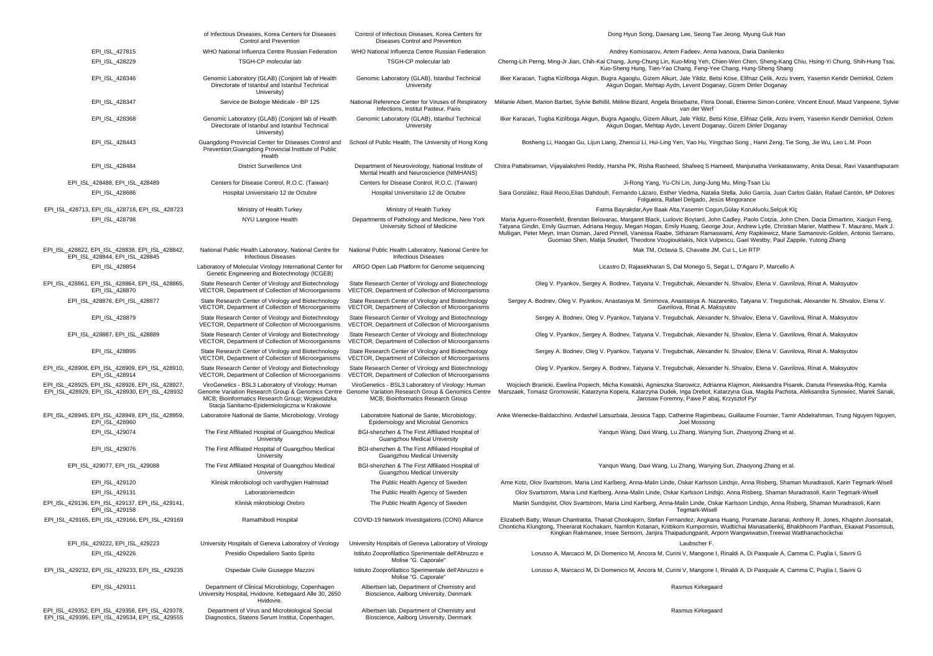|                                                                                                   | of Infectious Diseases, Korea Centers for Diseases<br>Control and Prevention                                                                                                                             | Control of Infectious Diseases, Korea Centers for<br>Diseases Control and Prevention                                                         | Dong Hyun Song, Daesang Lee, Seong Tae Jeong, Myung Guk Han                                                                                                                                                                                                                                                                                                                                                                                                                                                                                                         |
|---------------------------------------------------------------------------------------------------|----------------------------------------------------------------------------------------------------------------------------------------------------------------------------------------------------------|----------------------------------------------------------------------------------------------------------------------------------------------|---------------------------------------------------------------------------------------------------------------------------------------------------------------------------------------------------------------------------------------------------------------------------------------------------------------------------------------------------------------------------------------------------------------------------------------------------------------------------------------------------------------------------------------------------------------------|
| EPI ISL 427815                                                                                    | WHO National Influenza Centre Russian Federation                                                                                                                                                         | WHO National Influenza Centre Russian Federation                                                                                             | Andrey Komissarov, Artem Fadeev, Anna Ivanova, Daria Danilenko                                                                                                                                                                                                                                                                                                                                                                                                                                                                                                      |
| EPI ISL 428229                                                                                    | TSGH-CP molecular lab                                                                                                                                                                                    | TSGH-CP molecular lab                                                                                                                        | Cherng-Lih Perng, Ming-Jr Jian, Chih-Kai Chang, Jung-Chung Lin, Kuo-Ming Yeh, Chien-Wen Chen, Sheng-Kang Chiu, Hsing-Yi Chung, Shih-Hung Tsai,<br>Kuo-Sheng Hung, Tien-Yao Chang, Feng-Yee Chang, Hung-Sheng Shang                                                                                                                                                                                                                                                                                                                                                  |
| EPI_ISL_428346                                                                                    | Genomic Laboratory (GLAB) (Conjoint lab of Health<br>Directorate of Istanbul and Istanbul Technical<br>University)                                                                                       | Genomic Laboratory (GLAB), Istanbul Technical<br>University                                                                                  | Ilker Karacan, Tugba Kizilboga Akgun, Bugra Agaoglu, Gizem Alkurt, Jale Yildiz, Betsi Köse, Elifnaz Çelik, Arzu Irvem, Yasemin Kendir Demirkol, Ozlem<br>Akgun Dogan, Mehtap Aydn, Levent Doganay, Gizem Dinler Doganay                                                                                                                                                                                                                                                                                                                                             |
| EPI_ISL_428347                                                                                    | Service de Biologie Médicale - BP 125                                                                                                                                                                    | National Reference Center for Viruses of Respiratory<br>Infections, Institut Pasteur, Paris                                                  | Mélanie Albert, Marion Barbet, Sylvie Behillil, Méline Bizard, Angela Brisebarre, Flora Donati, Etienne Simon-Lorière, Vincent Enouf, Maud Vanpeene, Sylvie<br>van der Werf                                                                                                                                                                                                                                                                                                                                                                                         |
| EPI ISL 428368                                                                                    | Genomic Laboratory (GLAB) (Conjoint lab of Health<br>Directorate of Istanbul and Istanbul Technical<br>University)                                                                                       | Genomic Laboratory (GLAB), Istanbul Technical<br>University                                                                                  | Ilker Karacan, Tugba Kizilboga Akgun, Bugra Agaoglu, Gizem Alkurt, Jale Yildiz, Betsi Köse, Elifnaz Çelik, Arzu Irvem, Yasemin Kendir Demirkol, Ozlem<br>Akgun Dogan, Mehtap Aydn, Levent Doganay, Gizem Dinler Doganay                                                                                                                                                                                                                                                                                                                                             |
| EPI_ISL_428443                                                                                    | Guangdong Provincial Center for Diseases Control and<br>Prevention; Guangdong Provincial Institute of Public<br>Health                                                                                   | School of Public Health, The University of Hong Kong                                                                                         | Bosheng Li, Haogao Gu, Lijun Liang, Zhencui Li, Hui-Ling Yen, Yao Hu, Yingchao Song, Hanri Zeng, Tie Song, Jie Wu, Leo L.M. Poon                                                                                                                                                                                                                                                                                                                                                                                                                                    |
| EPI_ISL_428484                                                                                    | <b>District Surveillence Unit</b>                                                                                                                                                                        | Department of Neurovirology, National Institute of<br>Mental Health and Neuroscience (NIMHANS)                                               | Chitra Pattabiraman, Vijayalakshmi Reddy, Harsha PK, Risha Rasheed, Shafeeq S Hameed, Manjunatha Venkataswamy, Anita Desai, Ravi Vasanthapuram                                                                                                                                                                                                                                                                                                                                                                                                                      |
| EPI_ISL_428488, EPI_ISL_428489                                                                    | Centers for Disease Control, R.O.C. (Taiwan)                                                                                                                                                             | Centers for Disease Control, R.O.C. (Taiwan)                                                                                                 | Ji-Rong Yang, Yu-Chi Lin, Jung-Jung Mu, Ming-Tsan Liu                                                                                                                                                                                                                                                                                                                                                                                                                                                                                                               |
| EPI_ISL_428686                                                                                    | Hospital Universitario 12 de Octubre                                                                                                                                                                     | Hospital Universitario 12 de Octubre                                                                                                         | Sara González, Raúl Recio, Elias Dahdouh, Fernando Lázaro, Esther Viedma, Natalia Stella, Julio García, Juan Carlos Galán, Rafael Cantón, Mª Dolores<br>Folgueira, Rafael Delgado, Jesús Mingorance                                                                                                                                                                                                                                                                                                                                                                 |
| EPI_ISL_428713, EPI_ISL_428718, EPI_ISL_428723                                                    | Ministry of Health Turkey                                                                                                                                                                                | Ministry of Health Turkey                                                                                                                    | Fatma Bayrakdar, Aye Baak Alta, Yasemin Cogun, Gülay Korukluolu, Selçuk Klç                                                                                                                                                                                                                                                                                                                                                                                                                                                                                         |
| EPI_ISL_428798                                                                                    | NYU Langone Health                                                                                                                                                                                       | Departments of Pathology and Medicine, New York<br>University School of Medicine                                                             | Maria Aguero-Rosenfeld, Brendan Belovarac, Margaret Black, Ludovic Boytard, John Cadley, Paolo Cotzia, John Chen, Dacia Dimartino, Xiaojun Feng,<br>Tatyana Gindin, Emily Guzman, Adriana Heguy, Megan Hogan, Emily Huang, George Jour, Andrew Lytle, Christian Marier, Matthew T. Maurano, Mark J.<br>Mulligan, Peter Meyn, Iman Osman, Jared Pinnell, Vanessa Raabe, Sitharam Ramaswami, Amy Rapkiewicz, Marie Samanovic-Golden, Antonio Serrano,<br>Guomiao Shen, Matija Snuderl, Theodore Vougiouklakis, Nick Vulpescu, Gael Westby, Paul Zappile, Yutong Zhang |
| EPI_ISL_428822, EPI_ISL_428838, EPI_ISL_428842,<br>EPI ISL 428844, EPI ISL 428845                 | National Public Health Laboratory, National Centre for<br><b>Infectious Diseases</b>                                                                                                                     | National Public Health Laboratory, National Centre for<br><b>Infectious Diseases</b>                                                         | Mak TM, Octavia S, Chavatte JM, Cui L, Lin RTP                                                                                                                                                                                                                                                                                                                                                                                                                                                                                                                      |
| EPI_ISL_428854                                                                                    | Laboratory of Molecular Virology International Center for<br>Genetic Engineering and Biotechnology (ICGEB)                                                                                               | ARGO Open Lab Platform for Genome sequencing                                                                                                 | Licastro D, Rajasekharan S, Dal Monego S, Segat L, D'Agaro P, Marcello A                                                                                                                                                                                                                                                                                                                                                                                                                                                                                            |
| EPI ISL 428861, EPI ISL 428864, EPI ISL 428865,<br>EPI ISL 428870                                 | State Research Center of Virology and Biotechnology<br>VECTOR, Department of Collection of Microorganisms                                                                                                | State Research Center of Virology and Biotechnology<br>VECTOR, Department of Collection of Microorganisms                                    | Oleg V. Pyankov, Sergey A. Bodnev, Tatyana V. Tregubchak, Alexander N. Shvalov, Elena V. Gavrilova, Rinat A. Maksyutov                                                                                                                                                                                                                                                                                                                                                                                                                                              |
| EPI_ISL_428876, EPI_ISL_428877                                                                    | State Research Center of Virology and Biotechnology<br>VECTOR, Department of Collection of Microorganisms                                                                                                | State Research Center of Virology and Biotechnology<br>VECTOR, Department of Collection of Microorganisms                                    | Sergey A. Bodnev, Oleg V. Pyankov, Anastasiya M. Smirnova, Anastasiya A. Nazarenko, Tatyana V. Tregubchak, Alexander N. Shvalov, Elena V.<br>Gavrilova, Rinat A. Maksyutov                                                                                                                                                                                                                                                                                                                                                                                          |
| EPI_ISL_428879                                                                                    | State Research Center of Virology and Biotechnology<br>VECTOR, Department of Collection of Microorganisms                                                                                                | State Research Center of Virology and Biotechnology<br>VECTOR, Department of Collection of Microorganisms                                    | Sergey A. Bodnev, Oleg V. Pyankov, Tatyana V. Tregubchak, Alexander N. Shvalov, Elena V. Gavrilova, Rinat A. Maksyutov                                                                                                                                                                                                                                                                                                                                                                                                                                              |
| EPI ISL 428887, EPI ISL 428889                                                                    | State Research Center of Virology and Biotechnology<br>VECTOR, Department of Collection of Microorganisms                                                                                                | State Research Center of Virology and Biotechnology<br>VECTOR, Department of Collection of Microorganisms                                    | Oleg V. Pyankov, Sergey A. Bodnev, Tatyana V. Tregubchak, Alexander N. Shvalov, Elena V. Gavrilova, Rinat A. Maksyutov                                                                                                                                                                                                                                                                                                                                                                                                                                              |
| EPI_ISL_428895                                                                                    | State Research Center of Virology and Biotechnology<br>VECTOR, Department of Collection of Microorganisms                                                                                                | State Research Center of Virology and Biotechnology<br>VECTOR, Department of Collection of Microorganisms                                    | Sergey A. Bodnev, Oleg V. Pyankov, Tatyana V. Tregubchak, Alexander N. Shvalov, Elena V. Gavrilova, Rinat A. Maksyutov                                                                                                                                                                                                                                                                                                                                                                                                                                              |
| EPI_ISL_428908, EPI_ISL_428909, EPI_ISL_428910,<br>EPI_ISL_428914                                 | State Research Center of Virology and Biotechnology<br>VECTOR, Department of Collection of Microorganisms                                                                                                | State Research Center of Virology and Biotechnology<br>VECTOR, Department of Collection of Microorganisms                                    | Oleg V. Pyankov, Sergey A. Bodnev, Tatyana V. Tregubchak, Alexander N. Shvalov, Elena V. Gavrilova, Rinat A. Maksyutov                                                                                                                                                                                                                                                                                                                                                                                                                                              |
| EPI_ISL_428925, EPI_ISL_428926, EPI_ISL_428927,<br>EPI_ISL_428929, EPI_ISL_428930, EPI_ISL_428932 | ViroGenetics - BSL3 Laboratory of Virology; Human<br>Genome Variation Research Group & Genomics Centre<br>MCB; Bioinformatics Research Group; Wojewódzka<br>Stacja Sanitarno-Epidemiologiczna w Krakowie | ViroGenetics - BSL3 Laboratory of Virology; Human<br>Genome Variation Research Group & Genomics Centre<br>MCB; Bioinformatics Research Group | Wojciech Branicki, Ewelina Popiech, Micha Kowalski, Agnieszka Starowicz, Adrianna Klajmon, Aleksandra Pisarek, Danuta Piniewska-Róg, Kamila<br>Marszaek, Tomasz Gromowski, Katarzyna Kopera, Katarzyna Dudek, Inga Drebot, Katarzyna Gua, Magda Pachota, Aleksandra Synowiec, Marek Sanak,<br>Jarosaw Foremny, Pawe P abaj, Krzysztof Pyr                                                                                                                                                                                                                           |
| EPI_ISL_428945, EPI_ISL_428949, EPI_ISL_428959,<br>EPI ISL 428960                                 | Laboratoire National de Sante, Microbiology, Virology                                                                                                                                                    | Laboratoire National de Sante, Microbiology,<br>Epidemiology and Microbial Genomics                                                          | Anke Wienecke-Baldacchino, Ardashel Latsuzbaia, Jessica Tapp, Catherine Ragimbeau, Guillaume Fournier, Tamir Abdelrahman, Trung Nguyen Nguyen,<br>Joel Mossong                                                                                                                                                                                                                                                                                                                                                                                                      |
| EPI ISL 429074                                                                                    | The First Affiliated Hospital of Guangzhou Medical<br>University                                                                                                                                         | BGI-shenzhen & The First Affiliated Hospital of<br>Guangzhou Medical University                                                              | Yanqun Wang, Daxi Wang, Lu Zhang, Wanying Sun, Zhaoyong Zhang et al.                                                                                                                                                                                                                                                                                                                                                                                                                                                                                                |
| EPI_ISL_429076                                                                                    | The First Affiliated Hospital of Guangzhou Medical<br>University                                                                                                                                         | BGI-shenzhen & The First Affiliated Hospital of<br>Guangzhou Medical University                                                              |                                                                                                                                                                                                                                                                                                                                                                                                                                                                                                                                                                     |
| EPI ISL 429077, EPI ISL 429088                                                                    | The First Affiliated Hospital of Guangzhou Medical<br>University                                                                                                                                         | BGI-shenzhen & The First Affiliated Hospital of<br>Guangzhou Medical University                                                              | Yanqun Wang, Daxi Wang, Lu Zhang, Wanying Sun, Zhaoyong Zhang et al.                                                                                                                                                                                                                                                                                                                                                                                                                                                                                                |
| EPI ISL 429120                                                                                    | Klinisk mikrobiologi och vardhygien Halmstad                                                                                                                                                             | The Public Health Agency of Sweden                                                                                                           | Arne Kotz, Olov Svartstrom, Maria Lind Karlberg, Anna-Malin Linde, Oskar Karlsson Lindsjo, Anna Risberg, Shaman Muradrasoli, Karin Tegmark-Wisell                                                                                                                                                                                                                                                                                                                                                                                                                   |
| EPI_ISL_429131                                                                                    | Laboratoriemedicin                                                                                                                                                                                       | The Public Health Agency of Sweden                                                                                                           | Olov Svartstrom, Maria Lind Karlberg, Anna-Malin Linde, Oskar Karlsson Lindsjo, Anna Risberg, Shaman Muradrasoli, Karin Tegmark-Wisell                                                                                                                                                                                                                                                                                                                                                                                                                              |
| EPI ISL 429136, EPI ISL 429137, EPI ISL 429141,<br>EPI_ISL_429158                                 | Klinisk mikrobiologi Orebro                                                                                                                                                                              | The Public Health Agency of Sweden                                                                                                           | Martin Sundqvist, Olov Svartstrom, Maria Lind Karlberg, Anna-Malin Linde, Oskar Karlsson Lindsjo, Anna Risberg, Shaman Muradrasoli, Karin<br>Tegmark-Wisell                                                                                                                                                                                                                                                                                                                                                                                                         |
| EPI_ISL_429165, EPI_ISL_429166, EPI_ISL_429169                                                    | Ramathibodi Hospital                                                                                                                                                                                     | COVID-19 Network Investigations (CONI) Alliance                                                                                              | Elizabeth Batty, Wasun Chantratita, Thanat Chookajorn, Stefan Fernandez, Angkana Huang, Poramate Jiaranai, Anthony R. Jones, Khajohn Joonsalak,<br>Chonticha Klungtong, Theerarat Kochakarn, Namfon Kotanan, Krittikorn Kumpornsin, Wudtichai Manasatienkij, Bhakbhoom Panthan, Ekawat Pasomsub,<br>Kingkan Rakmanee, Insee Sensorn, Janjira Thaipadungpanit, Arporn Wangwiwatsin,Treewat Watthanachockchai                                                                                                                                                         |
| EPI_ISL_429222, EPI_ISL_429223                                                                    | University Hospitals of Geneva Laboratory of Virology                                                                                                                                                    | University Hospitals of Geneva Laboratory of Virology                                                                                        | Laubscher F.                                                                                                                                                                                                                                                                                                                                                                                                                                                                                                                                                        |
| EPI_ISL_429226                                                                                    | Presidio Ospedaliero Santo Spirito                                                                                                                                                                       | Istituto Zooprofilattico Sperimentale dell'Abruzzo e<br>Molise "G. Caporale"                                                                 | Lorusso A, Marcacci M, Di Domenico M, Ancora M, Curini V, Mangone I, Rinaldi A, Di Pasquale A, Camma C, Puglia I, Savini G                                                                                                                                                                                                                                                                                                                                                                                                                                          |
| EPI_ISL_429232, EPI_ISL_429233, EPI_ISL_429235                                                    | Ospedale Civile Giuseppe Mazzini                                                                                                                                                                         | Istituto Zooprofilattico Sperimentale dell'Abruzzo e<br>Molise "G. Caporale"                                                                 | Lorusso A, Marcacci M, Di Domenico M, Ancora M, Curini V, Mangone I, Rinaldi A, Di Pasquale A, Camma C, Puglia I, Savini G                                                                                                                                                                                                                                                                                                                                                                                                                                          |
| EPI ISL 429311                                                                                    | Department of Clinical Microbiology, Copenhagen<br>University Hospital, Hvidovre, Kettegaard Alle 30, 2650<br>Hvidovre.                                                                                  | Albertsen lab, Department of Chemistry and<br>Bioscience, Aalborg University, Denmark                                                        | Rasmus Kirkegaard                                                                                                                                                                                                                                                                                                                                                                                                                                                                                                                                                   |
| EPI_ISL_429352, EPI_ISL_429358, EPI_ISL_429378,<br>EPI_ISL_429395, EPI_ISL_429534, EPI_ISL_429555 | Department of Virus and Microbiological Special<br>Diagnostics, Statens Serum Institut, Copenhagen,                                                                                                      | Albertsen lab, Department of Chemistry and<br>Bioscience, Aalborg University, Denmark                                                        | Rasmus Kirkegaard                                                                                                                                                                                                                                                                                                                                                                                                                                                                                                                                                   |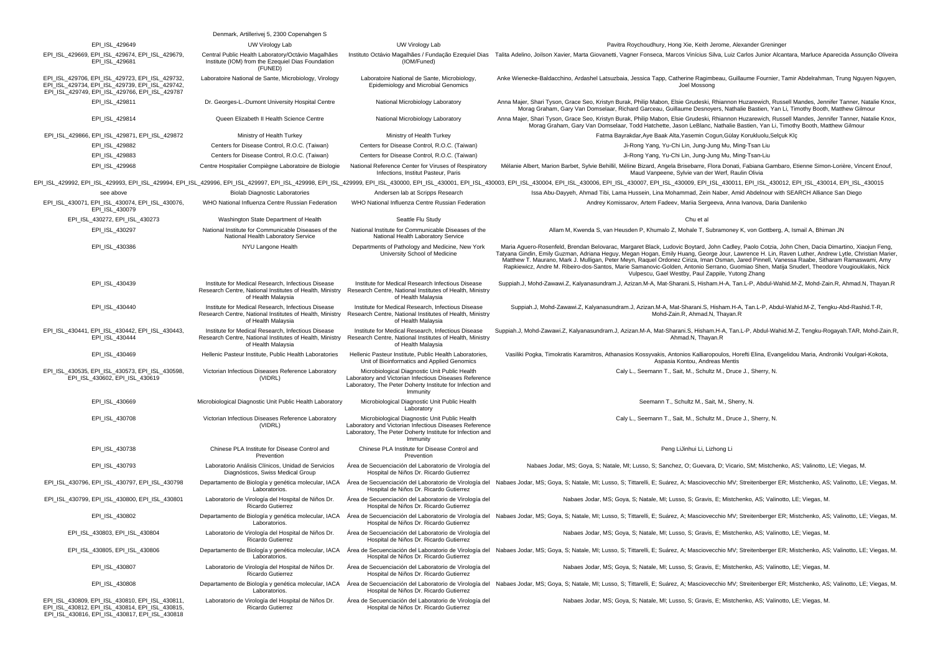|                                                                                                                                                      | Denmark, Artillerivej 5, 2300 Copenahgen S                                                                                                                                                    |                                                                                                                                                                                  |                                                                                                                                                                                                                                                                                                                                                                                                                                                                                                                                                                                                                                                           |
|------------------------------------------------------------------------------------------------------------------------------------------------------|-----------------------------------------------------------------------------------------------------------------------------------------------------------------------------------------------|----------------------------------------------------------------------------------------------------------------------------------------------------------------------------------|-----------------------------------------------------------------------------------------------------------------------------------------------------------------------------------------------------------------------------------------------------------------------------------------------------------------------------------------------------------------------------------------------------------------------------------------------------------------------------------------------------------------------------------------------------------------------------------------------------------------------------------------------------------|
| EPI_ISL_429649                                                                                                                                       | UW Virology Lab                                                                                                                                                                               | UW Virology Lab                                                                                                                                                                  | Pavitra Roychoudhury, Hong Xie, Keith Jerome, Alexander Greninger                                                                                                                                                                                                                                                                                                                                                                                                                                                                                                                                                                                         |
| EPI_ISL_429669, EPI_ISL_429674, EPI_ISL_429679,<br>EPI_ISL_429681                                                                                    | Central Public Health Laboratory/Octávio Magalhães<br>Institute (IOM) from the Ezequiel Dias Foundation<br>(FUNED)                                                                            | (IOM/Funed)                                                                                                                                                                      | Instituto Octávio Magalhães / Fundação Ezequiel Dias Talita Adelino, Joilson Xavier, Marta Giovanetti, Vagner Fonseca, Marcos Vinícius Silva, Luiz Carlos Junior Alcantara, Marluce Aparecida Assunção Oliveira                                                                                                                                                                                                                                                                                                                                                                                                                                           |
| EPI_ISL_429706, EPI_ISL_429723, EPI_ISL_429732,<br>EPI_ISL_429734, EPI_ISL_429739, EPI_ISL_429742,<br>EPI ISL 429749, EPI ISL 429766, EPI ISL 429787 | Laboratoire National de Sante, Microbiology, Virology                                                                                                                                         | Laboratoire National de Sante, Microbiology,<br>Epidemiology and Microbial Genomics                                                                                              | Anke Wienecke-Baldacchino, Ardashel Latsuzbaia, Jessica Tapp, Catherine Ragimbeau, Guillaume Fournier, Tamir Abdelrahman, Trung Nguyen Nguyen<br>Joel Mossong                                                                                                                                                                                                                                                                                                                                                                                                                                                                                             |
| EPI_ISL_429811                                                                                                                                       | Dr. Georges-L.-Dumont University Hospital Centre                                                                                                                                              | National Microbiology Laboratory                                                                                                                                                 | Anna Majer, Shari Tyson, Grace Seo, Kristyn Burak, Philip Mabon, Elsie Grudeski, Rhiannon Huzarewich, Russell Mandes, Jennifer Tanner, Natalie Knox,<br>Morag Graham, Gary Van Domselaar, Richard Garceau, Guillaume Desnoyers, Nathalie Bastien, Yan Li, Timothy Booth, Matthew Gilmour                                                                                                                                                                                                                                                                                                                                                                  |
| EPI_ISL_429814                                                                                                                                       | Queen Elizabeth II Health Science Centre                                                                                                                                                      | National Microbiology Laboratory                                                                                                                                                 | Anna Majer, Shari Tyson, Grace Seo, Kristyn Burak, Philip Mabon, Elsie Grudeski, Rhiannon Huzarewich, Russell Mandes, Jennifer Tanner, Natalie Knox<br>Morag Graham, Gary Van Domselaar, Todd Hatchette, Jason LeBlanc, Nathalie Bastien, Yan Li, Timothy Booth, Matthew Gilmour                                                                                                                                                                                                                                                                                                                                                                          |
| EPI_ISL_429866, EPI_ISL_429871, EPI_ISL_429872                                                                                                       | Ministry of Health Turkey                                                                                                                                                                     | Ministry of Health Turkey                                                                                                                                                        | Fatma Bayrakdar, Aye Baak Alta, Yasemin Cogun, Gülay Korukluolu, Selçuk Klç                                                                                                                                                                                                                                                                                                                                                                                                                                                                                                                                                                               |
| EPI ISL 429882                                                                                                                                       | Centers for Disease Control, R.O.C. (Taiwan)                                                                                                                                                  | Centers for Disease Control, R.O.C. (Taiwan)                                                                                                                                     | Ji-Rong Yang, Yu-Chi Lin, Jung-Jung Mu, Ming-Tsan Liu                                                                                                                                                                                                                                                                                                                                                                                                                                                                                                                                                                                                     |
| EPI ISL 429883                                                                                                                                       | Centers for Disease Control, R.O.C. (Taiwan)                                                                                                                                                  | Centers for Disease Control, R.O.C. (Taiwan)                                                                                                                                     | Ji-Rong Yang, Yu-Chi Lin, Jung-Jung Mu, Ming-Tsan-Liu                                                                                                                                                                                                                                                                                                                                                                                                                                                                                                                                                                                                     |
| EPI ISL 429968                                                                                                                                       | Centre Hospitalier Compiègne Laboratoire de Biologie                                                                                                                                          | National Reference Center for Viruses of Respiratory<br>Infections, Institut Pasteur, Paris                                                                                      | Mélanie Albert, Marion Barbet, Sylvie Behillil, Méline Bizard, Angela Brisebarre, Flora Donati, Fabiana Gambaro, Etienne Simon-Lorière, Vincent Enouf,<br>Maud Vanpeene, Sylvie van der Werf, Raulin Olivia                                                                                                                                                                                                                                                                                                                                                                                                                                               |
|                                                                                                                                                      |                                                                                                                                                                                               |                                                                                                                                                                                  | EPI_ISL_429992, EPI_ISL_429993, EPI_ISL_429994, EPI_ISL_429996, EPI_ISL_429997, EPI_ISL_429998, EPI_ISL_429998, EPI_ISL_420999, EPI_ISL_42000, EPI_ISL_42000, EPI_ISL_43000, EPI_ISL_430004, EPI_ISL_430004, EPI_ISL_430004, E                                                                                                                                                                                                                                                                                                                                                                                                                            |
| see above                                                                                                                                            | <b>Biolab Diagnostic Laboratories</b>                                                                                                                                                         | Andersen lab at Scripps Research                                                                                                                                                 | Issa Abu-Dayyeh, Ahmad Tibi, Lama Hussein, Lina Mohammad, Zein Naber, Amid Abdelnour with SEARCH Alliance San Diego                                                                                                                                                                                                                                                                                                                                                                                                                                                                                                                                       |
| EPI ISL 430071, EPI ISL 430074, EPI ISL 430076,<br>EPI ISL 430079                                                                                    | WHO National Influenza Centre Russian Federation                                                                                                                                              | WHO National Influenza Centre Russian Federation                                                                                                                                 | Andrey Komissarov, Artem Fadeev, Mariia Sergeeva, Anna Ivanova, Daria Danilenko                                                                                                                                                                                                                                                                                                                                                                                                                                                                                                                                                                           |
| EPI_ISL_430272, EPI_ISL_430273                                                                                                                       | Washington State Department of Health                                                                                                                                                         | Seattle Flu Study                                                                                                                                                                | Chu et al                                                                                                                                                                                                                                                                                                                                                                                                                                                                                                                                                                                                                                                 |
| EPI ISL 430297                                                                                                                                       | National Institute for Communicable Diseases of the<br>National Health Laboratory Service                                                                                                     | National Institute for Communicable Diseases of the<br>National Health Laboratory Service                                                                                        | Allam M, Kwenda S, van Heusden P, Khumalo Z, Mohale T, Subramoney K, von Gottberg, A, Ismail A, Bhiman JN                                                                                                                                                                                                                                                                                                                                                                                                                                                                                                                                                 |
| EPI_ISL_430386                                                                                                                                       | NYU Langone Health                                                                                                                                                                            | Departments of Pathology and Medicine, New York<br>University School of Medicine                                                                                                 | Maria Aguero-Rosenfeld, Brendan Belovarac, Margaret Black, Ludovic Boytard, John Cadley, Paolo Cotzia, John Chen, Dacia Dimartino, Xiaojun Feng,<br>Tatyana Gindin, Emily Guzman, Adriana Heguy, Megan Hogan, Emily Huang, George Jour, Lawrence H. Lin, Raven Luther, Andrew Lytle, Christian Marier,<br>Matthew T. Maurano, Mark J. Mulligan, Peter Meyn, Raquel Ordonez Ciriza, Iman Osman, Jared Pinnell, Vanessa Raabe, Sitharam Ramaswami, Amy<br>Rapkiewicz, Andre M. Ribeiro-dos-Santos, Marie Samanovic-Golden, Antonio Serrano, Guomiao Shen, Matija Snuderl, Theodore Vougiouklakis, Nick<br>Vulpescu, Gael Westby, Paul Zappile, Yutong Zhang |
| EPI_ISL_430439                                                                                                                                       | Institute for Medical Research, Infectious Disease<br>Research Centre, National Institutes of Health, Ministry Research Centre, National Institutes of Health, Ministry<br>of Health Malaysia | Institute for Medical Research Infectious Disease<br>of Health Malaysia                                                                                                          | Suppiah.J, Mohd-Zawawi.Z, Kalyanasundram.J, Azizan.M-A, Mat-Sharani.S, Hisham.H-A, Tan.L-P, Abdul-Wahid.M-Z, Mohd-Zain.R, Ahmad.N, Thayan.R                                                                                                                                                                                                                                                                                                                                                                                                                                                                                                               |
| EPI_ISL_430440                                                                                                                                       | Institute for Medical Research, Infectious Disease<br>Research Centre, National Institutes of Health, Ministry<br>of Health Malaysia                                                          | Institute for Medical Research, Infectious Disease<br>Research Centre, National Institutes of Health, Ministry<br>of Health Malavsia                                             | Suppiah.J, Mohd-Zawawi.Z, Kalyanasundram.J, Azizan.M-A, Mat-Sharani.S, Hisham.H-A, Tan.L-P, Abdul-Wahid.M-Z, Tengku-Abd-Rashid.T-R,<br>Mohd-Zain.R, Ahmad.N, Thayan.R                                                                                                                                                                                                                                                                                                                                                                                                                                                                                     |
| EPI ISL 430441, EPI ISL 430442, EPI ISL 430443,<br>EPI ISL 430444                                                                                    | Institute for Medical Research, Infectious Disease<br>Research Centre, National Institutes of Health, Ministry<br>of Health Malaysia                                                          | Institute for Medical Research, Infectious Disease<br>Research Centre, National Institutes of Health, Ministry<br>of Health Malaysia                                             | Suppiah.J, Mohd-Zawawi.Z, Kalyanasundram.J, Azizan.M-A, Mat-Sharani.S, Hisham.H-A, Tan.L-P, Abdul-Wahid.M-Z, Tengku-Rogayah.TAR, Mohd-Zain.R,<br>Ahmad.N, Thayan.R                                                                                                                                                                                                                                                                                                                                                                                                                                                                                        |
| EPI_ISL_430469                                                                                                                                       | Hellenic Pasteur Institute, Public Health Laboratories                                                                                                                                        | Hellenic Pasteur Institute, Public Health Laboratories,<br>Unit of Bioinformatics and Applied Genomics                                                                           | Vasiliki Pogka, Timokratis Karamitros, Athanasios Kossyvakis, Antonios Kalliaropoulos, Horefti Elina, Evangelidou Maria, Androniki Voulgari-Kokota,<br>Aspasia Kontou, Andreas Mentis                                                                                                                                                                                                                                                                                                                                                                                                                                                                     |
| EPI_ISL_430535, EPI_ISL_430573, EPI_ISL_430598,<br>EPI ISL 430602, EPI ISL 430619                                                                    | Victorian Infectious Diseases Reference Laboratory<br>(VIDRL)                                                                                                                                 | Microbiological Diagnostic Unit Public Health<br>Laboratory and Victorian Infectious Diseases Reference<br>Laboratory, The Peter Doherty Institute for Infection and<br>Immunity | Caly L., Seemann T., Sait, M., Schultz M., Druce J., Sherry, N.                                                                                                                                                                                                                                                                                                                                                                                                                                                                                                                                                                                           |
| EPI_ISL_430669                                                                                                                                       | Microbiological Diagnostic Unit Public Health Laboratory                                                                                                                                      | Microbiological Diagnostic Unit Public Health<br>Laboratory                                                                                                                      | Seemann T., Schultz M., Sait, M., Sherry, N.                                                                                                                                                                                                                                                                                                                                                                                                                                                                                                                                                                                                              |
| EPI_ISL_430708                                                                                                                                       | Victorian Infectious Diseases Reference Laboratory<br>(VIDRL)                                                                                                                                 | Microbiological Diagnostic Unit Public Health<br>Laboratory and Victorian Infectious Diseases Reference<br>Laboratory, The Peter Doherty Institute for Infection and<br>Immunity | Caly L., Seemann T., Sait, M., Schultz M., Druce J., Sherry, N.                                                                                                                                                                                                                                                                                                                                                                                                                                                                                                                                                                                           |
| EPI_ISL_430738                                                                                                                                       | Chinese PLA Institute for Disease Control and<br>Prevention                                                                                                                                   | Chinese PLA Institute for Disease Control and<br>Prevention                                                                                                                      | Peng LiJinhui Li, Lizhong Li                                                                                                                                                                                                                                                                                                                                                                                                                                                                                                                                                                                                                              |
| EPI_ISL_430793                                                                                                                                       | Laboratorio Análisis Clínicos, Unidad de Servicios<br>Diagnósticos, Swiss Medical Group                                                                                                       | Área de Secuenciación del Laboratorio de Virología del<br>Hospital de Niños Dr. Ricardo Gutierrez                                                                                | Nabaes Jodar, MS; Goya, S; Natale, MI; Lusso, S; Sanchez, O; Guevara, D; Vicario, SM; Mistchenko, AS; Valinotto, LE; Viegas, M.                                                                                                                                                                                                                                                                                                                                                                                                                                                                                                                           |
| EPI_ISL_430796, EPI_ISL_430797, EPI_ISL_430798                                                                                                       | Departamento de Biología y genética molecular, IACA<br>Laboratorios.                                                                                                                          | Hospital de Niños Dr. Ricardo Gutierrez                                                                                                                                          | Årea de Secuenciación del Laboratorio de Virología del Nabaes Jodar, MS; Goya, S; Natale, MI; Lusso, S; Tittarelli, E; Suárez, A; Masciovecchio MV; Streitenberger ER; Mistchenko, AS; Valinotto, LE; Viegas, M.                                                                                                                                                                                                                                                                                                                                                                                                                                          |
| EPI ISL 430799, EPI ISL 430800, EPI ISL 430801                                                                                                       | Laboratorio de Virología del Hospital de Niños Dr.<br>Ricardo Gutierrez                                                                                                                       | Área de Secuenciación del Laboratorio de Virología del<br>Hospital de Niños Dr. Ricardo Gutierrez                                                                                | Nabaes Jodar, MS; Goya, S; Natale, MI; Lusso, S; Gravis, E; Mistchenko, AS; Valinotto, LE; Viegas, M.                                                                                                                                                                                                                                                                                                                                                                                                                                                                                                                                                     |
| EPI_ISL_430802                                                                                                                                       | Laboratorios.                                                                                                                                                                                 | Hospital de Niños Dr. Ricardo Gutierrez                                                                                                                                          | Departamento de Biología y genética molecular, IACA Area de Secuenciación del Laboratorio de Virología del Nabaes Jodar, MS; Goya, S; Natale, MI; Lusso, S; Tittarelli, E; Suárez, A; Masciovecchio MV; Streitenberger ER; Mis                                                                                                                                                                                                                                                                                                                                                                                                                            |
| EPI_ISL_430803, EPI_ISL_430804                                                                                                                       | Laboratorio de Virología del Hospital de Niños Dr.<br>Ricardo Gutierrez                                                                                                                       | Área de Secuenciación del Laboratorio de Virología del<br>Hospital de Niños Dr. Ricardo Gutierrez                                                                                | Nabaes Jodar, MS; Goya, S; Natale, MI; Lusso, S; Gravis, E; Mistchenko, AS; Valinotto, LE; Viegas, M.                                                                                                                                                                                                                                                                                                                                                                                                                                                                                                                                                     |
| EPI_ISL_430805, EPI_ISL_430806                                                                                                                       | Departamento de Biología y genética molecular, IACA<br>Laboratorios.                                                                                                                          | Hospital de Niños Dr. Ricardo Gutierrez                                                                                                                                          | Área de Secuenciación del Laboratorio de Virología del Nabaes Jodar, MS; Goya, S; Natale, MI; Lusso, S; Tittarelli, E; Suárez, A; Masciovecchio MV; Streitenberger ER; Mistchenko, AS; Valinotto, LE; Viegas, M.                                                                                                                                                                                                                                                                                                                                                                                                                                          |
| EPI_ISL_430807                                                                                                                                       | Laboratorio de Virología del Hospital de Niños Dr.<br>Ricardo Gutierrez                                                                                                                       | Área de Secuenciación del Laboratorio de Virología del<br>Hospital de Niños Dr. Ricardo Gutierrez                                                                                | Nabaes Jodar, MS; Goya, S; Natale, MI; Lusso, S; Gravis, E; Mistchenko, AS; Valinotto, LE; Viegas, M.                                                                                                                                                                                                                                                                                                                                                                                                                                                                                                                                                     |
| EPI_ISL_430808                                                                                                                                       | Laboratorios.                                                                                                                                                                                 | Hospital de Niños Dr. Ricardo Gutierrez                                                                                                                                          | Departamento de Biología y genética molecular, IACA Área de Secuenciación del Laboratorio de Virología del Nabaes Jodar, MS; Goya, S; Natale, MI; Lusso, S; Tittarelli, E; Suárez, A; Masciovecchio MV; Streitenberger ER; Mis                                                                                                                                                                                                                                                                                                                                                                                                                            |
| EPI_ISL_430809, EPI_ISL_430810, EPI_ISL_430811,<br>EPI ISL 430812, EPI ISL 430814, EPI ISL 430815,<br>EPI_ISL_430816, EPI_ISL_430817, EPI_ISL_430818 | Laboratorio de Virología del Hospital de Niños Dr.<br>Ricardo Gutierrez                                                                                                                       | Área de Secuenciación del Laboratorio de Virología del<br>Hospital de Niños Dr. Ricardo Gutierrez                                                                                | Nabaes Jodar, MS; Goya, S; Natale, MI; Lusso, S; Gravis, E; Mistchenko, AS; Valinotto, LE; Viegas, M.                                                                                                                                                                                                                                                                                                                                                                                                                                                                                                                                                     |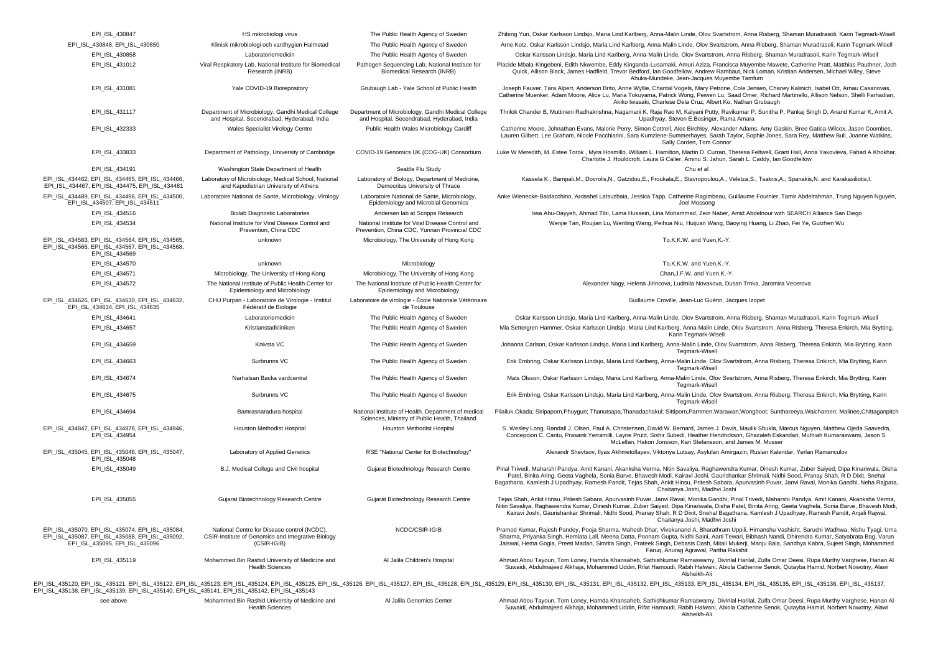| EPI_ISL_430847                                                                                                                       | HS mikrobiologi virus                                                                                            | The Public Health Agency of Sweden                                                                   | Zhibing Yun, Oskar Karlsson Lindsjo, Maria Lind Karlberg, Anna-Malin Linde, Olov Svartstrom, Anna Risberg, Shaman Muradrasoli, Karin Tegmark-Wisell                                                                                                                                                                                                                                                                                                                                            |
|--------------------------------------------------------------------------------------------------------------------------------------|------------------------------------------------------------------------------------------------------------------|------------------------------------------------------------------------------------------------------|------------------------------------------------------------------------------------------------------------------------------------------------------------------------------------------------------------------------------------------------------------------------------------------------------------------------------------------------------------------------------------------------------------------------------------------------------------------------------------------------|
| EPI_ISL_430848, EPI_ISL_430850                                                                                                       | Klinisk mikrobiologi och vardhygien Halmstad                                                                     | The Public Health Agency of Sweden                                                                   | Arne Kotz, Oskar Karlsson Lindsjo, Maria Lind Karlberg, Anna-Malin Linde, Olov Svartstrom, Anna Risberg, Shaman Muradrasoli, Karin Tegmark-Wisell                                                                                                                                                                                                                                                                                                                                              |
| EPI_ISL_430858                                                                                                                       | Laboratoriemedicin                                                                                               | The Public Health Agency of Sweden                                                                   | Oskar Karlsson Lindsjo, Maria Lind Karlberg, Anna-Malin Linde, Olov Svartstrom, Anna Risberg, Shaman Muradrasoli, Karin Tegmark-Wisell                                                                                                                                                                                                                                                                                                                                                         |
| EPI_ISL_431012                                                                                                                       | Viral Respiratory Lab, National Institute for Biomedical<br>Research (INRB)                                      | Pathogen Sequencing Lab, National Institute for<br>Biomedical Research (INRB)                        | Placide Mbala-Kingebeni, Edith Nkwembe, Eddy Kinganda-Lusamaki, Amuri Aziza, Francisca Muyembe Mawete, Catherine Pratt, Matthias Pauthner, Josh<br>Quick, Allison Black, James Hadfield, Trevor Bedford, Ian Goodfellow, Andrew Rambaut, Nick Loman, Kristian Andersen, Michael Wiley, Steve<br>Ahuka-Mundeke, Jean-Jacques Muyembe Tamfum                                                                                                                                                     |
| EPI_ISL_431081                                                                                                                       | Yale COVID-19 Biorepository                                                                                      | Grubaugh Lab - Yale School of Public Health                                                          | Joseph Fauver, Tara Alpert, Anderson Brito, Anne Wyllie, Chantal Vogels, Mary Petrone, Cole Jensen, Chaney Kalinich, Isabel Ott, Arnau Casanovas,<br>Catherine Muenker, Adam Moore, Alice Lu, Maria Tokuyama, Patrick Wong, Peiwen Lu, Saad Omer, Richard Martinello, Allison Nelson, Shelli Farhadian,<br>Akiko Iwasaki, Charlese Dela Cruz, Albert Ko, Nathan Grubaugh                                                                                                                       |
| EPI_ISL_431117                                                                                                                       | Department of Microbiology, Gandhi Medical College<br>and Hospital, Secendrabad, Hyderabad, India                | Department of Microbiology, Gandhi Medical College<br>and Hospital, Secendrabad, Hyderabad, India    | Thrilok Chander B, Muttineni Radhakrishna, Nagamani K, Raja Rao M, Kalyani Putty, Ravikumar P, Sunitha P, Pankaj Singh D, Anand Kumar K, Amit A.<br>Upadhyay, Steven E.Bosinger, Rama Amara                                                                                                                                                                                                                                                                                                    |
| EPI_ISL_432333                                                                                                                       | Wales Specialist Virology Centre                                                                                 | Public Health Wales Microbiology Cardiff                                                             | Catherine Moore, Johnathan Evans, Malorie Perry, Simon Cottrell, Alec Birchley, Alexander Adams, Amy Gaskin, Bree Gatica-Wilcox, Jason Coombes,<br>Lauren Gilbert, Lee Graham, Nicole Pacchiarini, Sara Kumziene-Summerhayes, Sarah Taylor, Sophie Jones, Sara Rey, Matthew Bull, Joanne Watkins,<br>Sally Corden, Tom Connor                                                                                                                                                                  |
| EPI ISL 433833                                                                                                                       | Department of Pathology, University of Cambridge                                                                 | COVID-19 Genomics UK (COG-UK) Consortium                                                             | Luke W Meredith, M. Estee Torok, Myra Hosmillo, William L. Hamilton, Martin D. Curran, Theresa Feltwell, Grant Hall, Anna Yakovleva, Fahad A Khokhar,<br>Charlotte J. Houldcroft, Laura G Caller, Aminu S. Jahun, Sarah L. Caddy, Ian Goodfellow                                                                                                                                                                                                                                               |
| EPI ISL 434191                                                                                                                       | Washington State Department of Health                                                                            | Seattle Flu Study                                                                                    | Chu et al                                                                                                                                                                                                                                                                                                                                                                                                                                                                                      |
| EPI ISL 434462, EPI ISL 434465, EPI ISL 434466,<br>EPI_ISL_434467, EPI_ISL_434475, EPI_ISL_434481                                    | Laboratory of Microbiology, Medical School, National<br>and Kapodistrian University of Athens                    | Laboratory of Biology, Department of Medicine,<br>Democritus University of Thrace                    | Kassela K., Bampali,M., Dovrolis,N., Gatzidou,E., Froukala,E., Stavropoulou,A., Veletza,S., Tsakris,A., Spanakis,N. and Karakasiliotis,I.                                                                                                                                                                                                                                                                                                                                                      |
| EPI_ISL_434489, EPI_ISL_434496, EPI_ISL_434500,<br>EPI_ISL_434507, EPI_ISL_434511                                                    | Laboratoire National de Sante, Microbiology, Virology                                                            | Laboratoire National de Sante, Microbiology,<br>Epidemiology and Microbial Genomics                  | Anke Wienecke-Baldacchino, Ardashel Latsuzbaia, Jessica Tapp, Catherine Ragimbeau, Guillaume Fournier, Tamir Abdelrahman, Trung Nguyen Nguyen,<br>Joel Mossong                                                                                                                                                                                                                                                                                                                                 |
| EPI_ISL_434516                                                                                                                       | <b>Biolab Diagnostic Laboratories</b>                                                                            | Andersen lab at Scripps Research                                                                     | Issa Abu-Dayyeh, Ahmad Tibi, Lama Hussein, Lina Mohammad, Zein Naber, Amid Abdelnour with SEARCH Alliance San Diego                                                                                                                                                                                                                                                                                                                                                                            |
| EPI_ISL_434534                                                                                                                       | National Institute for Viral Disease Control and<br>Prevention, China CDC                                        | National Institute for Viral Disease Control and<br>Prevention, China CDC, Yunnan Provincial CDC     | Wenjie Tan, Roujian Lu, Wenling Wang, Peihua Niu, Huijuan Wang, Baoying Huang, Li Zhao, Fei Ye, Guizhen Wu                                                                                                                                                                                                                                                                                                                                                                                     |
| EPI_ISL_434563, EPI_ISL_434564, EPI_ISL_434565,<br>EPI_ISL_434566, EPI_ISL_434567, EPI_ISL_434568,<br>EPI ISL 434569                 | unknown                                                                                                          | Microbiology, The University of Hong Kong                                                            | To,K.K.W. and Yuen,K.-Y.                                                                                                                                                                                                                                                                                                                                                                                                                                                                       |
| EPI_ISL_434570                                                                                                                       | unknown                                                                                                          | Microbiology                                                                                         | To, K.K.W. and Yuen, K.-Y.                                                                                                                                                                                                                                                                                                                                                                                                                                                                     |
| EPI_ISL_434571                                                                                                                       | Microbiology, The University of Hong Kong                                                                        | Microbiology, The University of Hong Kong                                                            | Chan, J.F.W. and Yuen, K.-Y.                                                                                                                                                                                                                                                                                                                                                                                                                                                                   |
| EPI_ISL_434572                                                                                                                       | The National Institute of Public Health Center for<br>Epidemiology and Microbiology                              | The National Institute of Public Health Center for<br>Epidemiology and Microbiology                  | Alexander Nagy, Helena Jirincova, Ludmila Novakova, Dusan Trnka, Jaromira Vecerova                                                                                                                                                                                                                                                                                                                                                                                                             |
| EPI_ISL_434626, EPI_ISL_434630, EPI_ISL_434632,<br>EPI_ISL_434634, EPI_ISL_434635                                                    | CHU Purpan - Laboratoire de Virologie - Institut<br>Fédératif de Biologie                                        | Laboratoire de virologie - École Nationale Vétérinaire<br>de Toulouse                                | Guillaume Croville, Jean-Luc Guérin, Jacques Izopet                                                                                                                                                                                                                                                                                                                                                                                                                                            |
| EPI_ISL_434641                                                                                                                       | Laboratoriemedicin                                                                                               | The Public Health Agency of Sweden                                                                   | Oskar Karlsson Lindsjo, Maria Lind Karlberg, Anna-Malin Linde, Olov Svartstrom, Anna Risberg, Shaman Muradrasoli, Karin Tegmark-Wisell                                                                                                                                                                                                                                                                                                                                                         |
| EPI_ISL_434657                                                                                                                       | Kristianstadkliniken                                                                                             | The Public Health Agency of Sweden                                                                   | Mia Settergren Hammer, Oskar Karlsson Lindsjo, Maria Lind Karlberg, Anna-Malin Linde, Olov Svartstrom, Anna Risberg, Theresa Enkirch, Mia Brytting,                                                                                                                                                                                                                                                                                                                                            |
| EPI_ISL_434659                                                                                                                       | Knivsta VC                                                                                                       | The Public Health Agency of Sweden                                                                   | Karin Tegmark-Wisell<br>Johanna Carlson, Oskar Karlsson Lindsjo, Maria Lind Karlberg, Anna-Malin Linde, Olov Svartstrom, Anna Risberg, Theresa Enkirch, Mia Brytting, Karin                                                                                                                                                                                                                                                                                                                    |
|                                                                                                                                      |                                                                                                                  |                                                                                                      | Tegmark-Wisell                                                                                                                                                                                                                                                                                                                                                                                                                                                                                 |
| EPI_ISL_434663                                                                                                                       | Surbrunns VC                                                                                                     | The Public Health Agency of Sweden                                                                   | Erik Embring, Oskar Karlsson Lindsjo, Maria Lind Karlberg, Anna-Malin Linde, Olov Svartstrom, Anna Risberg, Theresa Enkirch, Mia Brytting, Karin<br>Tegmark-Wisell                                                                                                                                                                                                                                                                                                                             |
| EPI_ISL_434674                                                                                                                       | Narhalsan Backa vardcentral                                                                                      | The Public Health Agency of Sweden                                                                   | Mats Olsson, Oskar Karlsson Lindsjo, Maria Lind Karlberg, Anna-Malin Linde, Olov Svartstrom, Anna Risberg, Theresa Enkirch, Mia Brytting, Karin<br>Tegmark-Wisell                                                                                                                                                                                                                                                                                                                              |
| EPI_ISL_434675                                                                                                                       | Surbrunns VC                                                                                                     | The Public Health Agency of Sweden                                                                   | Erik Embring, Oskar Karlsson Lindsjo, Maria Lind Karlberg, Anna-Malin Linde, Olov Svartstrom, Anna Risberg, Theresa Enkirch, Mia Brytting, Karin<br>Tegmark-Wisell                                                                                                                                                                                                                                                                                                                             |
| EPI_ISL_434694                                                                                                                       | Bamrasnaradura hospital                                                                                          | National Institute of Health. Department of medical<br>Sciences, Ministry of Public Health, Thailand | Pilailuk,Okada; Siripaporn,Phuygun; Thanutsapa,Thanadachakul; Sittiporn,Parnmen;Warawan,Wongboot; Sunthareeya,Waicharoen; Malinee,Chittaganpitch                                                                                                                                                                                                                                                                                                                                               |
| EPI_ISL_434847, EPI_ISL_434878, EPI_ISL_434946,<br>EPI_ISL_434954                                                                    | <b>Houston Methodist Hospital</b>                                                                                | Houston Methodist Hospital                                                                           | S. Wesley Long, Randall J. Olsen, Paul A. Christensen, David W. Bernard, James J. Davis, Maulik Shukla, Marcus Nguyen, Matthew Ojeda Saavedra,<br>Concepcion C. Cantu, Prasanti Yerramilli, Layne Pruitt, Sishir Subedi, Heather Hendrickson, Ghazaleh Eskandari, Muthiah Kumaraswami, Jason S.<br>McLellan, Hakon Jonsson, Kari Stefansson, and James M. Musser                                                                                                                               |
| EPI_ISL_435045, EPI_ISL_435046, EPI_ISL_435047,<br>EPI_ISL_435048                                                                    | Laboratory of Applied Genetics                                                                                   | RSE "National Center for Biotechnology"                                                              | Alexandr Shevtsov, Ilyas Akhmetollayev, Viktoriya Lutsay, Asylulan Amirgazin, Ruslan Kalendar, Yerlan Ramanculov                                                                                                                                                                                                                                                                                                                                                                               |
| EPI_ISL_435049                                                                                                                       | B.J. Medical College and Civil hospital                                                                          | Gujarat Biotechnology Research Centre                                                                | Pinal Trivedi, Maharshi Pandya, Amit Kanani, Akanksha Verma, Nitin Savaliya, Raghawendra Kumar, Dinesh Kumar, Zuber Saiyed, Dipa Kinariwala, Disha<br>Patel, Binita Aring, Geeta Vaghela, Sonia Barve, Bhavesh Modi, Kairavi Joshi, Gaurishankar Shrimali, Nidhi Sood, Pranay Shah, R D Dixit, Snehal<br>Bagatharia, Kamlesh J Upadhyay, Ramesh Pandit, Tejas Shah, Ankit Hinsu, Pritesh Sabara, Apurvasinh Puvar, Janvi Raval, Monika Gandhi, Neha Rajpara,<br>Chaitanya Joshi, Madhvi Joshi  |
| EPI_ISL_435055                                                                                                                       | Gujarat Biotechnology Research Centre                                                                            | Gujarat Biotechnology Research Centre                                                                | Tejas Shah, Ankit Hinsu, Pritesh Sabara, Apurvasinh Puvar, Janvi Raval, Monika Gandhi, Pinal Trivedi, Maharshi Pandya, Amit Kanani, Akanksha Verma,<br>Nitin Savaliya, Raghawendra Kumar, Dinesh Kumar, Zuber Saiyed, Dipa Kinariwala, Disha Patel, Binita Aring, Geeta Vaghela, Sonia Barve, Bhavesh Modi,<br>Kairavi Joshi, Gaurishankar Shrimali, Nidhi Sood, Pranay Shah, R D Dixit, Snehal Bagatharia, Kamlesh J Upadhyay, Ramesh Pandit, Anjali Rajwal,<br>Chaitanya Joshi, Madhvi Joshi |
| EPI_ISL_435070, EPI_ISL_435074, EPI_ISL_435084,<br>EPI_ISL_435087, EPI_ISL_435088, EPI_ISL_435092,<br>EPI ISL 435095, EPI ISL 435096 | National Centre for Disease control (NCDC),<br>CSIR-Institute of Genomics and Integrative Biology<br>(CSIR-IGIB) | NCDC/CSIR-IGIB                                                                                       | Pramod Kumar, Rajesh Pandey, Pooja Sharma, Mahesh Dhar, Vivekanand A, Bharathram Uppili, Himanshu Vashisht, Saruchi Wadhwa, Nishu Tyagi, Uma<br>Sharma, Priyanka Singh, Hemlata Lall, Meena Datta, Poonam Gupta, Nidhi Saini, Aarti Tewari, Bibhash Nandi, Dhirendra Kumar, Satyabrata Bag, Varun<br>Jaiswal, Hema Gogia, Preeti Madan, Simrita Singh, Prateek Singh, Debasis Dash, Mitali Mukerji, Manju Bala, Sandhya Kabra, Sujeet Singh, Mohammed<br>Faruq, Anurag Agrawal, Partha Rakshit |
| EPI_ISL_435119                                                                                                                       | Mohammed Bin Rashid University of Medicine and<br><b>Health Sciences</b>                                         | Al Jalila Children's Hospital                                                                        | Ahmad Abou Tayoun, Tom Loney, Hamda Khansaheb, Sathishkumar Ramaswamy, Divinlal Harilal, Zulfa Omar Deesi, Rupa Murthy Varghese, Hanan Al<br>Suwaidi, Abdulmajeed Alkhaja, Mohammed Uddin, Rifat Hamoudi, Rabih Halwani, Abiola Catherine Senok, Qutayba Hamid, Norbert Nowotny, Alawi<br>Alsheikh-Ali                                                                                                                                                                                         |
| EPI ISL 435138, EPI ISL 435139, EPI ISL 435140, EPI ISL 435141, EPI ISL 435142, EPI ISL 435143                                       |                                                                                                                  |                                                                                                      | EPI ISL 435120, EPI ISL 435121, EPI ISL 435122, EPI ISL 435123, EPI ISL 435124, EPI ISL 435124, EPI ISL 435125, EPI ISL 435126, EPI ISL 435126, EPI ISL 435126, EPI ISL 435127, EPI ISL 435128, EPI ISL 435127, EPI ISL 435137                                                                                                                                                                                                                                                                 |
| see above                                                                                                                            | Mohammed Bin Rashid University of Medicine and<br><b>Health Sciences</b>                                         | Al Jalila Genomics Center                                                                            | Ahmad Abou Tayoun, Tom Loney, Hamda Khansaheb, Sathishkumar Ramaswamy, Divinlal Harilal, Zulfa Omar Deesi, Rupa Murthy Varghese, Hanan Al<br>Suwaidi, Abdulmajeed Alkhaja, Mohammed Uddin, Rifat Hamoudi, Rabih Halwani, Abiola Catherine Senok, Qutayba Hamid, Norbert Nowotny, Alawi                                                                                                                                                                                                         |

Alsheikh-Ali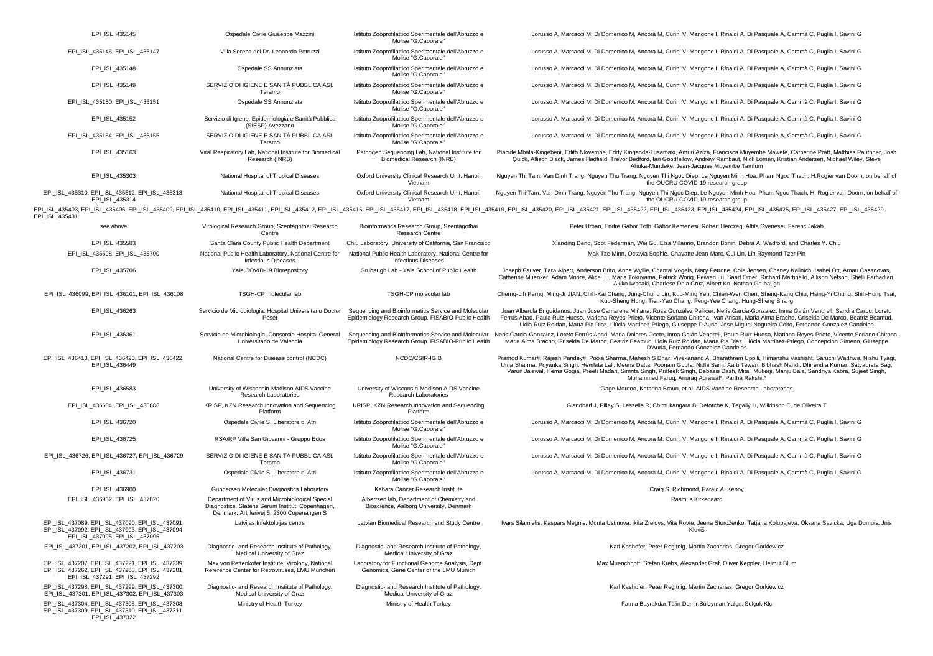| EPI ISL 435145                                                                                                                       | Ospedale Civile Giuseppe Mazzini                                                                                                                  | Istituto Zooprofilattico Sperimentale dell'Abruzzo e<br>Molise "G.Caporale"                               | Lorusso A, Marcacci M, Di Domenico M, Ancora M, Curini V, Mangone I, Rinaldi A, Di Pasquale A, Cammà C, Puglia I, Savini G                                                                                                                                                                                                                                                                                                                                                                          |
|--------------------------------------------------------------------------------------------------------------------------------------|---------------------------------------------------------------------------------------------------------------------------------------------------|-----------------------------------------------------------------------------------------------------------|-----------------------------------------------------------------------------------------------------------------------------------------------------------------------------------------------------------------------------------------------------------------------------------------------------------------------------------------------------------------------------------------------------------------------------------------------------------------------------------------------------|
| EPI_ISL_435146, EPI_ISL_435147                                                                                                       | Villa Serena del Dr. Leonardo Petruzzi                                                                                                            | Istituto Zooprofilattico Sperimentale dell'Abruzzo e<br>Molise "G.Caporale"                               | Lorusso A, Marcacci M, Di Domenico M, Ancora M, Curini V, Mangone I, Rinaldi A, Di Pasquale A, Cammà C, Puglia I, Savini G                                                                                                                                                                                                                                                                                                                                                                          |
| EPI_ISL_435148                                                                                                                       | Ospedale SS Annunziata                                                                                                                            | Istituto Zooprofilattico Sperimentale dell'Abruzzo e<br>Molise "G.Caporale"                               | Lorusso A, Marcacci M, Di Domenico M, Ancora M, Curini V, Mangone I, Rinaldi A, Di Pasquale A, Cammà C, Puglia I, Savini G                                                                                                                                                                                                                                                                                                                                                                          |
| EPI_ISL_435149                                                                                                                       | SERVIZIO DI IGIENE E SANITÀ PUBBLICA ASL<br>Teramo                                                                                                | Istituto Zooprofilattico Sperimentale dell'Abruzzo e<br>Molise "G.Caporale"                               | Lorusso A, Marcacci M, Di Domenico M, Ancora M, Curini V, Mangone I, Rinaldi A, Di Pasquale A, Cammà C, Puglia I, Savini G                                                                                                                                                                                                                                                                                                                                                                          |
| EPI_ISL_435150, EPI_ISL_435151                                                                                                       | Ospedale SS Annunziata                                                                                                                            | Istituto Zooprofilattico Sperimentale dell'Abruzzo e<br>Molise "G.Caporale"                               | Lorusso A, Marcacci M, Di Domenico M, Ancora M, Curini V, Mangone I, Rinaldi A, Di Pasquale A, Cammà C, Puglia I, Savini G                                                                                                                                                                                                                                                                                                                                                                          |
| EPI ISL 435152                                                                                                                       | Servizio di Igiene, Epidemiologia e Sanità Pubblica<br>(SIESP) Avezzano                                                                           | Istituto Zooprofilattico Sperimentale dell'Abruzzo e<br>Molise "G.Caporale"                               | Lorusso A, Marcacci M, Di Domenico M, Ancora M, Curini V, Mangone I, Rinaldi A, Di Pasquale A, Cammà C, Puglia I, Savini G                                                                                                                                                                                                                                                                                                                                                                          |
| EPI_ISL_435154, EPI_ISL_435155                                                                                                       | SERVIZIO DI IGIENE E SANITÀ PUBBLICA ASL<br>Teramo                                                                                                | Istituto Zooprofilattico Sperimentale dell'Abruzzo e<br>Molise "G.Caporale"                               | Lorusso A, Marcacci M, Di Domenico M, Ancora M, Curini V, Mangone I, Rinaldi A, Di Pasquale A, Cammà C, Puglia I, Savini G                                                                                                                                                                                                                                                                                                                                                                          |
| EPI_ISL_435163                                                                                                                       | Viral Respiratory Lab, National Institute for Biomedical<br>Research (INRB)                                                                       | Pathogen Sequencing Lab, National Institute for<br><b>Biomedical Research (INRB)</b>                      | Placide Mbala-Kingebeni, Edith Nkwembe, Eddy Kinganda-Lusamaki, Amuri Aziza, Francisca Muyembe Mawete, Catherine Pratt, Matthias Pauthner, Josh<br>Quick, Allison Black, James Hadfield, Trevor Bedford, Ian Goodfellow, Andrew Rambaut, Nick Loman, Kristian Andersen, Michael Wiley, Steve<br>Ahuka-Mundeke, Jean-Jacques Muyembe Tamfum                                                                                                                                                          |
| EPI_ISL_435303                                                                                                                       | National Hospital of Tropical Diseases                                                                                                            | Oxford University Clinical Research Unit, Hanoi,<br>Vietnam                                               | Nguyen Thi Tam, Van Dinh Trang, Nguyen Thu Trang, Nguyen Thi Ngoc Diep, Le Nguyen Minh Hoa, Pham Ngoc Thach, H.Rogier van Doorn, on behalf of<br>the OUCRU COVID-19 research group                                                                                                                                                                                                                                                                                                                  |
| EPI_ISL_435310, EPI_ISL_435312, EPI_ISL_435313,<br>EPI_ISL_435314                                                                    | National Hospital of Tropical Diseases                                                                                                            | Oxford University Clinical Research Unit, Hanoi,<br>Vietnam                                               | Nguyen Thi Tam, Van Dinh Trang, Nguyen Thu Trang, Nguyen Thi Ngoc Diep, Le Nguyen Minh Hoa, Pham Ngoc Thach, H. Rogier van Doorn, on behalf of<br>the OUCRU COVID-19 research group                                                                                                                                                                                                                                                                                                                 |
| EPI_ISL_435431                                                                                                                       |                                                                                                                                                   |                                                                                                           | EPI_ISL_435403, EPI_ISL_435406, EPI_ISL_435409, EPI_ISL_435410, EPI_ISL_435411, EPI_ISL_435412, EPI_ISL_435415, EPI_ISL_435417, EPI_ISL_435417, EPI_ISL_435418, EPI_ISL_435418, EPI_ISL_4354120, EPI_ISL_435422, EPI_ISL_43542                                                                                                                                                                                                                                                                      |
| see above                                                                                                                            | Virological Research Group, Szentágothai Research<br>Centre                                                                                       | Bioinformatics Research Group, Szentágothai<br><b>Research Centre</b>                                     | Péter Urbán, Endre Gábor Tóth, Gábor Kemenesi, Róbert Herczeg, Attila Gyenesei, Ferenc Jakab                                                                                                                                                                                                                                                                                                                                                                                                        |
| EPI_ISL_435583                                                                                                                       | Santa Clara County Public Health Department                                                                                                       | Chiu Laboratory, University of California, San Francisco                                                  | Xianding Deng, Scot Federman, Wei Gu, Elsa Villarino, Brandon Bonin, Debra A. Wadford, and Charles Y. Chiu                                                                                                                                                                                                                                                                                                                                                                                          |
| EPI_ISL_435698, EPI_ISL_435700                                                                                                       | National Public Health Laboratory, National Centre for<br><b>Infectious Diseases</b>                                                              | National Public Health Laboratory, National Centre for<br><b>Infectious Diseases</b>                      | Mak Tze Minn, Octavia Sophie, Chavatte Jean-Marc, Cui Lin, Lin Raymond Tzer Pin                                                                                                                                                                                                                                                                                                                                                                                                                     |
| EPI_ISL_435706                                                                                                                       | Yale COVID-19 Biorepository                                                                                                                       | Grubaugh Lab - Yale School of Public Health                                                               | Joseph Fauver, Tara Alpert, Anderson Brito, Anne Wyllie, Chantal Vogels, Mary Petrone, Cole Jensen, Chaney Kalinich, Isabel Ott, Arnau Casanovas,<br>Catherine Muenker, Adam Moore, Alice Lu, Maria Tokuyama, Patrick Wong, Peiwen Lu, Saad Omer, Richard Martinello, Allison Nelson, Shelli Farhadian<br>Akiko Iwasaki, Charlese Dela Cruz, Albert Ko, Nathan Grubaugh                                                                                                                             |
| EPI ISL 436099, EPI ISL 436101, EPI ISL 436108                                                                                       | TSGH-CP molecular lab                                                                                                                             | TSGH-CP molecular lab                                                                                     | Cherng-Lih Perng, Ming-Jr JIAN, Chih-Kai Chang, Jung-Chung Lin, Kuo-Ming Yeh, Chien-Wen Chen, Sheng-Kang Chiu, Hsing-Yi Chung, Shih-Hung Tsai,<br>Kuo-Sheng Hung, Tien-Yao Chang, Feng-Yee Chang, Hung-Sheng Shang                                                                                                                                                                                                                                                                                  |
| EPI ISL 436263                                                                                                                       | Servicio de Microbiologia. Hospital Universitario Doctor<br>Peset                                                                                 | Sequencing and Bioinformatics Service and Molecular<br>Epidemiology Research Group. FISABIO-Public Health | Juan Alberola Enguídanos, Juan Jose Camarena Miñana, Rosa González Pellicer, Neris Garcia-Gonzalez, Inma Galán Vendrell, Sandra Carbo, Loreto<br>Ferrús Abad, Paula Ruiz-Hueso, Mariana Reves-Prieto, Vicente Soriano Chirona, Ivan Ansari, Maria Alma Bracho, Griselda De Marco, Beatriz Beamud,<br>Lidia Ruiz Roldan, Marta Pla Diaz, Llúcia Martínez-Priego, Giuseppe D'Auria, Jose Miquel Noqueira Coito, Fernando Gonzalez-Candelas                                                            |
| EPI_ISL_436361                                                                                                                       | Servicio de Microbiología. Consorcio Hospital General<br>Universitario de Valencia                                                                | Epidemiology Research Group. FISABIO-Public Health                                                        | Sequencing and Bioinformatics Service and Molecular Neris Garcia-Gonzalez, Loreto Ferrús Abad, Maria Dolores Ocete, Inma Galán Vendrell, Paula Ruiz-Hueso, Mariana Reyes-Prieto, Vicente Soriano Chirona<br>Maria Alma Bracho, Griselda De Marco, Beatriz Beamud, Lidia Ruiz Roldan, Marta Pla Diaz, Llúcia Martínez-Priego, Concepcion Gimeno, Giuseppe<br>D'Auria, Fernando Gonzalez-Candelas                                                                                                     |
| EPI_ISL_436413, EPI_ISL_436420, EPI_ISL_436422,<br>EPI ISL 436449                                                                    | National Centre for Disease control (NCDC)                                                                                                        | NCDC/CSIR-IGIB                                                                                            | Pramod Kumar#, Rajesh Pandey#, Pooja Sharma, Mahesh S Dhar, Vivekanand A, Bharathram Uppili, Himanshu Vashisht, Saruchi Wadhwa, Nishu Tyagi<br>Uma Sharma, Priyanka Singh, Hemlata Lall, Meena Datta, Poonam Gupta, Nidhi Saini, Aarti Tewari, Bibhash Nandi, Dhirendra Kumar, Satyabrata Bag,<br>Varun Jaiswal, Hema Gogia, Preeti Madan, Simrita Singh, Prateek Singh, Debasis Dash, Mitali Mukerji, Manju Bala, Sandhya Kabra, Sujeet Singh,<br>Mohammed Faruq, Anurag Agrawal*, Partha Rakshit* |
| EPI_ISL_436583                                                                                                                       | University of Wisconsin-Madison AIDS Vaccine<br>Research Laboratories                                                                             | University of Wisconsin-Madison AIDS Vaccine<br>Research Laboratories                                     | Gage Moreno, Katarina Braun, et al. AIDS Vaccine Research Laboratories                                                                                                                                                                                                                                                                                                                                                                                                                              |
| EPI_ISL_436684, EPI_ISL_436686                                                                                                       | KRISP, KZN Research Innovation and Sequencing<br>Platform                                                                                         | KRISP, KZN Research Innovation and Sequencing<br>Platform                                                 | Giandhari J, Pillay S, Lessells R, Chimukangara B, Deforche K, Tegally H, Wilkinson E, de Oliveira T                                                                                                                                                                                                                                                                                                                                                                                                |
| EPI ISL 436720                                                                                                                       | Ospedale Civile S. Liberatore di Atri                                                                                                             | Istituto Zooprofilattico Sperimentale dell'Abruzzo e<br>Molise "G.Caporale"                               | Lorusso A, Marcacci M, Di Domenico M, Ancora M, Curini V, Mangone I, Rinaldi A, Di Pasquale A, Cammà C, Puglia I, Savini G                                                                                                                                                                                                                                                                                                                                                                          |
| EPI_ISL_436725                                                                                                                       | RSA/RP Villa San Giovanni - Gruppo Edos                                                                                                           | Istituto Zooprofilattico Sperimentale dell'Abruzzo e<br>Molise "G.Caporale"                               | Lorusso A, Marcacci M, Di Domenico M, Ancora M, Curini V, Mangone I, Rinaldi A, Di Pasquale A, Cammà C, Puglia I, Savini G                                                                                                                                                                                                                                                                                                                                                                          |
| EPI ISL 436726, EPI ISL 436727, EPI ISL 436729                                                                                       | SERVIZIO DI IGIENE E SANITÀ PUBBLICA ASL<br>Teramo                                                                                                | Istituto Zooprofilattico Sperimentale dell'Abruzzo e<br>Molise "G.Caporale"                               | Lorusso A, Marcacci M, Di Domenico M, Ancora M, Curini V, Mangone I, Rinaldi A, Di Pasquale A, Cammà C, Puglia I, Savini G                                                                                                                                                                                                                                                                                                                                                                          |
| EPI ISL 436731                                                                                                                       | Ospedale Civile S. Liberatore di Atri                                                                                                             | Istituto Zooprofilattico Sperimentale dell'Abruzzo e<br>Molise "G.Caporale"                               | Lorusso A, Marcacci M, Di Domenico M, Ancora M, Curini V, Mangone I, Rinaldi A, Di Pasquale A, Cammà C, Puglia I, Savini G                                                                                                                                                                                                                                                                                                                                                                          |
| EPI ISL 436900                                                                                                                       | Gundersen Molecular Diagnostics Laboratory                                                                                                        | Kabara Cancer Research Institute                                                                          | Craig S. Richmond, Paraic A. Kenny                                                                                                                                                                                                                                                                                                                                                                                                                                                                  |
| EPI ISL 436962, EPI ISL 437020                                                                                                       | Department of Virus and Microbiological Special<br>Diagnostics, Statens Serum Institut, Copenhagen,<br>Denmark, Artillerivej 5, 2300 Copenahgen S | Albertsen lab, Department of Chemistry and<br>Bioscience, Aalborg University, Denmark                     | Rasmus Kirkegaard                                                                                                                                                                                                                                                                                                                                                                                                                                                                                   |
| EPI_ISL_437089, EPI_ISL_437090, EPI_ISL_437091<br>EPI_ISL_437092, EPI_ISL_437093, EPI_ISL_437094,<br>EPI ISL 437095, EPI ISL 437096  | Latvijas Infektoloijas centrs                                                                                                                     | Latvian Biomedical Research and Study Centre                                                              | Ivars Silamielis, Kaspars Megnis, Monta Ustinova, ikita Zrelovs, Vita Rovte, Jeena Storoženko, Tatjana Kolupajeva, Oksana Savicka, Uga Dumpis, Jnis<br>Kloviš                                                                                                                                                                                                                                                                                                                                       |
| EPI_ISL_437201, EPI_ISL_437202, EPI_ISL_437203                                                                                       | Diagnostic- and Research Institute of Pathology,<br>Medical University of Graz                                                                    | Diagnostic- and Research Institute of Pathology,<br>Medical University of Graz                            | Karl Kashofer, Peter Regitnig, Martin Zacharias, Gregor Gorkiewicz                                                                                                                                                                                                                                                                                                                                                                                                                                  |
| EPI_ISL_437207, EPI_ISL_437221, EPI_ISL_437239,<br>EPI_ISL_437262, EPI_ISL_437268, EPI_ISL_437281,<br>EPI_ISL_437291, EPI_ISL_437292 | Max von Pettenkofer Institute, Virology, National<br>Reference Center for Retroviruses, LMU München                                               | Laboratory for Functional Genome Analysis, Dept.<br>Genomics, Gene Center of the LMU Munich               | Max Muenchhoff, Stefan Krebs, Alexander Graf, Oliver Keppler, Helmut Blum                                                                                                                                                                                                                                                                                                                                                                                                                           |
| EPI ISL 437298, EPI ISL 437299, EPI ISL 437300.<br>EPI_ISL_437301, EPI_ISL_437302, EPI_ISL_437303                                    | Diagnostic- and Research Institute of Pathology,<br>Medical University of Graz                                                                    | Diagnostic- and Research Institute of Pathology,<br>Medical University of Graz                            | Karl Kashofer, Peter Regitnig, Martin Zacharias, Gregor Gorkiewicz                                                                                                                                                                                                                                                                                                                                                                                                                                  |
| EPI_ISL_437304, EPI_ISL_437305, EPI_ISL_437308,<br>EPI_ISL_437309, EPI_ISL_437310, EPI_ISL_437311,<br>EPI ISL 437322                 | Ministry of Health Turkey                                                                                                                         | Ministry of Health Turkey                                                                                 | Fatma Bayrakdar, Tülin Demir, Süleyman Yalçn, Selçuk Klç                                                                                                                                                                                                                                                                                                                                                                                                                                            |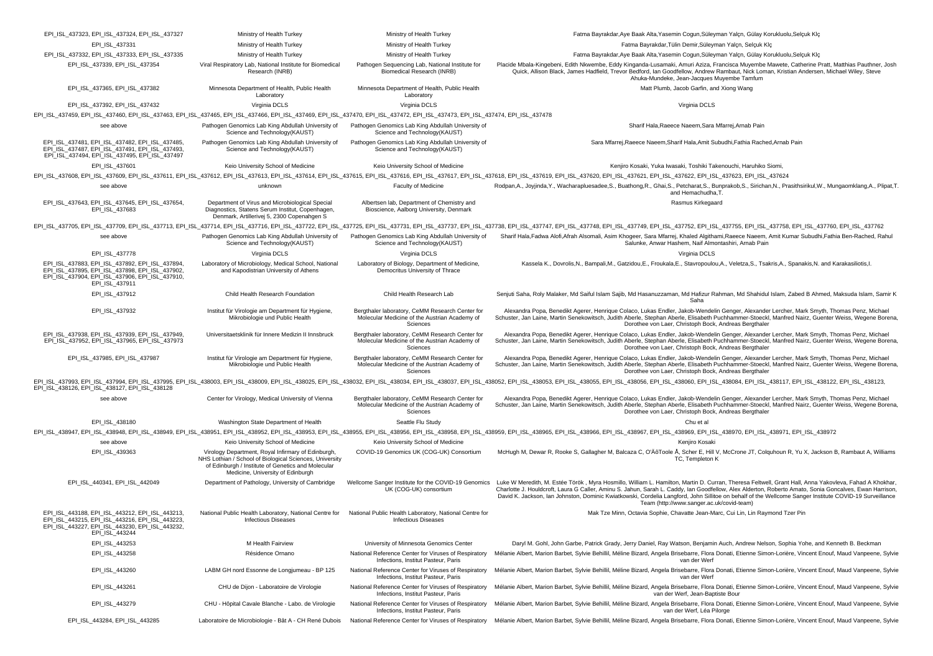| EPI_ISL_437323, EPI_ISL_437324, EPI_ISL_437327                                                                                                                                                                                 | Ministry of Health Turkey                                                                                                                                                                                | Ministry of Health Turkey                                                                                    | Fatma Bayrakdar, Aye Baak Alta, Yasemin Cogun, Süleyman Yalcn, Gülay Korukluolu, Selcuk Klc                                                                                                                                                                                                                                                                                                                                                                                                                            |
|--------------------------------------------------------------------------------------------------------------------------------------------------------------------------------------------------------------------------------|----------------------------------------------------------------------------------------------------------------------------------------------------------------------------------------------------------|--------------------------------------------------------------------------------------------------------------|------------------------------------------------------------------------------------------------------------------------------------------------------------------------------------------------------------------------------------------------------------------------------------------------------------------------------------------------------------------------------------------------------------------------------------------------------------------------------------------------------------------------|
| EPI_ISL_437331                                                                                                                                                                                                                 | Ministry of Health Turkey                                                                                                                                                                                | Ministry of Health Turkey                                                                                    | Fatma Bayrakdar, Tülin Demir, Süleyman Yalçn, Selçuk Klç                                                                                                                                                                                                                                                                                                                                                                                                                                                               |
| EPI_ISL_437332, EPI_ISL_437333, EPI_ISL_437335                                                                                                                                                                                 | Ministry of Health Turkey                                                                                                                                                                                | Ministry of Health Turkey                                                                                    | Fatma Bayrakdar, Aye Baak Alta, Yasemin Cogun, Süleyman Yalçn, Gülay Korukluolu, Selçuk Klç                                                                                                                                                                                                                                                                                                                                                                                                                            |
| EPI ISL 437339, EPI ISL 437354                                                                                                                                                                                                 | Viral Respiratory Lab. National Institute for Biomedical<br>Research (INRB)                                                                                                                              | Pathogen Sequencing Lab, National Institute for<br>Biomedical Research (INRB)                                | Placide Mbala-Kingebeni, Edith Nkwembe, Eddy Kinganda-Lusamaki, Amuri Aziza, Francisca Muvembe Mawete, Catherine Pratt, Matthias Pauthner, Josh<br>Quick, Allison Black, James Hadfield, Trevor Bedford, Ian Goodfellow, Andrew Rambaut, Nick Loman, Kristian Andersen, Michael Wiley, Steve<br>Ahuka-Mundeke, Jean-Jacques Muyembe Tamfum                                                                                                                                                                             |
| EPI ISL 437365, EPI ISL 437382                                                                                                                                                                                                 | Minnesota Department of Health, Public Health<br>Laboratory                                                                                                                                              | Minnesota Department of Health, Public Health<br>Laboratory                                                  | Matt Plumb, Jacob Garfin, and Xiong Wang                                                                                                                                                                                                                                                                                                                                                                                                                                                                               |
| EPI_ISL_437392, EPI_ISL_437432                                                                                                                                                                                                 | Virginia DCLS                                                                                                                                                                                            | Virginia DCLS                                                                                                | Virginia DCLS                                                                                                                                                                                                                                                                                                                                                                                                                                                                                                          |
| EPI_ISL_437459, EPI_ISL_437460, EPI_ISL_437463, EPI_ISL_437465, EPI_ISL_437466, EPI_ISL_437469, EPI_ISL_437470, EPI_ISL_437472, EPI_ISL_437473, EPI_ISL_437473, EPI_ISL_437473, EPI_ISL_437473, EPI_ISL_437474, EPI_ISL_437473 |                                                                                                                                                                                                          |                                                                                                              |                                                                                                                                                                                                                                                                                                                                                                                                                                                                                                                        |
| see above                                                                                                                                                                                                                      | Pathogen Genomics Lab King Abdullah University of<br>Science and Technology(KAUST)                                                                                                                       | Pathogen Genomics Lab King Abdullah University of<br>Science and Technology(KAUST)                           | Sharif Hala, Raeece Naeem, Sara Mfarrej, Arnab Pain                                                                                                                                                                                                                                                                                                                                                                                                                                                                    |
| EPI ISL 437481, EPI ISL 437482, EPI ISL 437485,<br>EPI_ISL_437487, EPI_ISL_437491, EPI_ISL_437493,<br>EPI_ISL_437494, EPI_ISL_437495, EPI_ISL_437497                                                                           | Pathogen Genomics Lab King Abdullah University of<br>Science and Technology(KAUST)                                                                                                                       | Pathogen Genomics Lab King Abdullah University of<br>Science and Technology(KAUST)                           | Sara Mfarrej, Raeece Naeem, Sharif Hala, Amit Subudhi, Fathia Rached, Arnab Pain                                                                                                                                                                                                                                                                                                                                                                                                                                       |
| EPI_ISL_437601                                                                                                                                                                                                                 | Keio University School of Medicine                                                                                                                                                                       | Keio University School of Medicine                                                                           | Kenjiro Kosaki, Yuka Iwasaki, Toshiki Takenouchi, Haruhiko Siomi,                                                                                                                                                                                                                                                                                                                                                                                                                                                      |
|                                                                                                                                                                                                                                |                                                                                                                                                                                                          |                                                                                                              | EPI_ISL_437608, EPI_ISL_437609, EPI_ISL_437611, EPI_ISL_437612, EPI_ISL_437613, EPI_ISL_437614, EPI_ISL_437615, EPI_ISL_437616, EPI_ISL_437616, EPI_ISL_437617, EPI_ISL_437617, EPI_ISL_437616, EPI_ISL_437616, EPI_ISL_437618                                                                                                                                                                                                                                                                                         |
| see above                                                                                                                                                                                                                      | unknown                                                                                                                                                                                                  | Faculty of Medicine                                                                                          | Rodpan,A., Joyjinda,Y., Wacharapluesadee,S., Buathong,R., Ghai,S., Petcharat,S., Bunprakob,S., Sirichan,N., Prasithsirikul,W., Mungaomklang,A., Plipat,T<br>and Hemachudha, T.                                                                                                                                                                                                                                                                                                                                         |
| EPI_ISL_437643, EPI_ISL_437645, EPI_ISL_437654,<br>EPI_ISL_437683                                                                                                                                                              | Department of Virus and Microbiological Special<br>Diagnostics, Statens Serum Institut, Copenhagen,<br>Denmark, Artillerivej 5, 2300 Copenahgen S                                                        | Albertsen lab, Department of Chemistry and<br>Bioscience, Aalborg University, Denmark                        | Rasmus Kirkegaard                                                                                                                                                                                                                                                                                                                                                                                                                                                                                                      |
|                                                                                                                                                                                                                                |                                                                                                                                                                                                          |                                                                                                              | EPI_ISL_437705, EPI_ISL_437709, EPI_ISL_437713, EPI_ISL_437714, EPI_ISL_437716, EPI_ISL_437722, EPI_ISL_437725, EPI_ISL_437731, EPI_ISL_437737, EPI_ISL_437737, EPI_ISL_437737, EPI_ISL_437737, EPI_ISL_437737, EPI_ISL_437737                                                                                                                                                                                                                                                                                         |
| see above                                                                                                                                                                                                                      | Pathogen Genomics Lab King Abdullah University of<br>Science and Technology(KAUST)                                                                                                                       | Pathogen Genomics Lab King Abdullah University of<br>Science and Technology(KAUST)                           | Sharif Hala,Fadwa Alofi,Afrah Alsomali, Asim Khogeer, Sara Mfarrej, Khaled Algithami,Raeece Naeem, Amit Kumar Subudhi,Fathia Ben-Rached, Rahul<br>Salunke, Anwar Hashem, Naif Almontashiri, Arnab Pain                                                                                                                                                                                                                                                                                                                 |
| EPI ISL 437778                                                                                                                                                                                                                 | Virginia DCLS                                                                                                                                                                                            | Virginia DCLS                                                                                                | Virginia DCLS                                                                                                                                                                                                                                                                                                                                                                                                                                                                                                          |
| EPI_ISL_437883, EPI_ISL_437892, EPI_ISL_437894,<br>EPI ISL 437895, EPI ISL 437898, EPI ISL 437902,<br>EPI_ISL_437904, EPI_ISL_437906, EPI_ISL_437910,<br>EPI ISL 437911                                                        | Laboratory of Microbiology, Medical School, National<br>and Kapodistrian University of Athens                                                                                                            | Laboratory of Biology, Department of Medicine,<br>Democritus University of Thrace                            | Kassela K., Dovrolis,N., Bampali,M., Gatzidou,E., Froukala,E., Stavropoulou,A., Veletza,S., Tsakris,A., Spanakis,N. and Karakasiliotis,I.                                                                                                                                                                                                                                                                                                                                                                              |
| EPI ISL 437912                                                                                                                                                                                                                 | Child Health Research Foundation                                                                                                                                                                         | Child Health Research Lab                                                                                    | Senjuti Saha, Roly Malaker, Md Saiful Islam Sajib, Md Hasanuzzaman, Md Hafizur Rahman, Md Shahidul Islam, Zabed B Ahmed, Maksuda Islam, Samir K<br>Saha                                                                                                                                                                                                                                                                                                                                                                |
| EPI_ISL_437932                                                                                                                                                                                                                 | Institut für Virologie am Department für Hygiene,<br>Mikrobiologie und Public Health                                                                                                                     | Bergthaler laboratory, CeMM Research Center for<br>Molecular Medicine of the Austrian Academy of<br>Sciences | Alexandra Popa, Benedikt Agerer, Henrique Colaco, Lukas Endler, Jakob-Wendelin Genger, Alexander Lercher, Mark Smyth, Thomas Penz, Michael<br>Schuster, Jan Laine, Martin Senekowitsch, Judith Aberle, Stephan Aberle, Elisabeth Puchhammer-Stoeckl, Manfred Nairz, Guenter Weiss, Wegene Borena,<br>Dorothee von Laer, Christoph Bock, Andreas Bergthaler                                                                                                                                                             |
| EPI ISL 437938, EPI ISL 437939, EPI ISL 437949.<br>EPI_ISL_437952, EPI_ISL_437965, EPI_ISL_437973                                                                                                                              | Universitaetsklinik für Innere Medizin II Innsbruck                                                                                                                                                      | Bergthaler laboratory, CeMM Research Center for<br>Molecular Medicine of the Austrian Academy of<br>Sciences | Alexandra Popa, Benedikt Agerer, Henrique Colaco, Lukas Endler, Jakob-Wendelin Genger, Alexander Lercher, Mark Smyth, Thomas Penz, Michael<br>Schuster, Jan Laine, Martin Senekowitsch, Judith Aberle, Stephan Aberle, Elisabeth Puchhammer-Stoeckl, Manfred Nairz, Guenter Weiss, Wegene Borena,<br>Dorothee von Laer, Christoph Bock, Andreas Bergthaler                                                                                                                                                             |
| EPI_ISL_437985, EPI_ISL_437987                                                                                                                                                                                                 | Institut für Virologie am Department für Hygiene,<br>Mikrobiologie und Public Health                                                                                                                     | Bergthaler laboratory, CeMM Research Center for<br>Molecular Medicine of the Austrian Academy of<br>Sciences | Alexandra Popa, Benedikt Agerer, Henrique Colaco, Lukas Endler, Jakob-Wendelin Genger, Alexander Lercher, Mark Smyth, Thomas Penz, Michael<br>Schuster, Jan Laine, Martin Senekowitsch, Judith Aberle, Stephan Aberle, Elisabeth Puchhammer-Stoeckl, Manfred Nairz, Guenter Weiss, Wegene Borena,<br>Dorothee von Laer, Christoph Bock, Andreas Bergthaler                                                                                                                                                             |
| EPI_ISL_438126, EPI_ISL_438127, EPI_ISL_438128                                                                                                                                                                                 |                                                                                                                                                                                                          |                                                                                                              | EPI_ISL_437993, EPI_ISL_437994, EPI_ISL_437995, EPI_ISL_438003, EPI_ISL_438009, EPI_ISL_4380025, EPI_ISL_438032, EPI_ISL_438032, EPI_ISL_438032, EPI_ISL_438057, EPI_ISL_438052, EPI_ISL_438055, EPI_ISL_438055, EPI_ISL_43805                                                                                                                                                                                                                                                                                         |
| see above                                                                                                                                                                                                                      | Center for Virology, Medical University of Vienna                                                                                                                                                        | Bergthaler laboratory, CeMM Research Center for<br>Molecular Medicine of the Austrian Academy of<br>Sciences | Alexandra Popa, Benedikt Agerer, Henrique Colaco, Lukas Endler, Jakob-Wendelin Genger, Alexander Lercher, Mark Smyth, Thomas Penz, Michael<br>Schuster, Jan Laine, Martin Senekowitsch, Judith Aberle, Stephan Aberle, Elisabeth Puchhammer-Stoeckl, Manfred Nairz, Guenter Weiss, Wegene Borena,<br>Dorothee von Laer, Christoph Bock, Andreas Bergthaler                                                                                                                                                             |
| EPI ISL 438180                                                                                                                                                                                                                 | Washington State Department of Health                                                                                                                                                                    | Seattle Flu Study                                                                                            | Chu et al                                                                                                                                                                                                                                                                                                                                                                                                                                                                                                              |
|                                                                                                                                                                                                                                |                                                                                                                                                                                                          |                                                                                                              | EPI_ISL_438947, EPI_ISL_438948, EPI_ISL_438949, EPI_ISL_438951, EPI_ISL_438952, EPI_ISL_438953, EPI_ISL_438955, EPI_ISL_438956, EPI_ISL_438956, EPI_ISL_438956, EPI_ISL_438956, EPI_ISL_43895, EPI_ISL_438970, EPI_ISL_438970,                                                                                                                                                                                                                                                                                         |
| see above                                                                                                                                                                                                                      | Keio University School of Medicine                                                                                                                                                                       | Keio University School of Medicine                                                                           | Kenjiro Kosaki                                                                                                                                                                                                                                                                                                                                                                                                                                                                                                         |
| EPI_ISL_439363                                                                                                                                                                                                                 | Virology Department, Royal Infirmary of Edinburgh,<br>NHS Lothian / School of Biological Sciences, University<br>of Edinburgh / Institute of Genetics and Molecular<br>Medicine. University of Edinburgh | COVID-19 Genomics UK (COG-UK) Consortium                                                                     | McHugh M, Dewar R, Rooke S, Gallagher M, Balcaza C, O'ÄôToole Å, Scher E, Hill V, McCrone JT, Colquhoun R, Yu X, Jackson B, Rambaut A, Williams<br>TC, Templeton K                                                                                                                                                                                                                                                                                                                                                     |
| EPI_ISL_440341, EPI_ISL_442049                                                                                                                                                                                                 | Department of Pathology, University of Cambridge                                                                                                                                                         | Wellcome Sanger Institute for the COVID-19 Genomics<br>UK (COG-UK) consortium                                | Luke W Meredith, M. Estée Török, Myra Hosmillo, William L. Hamilton, Martin D. Curran, Theresa Feltwell, Grant Hall, Anna Yakovleva, Fahad A Khokhar,<br>Charlotte J. Houldcroft, Laura G Caller, Aminu S. Jahun, Sarah L. Caddy, Ian Goodfellow, Alex Alderton, Roberto Amato, Sonia Goncalves, Ewan Harrison,<br>David K. Jackson, Ian Johnston, Dominic Kwiatkowski, Cordelia Langford, John Sillitoe on behalf of the Wellcome Sanger Institute COVID-19 Surveillance<br>Team (http://www.sanger.ac.uk/covid-team) |
| EPI_ISL_443188, EPI_ISL_443212, EPI_ISL_443213,<br>EPI ISL 443215, EPI ISL 443216, EPI ISL 443223,<br>EPI_ISL_443227, EPI_ISL_443230, EPI_ISL_443232,<br>EPI ISL 443244                                                        | National Public Health Laboratory, National Centre for<br><b>Infectious Diseases</b>                                                                                                                     | National Public Health Laboratory, National Centre for<br><b>Infectious Diseases</b>                         | Mak Tze Minn, Octavia Sophie, Chavatte Jean-Marc, Cui Lin, Lin Raymond Tzer Pin                                                                                                                                                                                                                                                                                                                                                                                                                                        |
| EPI ISL 443253                                                                                                                                                                                                                 | M Health Fairview                                                                                                                                                                                        | University of Minnesota Genomics Center                                                                      | Daryl M. Gohl, John Garbe, Patrick Grady, Jerry Daniel, Ray Watson, Benjamin Auch, Andrew Nelson, Sophia Yohe, and Kenneth B. Beckman                                                                                                                                                                                                                                                                                                                                                                                  |
| EPI_ISL_443258                                                                                                                                                                                                                 | Résidence Ornano                                                                                                                                                                                         | National Reference Center for Viruses of Respiratory<br>Infections, Institut Pasteur, Paris                  | Mélanie Albert, Marion Barbet, Sylvie Behillil, Méline Bizard, Angela Brisebarre, Flora Donati, Etienne Simon-Lorière, Vincent Enouf, Maud Vanpeene, Sylvie<br>van der Werf                                                                                                                                                                                                                                                                                                                                            |
| EPI_ISL_443260                                                                                                                                                                                                                 | LABM GH nord Essonne de Longjumeau - BP 125                                                                                                                                                              | National Reference Center for Viruses of Respiratory<br>Infections, Institut Pasteur, Paris                  | Mélanie Albert, Marion Barbet, Sylvie Behillil, Méline Bizard, Angela Brisebarre, Flora Donati, Etienne Simon-Lorière, Vincent Enouf, Maud Vanpeene, Sylvie<br>van der Werf                                                                                                                                                                                                                                                                                                                                            |
| EPI_ISL_443261                                                                                                                                                                                                                 | CHU de Dijon - Laboratoire de Virologie                                                                                                                                                                  | National Reference Center for Viruses of Respiratory<br>Infections, Institut Pasteur, Paris                  | Mélanie Albert, Marion Barbet, Sylvie Behillil, Méline Bizard, Angela Brisebarre, Flora Donati, Etienne Simon-Lorière, Vincent Enouf, Maud Vanpeene, Sylvie<br>van der Werf, Jean-Baptiste Bour                                                                                                                                                                                                                                                                                                                        |
| EPI_ISL_443279                                                                                                                                                                                                                 | CHU - Hôpital Cavale Blanche - Labo. de Virologie                                                                                                                                                        | National Reference Center for Viruses of Respiratory<br>Infections, Institut Pasteur, Paris                  | Mélanie Albert, Marion Barbet, Sylvie Behillil, Méline Bizard, Angela Brisebarre, Flora Donati, Etienne Simon-Lorière, Vincent Enouf, Maud Vanpeene, Sylvie<br>van der Werf, Léa Pilorge                                                                                                                                                                                                                                                                                                                               |
| EPI_ISL_443284, EPI_ISL_443285                                                                                                                                                                                                 | Laboratoire de Microbiologie - Bât A - CH René Dubois                                                                                                                                                    |                                                                                                              | National Reference Center for Viruses of Respiratory Mélanie Albert, Marion Barbet, Sylvie Behillil, Méline Bizard, Angela Brisebarre, Flora Donati, Etienne Simon-Lorière, Vincent Enouf, Maud Vanpeene, Sylvie                                                                                                                                                                                                                                                                                                       |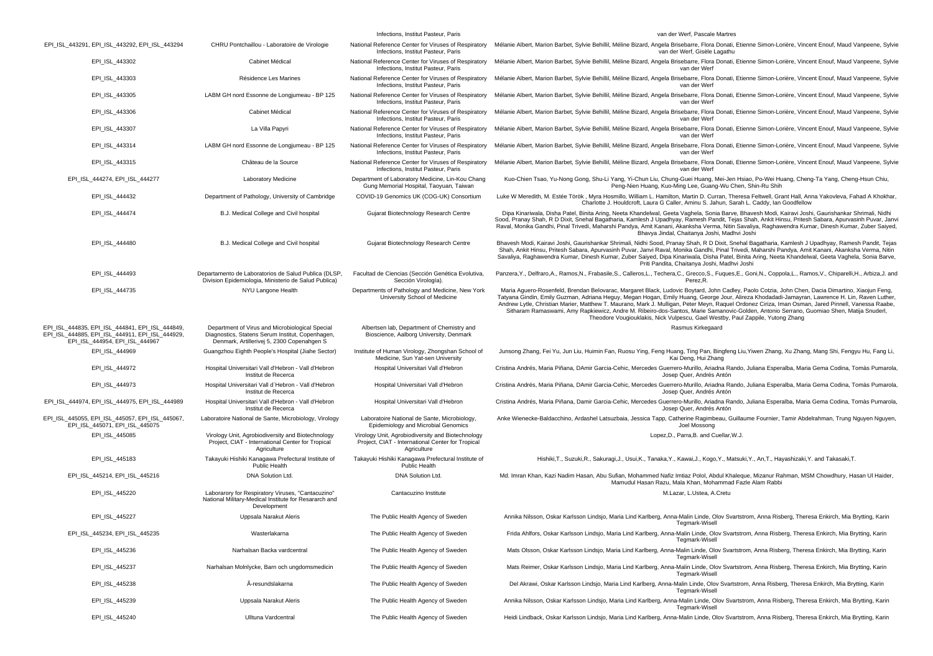|                                                                                                                                      |                                                                                                                                                   | Infections, Institut Pasteur, Paris                                                                                   | van der Werf, Pascale Martres                                                                                                                                                                                                                                                                                                                                                                                                                                                                                                                                                                                                                                                        |
|--------------------------------------------------------------------------------------------------------------------------------------|---------------------------------------------------------------------------------------------------------------------------------------------------|-----------------------------------------------------------------------------------------------------------------------|--------------------------------------------------------------------------------------------------------------------------------------------------------------------------------------------------------------------------------------------------------------------------------------------------------------------------------------------------------------------------------------------------------------------------------------------------------------------------------------------------------------------------------------------------------------------------------------------------------------------------------------------------------------------------------------|
| EPI_ISL_443291, EPI_ISL_443292, EPI_ISL_443294                                                                                       | CHRU Pontchaillou - Laboratoire de Virologie                                                                                                      | National Reference Center for Viruses of Respiratory<br>Infections, Institut Pasteur, Paris                           | Mélanie Albert, Marion Barbet, Sylvie Behillil, Méline Bizard, Angela Brisebarre, Flora Donati, Etienne Simon-Lorière, Vincent Enouf, Maud Vanpeene, Sylvie<br>van der Werf, Gisèle Lagathu                                                                                                                                                                                                                                                                                                                                                                                                                                                                                          |
| EPI_ISL_443302                                                                                                                       | Cabinet Médical                                                                                                                                   | National Reference Center for Viruses of Respiratory<br>Infections, Institut Pasteur, Paris                           | Mélanie Albert, Marion Barbet, Sylvie Behillil, Méline Bizard, Angela Brisebarre, Flora Donati, Etienne Simon-Lorière, Vincent Enouf, Maud Vanpeene, Sylvie<br>van der Werf                                                                                                                                                                                                                                                                                                                                                                                                                                                                                                          |
| EPI_ISL_443303                                                                                                                       | Résidence Les Marines                                                                                                                             | National Reference Center for Viruses of Respiratory<br>Infections, Institut Pasteur, Paris                           | Mélanie Albert, Marion Barbet, Sylvie Behillil, Méline Bizard, Angela Brisebarre, Flora Donati, Etienne Simon-Lorière, Vincent Enouf, Maud Vanpeene, Sylvie<br>van der Werf                                                                                                                                                                                                                                                                                                                                                                                                                                                                                                          |
| EPI_ISL_443305                                                                                                                       | LABM GH nord Essonne de Longjumeau - BP 125                                                                                                       | National Reference Center for Viruses of Respiratory<br>Infections, Institut Pasteur, Paris                           | Mélanie Albert, Marion Barbet, Sylvie Behillil, Méline Bizard, Angela Brisebarre, Flora Donati, Etienne Simon-Lorière, Vincent Enouf, Maud Vanpeene, Sylvie<br>van der Werf                                                                                                                                                                                                                                                                                                                                                                                                                                                                                                          |
| EPI_ISL_443306                                                                                                                       | Cabinet Médical                                                                                                                                   | National Reference Center for Viruses of Respiratory<br>Infections, Institut Pasteur, Paris                           | Mélanie Albert, Marion Barbet, Sylvie Behillil, Méline Bizard, Angela Brisebarre, Flora Donati, Etienne Simon-Lorière, Vincent Enouf, Maud Vanpeene, Sylvie<br>van der Werf                                                                                                                                                                                                                                                                                                                                                                                                                                                                                                          |
| EPI_ISL_443307                                                                                                                       | La Villa Papyri                                                                                                                                   | National Reference Center for Viruses of Respiratory<br>Infections, Institut Pasteur, Paris                           | Mélanie Albert, Marion Barbet, Sylvie Behillil, Méline Bizard, Angela Brisebarre, Flora Donati, Etienne Simon-Lorière, Vincent Enouf, Maud Vanpeene, Sylvie<br>van der Werf                                                                                                                                                                                                                                                                                                                                                                                                                                                                                                          |
| EPI_ISL_443314                                                                                                                       | LABM GH nord Essonne de Longjumeau - BP 125                                                                                                       | National Reference Center for Viruses of Respiratory<br>Infections, Institut Pasteur, Paris                           | Mélanie Albert, Marion Barbet, Sylvie Behillil, Méline Bizard, Angela Brisebarre, Flora Donati, Etienne Simon-Lorière, Vincent Enouf, Maud Vanpeene, Sylvie<br>van der Werf                                                                                                                                                                                                                                                                                                                                                                                                                                                                                                          |
| EPI_ISL_443315                                                                                                                       | Château de la Source                                                                                                                              | National Reference Center for Viruses of Respiratory<br>Infections, Institut Pasteur, Paris                           | Mélanie Albert, Marion Barbet, Sylvie Behillil, Méline Bizard, Angela Brisebarre, Flora Donati, Etienne Simon-Lorière, Vincent Enouf, Maud Vanpeene, Sylvie<br>van der Werf                                                                                                                                                                                                                                                                                                                                                                                                                                                                                                          |
| EPI ISL 444274, EPI ISL 444277                                                                                                       | Laboratory Medicine                                                                                                                               | Department of Laboratory Medicine, Lin-Kou Chang<br>Gung Memorial Hospital, Taoyuan, Taiwan                           | Kuo-Chien Tsao, Yu-Nong Gong, Shu-Li Yang, Yi-Chun Liu, Chung-Guei Huang, Mei-Jen Hsiao, Po-Wei Huang, Cheng-Ta Yang, Cheng-Hsun Chiu,<br>Peng-Nien Huang, Kuo-Ming Lee, Guang-Wu Chen, Shin-Ru Shih                                                                                                                                                                                                                                                                                                                                                                                                                                                                                 |
| EPI_ISL_444432                                                                                                                       | Department of Pathology, University of Cambridge                                                                                                  | COVID-19 Genomics UK (COG-UK) Consortium                                                                              | Luke W Meredith, M. Estée Török, Myra Hosmillo, William L. Hamilton, Martin D. Curran, Theresa Feltwell, Grant Hall, Anna Yakovleva, Fahad A Khokhar,<br>Charlotte J. Houldcroft, Laura G Caller, Aminu S. Jahun, Sarah L. Caddy, Ian Goodfellow                                                                                                                                                                                                                                                                                                                                                                                                                                     |
| EPI_ISL_444474                                                                                                                       | B.J. Medical College and Civil hospital                                                                                                           | Gujarat Biotechnology Research Centre                                                                                 | Dipa Kinariwala, Disha Patel, Binita Aring, Neeta Khandelwal, Geeta Vaghela, Sonia Barve, Bhavesh Modi, Kairavi Joshi, Gaurishankar Shrimali, Nidhi<br>Sood, Pranay Shah, R D Dixit, Snehal Bagatharia, Kamlesh J Upadhyay, Ramesh Pandit, Tejas Shah, Ankit Hinsu, Pritesh Sabara, Apurvasinh Puvar, Janvi<br>Raval, Monika Gandhi, Pinal Trivedi, Maharshi Pandya, Amit Kanani, Akanksha Verma, Nitin Savaliya, Raghawendra Kumar, Dinesh Kumar, Zuber Saiyed,<br>Bhavya Jindal, Chaitanya Joshi, Madhvi Joshi                                                                                                                                                                     |
| EPI_ISL_444480                                                                                                                       | B.J. Medical College and Civil hospital                                                                                                           | Gujarat Biotechnology Research Centre                                                                                 | Bhavesh Modi, Kairavi Joshi, Gaurishankar Shrimali, Nidhi Sood, Pranay Shah, R D Dixit, Snehal Bagatharia, Kamlesh J Upadhyay, Ramesh Pandit, Tejas<br>Shah, Ankit Hinsu, Pritesh Sabara, Apurvasinh Puvar, Janvi Raval, Monika Gandhi, Pinal Trivedi, Maharshi Pandya, Amit Kanani, Akanksha Verma, Nitin<br>Savaliya, Raghawendra Kumar, Dinesh Kumar, Zuber Saiyed, Dipa Kinariwala, Disha Patel, Binita Aring, Neeta Khandelwal, Geeta Vaghela, Sonia Barve,<br>Priti Pandita, Chaitanya Joshi, Madhvi Joshi                                                                                                                                                                     |
| EPI_ISL_444493                                                                                                                       | Departamento de Laboratorios de Salud Publica (DLSP,<br>Division Epidemiologia, Ministerio de Salud Publica)                                      | Facultad de Ciencias (Sección Genética Evolutiva,<br>Sección Virología).                                              | Panzera, Y., Delfraro, A., Ramos, N., Frabasile, S., Calleros, L., Techera, C., Grecco, S., Fuques, E., Goni, N., Coppola, L., Ramos, V., Chiparelli, H., Arbiza, J. and<br>Perez, R.                                                                                                                                                                                                                                                                                                                                                                                                                                                                                                |
| EPI ISL 444735                                                                                                                       | NYU Langone Health                                                                                                                                | Departments of Pathology and Medicine, New York<br>University School of Medicine                                      | Maria Aguero-Rosenfeld, Brendan Belovarac, Margaret Black, Ludovic Boytard, John Cadley, Paolo Cotzia, John Chen, Dacia Dimartino, Xiaojun Feng,<br>Tatyana Gindin, Emily Guzman, Adriana Heguy, Megan Hogan, Emily Huang, George Jour, Alireza Khodadadi-Jamayran, Lawrence H. Lin, Raven Luther<br>Andrew Lytle, Christian Marier, Matthew T. Maurano, Mark J. Mulligan, Peter Meyn, Raquel Ordonez Ciriza, Iman Osman, Jared Pinnell, Vanessa Raabe,<br>Sitharam Ramaswami, Amy Rapkiewicz, Andre M. Ribeiro-dos-Santos, Marie Samanovic-Golden, Antonio Serrano, Guomiao Shen, Matija Snuderl,<br>Theodore Vougiouklakis, Nick Vulpescu, Gael Westby, Paul Zappile, Yutong Zhang |
| EPI_ISL_444835, EPI_ISL_444841, EPI_ISL_444849,<br>EPI_ISL_444885, EPI_ISL_444911, EPI_ISL_444929,<br>EPI ISL 444954, EPI ISL 444967 | Department of Virus and Microbiological Special<br>Diagnostics, Statens Serum Institut, Copenhagen,<br>Denmark, Artillerivej 5, 2300 Copenahgen S | Albertsen lab, Department of Chemistry and<br>Bioscience, Aalborg University, Denmark                                 | Rasmus Kirkegaard                                                                                                                                                                                                                                                                                                                                                                                                                                                                                                                                                                                                                                                                    |
| EPI_ISL_444969                                                                                                                       | Guangzhou Eighth People's Hospital (Jiahe Sector)                                                                                                 | Institute of Human Virology, Zhongshan School of<br>Medicine, Sun Yat-sen University                                  | Junsong Zhang, Fei Yu, Jun Liu, Huimin Fan, Ruosu Ying, Feng Huang, Ting Pan, Bingfeng Liu, Yiwen Zhang, Xu Zhang, Mang Shi, Fengyu Hu, Fang Li,<br>Kai Deng, Hui Zhang                                                                                                                                                                                                                                                                                                                                                                                                                                                                                                              |
| EPI_ISL_444972                                                                                                                       | Hospital Universitari Vall d'Hebron - Vall d'Hebron<br>Institut de Recerca                                                                        | Hospital Universitari Vall d'Hebron                                                                                   | Cristina Andrés, Maria Piñana, DAmir Garcia-Cehic, Mercedes Guerrero-Murillo, Ariadna Rando, Juliana Esperalba, Maria Gema Codina, Tomàs Pumarola,<br>Josep Quer, Andrés Antón                                                                                                                                                                                                                                                                                                                                                                                                                                                                                                       |
| EPI ISL 444973                                                                                                                       | Hospital Universitari Vall d'Hebron - Vall d'Hebron<br>Institut de Recerca                                                                        | Hospital Universitari Vall d'Hebron                                                                                   | Cristina Andrés, Maria Piñana, DAmir Garcia-Cehic, Mercedes Guerrero-Murillo, Ariadna Rando, Juliana Esperalba, Maria Gema Codina, Tomàs Pumarola,<br>Josep Quer, Andrés Antón                                                                                                                                                                                                                                                                                                                                                                                                                                                                                                       |
| EPI_ISL_444974, EPI_ISL_444975, EPI_ISL_444989                                                                                       | Hospital Universitari Vall d'Hebron - Vall d'Hebron<br>Institut de Recerca                                                                        | Hospital Universitari Vall d'Hebron                                                                                   | Cristina Andrés, Maria Piñana, Damir Garcia-Cehic, Mercedes Guerrero-Murillo, Ariadna Rando, Juliana Esperalba, Maria Gema Codina, Tomàs Pumarola,<br>Josep Quer, Andrés Antón                                                                                                                                                                                                                                                                                                                                                                                                                                                                                                       |
| EPI_ISL_445055, EPI_ISL_445057, EPI_ISL_445067,<br>EPI_ISL_445071, EPI_ISL_445075                                                    | Laboratoire National de Sante, Microbiology, Virology                                                                                             | Laboratoire National de Sante, Microbiology,<br>Epidemiology and Microbial Genomics                                   | Anke Wienecke-Baldacchino, Ardashel Latsuzbaia, Jessica Tapp, Catherine Ragimbeau, Guillaume Fournier, Tamir Abdelrahman, Trung Nguyen Nguyen,<br>Joel Mossong                                                                                                                                                                                                                                                                                                                                                                                                                                                                                                                       |
| EPI_ISL_445085                                                                                                                       | Virology Unit, Agrobiodiversity and Biotechnology<br>Project, CIAT - International Center for Tropical<br>Agriculture                             | Virology Unit, Agrobiodiversity and Biotechnology<br>Project, CIAT - International Center for Tropical<br>Agriculture | Lopez, D., Parra, B. and Cuellar, W.J.                                                                                                                                                                                                                                                                                                                                                                                                                                                                                                                                                                                                                                               |
| EPI ISL 445183                                                                                                                       | Takayuki Hishiki Kanagawa Prefectural Institute of<br><b>Public Health</b>                                                                        | Takayuki Hishiki Kanagawa Prefectural Institute of<br><b>Public Health</b>                                            | Hishiki,T., Suzuki,R., Sakuragi,J., Usui,K., Tanaka,Y., Kawai,J., Kogo,Y., Matsuki,Y., An,T., Hayashizaki,Y. and Takasaki,T.                                                                                                                                                                                                                                                                                                                                                                                                                                                                                                                                                         |
| EPI_ISL_445214, EPI_ISL_445216                                                                                                       | DNA Solution Ltd.                                                                                                                                 | DNA Solution Ltd.                                                                                                     | Md. Imran Khan, Kazi Nadim Hasan, Abu Sufian, Mohammed Nafiz Imtiaz Polol, Abdul Khaleque, Mizanur Rahman, MSM Chowdhury, Hasan Ul Haider,<br>Mamudul Hasan Razu, Mala Khan, Mohammad Fazle Alam Rabbi                                                                                                                                                                                                                                                                                                                                                                                                                                                                               |
| EPI_ISL_445220                                                                                                                       | Laborarory for Respiratory Viruses, "Cantacuzino"<br>National Military-Medical Institute for Resararch and<br>Development                         | Cantacuzino Institute                                                                                                 | M.Lazar, L.Ustea, A.Cretu                                                                                                                                                                                                                                                                                                                                                                                                                                                                                                                                                                                                                                                            |
| EPI_ISL_445227                                                                                                                       | Uppsala Narakut Aleris                                                                                                                            | The Public Health Agency of Sweden                                                                                    | Annika Nilsson, Oskar Karlsson Lindsjo, Maria Lind Karlberg, Anna-Malin Linde, Olov Svartstrom, Anna Risberg, Theresa Enkirch, Mia Brytting, Karin<br>Tegmark-Wisel                                                                                                                                                                                                                                                                                                                                                                                                                                                                                                                  |
| EPI_ISL_445234, EPI_ISL_445235                                                                                                       | Wasterlakarna                                                                                                                                     | The Public Health Agency of Sweden                                                                                    | Frida Ahlfors, Oskar Karlsson Lindsjo, Maria Lind Karlberg, Anna-Malin Linde, Olov Svartstrom, Anna Risberg, Theresa Enkirch, Mia Brytting, Karin<br><b>Tegmark-Wisell</b>                                                                                                                                                                                                                                                                                                                                                                                                                                                                                                           |
| EPI_ISL_445236                                                                                                                       | Narhalsan Backa vardcentral                                                                                                                       | The Public Health Agency of Sweden                                                                                    | Mats Olsson, Oskar Karlsson Lindsjo, Maria Lind Karlberg, Anna-Malin Linde, Olov Svartstrom, Anna Risberg, Theresa Enkirch, Mia Brytting, Karin<br>Tegmark-Wisell                                                                                                                                                                                                                                                                                                                                                                                                                                                                                                                    |
| EPI_ISL_445237                                                                                                                       | Narhalsan Molnlycke, Barn och ungdomsmedicin                                                                                                      | The Public Health Agency of Sweden                                                                                    | Mats Reimer, Oskar Karlsson Lindsjo, Maria Lind Karlberg, Anna-Malin Linde, Olov Svartstrom, Anna Risberg, Theresa Enkirch, Mia Brytting, Karin<br>Tegmark-Wisell                                                                                                                                                                                                                                                                                                                                                                                                                                                                                                                    |
| EPI ISL 445238                                                                                                                       | Ä-resundslakarna                                                                                                                                  | The Public Health Agency of Sweden                                                                                    | Del Akrawi, Oskar Karlsson Lindsjo, Maria Lind Karlberg, Anna-Malin Linde, Olov Svartstrom, Anna Risberg, Theresa Enkirch, Mia Brytting, Karin<br>Tegmark-Wisell                                                                                                                                                                                                                                                                                                                                                                                                                                                                                                                     |
| EPI_ISL_445239                                                                                                                       | Uppsala Narakut Aleris                                                                                                                            | The Public Health Agency of Sweden                                                                                    | Annika Nilsson, Oskar Karlsson Lindsjo, Maria Lind Karlberg, Anna-Malin Linde, Olov Svartstrom, Anna Risberg, Theresa Enkirch, Mia Brytting, Karin<br>Tegmark-Wisell                                                                                                                                                                                                                                                                                                                                                                                                                                                                                                                 |
| EPI_ISL_445240                                                                                                                       | Ulltuna Vardcentral                                                                                                                               | The Public Health Agency of Sweden                                                                                    | Heidi Lindback, Oskar Karlsson Lindsjo, Maria Lind Karlberg, Anna-Malin Linde, Olov Svartstrom, Anna Risberg, Theresa Enkirch, Mia Brytting, Karin                                                                                                                                                                                                                                                                                                                                                                                                                                                                                                                                   |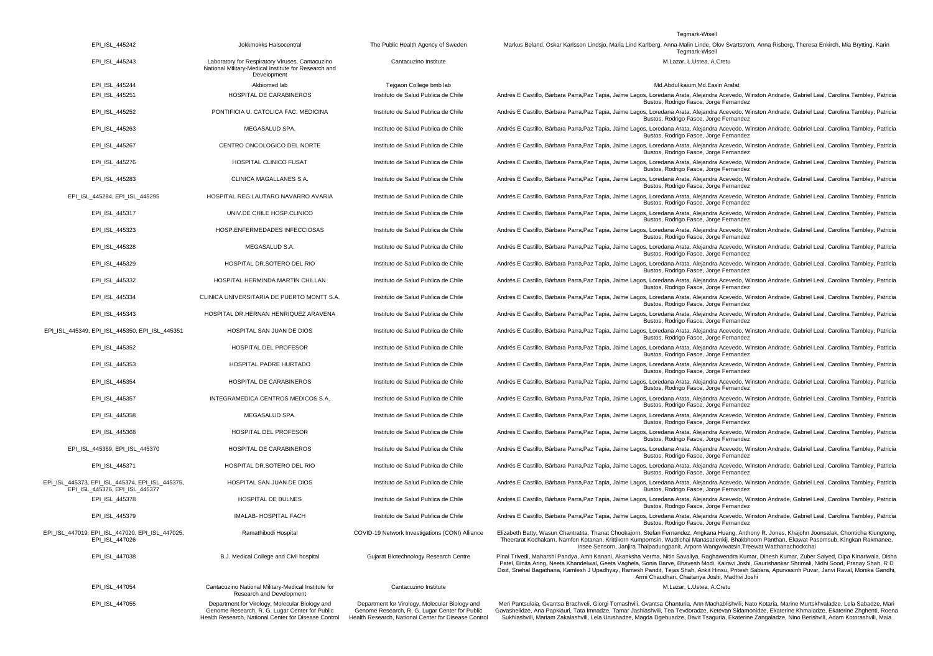Tegmark-Wisell

| EPI_ISL_445242                                                                    | Jokkmokks Halsocentral                                                                                                 | The Public Health Agency of Sweden              | Markus Beland, Oskar Karlsson Lindsjo, Maria Lind Karlberg, Anna-Malin Linde, Olov Svartstrom, Anna Risberg, Theresa Enkirch, Mia Brytting, Karin<br>Tegmark-Wisell                                                                                                                                                                                                                                                                                                                                               |
|-----------------------------------------------------------------------------------|------------------------------------------------------------------------------------------------------------------------|-------------------------------------------------|-------------------------------------------------------------------------------------------------------------------------------------------------------------------------------------------------------------------------------------------------------------------------------------------------------------------------------------------------------------------------------------------------------------------------------------------------------------------------------------------------------------------|
| EPI ISL 445243                                                                    | Laboratory for Respiratory Viruses, Cantacuzino<br>National Military-Medical Institute for Research and<br>Development | Cantacuzino Institute                           | M.Lazar, L.Ustea, A.Cretu                                                                                                                                                                                                                                                                                                                                                                                                                                                                                         |
| EPI_ISL_445244                                                                    | Akbiomed lab                                                                                                           | Tejgaon College bmb lab                         | Md.Abdul kaium,Md.Easin Arafat                                                                                                                                                                                                                                                                                                                                                                                                                                                                                    |
| EPI_ISL_445251                                                                    | HOSPITAL DE CARABINEROS                                                                                                | Instituto de Salud Publica de Chile             | Andrés E Castillo, Bárbara Parra,Paz Tapia, Jaime Lagos, Loredana Arata, Alejandra Acevedo, Winston Andrade, Gabriel Leal, Carolina Tambley, Patricia<br>Bustos, Rodrigo Fasce, Jorge Fernandez                                                                                                                                                                                                                                                                                                                   |
| EPI_ISL_445252                                                                    | PONTIFICIA U. CATOLICA FAC. MEDICINA                                                                                   | Instituto de Salud Publica de Chile             | Andrés E Castillo, Bárbara Parra,Paz Tapia, Jaime Lagos, Loredana Arata, Alejandra Acevedo, Winston Andrade, Gabriel Leal, Carolina Tambley, Patricia<br>Bustos, Rodrigo Fasce, Jorge Fernandez                                                                                                                                                                                                                                                                                                                   |
| EPI_ISL_445263                                                                    | MEGASALUD SPA.                                                                                                         | Instituto de Salud Publica de Chile             | Andrés E Castillo, Bárbara Parra,Paz Tapia, Jaime Lagos, Loredana Arata, Alejandra Acevedo, Winston Andrade, Gabriel Leal, Carolina Tambley, Patricia<br>Bustos, Rodrigo Fasce, Jorge Fernandez                                                                                                                                                                                                                                                                                                                   |
| EPI_ISL_445267                                                                    | CENTRO ONCOLOGICO DEL NORTE                                                                                            | Instituto de Salud Publica de Chile             | Andrés E Castillo, Bárbara Parra,Paz Tapia, Jaime Lagos, Loredana Arata, Alejandra Acevedo, Winston Andrade, Gabriel Leal, Carolina Tambley, Patricia<br>Bustos, Rodrigo Fasce, Jorge Fernandez                                                                                                                                                                                                                                                                                                                   |
| EPI_ISL_445276                                                                    | HOSPITAL CLINICO FUSAT                                                                                                 | Instituto de Salud Publica de Chile             | Andrés E Castillo, Bárbara Parra,Paz Tapia, Jaime Lagos, Loredana Arata, Alejandra Acevedo, Winston Andrade, Gabriel Leal, Carolina Tambley, Patricia<br>Bustos, Rodrigo Fasce, Jorge Fernandez                                                                                                                                                                                                                                                                                                                   |
| EPI ISL 445283                                                                    | CLINICA MAGALLANES S.A.                                                                                                | Instituto de Salud Publica de Chile             | Andrés E Castillo, Bárbara Parra, Paz Tapia, Jaime Lagos, Loredana Arata, Alejandra Acevedo, Winston Andrade, Gabriel Leal, Carolina Tambley, Patricia<br>Bustos, Rodrigo Fasce, Jorge Fernandez                                                                                                                                                                                                                                                                                                                  |
| EPI_ISL_445284, EPI_ISL_445295                                                    | HOSPITAL REG.LAUTARO NAVARRO AVARIA                                                                                    | Instituto de Salud Publica de Chile             | Andrés E Castillo, Bárbara Parra, Paz Tapia, Jaime Lagos, Loredana Arata, Alejandra Acevedo, Winston Andrade, Gabriel Leal, Carolina Tambley, Patricia<br>Bustos, Rodrigo Fasce, Jorge Fernandez                                                                                                                                                                                                                                                                                                                  |
| EPI_ISL_445317                                                                    | UNIV.DE CHILE HOSP.CLINICO                                                                                             | Instituto de Salud Publica de Chile             | Andrés E Castillo, Bárbara Parra, Paz Tapia, Jaime Lagos, Loredana Arata, Alejandra Acevedo, Winston Andrade, Gabriel Leal, Carolina Tambley, Patricia<br>Bustos, Rodrigo Fasce, Jorge Fernandez                                                                                                                                                                                                                                                                                                                  |
| EPI_ISL_445323                                                                    | HOSP.ENFERMEDADES INFECCIOSAS                                                                                          | Instituto de Salud Publica de Chile             | Andrés E Castillo, Bárbara Parra, Paz Tapia, Jaime Lagos, Loredana Arata, Alejandra Acevedo, Winston Andrade, Gabriel Leal, Carolina Tambley, Patricia<br>Bustos, Rodrigo Fasce, Jorge Fernandez                                                                                                                                                                                                                                                                                                                  |
| EPI ISL 445328                                                                    | MEGASALUD S.A.                                                                                                         | Instituto de Salud Publica de Chile             | Andrés E Castillo, Bárbara Parra, Paz Tapia, Jaime Lagos, Loredana Arata, Alejandra Acevedo, Winston Andrade, Gabriel Leal, Carolina Tambley, Patricia<br>Bustos, Rodrigo Fasce, Jorge Fernandez                                                                                                                                                                                                                                                                                                                  |
| EPI ISL 445329                                                                    | HOSPITAL DR.SOTERO DEL RIO                                                                                             | Instituto de Salud Publica de Chile             | Andrés E Castillo, Bárbara Parra, Paz Tapia, Jaime Lagos, Loredana Arata, Alejandra Acevedo, Winston Andrade, Gabriel Leal, Carolina Tambley, Patricia<br>Bustos, Rodrigo Fasce, Jorge Fernandez                                                                                                                                                                                                                                                                                                                  |
| EPI_ISL_445332                                                                    | HOSPITAL HERMINDA MARTIN CHILLAN                                                                                       | Instituto de Salud Publica de Chile             | Andrés E Castillo, Bárbara Parra,Paz Tapia, Jaime Lagos, Loredana Arata, Alejandra Acevedo, Winston Andrade, Gabriel Leal, Carolina Tambley, Patricia<br>Bustos, Rodrigo Fasce, Jorge Fernandez                                                                                                                                                                                                                                                                                                                   |
| EPI_ISL_445334                                                                    | CLINICA UNIVERSITARIA DE PUERTO MONTT S.A.                                                                             | Instituto de Salud Publica de Chile             | Andrés E Castillo, Bárbara Parra,Paz Tapia, Jaime Lagos, Loredana Arata, Alejandra Acevedo, Winston Andrade, Gabriel Leal, Carolina Tambley, Patricia<br>Bustos, Rodrigo Fasce, Jorge Fernandez                                                                                                                                                                                                                                                                                                                   |
| EPI_ISL_445343                                                                    | HOSPITAL DR.HERNAN HENRIQUEZ ARAVENA                                                                                   | Instituto de Salud Publica de Chile             | Andrés E Castillo, Bárbara Parra,Paz Tapia, Jaime Lagos, Loredana Arata, Alejandra Acevedo, Winston Andrade, Gabriel Leal, Carolina Tambley, Patricia<br>Bustos, Rodrigo Fasce, Jorge Fernandez                                                                                                                                                                                                                                                                                                                   |
| EPI_ISL_445349, EPI_ISL_445350, EPI_ISL_445351                                    | HOSPITAL SAN JUAN DE DIOS                                                                                              | Instituto de Salud Publica de Chile             | Andrés E Castillo, Bárbara Parra, Paz Tapia, Jaime Lagos, Loredana Arata, Alejandra Acevedo, Winston Andrade, Gabriel Leal, Carolina Tambley, Patricia<br>Bustos, Rodrigo Fasce, Jorge Fernandez                                                                                                                                                                                                                                                                                                                  |
| EPI_ISL_445352                                                                    | HOSPITAL DEL PROFESOR                                                                                                  | Instituto de Salud Publica de Chile             | Andrés E Castillo, Bárbara Parra,Paz Tapia, Jaime Lagos, Loredana Arata, Alejandra Acevedo, Winston Andrade, Gabriel Leal, Carolina Tambley, Patricia<br>Bustos, Rodrigo Fasce, Jorge Fernandez                                                                                                                                                                                                                                                                                                                   |
| EPI_ISL_445353                                                                    | HOSPITAL PADRE HURTADO                                                                                                 | Instituto de Salud Publica de Chile             | Andrés E Castillo, Bárbara Parra, Paz Tapia, Jaime Lagos, Loredana Arata, Alejandra Acevedo, Winston Andrade, Gabriel Leal, Carolina Tambley, Patricia<br>Bustos, Rodrigo Fasce, Jorge Fernandez                                                                                                                                                                                                                                                                                                                  |
| EPI_ISL_445354                                                                    | <b>HOSPITAL DE CARABINEROS</b>                                                                                         | Instituto de Salud Publica de Chile             | Andrés E Castillo, Bárbara Parra, Paz Tapia, Jaime Lagos, Loredana Arata, Alejandra Acevedo, Winston Andrade, Gabriel Leal, Carolina Tambley, Patricia<br>Bustos, Rodrigo Fasce, Jorge Fernandez                                                                                                                                                                                                                                                                                                                  |
| EPI ISL 445357                                                                    | INTEGRAMEDICA CENTROS MEDICOS S.A.                                                                                     | Instituto de Salud Publica de Chile             | Andrés E Castillo, Bárbara Parra, Paz Tapia, Jaime Lagos, Loredana Arata, Alejandra Acevedo, Winston Andrade, Gabriel Leal, Carolina Tambley, Patricia<br>Bustos, Rodrigo Fasce, Jorge Fernandez                                                                                                                                                                                                                                                                                                                  |
| EPI ISL 445358                                                                    | MEGASALUD SPA.                                                                                                         | Instituto de Salud Publica de Chile             | Andrés E Castillo, Bárbara Parra, Paz Tapia, Jaime Lagos, Loredana Arata, Alejandra Acevedo, Winston Andrade, Gabriel Leal, Carolina Tambley, Patricia<br>Bustos, Rodrigo Fasce, Jorge Fernandez                                                                                                                                                                                                                                                                                                                  |
| EPI ISL 445368                                                                    | HOSPITAL DEL PROFESOR                                                                                                  | Instituto de Salud Publica de Chile             | Andrés E Castillo, Bárbara Parra, Paz Tapia, Jaime Lagos, Loredana Arata, Alejandra Acevedo, Winston Andrade, Gabriel Leal, Carolina Tambley, Patricia<br>Bustos, Rodrigo Fasce, Jorge Fernandez                                                                                                                                                                                                                                                                                                                  |
| EPI_ISL_445369, EPI_ISL_445370                                                    | HOSPITAL DE CARABINEROS                                                                                                | Instituto de Salud Publica de Chile             | Andrés E Castillo, Bárbara Parra,Paz Tapia, Jaime Lagos, Loredana Arata, Alejandra Acevedo, Winston Andrade, Gabriel Leal, Carolina Tambley, Patricia<br>Bustos, Rodrigo Fasce, Jorge Fernandez                                                                                                                                                                                                                                                                                                                   |
| EPI_ISL_445371                                                                    | HOSPITAL DR.SOTERO DEL RIO                                                                                             | Instituto de Salud Publica de Chile             | Andrés E Castillo, Bárbara Parra,Paz Tapia, Jaime Lagos, Loredana Arata, Alejandra Acevedo, Winston Andrade, Gabriel Leal, Carolina Tambley, Patricia<br>Bustos, Rodrigo Fasce, Jorge Fernandez                                                                                                                                                                                                                                                                                                                   |
| EPI ISL 445373, EPI ISL 445374, EPI ISL 445375,<br>EPI ISL 445376, EPI ISL 445377 | HOSPITAL SAN JUAN DE DIOS                                                                                              | Instituto de Salud Publica de Chile             | Andrés E Castillo, Bárbara Parra,Paz Tapia, Jaime Lagos, Loredana Arata, Alejandra Acevedo, Winston Andrade, Gabriel Leal, Carolina Tambley, Patricia<br>Bustos, Rodrigo Fasce, Jorge Fernandez                                                                                                                                                                                                                                                                                                                   |
| EPI_ISL_445378                                                                    | HOSPITAL DE BULNES                                                                                                     | Instituto de Salud Publica de Chile             | Andrés E Castillo, Bárbara Parra,Paz Tapia, Jaime Lagos, Loredana Arata, Alejandra Acevedo, Winston Andrade, Gabriel Leal, Carolina Tambley, Patricia<br>Bustos, Rodrigo Fasce, Jorge Fernandez                                                                                                                                                                                                                                                                                                                   |
| EPI_ISL_445379                                                                    | IMALAB- HOSPITAL FACH                                                                                                  | Instituto de Salud Publica de Chile             | Andrés E Castillo, Bárbara Parra, Paz Tapia, Jaime Lagos, Loredana Arata, Alejandra Acevedo, Winston Andrade, Gabriel Leal, Carolina Tambley, Patricia<br>Bustos, Rodrigo Fasce, Jorge Fernandez                                                                                                                                                                                                                                                                                                                  |
| EPI_ISL_447019, EPI_ISL_447020, EPI_ISL_447025,<br>EPI_ISL_447026                 | Ramathibodi Hospital                                                                                                   | COVID-19 Network Investigations (CONI) Alliance | Elizabeth Batty, Wasun Chantratita, Thanat Chookajorn, Stefan Fernandez, Angkana Huang, Anthony R. Jones, Khajohn Joonsalak, Chonticha Klungtong,<br>Theerarat Kochakarn, Namfon Kotanan, Krittikorn Kumpornsin, Wudtichai Manasatienkij, Bhakbhoom Panthan, Ekawat Pasomsub, Kingkan Rakmanee,<br>Insee Sensorn, Janjira Thaipadungpanit, Arporn Wangwiwatsin, Treewat Watthanachockchai                                                                                                                         |
| EPI ISL 447038                                                                    | B.J. Medical College and Civil hospital                                                                                | Gujarat Biotechnology Research Centre           | Pinal Trivedi, Maharshi Pandya, Amit Kanani, Akanksha Verma, Nitin Savaliya, Raghawendra Kumar, Dinesh Kumar, Zuber Saiyed, Dipa Kinariwala, Disha<br>Patel, Binita Aring, Neeta Khandelwal, Geeta Vaghela, Sonia Barve, Bhavesh Modi, Kairavi Joshi, Gaurishankar Shrimali, Nidhi Sood, Pranay Shah, R D<br>Dixit, Snehal Bagatharia, Kamlesh J Upadhyay, Ramesh Pandit, Tejas Shah, Ankit Hinsu, Pritesh Sabara, Apurvasinh Puvar, Janvi Raval, Monika Gandhi,<br>Armi Chaudhari, Chaitanya Joshi, Madhvi Joshi |
| EPI ISL 447054                                                                    | Cantacuzino National Military-Medical Institute for<br>Research and Development                                        | Cantacuzino Institute                           | M.Lazar, L.Ustea, A.Cretu                                                                                                                                                                                                                                                                                                                                                                                                                                                                                         |
| FPI ISI 447055                                                                    | Department for Virology, Molecular Biology and                                                                         | Department for Virology, Molecular Biology and  | Meri Pantsulaja Gyantsa Brachyeli Giorgi Tomashyili Gyantsa Chanturia Ann Machahlishyili Nato Kotaria Marine Murtskhyaladze Lela Sabadze Mari                                                                                                                                                                                                                                                                                                                                                                     |

EPI\_ISL\_447055 Department for Virology, Molecular Biology and Genome Research, R. G. Lugar Center for Public Health Research, National Center for Disease Control

Department for Virology, Molecular Biology and Genome Research, R. G. Lugar Center for Public Health Research, National Center for Disease Control

Meri Pantsulaia, Gvantsa Brachveli, Giorgi Tomashvili, Gvantsa Chanturia, Ann Machablishvili, Nato Kotaria, Marime Murtskhvaladze, Lela Sabadze, Mari<br>Gavashelidze, Ana Papkiauri, Tata Imnadze, Tamar Jashiashvili, Tea Tevdo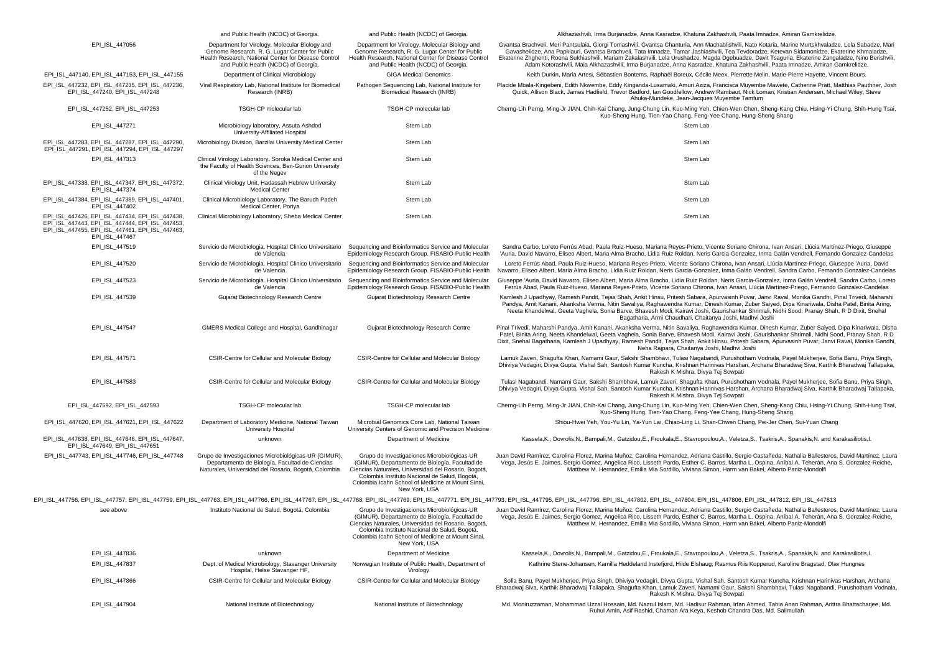|                                                                                                                                                                         | and Public Health (NCDC) of Georgia.                                                                                                                                                             | and Public Health (NCDC) of Georgia                                                                                                                                                                                                                                          | Alkhazashvili, Irma Burjanadze, Anna Kasradze, Khatuna Zakhashvili, Paata Imnadze, Amiran Gamkrelidze.                                                                                                                                                                                                                                                                                                                                                                                                                                                                                         |
|-------------------------------------------------------------------------------------------------------------------------------------------------------------------------|--------------------------------------------------------------------------------------------------------------------------------------------------------------------------------------------------|------------------------------------------------------------------------------------------------------------------------------------------------------------------------------------------------------------------------------------------------------------------------------|------------------------------------------------------------------------------------------------------------------------------------------------------------------------------------------------------------------------------------------------------------------------------------------------------------------------------------------------------------------------------------------------------------------------------------------------------------------------------------------------------------------------------------------------------------------------------------------------|
| EPI ISL 447056                                                                                                                                                          | Department for Virology, Molecular Biology and<br>Genome Research, R. G. Lugar Center for Public<br>Health Research, National Center for Disease Control<br>and Public Health (NCDC) of Georgia. | Department for Virology, Molecular Biology and<br>Genome Research, R. G. Lugar Center for Public<br>Health Research, National Center for Disease Control<br>and Public Health (NCDC) of Georgia.                                                                             | Gvantsa Brachveli, Meri Pantsulaia, Giorgi Tomashvili, Gvantsa Chanturia, Ann Machablishvili, Nato Kotaria, Marine Murtskhvaladze, Lela Sabadze, Mari<br>Gavashelidze, Ana Papkiauri, Gvantsa Brachveli, Tata Imnadze, Tamar Jashiashvili, Tea Tevdoradze, Ketevan Sidamonidze, Ekaterine Khmaladze,<br>Ekaterine Zhghenti, Roena Sukhiashvili, Mariam Zakalashvili, Lela Urushadze, Magda Dgebuadze, Davit Tsaguria, Ekaterine Zangaladze, Nino Berishvili,<br>Adam Kotorashvili, Maia Alkhazashvili, Irma Burjanadze, Anna Kasradze, Khatuna Zakhashvili, Paata Imnadze, Amiran Gamkrelidze. |
| EPI_ISL_447140, EPI_ISL_447153, EPI_ISL_447155                                                                                                                          | Department of Clinical Microbiology                                                                                                                                                              | <b>GIGA Medical Genomics</b>                                                                                                                                                                                                                                                 | Keith Durkin, Maria Artesi, Sébastien Bontems, Raphaël Boreux, Cécile Meex, Pierrette Melin, Marie-Pierre Hayette, Vincent Bours.                                                                                                                                                                                                                                                                                                                                                                                                                                                              |
| EPI_ISL_447232, EPI_ISL_447235, EPI_ISL_447236,<br>EPI ISL 447240, EPI ISL 447248                                                                                       | Viral Respiratory Lab, National Institute for Biomedical<br>Research (INRB)                                                                                                                      | Pathogen Sequencing Lab, National Institute for<br>Biomedical Research (INRB)                                                                                                                                                                                                | Placide Mbala-Kingebeni, Edith Nkwembe, Eddy Kinganda-Lusamaki, Amuri Aziza, Francisca Muyembe Mawete, Catherine Pratt, Matthias Pauthner, Josh<br>Quick, Allison Black, James Hadfield, Trevor Bedford, Ian Goodfellow, Andrew Rambaut, Nick Loman, Kristian Andersen, Michael Wiley, Steve<br>Ahuka-Mundeke, Jean-Jacques Muyembe Tamfum                                                                                                                                                                                                                                                     |
| EPI_ISL_447252, EPI_ISL_447253                                                                                                                                          | TSGH-CP molecular lab                                                                                                                                                                            | TSGH-CP molecular lab                                                                                                                                                                                                                                                        | Cherng-Lih Perng, Ming-Jr JIAN, Chih-Kai Chang, Jung-Chung Lin, Kuo-Ming Yeh, Chien-Wen Chen, Sheng-Kang Chiu, Hsing-Yi Chung, Shih-Hung Tsai,<br>Kuo-Sheng Hung, Tien-Yao Chang, Feng-Yee Chang, Hung-Sheng Shang                                                                                                                                                                                                                                                                                                                                                                             |
| EPI_ISL_447271                                                                                                                                                          | Microbiology laboratory, Assuta Ashdod<br>University-Affiliated Hospital                                                                                                                         | Stern Lab                                                                                                                                                                                                                                                                    | Stern Lab                                                                                                                                                                                                                                                                                                                                                                                                                                                                                                                                                                                      |
| EPI_ISL_447283, EPI_ISL_447287, EPI_ISL_447290,<br>EPI ISL 447291, EPI ISL 447294, EPI ISL 447297                                                                       | Microbiology Division, Barzilai University Medical Center                                                                                                                                        | Stern Lab                                                                                                                                                                                                                                                                    | Stern Lab                                                                                                                                                                                                                                                                                                                                                                                                                                                                                                                                                                                      |
| EPI_ISL_447313                                                                                                                                                          | Clinical Virology Laboratory, Soroka Medical Center and<br>the Faculty of Health Sciences, Ben-Gurion University<br>of the Negev                                                                 | Stern Lab                                                                                                                                                                                                                                                                    | Stern Lab                                                                                                                                                                                                                                                                                                                                                                                                                                                                                                                                                                                      |
| EPI ISL 447338, EPI_ISL_447347, EPI_ISL_447372,<br>EPI ISL 447374                                                                                                       | Clinical Virology Unit, Hadassah Hebrew University<br><b>Medical Center</b>                                                                                                                      | Stern Lab                                                                                                                                                                                                                                                                    | Stern Lab                                                                                                                                                                                                                                                                                                                                                                                                                                                                                                                                                                                      |
| EPI ISL 447384, EPI ISL 447389, EPI ISL 447401,<br>EPI ISL 447402                                                                                                       | Clinical Microbiology Laboratory, The Baruch Padeh<br>Medical Center, Poriya                                                                                                                     | Stern Lab                                                                                                                                                                                                                                                                    | Stern Lab                                                                                                                                                                                                                                                                                                                                                                                                                                                                                                                                                                                      |
| EPI ISL 447426, EPI ISL 447434, EPI ISL 447438,<br>EPI ISL 447443, EPI ISL 447444, EPI ISL 447453,<br>EPI_ISL_447455, EPI_ISL_447461, EPI_ISL_447463,<br>EPI_ISL_447467 | Clinical Microbiology Laboratory, Sheba Medical Center                                                                                                                                           | Stern Lab                                                                                                                                                                                                                                                                    | Stern Lab                                                                                                                                                                                                                                                                                                                                                                                                                                                                                                                                                                                      |
| EPI ISL 447519                                                                                                                                                          | Servicio de Microbiologia. Hospital Clinico Universitario<br>de Valencia                                                                                                                         | Sequencing and Bioinformatics Service and Molecular<br>Epidemiology Research Group. FISABIO-Public Health                                                                                                                                                                    | Sandra Carbo, Loreto Ferrús Abad, Paula Ruiz-Hueso, Mariana Reyes-Prieto, Vicente Soriano Chirona, Ivan Ansari, Llúcia Martínez-Priego, Giuseppe<br>'Auria, David Navarro, Eliseo Albert, Maria Alma Bracho, Lidia Ruiz Roldan, Neris Garcia-Gonzalez, Inma Galán Vendrell, Fernando Gonzalez-Candelas                                                                                                                                                                                                                                                                                         |
| EPI_ISL_447520                                                                                                                                                          | Servicio de Microbiologia. Hospital Clinico Universitario<br>de Valencia                                                                                                                         | Sequencing and Bioinformatics Service and Molecular<br>Epidemiology Research Group. FISABIO-Public Health                                                                                                                                                                    | Loreto Ferrús Abad, Paula Ruiz-Hueso, Mariana Reyes-Prieto, Vicente Soriano Chirona, Ivan Ansari, Llúcia Martínez-Priego, Giuseppe 'Auria, David<br>Navarro, Eliseo Albert, Maria Alma Bracho, Lidia Ruiz Roldan, Neris Garcia-Gonzalez, Inma Galán Vendrell, Sandra Carbo, Fernando Gonzalez-Candelas                                                                                                                                                                                                                                                                                         |
| EPI_ISL_447523                                                                                                                                                          | Servicio de Microbiologia. Hospital Clinico Universitario<br>de Valencia                                                                                                                         | Sequencing and Bioinformatics Service and Molecular<br>Epidemiology Research Group. FISABIO-Public Health                                                                                                                                                                    | Giuseppe 'Auria, David Navarro, Eliseo Albert, Maria Alma Bracho, Lidia Ruiz Roldan, Neris Garcia-Gonzalez, Inma Galán Vendrell, Sandra Carbo, Loreto<br>Ferrús Abad, Paula Ruiz-Hueso, Mariana Reyes-Prieto, Vicente Soriano Chirona, Ivan Ansari, Llúcia Martínez-Priego, Fernando Gonzalez-Candelas                                                                                                                                                                                                                                                                                         |
| EPI_ISL_447539                                                                                                                                                          | Gujarat Biotechnology Research Centre                                                                                                                                                            | Gujarat Biotechnology Research Centre                                                                                                                                                                                                                                        | Kamlesh J Upadhyay, Ramesh Pandit, Tejas Shah, Ankit Hinsu, Pritesh Sabara, Apurvasinh Puvar, Janvi Raval, Monika Gandhi, Pinal Trivedi, Maharshi<br>Pandya, Amit Kanani, Akanksha Verma, Nitin Savaliya, Raghawendra Kumar, Dinesh Kumar, Zuber Saiyed, Dipa Kinariwala, Disha Patel, Binita Aring,<br>Neeta Khandelwal, Geeta Vaghela, Sonia Barve, Bhavesh Modi, Kairavi Joshi, Gaurishankar Shrimali, Nidhi Sood, Pranay Shah, R D Dixit, Snehal<br>Bagatharia, Armi Chaudhari, Chaitanya Joshi, Madhvi Joshi                                                                              |
| EPI ISL 447547                                                                                                                                                          | GMERS Medical College and Hospital, Gandhinagar                                                                                                                                                  | Gujarat Biotechnology Research Centre                                                                                                                                                                                                                                        | Pinal Trivedi, Maharshi Pandya, Amit Kanani, Akanksha Verma, Nitin Savaliya, Raghawendra Kumar, Dinesh Kumar, Zuber Saiyed, Dipa Kinariwala, Disha<br>Patel, Binita Aring, Neeta Khandelwal, Geeta Vaghela, Sonia Barve, Bhayesh Modi, Kairayi Joshi, Gaurishankar Shrimali, Nidhi Sood, Pranay Shah, R D<br>Dixit, Snehal Bagatharia, Kamlesh J Upadhyay, Ramesh Pandit, Tejas Shah, Ankit Hinsu, Pritesh Sabara, Apurvasinh Puvar, Janvi Raval, Monika Gandhi,<br>Neha Raipara, Chaitanya Joshi, Madhyi Joshi                                                                                |
| EPI ISL 447571                                                                                                                                                          | CSIR-Centre for Cellular and Molecular Biology                                                                                                                                                   | CSIR-Centre for Cellular and Molecular Biology                                                                                                                                                                                                                               | Lamuk Zaveri, Shagufta Khan, Namami Gaur, Sakshi Shambhavi, Tulasi Nagabandi, Purushotham Vodnala, Payel Mukherjee, Sofia Banu, Priya Singh,<br>Dhiviya Vedagiri, Divya Gupta, Vishal Sah, Santosh Kumar Kuncha, Krishnan Harinivas Harshan, Archana Bharadwaj Siva, Karthik Bharadwaj Tallapaka,<br>Rakesh K Mishra, Divya Tej Sowpati                                                                                                                                                                                                                                                        |
| EPI_ISL_447583                                                                                                                                                          | CSIR-Centre for Cellular and Molecular Biology                                                                                                                                                   | CSIR-Centre for Cellular and Molecular Biology                                                                                                                                                                                                                               | Tulasi Nagabandi, Namami Gaur, Sakshi Shambhavi, Lamuk Zaveri, Shagufta Khan, Purushotham Vodnala, Payel Mukherjee, Sofia Banu, Priya Singh,<br>Dhiviya Vedagiri, Divya Gupta, Vishal Sah, Santosh Kumar Kuncha, Krishnan Harinivas Harshan, Archana Bharadwaj Siva, Karthik Bharadwaj Tallapaka,<br>Rakesh K Mishra, Divya Tej Sowpati                                                                                                                                                                                                                                                        |
| EPI_ISL_447592, EPI_ISL_447593                                                                                                                                          | TSGH-CP molecular lab                                                                                                                                                                            | TSGH-CP molecular lab                                                                                                                                                                                                                                                        | Cherng-Lih Perng, Ming-Jr JIAN, Chih-Kai Chang, Jung-Chung Lin, Kuo-Ming Yeh, Chien-Wen Chen, Sheng-Kang Chiu, Hsing-Yi Chung, Shih-Hung Tsai<br>Kuo-Sheng Hung, Tien-Yao Chang, Feng-Yee Chang, Hung-Sheng Shang                                                                                                                                                                                                                                                                                                                                                                              |
| EPI_ISL_447620, EPI_ISL_447621, EPI_ISL_447622                                                                                                                          | Department of Laboratory Medicine, National Taiwan<br>University Hospital                                                                                                                        | Microbial Genomics Core Lab, National Taiwan<br>University Centers of Genomic and Precision Medicine                                                                                                                                                                         | Shiou-Hwei Yeh, You-Yu Lin, Ya-Yun Lai, Chiao-Ling Li, Shan-Chwen Chang, Pei-Jer Chen, Sui-Yuan Chang                                                                                                                                                                                                                                                                                                                                                                                                                                                                                          |
| EPI_ISL_447638, EPI_ISL_447646, EPI_ISL_447647,<br>EPI_ISL_447649, EPI_ISL_447651                                                                                       | unknown                                                                                                                                                                                          | Department of Medicine                                                                                                                                                                                                                                                       | Kassela, K., Dovrolis, N., Bampali, M., Gatzidou, E., Froukala, E., Stavropoulou, A., Veletza, S., Tsakris, A., Spanakis, N. and Karakasiliotis, I                                                                                                                                                                                                                                                                                                                                                                                                                                             |
| EPI_ISL_447743, EPI_ISL_447746, EPI_ISL_447748                                                                                                                          | Grupo de Investigaciones Microbiológicas-UR (GIMUR),<br>Departamento de Biología, Facultad de Ciencias<br>Naturales, Universidad del Rosario, Bogotá, Colombia                                   | Grupo de Investigaciones Microbiológicas-UR<br>(GIMUR), Departamento de Biología, Facultad de<br>Ciencias Naturales, Universidad del Rosario, Bogotá,<br>Colombia Instituto Nacional de Salud, Bogotá,<br>Colombia Icahn School of Medicine at Mount Sinai,<br>New York, USA | Juan David Ramírez, Carolina Florez, Marina Muñoz, Carolina Hernandez, Adriana Castillo, Sergio Castañeda, Nathalia Ballesteros, David Martínez, Laura<br>Vega, Jesús E. Jaimes, Sergio Gomez, Angelica Rico, Lisseth Pardo, Esther C. Barros, Martha L. Ospina, Aníbal A. Teherán, Ana S. Gonzalez-Reiche,<br>Matthew M. Hernandez, Emilia Mia Sordillo, Viviana Simon, Harm van Bakel, Alberto Paniz-Mondolfi                                                                                                                                                                                |
|                                                                                                                                                                         |                                                                                                                                                                                                  |                                                                                                                                                                                                                                                                              | EPI_ISL_447756, EPI_ISL_447757, EPI_ISL_447759, EPI_ISL_447763, EPI_ISL_447766, EPI_ISL_447767, EPI_ISL_447767, EPI_ISL_447766, EPI_ISL_447767, EPI_ISL_447768, EPI_ISL_447767, EPI_ISL_447767, EPI_ISL_447767, EPI_ISL_447767                                                                                                                                                                                                                                                                                                                                                                 |
| see above                                                                                                                                                               | Instituto Nacional de Salud, Bogotá, Colombia                                                                                                                                                    | Grupo de Investigaciones Microbiológicas-UR<br>(GIMUR). Departamento de Biología. Facultad de<br>Ciencias Naturales, Universidad del Rosario, Bogotá,<br>Colombia Instituto Nacional de Salud, Bogotá,<br>Colombia Icahn School of Medicine at Mount Sinai,<br>New York, USA | Juan David Ramírez, Carolina Florez, Marina Muñoz, Carolina Hernandez, Adriana Castillo, Sergio Castañeda, Nathalia Ballesteros, David Martínez, Laura<br>Vega, Jesús E. Jaimes, Sergio Gomez, Angelica Rico, Lisseth Pardo, Esther C. Barros, Martha L. Ospina, Aníbal A. Teherán, Ana S. Gonzalez-Reiche,<br>Matthew M. Hernandez, Emilia Mia Sordillo, Viviana Simon, Harm van Bakel, Alberto Paniz-Mondolfi                                                                                                                                                                                |
| EPI_ISL_447836                                                                                                                                                          | unknown                                                                                                                                                                                          | Department of Medicine                                                                                                                                                                                                                                                       | Kassela, K., Dovrolis, N., Bampali, M., Gatzidou, E., Froukala, E., Stavropoulou, A., Veletza, S., Tsakris, A., Spanakis, N. and Karakasiliotis, I.                                                                                                                                                                                                                                                                                                                                                                                                                                            |
| EPI_ISL_447837                                                                                                                                                          | Dept. of Medical Microbiology, Stavanger University<br>Hospital, Helse Stavanger HF,                                                                                                             | Norwegian Institute of Public Health, Department of<br>Virology                                                                                                                                                                                                              | Kathrine Stene-Johansen, Kamilla Heddeland Instefjord, Hilde Elshaug, Rasmus Riis Kopperud, Karoline Bragstad, Olav Hungnes                                                                                                                                                                                                                                                                                                                                                                                                                                                                    |
| EPI_ISL_447866                                                                                                                                                          | CSIR-Centre for Cellular and Molecular Biology                                                                                                                                                   | CSIR-Centre for Cellular and Molecular Biology                                                                                                                                                                                                                               | Sofia Banu, Payel Mukherjee, Priya Singh, Dhiviya Vedagiri, Divya Gupta, Vishal Sah, Santosh Kumar Kuncha, Krishnan Harinivas Harshan, Archana<br>Bharadwaj Siva, Karthik Bharadwaj Tallapaka, Shaqufta Khan, Lamuk Zaveri, Namami Gaur, Sakshi Shambhavi, Tulasi Naqabandi, Purushotham Vodnala,<br>Rakesh K Mishra, Divya Tej Sowpati                                                                                                                                                                                                                                                        |
| EPI_ISL_447904                                                                                                                                                          | National Institute of Biotechnology                                                                                                                                                              | National Institute of Biotechnology                                                                                                                                                                                                                                          | Md. Moniruzzaman, Mohammad Uzzal Hossain, Md. Nazrul Islam, Md. Hadisur Rahman, Irfan Ahmed, Tahia Anan Rahman, Arittra Bhattacharjee, Md.<br>Ruhul Amin, Asif Rashid, Chaman Ara Keya, Keshob Chandra Das, Md. Salimullah                                                                                                                                                                                                                                                                                                                                                                     |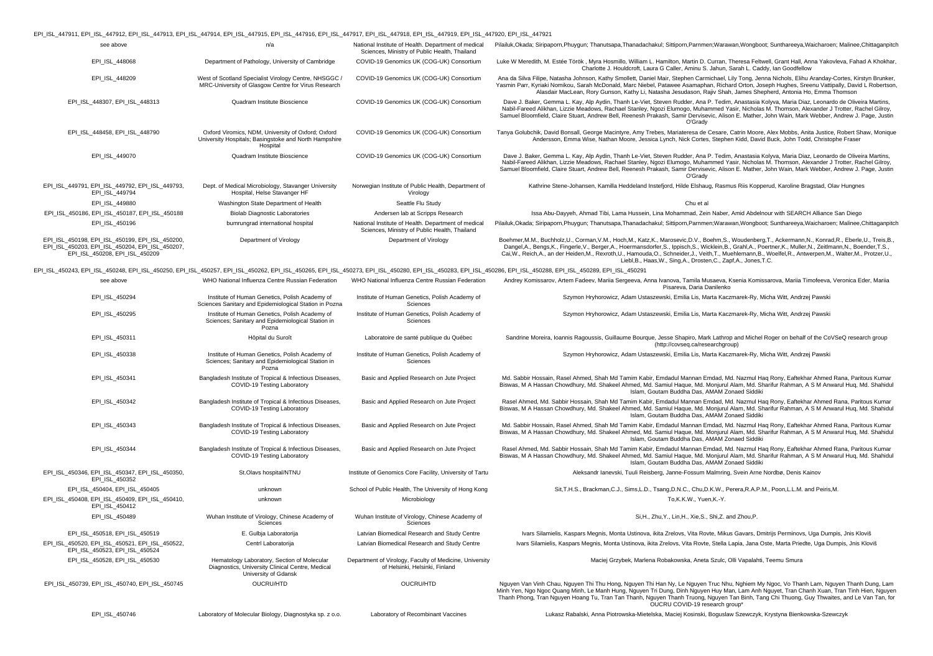| EPI_ISL_447911, EPI_ISL_447912, EPI_ISL_447913, EPI_ISL_447914, EPI_ISL_447915, EPI_ISL_447916, EPI_ISL_447917, EPI_ISL_447918, EPI_ISL_447919, EPI_ISL_447920, EPI_ISL_447921                                                 |                                                                                                                         |                                                                                                      |                                                                                                                                                                                                                                                                                                                                                                                                                                                                                                                                                              |
|--------------------------------------------------------------------------------------------------------------------------------------------------------------------------------------------------------------------------------|-------------------------------------------------------------------------------------------------------------------------|------------------------------------------------------------------------------------------------------|--------------------------------------------------------------------------------------------------------------------------------------------------------------------------------------------------------------------------------------------------------------------------------------------------------------------------------------------------------------------------------------------------------------------------------------------------------------------------------------------------------------------------------------------------------------|
| see above                                                                                                                                                                                                                      | n/a                                                                                                                     | National Institute of Health. Department of medical<br>Sciences, Ministry of Public Health, Thailand | Pilailuk,Okada; Siripaporn,Phuygun; Thanutsapa,Thanadachakul; Sittiporn,Parnmen;Warawan,Wongboot; Sunthareeya,Waicharoen; Malinee,Chittaganpitch                                                                                                                                                                                                                                                                                                                                                                                                             |
| EPI_ISL_448068                                                                                                                                                                                                                 | Department of Pathology, University of Cambridge                                                                        | COVID-19 Genomics UK (COG-UK) Consortium                                                             | Luke W Meredith, M. Estée Török, Myra Hosmillo, William L. Hamilton, Martin D. Curran, Theresa Feltwell, Grant Hall, Anna Yakovleva, Fahad A Khokhar,<br>Charlotte J. Houldcroft, Laura G Caller, Aminu S. Jahun, Sarah L. Caddy, Ian Goodfellow                                                                                                                                                                                                                                                                                                             |
| EPI_ISL_448209                                                                                                                                                                                                                 | West of Scotland Specialist Virology Centre, NHSGGC /<br>MRC-University of Glasgow Centre for Virus Research            | COVID-19 Genomics UK (COG-UK) Consortium                                                             | Ana da Silva Filipe, Natasha Johnson, Kathy Smollett, Daniel Mair, Stephen Carmichael, Lily Tong, Jenna Nichols, Elihu Aranday-Cortes, Kirstyn Brunker,<br>Yasmin Parr, Kyriaki Nomikou, Sarah McDonald, Marc Niebel, Patawee Asamaphan, Richard Orton, Joseph Hughes, Sreenu Vattipally, David L Robertson,<br>Alasdair MacLean, Rory Gunson, Kathy Li, Natasha Jesudason, Rajiv Shah, James Shepherd, Antonia Ho, Emma Thomson                                                                                                                             |
| EPI ISL 448307, EPI ISL 448313                                                                                                                                                                                                 | Quadram Institute Bioscience                                                                                            | COVID-19 Genomics UK (COG-UK) Consortium                                                             | Dave J. Baker, Gemma L. Kay, Alp Aydin, Thanh Le-Viet, Steven Rudder, Ana P. Tedim, Anastasia Kolyva, Maria Diaz, Leonardo de Oliveira Martins,<br>Nabil-Fareed Alikhan, Lizzie Meadows, Rachael Stanley, Ngozi Elumogo, Muhammed Yasir, Nicholas M. Thomson, Alexander J Trotter, Rachel Gilroy,<br>Samuel Bloomfield, Claire Stuart, Andrew Bell, Reenesh Prakash, Samir Dervisevic, Alison E. Mather, John Wain, Mark Webber, Andrew J. Page, Justin<br>O'Grady                                                                                           |
| EPI_ISL_448458, EPI_ISL_448790                                                                                                                                                                                                 | Oxford Viromics, NDM, University of Oxford; Oxford<br>University Hospitals; Basingstoke and North Hampshire<br>Hospital | COVID-19 Genomics UK (COG-UK) Consortium                                                             | Tanya Golubchik, David Bonsall, George Macintyre, Amy Trebes, Mariateresa de Cesare, Catrin Moore, Alex Mobbs, Anita Justice, Robert Shaw, Monique<br>Andersson, Emma Wise, Nathan Moore, Jessica Lynch, Nick Cortes, Stephen Kidd, David Buck, John Todd, Christophe Fraser                                                                                                                                                                                                                                                                                 |
| EPI_ISL_449070                                                                                                                                                                                                                 | Quadram Institute Bioscience                                                                                            | COVID-19 Genomics UK (COG-UK) Consortium                                                             | Dave J. Baker, Gemma L. Kay, Alp Aydin, Thanh Le-Viet, Steven Rudder, Ana P. Tedim, Anastasia Kolyva, Maria Diaz, Leonardo de Oliveira Martins,<br>Nabil-Fareed Alikhan, Lizzie Meadows, Rachael Stanley, Ngozi Elumogo, Muhammed Yasir, Nicholas M. Thomson, Alexander J Trotter, Rachel Gilroy,<br>Samuel Bloomfield, Claire Stuart, Andrew Bell, Reenesh Prakash, Samir Dervisevic, Alison E. Mather, John Wain, Mark Webber, Andrew J. Page, Justin<br>O'Grady                                                                                           |
| EPI ISL 449791, EPI ISL 449792, EPI ISL 449793.<br>EPI ISL 449794                                                                                                                                                              | Dept. of Medical Microbiology, Stavanger University<br>Hospital, Helse Stavanger HF                                     | Norwegian Institute of Public Health, Department of<br>Virology                                      | Kathrine Stene-Johansen, Kamilla Heddeland Instefjord, Hilde Elshaug, Rasmus Riis Kopperud, Karoline Bragstad, Olav Hungnes                                                                                                                                                                                                                                                                                                                                                                                                                                  |
| EPI ISL 449880                                                                                                                                                                                                                 | Washington State Department of Health                                                                                   | Seattle Flu Study                                                                                    | Chu et al                                                                                                                                                                                                                                                                                                                                                                                                                                                                                                                                                    |
| EPI_ISL_450186, EPI_ISL_450187, EPI_ISL_450188                                                                                                                                                                                 | <b>Biolab Diagnostic Laboratories</b>                                                                                   | Andersen lab at Scripps Research                                                                     | Issa Abu-Dayyeh, Ahmad Tibi, Lama Hussein, Lina Mohammad, Zein Naber, Amid Abdelnour with SEARCH Alliance San Diego                                                                                                                                                                                                                                                                                                                                                                                                                                          |
| EPI_ISL_450196                                                                                                                                                                                                                 | bumrungrad international hospital                                                                                       | National Institute of Health. Department of medical<br>Sciences, Ministry of Public Health, Thailand | Pilailuk,Okada; Siripaporn,Phuygun; Thanutsapa,Thanadachakul; Sittiporn,Parnmen;Warawan,Wongboot; Sunthareeya,Waicharoen; Malinee,Chittaganpitch                                                                                                                                                                                                                                                                                                                                                                                                             |
| EPI_ISL_450198, EPI_ISL_450199, EPI_ISL_450200,<br>EPI_ISL_450203, EPI_ISL_450204, EPI_ISL_450207,<br>EPI_ISL_450208, EPI_ISL_450209                                                                                           | Department of Virology                                                                                                  | Department of Virology                                                                               | Boehmer, M.M., Buchholz, U., Corman, V.M., Hoch, M., Katz, K., Marosevic, D.V., Boehm, S., Woudenberg, T., Ackermann, N., Konrad, R., Eberle, U., Treis, B.<br>Dangel,A., Bengs,K., Fingerle,V., Berger,A., Hoermansdorfer,S., Ippisch,S., Wicklein,B., Grahl,A., Poertner,K., Muller,N., Zeitlmann,N., Boender,T.S.,<br>Cai, W., Reich, A., an der Heiden, M., Rexroth, U., Hamouda, O., Schneider, J., Veith, T., Muehlemann, B., Woelfel, R., Antwerpen, M., Walter, M., Protzer, U.<br>Liebl, B., Haas, W., Sing, A., Drosten, C., Zapf, A., Jones, T.C. |
| EPI_ISL_450243, EPI_ISL_450248, EPI_ISL_450250, EPI_ISL_450257, EPI_ISL_450262, EPI_ISL_450265, EPI_ISL_450273, EPI_ISL_450280, EPI_ISL_450280, EPI_ISL_450288, EPI_ISL_450288, EPI_ISL_450288, EPI_ISL_450289, EPI_ISL_450288 |                                                                                                                         |                                                                                                      |                                                                                                                                                                                                                                                                                                                                                                                                                                                                                                                                                              |
| see above                                                                                                                                                                                                                      | WHO National Influenza Centre Russian Federation                                                                        | WHO National Influenza Centre Russian Federation                                                     | Andrey Komissarov, Artem Fadeev, Mariia Sergeeva, Anna Ivanova, Tamila Musaeva, Ksenia Komissarova, Mariia Timofeeva, Veronica Eder, Mariia<br>Pisareva, Daria Danilenko                                                                                                                                                                                                                                                                                                                                                                                     |
| EPI_ISL_450294                                                                                                                                                                                                                 | Institute of Human Genetics, Polish Academy of<br>Sciences Sanitary and Epidemiological Station in Pozna                | Institute of Human Genetics, Polish Academy of<br>Sciences                                           | Szymon Hryhorowicz, Adam Ustaszewski, Emilia Lis, Marta Kaczmarek-Ry, Micha Witt, Andrzej Pawski                                                                                                                                                                                                                                                                                                                                                                                                                                                             |
| EPI ISL 450295                                                                                                                                                                                                                 | Institute of Human Genetics, Polish Academy of<br>Sciences; Sanitary and Epidemiological Station in<br>Pozna            | Institute of Human Genetics, Polish Academy of<br>Sciences                                           | Szymon Hryhorowicz, Adam Ustaszewski, Emilia Lis, Marta Kaczmarek-Ry, Micha Witt, Andrzej Pawski                                                                                                                                                                                                                                                                                                                                                                                                                                                             |
| EPI_ISL_450311                                                                                                                                                                                                                 | Hôpital du Suroît                                                                                                       | Laboratoire de santé publique du Québec                                                              | Sandrine Moreira, Ioannis Ragoussis, Guillaume Bourque, Jesse Shapiro, Mark Lathrop and Michel Roger on behalf of the CoVSeQ research group<br>(http://covseq.ca/researchgroup)                                                                                                                                                                                                                                                                                                                                                                              |
| EPI_ISL_450338                                                                                                                                                                                                                 | Institute of Human Genetics, Polish Academy of<br>Sciences; Sanitary and Epidemiological Station in<br>Pozna            | Institute of Human Genetics, Polish Academy of<br>Sciences                                           | Szymon Hryhorowicz, Adam Ustaszewski, Emilia Lis, Marta Kaczmarek-Ry, Micha Witt, Andrzej Pawski                                                                                                                                                                                                                                                                                                                                                                                                                                                             |
| EPI_ISL_450341                                                                                                                                                                                                                 | Bangladesh Institute of Tropical & Infectious Diseases,<br>COVID-19 Testing Laboratory                                  | Basic and Applied Research on Jute Project                                                           | Md. Sabbir Hossain, Rasel Ahmed, Shah Md Tamim Kabir, Emdadul Mannan Emdad, Md. Nazmul Haq Rony, Eaftekhar Ahmed Rana, Paritous Kumar<br>Biswas, M A Hassan Chowdhury, Md. Shakeel Ahmed, Md. Samiul Haque, Md. Monjurul Alam, Md. Sharifur Rahman, A S M Anwarul Huq, Md. Shahidul<br>Islam, Goutam Buddha Das, AMAM Zonaed Siddiki                                                                                                                                                                                                                         |
| EPI_ISL_450342                                                                                                                                                                                                                 | Bangladesh Institute of Tropical & Infectious Diseases,<br>COVID-19 Testing Laboratory                                  | Basic and Applied Research on Jute Project                                                           | Rasel Ahmed, Md. Sabbir Hossain, Shah Md Tamim Kabir, Emdadul Mannan Emdad, Md. Nazmul Haq Rony, Eaftekhar Ahmed Rana, Paritous Kumar<br>Biswas, M A Hassan Chowdhury, Md. Shakeel Ahmed, Md. Samiul Haque, Md. Monjurul Alam, Md. Sharifur Rahman, A S M Anwarul Huq, Md. Shahidul<br>Islam, Goutam Buddha Das, AMAM Zonaed Siddiki                                                                                                                                                                                                                         |
| EPI_ISL_450343                                                                                                                                                                                                                 | Bangladesh Institute of Tropical & Infectious Diseases,<br>COVID-19 Testing Laboratory                                  | Basic and Applied Research on Jute Project                                                           | Md. Sabbir Hossain, Rasel Ahmed, Shah Md Tamim Kabir, Emdadul Mannan Emdad, Md. Nazmul Haq Rony, Eaftekhar Ahmed Rana, Paritous Kumar<br>Biswas, M A Hassan Chowdhury, Md. Shakeel Ahmed, Md. Samiul Haque, Md. Monjurul Alam, Md. Sharifur Rahman, A S M Anwarul Huq, Md. Shahidul<br>Islam, Goutam Buddha Das, AMAM Zonaed Siddiki                                                                                                                                                                                                                         |
| EPI_ISL_450344                                                                                                                                                                                                                 | Bangladesh Institute of Tropical & Infectious Diseases,<br>COVID-19 Testing Laboratory                                  | Basic and Applied Research on Jute Project                                                           | Rasel Ahmed, Md. Sabbir Hossain, Shah Md Tamim Kabir, Emdadul Mannan Emdad, Md. Nazmul Haq Rony, Eaftekhar Ahmed Rana, Paritous Kumar<br>Biswas, M A Hassan Chowdhury, Md. Shakeel Ahmed, Md. Samiul Haque, Md. Monjurul Alam, Md. Sharifur Rahman, A S M Anwarul Huq, Md. Shahidul<br>Islam, Goutam Buddha Das, AMAM Zonaed Siddiki                                                                                                                                                                                                                         |
| EPI ISL 450346, EPI ISL 450347, EPI ISL 450350.<br>EPI_ISL_450352                                                                                                                                                              | St.Olavs hospital/NTNU                                                                                                  | Institute of Genomics Core Facility, University of Tartu                                             | Aleksandr lanevski, Tuuli Reisberg, Janne-Fossum Malmring, Svein Arne Nordbø, Denis Kainov                                                                                                                                                                                                                                                                                                                                                                                                                                                                   |
| EPI_ISL_450404, EPI_ISL_450405                                                                                                                                                                                                 | unknown                                                                                                                 | School of Public Health, The University of Hong Kong                                                 | Sit, T.H.S., Brackman, C.J., Sims, L.D., Tsang, D.N.C., Chu, D.K.W., Perera, R.A.P.M., Poon, L.L.M. and Peiris, M.                                                                                                                                                                                                                                                                                                                                                                                                                                           |
| EPI_ISL_450408, EPI_ISL_450409, EPI_ISL_450410,<br>EPI_ISL_450412                                                                                                                                                              | unknown                                                                                                                 | Microbiology                                                                                         | To, K.K.W., Yuen, K.-Y.                                                                                                                                                                                                                                                                                                                                                                                                                                                                                                                                      |
| EPI_ISL_450489                                                                                                                                                                                                                 | Wuhan Institute of Virology, Chinese Academy of<br>Sciences                                                             | Wuhan Institute of Virology, Chinese Academy of<br>Sciences                                          | Si, H., Zhu, Y., Lin, H., Xie, S., Shi, Z. and Zhou, P.                                                                                                                                                                                                                                                                                                                                                                                                                                                                                                      |
| EPI_ISL_450518, EPI_ISL_450519                                                                                                                                                                                                 | E. Gulbja Laboratorija                                                                                                  | Latvian Biomedical Research and Study Centre                                                         | Ivars Silamielis, Kaspars Megnis, Monta Ustinova, ikita Zrelovs, Vita Rovte, Mikus Gavars, Dmitrijs Perminovs, Uga Dumpis, Jnis Kloviš                                                                                                                                                                                                                                                                                                                                                                                                                       |
| EPI_ISL_450520, EPI_ISL_450521, EPI_ISL_450522,<br>EPI_ISL_450523, EPI_ISL_450524                                                                                                                                              | Centrl Laboratorija                                                                                                     | Latvian Biomedical Research and Study Centre                                                         | Ivars Silamielis, Kaspars Megnis, Monta Ustinova, ikita Zrelovs, Vita Rovte, Stella Lapia, Jana Oste, Marta Priedte, Uga Dumpis, Jnis Kloviš                                                                                                                                                                                                                                                                                                                                                                                                                 |
| EPI_ISL_450528, EPI_ISL_450530                                                                                                                                                                                                 | Hematology Laboratory, Section of Molecular<br>Diagnostics, University Clinical Centre, Medical<br>University of Gdansk | Department of Virology, Faculty of Medicine, University<br>of Helsinki, Helsinki, Finland            | Maciej Grzybek, Marlena Robakowska, Aneta Szulc, Olli Vapalahti, Teemu Smura                                                                                                                                                                                                                                                                                                                                                                                                                                                                                 |
| EPI_ISL_450739, EPI_ISL_450740, EPI_ISL_450745                                                                                                                                                                                 | OUCRU/HTD                                                                                                               | OUCRU/HTD                                                                                            | Nguyen Van Vinh Chau, Nguyen Thi Thu Hong, Nguyen Thi Han Ny, Le Nguyen Truc Nhu, Nghiem My Ngoc, Vo Thanh Lam, Nguyen Thanh Dung, Lam<br>Minh Yen, Ngo Ngoc Quang Minh, Le Manh Hung, Nguyen Tri Dung, Dinh Nguyen Huy Man, Lam Anh Nguyet, Tran Chanh Xuan, Tran Tinh Hien, Nguyen<br>Thanh Phong, Tran Nguyen Hoang Tu, Tran Tan Thanh, Nguyen Thanh Truong, Nguyen Tan Binh, Tang Chi Thuong, Guy Thwaites, and Le Van Tan, for<br>OUCRU COVID-19 research group*                                                                                        |
| EPI_ISL_450746                                                                                                                                                                                                                 | Laboratory of Molecular Biology, Diagnostyka sp. z o.o.                                                                 | Laboratory of Recombinant Vaccines                                                                   | Lukasz Rabalski, Anna Piotrowska-Mietelska, Maciej Kosinski, Boguslaw Szewczyk, Krystyna Bienkowska-Szewczyk                                                                                                                                                                                                                                                                                                                                                                                                                                                 |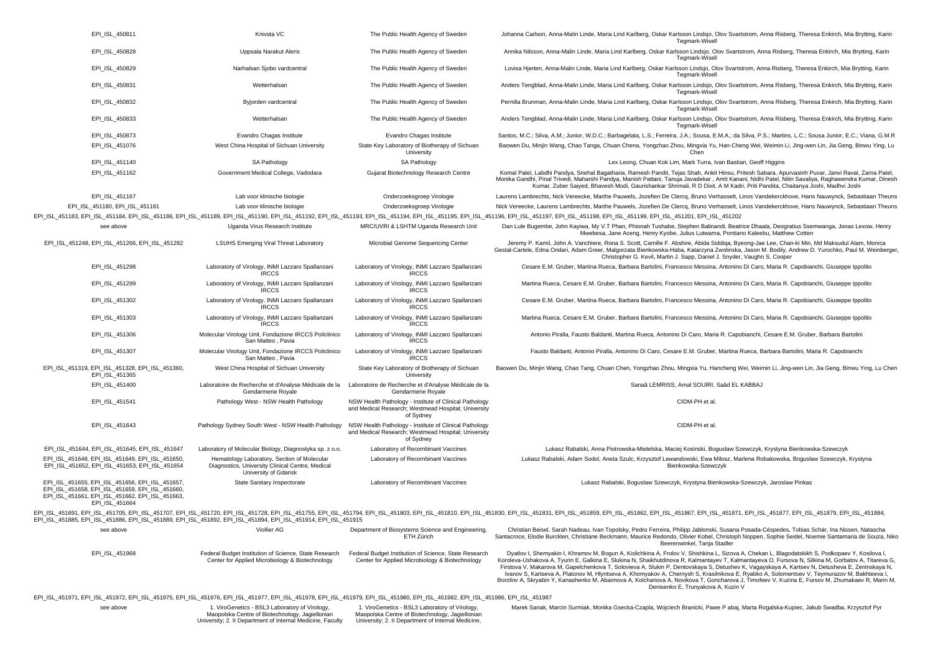| EPI_ISL_450811                                                                                                                                                                                                                 | Knivsta VC                                                                                                                                                      | The Public Health Agency of Sweden                                                                                                                      | Johanna Carlson, Anna-Malin Linde, Maria Lind Karlberg, Oskar Karlsson Lindsjo, Olov Svartstrom, Anna Risberg, Theresa Enkirch, Mia Brytting, Karir<br>Tegmark-Wisell                                                                                                                                                                                                                                                                                                                                                                                                                                                                                                                                                                                                                            |
|--------------------------------------------------------------------------------------------------------------------------------------------------------------------------------------------------------------------------------|-----------------------------------------------------------------------------------------------------------------------------------------------------------------|---------------------------------------------------------------------------------------------------------------------------------------------------------|--------------------------------------------------------------------------------------------------------------------------------------------------------------------------------------------------------------------------------------------------------------------------------------------------------------------------------------------------------------------------------------------------------------------------------------------------------------------------------------------------------------------------------------------------------------------------------------------------------------------------------------------------------------------------------------------------------------------------------------------------------------------------------------------------|
| EPI ISL 450828                                                                                                                                                                                                                 | Uppsala Narakut Aleris                                                                                                                                          | The Public Health Agency of Sweden                                                                                                                      | Annika Nilsson, Anna-Malin Linde, Maria Lind Karlberg, Oskar Karlsson Lindsjo, Olov Svartstrom, Anna Risberg, Theresa Enkirch, Mia Brytting, Karin<br>Tegmark-Wisell                                                                                                                                                                                                                                                                                                                                                                                                                                                                                                                                                                                                                             |
| EPI_ISL_450829                                                                                                                                                                                                                 | Narhalsan Sjobo vardcentral                                                                                                                                     | The Public Health Agency of Sweden                                                                                                                      | Lovisa Hjerten, Anna-Malin Linde, Maria Lind Karlberg, Oskar Karlsson Lindsjo, Olov Svartstrom, Anna Risberg, Theresa Enkirch, Mia Brytting, Karin<br>Tegmark-Wisell                                                                                                                                                                                                                                                                                                                                                                                                                                                                                                                                                                                                                             |
| EPI_ISL_450831                                                                                                                                                                                                                 | Wetterhalsan                                                                                                                                                    | The Public Health Agency of Sweden                                                                                                                      | Anders Tengblad, Anna-Malin Linde, Maria Lind Karlberg, Oskar Karlsson Lindsjo, Olov Svartstrom, Anna Risberg, Theresa Enkirch, Mia Brytting, Karin<br>Tegmark-Wisell                                                                                                                                                                                                                                                                                                                                                                                                                                                                                                                                                                                                                            |
| EPI_ISL_450832                                                                                                                                                                                                                 | Byjorden vardcentral                                                                                                                                            | The Public Health Agency of Sweden                                                                                                                      | Pernilla Brunman, Anna-Malin Linde, Maria Lind Karlberg, Oskar Karlsson Lindsjo, Olov Svartstrom, Anna Risberg, Theresa Enkirch, Mia Brytting, Karin<br>Tegmark-Wisell                                                                                                                                                                                                                                                                                                                                                                                                                                                                                                                                                                                                                           |
| EPI_ISL_450833                                                                                                                                                                                                                 | Wetterhalsan                                                                                                                                                    | The Public Health Agency of Sweden                                                                                                                      | Anders Tengblad, Anna-Malin Linde, Maria Lind Karlberg, Oskar Karlsson Lindsjo, Olov Svartstrom, Anna Risberg, Theresa Enkirch, Mia Brytting, Karin<br><b>Tegmark-Wisell</b>                                                                                                                                                                                                                                                                                                                                                                                                                                                                                                                                                                                                                     |
| EPI ISL 450873                                                                                                                                                                                                                 | Evandro Chagas Institute                                                                                                                                        | Evandro Chagas Institute                                                                                                                                | Santos, M.C.; Silva, A.M.; Junior, W.D.C.; Barbagelata, L.S.; Ferreira, J.A.; Sousa, E.M.A.; da Silva, P.S.; Martins, L.C.; Sousa Junior, E.C.; Viana, G.M.R                                                                                                                                                                                                                                                                                                                                                                                                                                                                                                                                                                                                                                     |
| EPI_ISL_451076                                                                                                                                                                                                                 | West China Hospital of Sichuan University                                                                                                                       | State Key Laboratory of Biotherapy of Sichuan<br>University                                                                                             | Baowen Du, Minjin Wang, Chao Tanga, Chuan Chena, Yongzhao Zhou, Mingxia Yu, Han-Cheng Wei, Weimin Li, Jing-wen Lin, Jia Geng, Binwu Ying, Lu<br>Chen                                                                                                                                                                                                                                                                                                                                                                                                                                                                                                                                                                                                                                             |
| EPI_ISL_451140                                                                                                                                                                                                                 | SA Pathology                                                                                                                                                    | SA Pathology                                                                                                                                            | Lex Leong, Chuan Kok Lim, Mark Turra, Ivan Bastian, Geoff Higgins                                                                                                                                                                                                                                                                                                                                                                                                                                                                                                                                                                                                                                                                                                                                |
| EPI_ISL_451162                                                                                                                                                                                                                 | Government Medical College, Vadodara                                                                                                                            | Gujarat Biotechnology Research Centre                                                                                                                   | Komal Patel, Labdhi Pandya, Snehal Bagatharia, Ramesh Pandit, Tejas Shah, Ankit Hinsu, Pritesh Sabara, Apurvasinh Puvar, Janvi Raval, Zarna Patel,<br>Monika Gandhi, Pinal Trivedi, Maharshi Pandya, Manish Pattani, Tanuja Javadekar, Amit Kanani, Nidhi Patel, Nitin Savaliya, Raghawendra Kumar, Dinesh<br>Kumar, Zuber Saiyed, Bhavesh Modi, Gaurishankar Shrimali, R D Dixit, A M Kadri, Priti Pandita, Chaitanya Joshi, Madhvi Joshi                                                                                                                                                                                                                                                                                                                                                       |
| EPI_ISL_451167                                                                                                                                                                                                                 | Lab voor klinische biologie                                                                                                                                     | Onderzoeksgroep Virologie                                                                                                                               | Laurens Lambrechts, Nick Vereecke, Marthe Pauwels, Jozefien De Clercq, Bruno Verhasselt, Linos Vandekerckhove, Hans Nauwynck, Sebastiaan Theuns                                                                                                                                                                                                                                                                                                                                                                                                                                                                                                                                                                                                                                                  |
| EPI_ISL_451180, EPI_ISL_451181                                                                                                                                                                                                 | Lab voor klinische biologie                                                                                                                                     | Onderzoeksgroep Virologie                                                                                                                               | Nick Vereecke, Laurens Lambrechts, Marthe Pauwels, Jozefien De Clercq, Bruno Verhasselt, Linos Vandekerckhove, Hans Nauwynck, Sebastiaan Theuns                                                                                                                                                                                                                                                                                                                                                                                                                                                                                                                                                                                                                                                  |
|                                                                                                                                                                                                                                |                                                                                                                                                                 |                                                                                                                                                         | EPI_ISL_451183, EPI_ISL_451184, EPI_ISL_451186, EPI_ISL_451189, EPI_ISL_451190, EPI_ISL_451192, EPI_ISL_451193, EPI_ISL_451194, EPI_ISL_451196, EPI_ISL_451196, EPI_ISL_451197, EPI_ISL_451198, EPI_ISL_451199, EPI_ISL_451202                                                                                                                                                                                                                                                                                                                                                                                                                                                                                                                                                                   |
| see above                                                                                                                                                                                                                      | Uganda Virus Research Institute                                                                                                                                 | MRC/UVRI & LSHTM Uganda Research Unit                                                                                                                   | Dan Lule Bugembe, John Kayiwa, My V.T Phan, Phionah Tushabe, Stephen Balinandi, Beatrice Dhaala, Deogratius Ssemwanga, Jonas Lexow, Henry                                                                                                                                                                                                                                                                                                                                                                                                                                                                                                                                                                                                                                                        |
|                                                                                                                                                                                                                                |                                                                                                                                                                 |                                                                                                                                                         | Mwebesa, Jane Aceng, Henry Kyobe, Julius Lutwama, Pontiano Kaleebu, Matthew Cotten                                                                                                                                                                                                                                                                                                                                                                                                                                                                                                                                                                                                                                                                                                               |
| EPI_ISL_451248, EPI_ISL_451266, EPI_ISL_451282                                                                                                                                                                                 | <b>LSUHS Emerging Viral Threat Laboratory</b>                                                                                                                   | Microbial Genome Sequencing Center                                                                                                                      | Jeremy P. Kamil, John A. Vanchiere, Rona S. Scott, Camille F. Abshire, Abida Siddiqa, Byeong-Jae Lee, Chan-ki Min, Md Maksudul Alam, Monica<br>Gestal-Cartele, Edna Ondari, Adam Greer, Malgorzata Bienkowska-Haba, Katarzyna Zwolinska, Jason M. Bodily, Andrew D. Yurochko, Paul M. Weinberger<br>Christopher G. Kevil, Martin J. Sapp, Daniel J. Snyder, Vaughn S. Cooper                                                                                                                                                                                                                                                                                                                                                                                                                     |
| EPI_ISL_451298                                                                                                                                                                                                                 | Laboratory of Virology, INMI Lazzaro Spallanzani<br><b>IRCCS</b>                                                                                                | Laboratory of Virology, INMI Lazzaro Spallanzani<br><b>IRCCS</b>                                                                                        | Cesare E.M. Gruber, Martina Rueca, Barbara Bartolini, Francesco Messina, Antonino Di Caro, Maria R. Capobianchi, Giuseppe Ippolito                                                                                                                                                                                                                                                                                                                                                                                                                                                                                                                                                                                                                                                               |
| EPI_ISL_451299                                                                                                                                                                                                                 | Laboratory of Virology, INMI Lazzaro Spallanzani<br><b>IRCCS</b>                                                                                                | Laboratory of Virology, INMI Lazzaro Spallanzani<br><b>IRCCS</b>                                                                                        | Martina Rueca, Cesare E.M. Gruber, Barbara Bartolini, Francesco Messina, Antonino Di Caro, Maria R. Capobianchi, Giuseppe Ippolito                                                                                                                                                                                                                                                                                                                                                                                                                                                                                                                                                                                                                                                               |
| EPI_ISL_451302                                                                                                                                                                                                                 | Laboratory of Virology, INMI Lazzaro Spallanzani<br><b>IRCCS</b>                                                                                                | Laboratory of Virology, INMI Lazzaro Spallanzani<br><b>IRCCS</b>                                                                                        | Cesare E.M. Gruber, Martina Rueca, Barbara Bartolini, Francesco Messina, Antonino Di Caro, Maria R. Capobianchi, Giuseppe Ippolito                                                                                                                                                                                                                                                                                                                                                                                                                                                                                                                                                                                                                                                               |
| EPI_ISL_451303                                                                                                                                                                                                                 | Laboratory of Virology, INMI Lazzaro Spallanzani<br><b>IRCCS</b>                                                                                                | Laboratory of Virology, INMI Lazzaro Spallanzani<br><b>IRCCS</b>                                                                                        | Martina Rueca, Cesare E.M. Gruber, Barbara Bartolini, Francesco Messina, Antonino Di Caro, Maria R. Capobianchi, Giuseppe Ippolito                                                                                                                                                                                                                                                                                                                                                                                                                                                                                                                                                                                                                                                               |
| EPI_ISL_451306                                                                                                                                                                                                                 | Molecular Virology Unit, Fondazione IRCCS Policlinico<br>San Matteo, Pavia                                                                                      | Laboratory of Virology, INMI Lazzaro Spallanzani<br><b>IRCCS</b>                                                                                        | Antonio Piralla, Fausto Baldanti, Martina Rueca, Antonino Di Caro, Maria R. Capobianchi, Cesare E.M. Gruber, Barbara Bartolini                                                                                                                                                                                                                                                                                                                                                                                                                                                                                                                                                                                                                                                                   |
| EPI_ISL_451307                                                                                                                                                                                                                 | Molecular Virology Unit, Fondazione IRCCS Policlinico<br>San Matteo, Pavia                                                                                      | Laboratory of Virology, INMI Lazzaro Spallanzani<br><b>IRCCS</b>                                                                                        | Fausto Baldanti, Antonio Piralla, Antonino Di Caro, Cesare E.M. Gruber, Martina Rueca, Barbara Bartolini, Maria R. Capobianchi                                                                                                                                                                                                                                                                                                                                                                                                                                                                                                                                                                                                                                                                   |
| EPI_ISL_451319, EPI_ISL_451328, EPI_ISL_451360,<br>EPI_ISL_451365                                                                                                                                                              | West China Hospital of Sichuan University                                                                                                                       | State Key Laboratory of Biotherapy of Sichuan<br>University                                                                                             | Baowen Du, Minjin Wang, Chao Tang, Chuan Chen, Yongzhao Zhou, Mingxia Yu, Hancheng Wei, Weimin Li, Jing-wen Lin, Jia Geng, Binwu Ying, Lu Chen                                                                                                                                                                                                                                                                                                                                                                                                                                                                                                                                                                                                                                                   |
| EPI_ISL_451400                                                                                                                                                                                                                 | Laboratoire de Recherche et d'Analyse Médicale de la<br>Gendarmerie Royale                                                                                      | Laboratoire de Recherche et d'Analyse Médicale de la<br>Gendarmerie Royale                                                                              | Sanaâ LEMRISS, Amal SOUIRI, Saâd EL KABBAJ                                                                                                                                                                                                                                                                                                                                                                                                                                                                                                                                                                                                                                                                                                                                                       |
| EPI_ISL_451541                                                                                                                                                                                                                 | Pathology West - NSW Health Pathology                                                                                                                           | NSW Health Pathology - Institute of Clinical Pathology<br>and Medical Research; Westmead Hospital; University<br>of Sydney                              | CIDM-PH et al.                                                                                                                                                                                                                                                                                                                                                                                                                                                                                                                                                                                                                                                                                                                                                                                   |
| EPI_ISL_451643                                                                                                                                                                                                                 | Pathology Sydney South West - NSW Health Pathology                                                                                                              | NSW Health Pathology - Institute of Clinical Pathology<br>and Medical Research; Westmead Hospital; University<br>of Sydney                              | CIDM-PH et al.                                                                                                                                                                                                                                                                                                                                                                                                                                                                                                                                                                                                                                                                                                                                                                                   |
| EPI_ISL_451644, EPI_ISL_451645, EPI_ISL_451647                                                                                                                                                                                 | Laboratory of Molecular Biology, Diagnostyka sp. z o.o.                                                                                                         | Laboratory of Recombinant Vaccines                                                                                                                      | Lukasz Rabalski, Anna Piotrowska-Mietelska, Maciej Kosinski, Boguslaw Szewczyk, Krystyna Bienkowska-Szewczyk                                                                                                                                                                                                                                                                                                                                                                                                                                                                                                                                                                                                                                                                                     |
| EPI ISL 451648, EPI ISL 451649, EPI ISL 451650.<br>EPI ISL 451652, EPI ISL 451653, EPI ISL 451654                                                                                                                              | Hematology Laboratory, Section of Molecular<br>Diagnostics, University Clinical Centre, Medical<br>University of Gdansk                                         | Laboratory of Recombinant Vaccines                                                                                                                      | Lukasz Rabalski, Adam Sodol, Aneta Szulc, Krzysztof Lewandowski, Ewa Milosz, Marlena Robakowska, Boguslaw Szewczyk, Krystyna<br>Bienkowska-Szewczyk                                                                                                                                                                                                                                                                                                                                                                                                                                                                                                                                                                                                                                              |
| EPI_ISL_451655, EPI_ISL_451656, EPI_ISL_451657,<br>EPI_ISL_451658, EPI_ISL_451659, EPI_ISL_451660,<br>EPI_ISL_451661, EPI_ISL_451662, EPI_ISL_451663,<br>EPI_ISL_451664                                                        | State Sanitary Inspectorate                                                                                                                                     | Laboratory of Recombinant Vaccines                                                                                                                      | Lukasz Rabalski, Boguslaw Szewczyk, Krystyna Bienkowska-Szewczyk, Jaroslaw Pinkas                                                                                                                                                                                                                                                                                                                                                                                                                                                                                                                                                                                                                                                                                                                |
| EPI_ISL_451885, EPI_ISL_451886, EPI_ISL_451889, EPI_ISL_451892, EPI_ISL_451894, EPI_ISL_451914, EPI_ISL_451915                                                                                                                 |                                                                                                                                                                 |                                                                                                                                                         | EPI_ISL_451691, EPI_ISL_451705, EPI_ISL_451707, EPI_ISL_451720, EPI_ISL_451728, EPI_ISL_451728, EPI_ISL_451728, EPI_ISL_451728, EPI_ISL_451728, EPI_ISL_451728, EPI_ISL_451755, EPI_ISL_451894, EPI_ISL_451803, EPI_ISL_451800                                                                                                                                                                                                                                                                                                                                                                                                                                                                                                                                                                   |
| see above                                                                                                                                                                                                                      | Viollier AG                                                                                                                                                     | Department of Biosystems Science and Engineering,<br>ETH Zürich                                                                                         | Christian Beisel, Sarah Nadeau, Ivan Topolsky, Pedro Ferreira, Philipp Jablonski, Susana Posada-Céspedes, Tobias Schär, Ina Nissen, Natascha<br>Santacroce, Elodie Burcklen, Christiane Beckmann, Maurice Redondo, Olivier Kobel, Christoph Noppen, Sophie Seidel, Noemie Santamaria de Souza, Niko<br>Beerenwinkel, Tania Stadler                                                                                                                                                                                                                                                                                                                                                                                                                                                               |
| EPI_ISL_451968                                                                                                                                                                                                                 | Federal Budget Institution of Science, State Research<br>Center for Applied Microbiology & Biotechnology                                                        | Federal Budget Institution of Science, State Research<br>Center for Applied Microbiology & Biotechnology                                                | Dyatlov I, Shemyakin I, Khramov M, Bogun A, Kislichkina A, Frolov V, Shishkina L, Sizova A, Chekan L, Blagodatskikh S, Podkopaev Y, Kosilova I,<br>Koroleva-Ushakova A, Tyurin E, Galkina E, Slukina N, Shaikhutdinova R, Kalmantayev T, Kalmantayeva O, Fursova N, Silkina M, Gorbatov A, Titareva G,<br>Firstova V, Makarova M, Gapelchenkova T, Solovieva A, Slukin P, Dentovskaya S, Detushev K, Vagayskaya A, Kartsev N, Detusheva E, Zeninskaya N,<br>Ivanov S, Kartseva A, Platonov M, Hlyntseva A, Khomyakov A, Chernysh S, Krasilnikova E, Ryabko A, Solomentsev V, Teymurazov M, Bakhteeva I,<br>Borzilov A, Skryabin Y, Kanashenko M, Abaimova A, Kolchanova A, Novikova T, Goncharova J, Timofeev V, Kuzina E, Fursov M, Zhumakaev R, Marin M,<br>Denisenko E, Trunyakova A, Kuzin V |
| EPI_ISL_451971, EPI_ISL_451972, EPI_ISL_451975, EPI_ISL_451976, EPI_ISL_451977, EPI_ISL_451978, EPI_ISL_451979, EPI_ISL_451980, EPI_ISL_451982, EPI_ISL_451986, EPI_ISL_451986, EPI_ISL_451986, EPI_ISL_451986, EPI_ISL_451987 |                                                                                                                                                                 |                                                                                                                                                         |                                                                                                                                                                                                                                                                                                                                                                                                                                                                                                                                                                                                                                                                                                                                                                                                  |
| see above                                                                                                                                                                                                                      | 1. ViroGenetics - BSL3 Laboratory of Virology,<br>Maopolska Centre of Biotechnology, Jagiellonian<br>University; 2. Il Department of Internal Medicine, Faculty | 1. ViroGenetics - BSL3 Laboratory of Virology,<br>Maopolska Centre of Biotechnology, Jagiellonian<br>University; 2. Il Department of Internal Medicine, | Marek Sanak, Marcin Surmiak, Monika Gsecka-Czapla, Wojciech Branicki, Pawe P abaj, Marta Rogalska-Kupiec, Jakub Swadba, Krzysztof Pyr                                                                                                                                                                                                                                                                                                                                                                                                                                                                                                                                                                                                                                                            |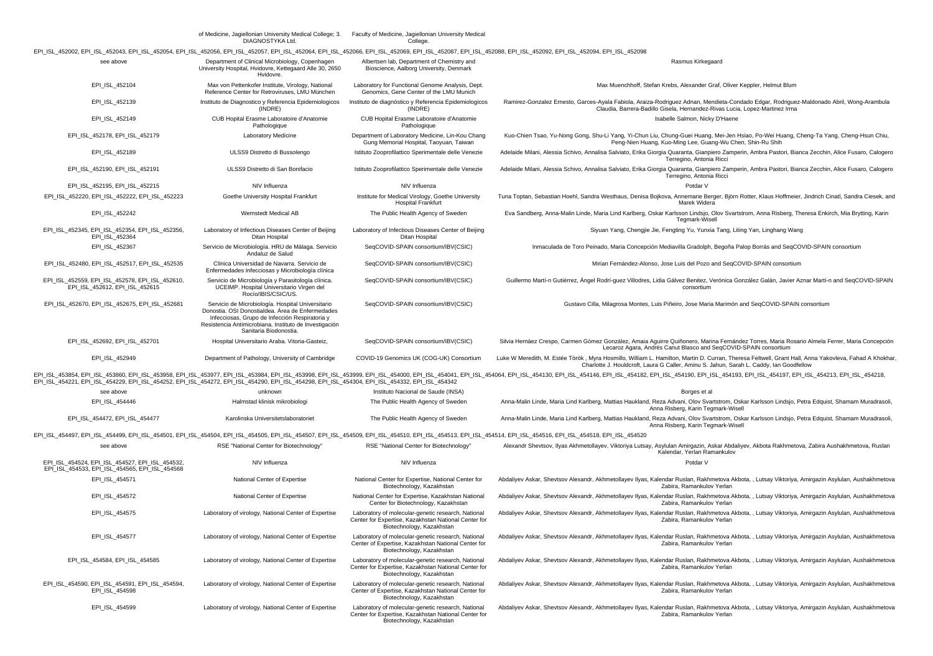|                                                                                                                                                                                                                                | of Medicine, Jagiellonian University Medical College; 3.<br>DIAGNOSTYKA Ltd.                                                                                                                                                                | Faculty of Medicine, Jagiellonian University Medical<br>College.                                                                        |                                                                                                                                                                                                                                                  |
|--------------------------------------------------------------------------------------------------------------------------------------------------------------------------------------------------------------------------------|---------------------------------------------------------------------------------------------------------------------------------------------------------------------------------------------------------------------------------------------|-----------------------------------------------------------------------------------------------------------------------------------------|--------------------------------------------------------------------------------------------------------------------------------------------------------------------------------------------------------------------------------------------------|
| EPI_ISL_452002, EPI_ISL_452043, EPI_ISL_452054, EPI_ISL_452056, EPI_ISL_452057, EPI_ISL_452064, EPI_ISL_452066, EPI_ISL_452069, EPI_ISL_452087, EPI_ISL_452088, EPI_ISL_452082, EPI_ISL_452084, EPI_ISL_452094, EPI_ISL_452084 |                                                                                                                                                                                                                                             |                                                                                                                                         |                                                                                                                                                                                                                                                  |
| see above                                                                                                                                                                                                                      | Department of Clinical Microbiology, Copenhagen<br>University Hospital, Hvidovre, Kettegaard Alle 30, 2650<br>Hvidovre.                                                                                                                     | Albertsen lab, Department of Chemistry and<br>Bioscience, Aalborg University, Denmark                                                   | Rasmus Kirkegaard                                                                                                                                                                                                                                |
| EPI_ISL_452104                                                                                                                                                                                                                 | Max von Pettenkofer Institute, Virology, National<br>Reference Center for Retroviruses, LMU München                                                                                                                                         | Laboratory for Functional Genome Analysis, Dept.<br>Genomics, Gene Center of the LMU Munich                                             | Max Muenchhoff, Stefan Krebs, Alexander Graf, Oliver Keppler, Helmut Blum                                                                                                                                                                        |
| EPI_ISL_452139                                                                                                                                                                                                                 | Instituto de Diagnostico y Referencia Epidemiologicos<br>(INDRE)                                                                                                                                                                            | Instituto de diagnóstico y Referencia Epidemiologicos<br>(INDRE)                                                                        | Ramirez-Gonzalez Ernesto, Garces-Ayala Fabiola, Araiza-Rodriguez Adnan, Mendieta-Condado Edgar, Rodriguez-Maldonado Abril, Wong-Arambula<br>Claudia, Barrera-Badillo Gisela, Hernandez-Rivas Lucia, Lopez-Martinez Irma                          |
| EPI_ISL_452149                                                                                                                                                                                                                 | CUB Hopital Erasme Laboratoire d'Anatomie<br>Pathologique                                                                                                                                                                                   | CUB Hopital Erasme Laboratoire d'Anatomie<br>Pathologique                                                                               | Isabelle Salmon, Nicky D'Haene                                                                                                                                                                                                                   |
| EPI_ISL_452178, EPI_ISL_452179                                                                                                                                                                                                 | Laboratory Medicine                                                                                                                                                                                                                         | Department of Laboratory Medicine, Lin-Kou Chang<br>Gung Memorial Hospital, Taoyuan, Taiwan                                             | Kuo-Chien Tsao, Yu-Nong Gong, Shu-Li Yang, Yi-Chun Liu, Chung-Guei Huang, Mei-Jen Hsiao, Po-Wei Huang, Cheng-Ta Yang, Cheng-Hsun Chiu,<br>Peng-Nien Huang, Kuo-Ming Lee, Guang-Wu Chen, Shin-Ru Shih                                             |
| EPI_ISL_452189                                                                                                                                                                                                                 | ULSS9 Distretto di Bussolengo                                                                                                                                                                                                               | Istituto Zooprofilattico Sperimentale delle Venezie                                                                                     | Adelaide Milani, Alessia Schivo, Annalisa Salviato, Erika Giorgia Quaranta, Gianpiero Zamperin, Ambra Pastori, Bianca Zecchin, Alice Fusaro, Calogero<br>Terregino, Antonia Ricci                                                                |
| EPI_ISL_452190, EPI_ISL_452191                                                                                                                                                                                                 | ULSS9 Distretto di San Bonifacio                                                                                                                                                                                                            | Istituto Zooprofilattico Sperimentale delle Venezie                                                                                     | Adelaide Milani, Alessia Schivo, Annalisa Salviato, Erika Giorgia Quaranta, Gianpiero Zamperin, Ambra Pastori, Bianca Zecchin, Alice Fusaro, Calogero<br>Terregino, Antonia Ricci                                                                |
| EPI_ISL_452195, EPI_ISL_452215                                                                                                                                                                                                 | NIV Influenza                                                                                                                                                                                                                               | NIV Influenza                                                                                                                           | Potdar V                                                                                                                                                                                                                                         |
| EPI_ISL_452220, EPI_ISL_452222, EPI_ISL_452223                                                                                                                                                                                 | Goethe University Hospital Frankfurt                                                                                                                                                                                                        | Institute for Medical Virology, Goethe University<br><b>Hospital Frankfurt</b>                                                          | Tuna Toptan, Sebastian Hoehl, Sandra Westhaus, Denisa Bojkova, Annemarie Berger, Björn Rotter, Klaus Hoffmeier, Jindrich Cinatl, Sandra Ciesek, and<br>Marek Widera                                                                              |
| EPI_ISL_452242                                                                                                                                                                                                                 | Wernstedt Medical AB                                                                                                                                                                                                                        | The Public Health Agency of Sweden                                                                                                      | Eva Sandberg, Anna-Malin Linde, Maria Lind Karlberg, Oskar Karlsson Lindsjo, Olov Svartstrom, Anna Risberg, Theresa Enkirch, Mia Brytting, Karin<br>Tegmark-Wisell                                                                               |
| EPI_ISL_452345, EPI_ISL_452354, EPI_ISL_452356<br>EPI_ISL_452364                                                                                                                                                               | Laboratory of Infectious Diseases Center of Beijing<br>Ditan Hospital                                                                                                                                                                       | Laboratory of Infectious Diseases Center of Beijing<br>Ditan Hospital                                                                   | Siyuan Yang, Chengjie Jie, Fengting Yu, Yunxia Tang, Liting Yan, Linghang Wang                                                                                                                                                                   |
| EPI_ISL_452367                                                                                                                                                                                                                 | Servicio de Microbiología. HRU de Málaga. Servicio<br>Andaluz de Salud                                                                                                                                                                      | SeqCOVID-SPAIN consortium/IBV(CSIC)                                                                                                     | Inmaculada de Toro Peinado, Maria Concepción Mediavilla Gradolph, Begoña Palop Borrás and SeqCOVID-SPAIN consortium                                                                                                                              |
| EPI_ISL_452480, EPI_ISL_452517, EPI_ISL_452535                                                                                                                                                                                 | Clínica Universidad de Navarra. Servicio de<br>Enfermedades Infecciosas y Microbiología clínica                                                                                                                                             | SeqCOVID-SPAIN consortium/IBV(CSIC)                                                                                                     | Mirian Fernández-Alonso, Jose Luis del Pozo and SeqCOVID-SPAIN consortium                                                                                                                                                                        |
| EPI ISL 452559, EPI ISL 452578, EPI ISL 452610,<br>EPI_ISL_452612, EPI_ISL_452615                                                                                                                                              | Servicio de Microbiología y Parasitología clínica.<br>UCEIMP. Hospital Universitario Virgen del<br>Rocío/IBIS/CSIC/US.                                                                                                                      | SeqCOVID-SPAIN consortium/IBV(CSIC)                                                                                                     | Guillermo Martí-n Gutiérrez, Ángel Rodrí-guez Villodres, Lidia Gálvez Benitez, Verónica González Galán, Javier Aznar Martí-n and SeqCOVID-SPAIN<br>consortium                                                                                    |
| EPI ISL 452670, EPI ISL 452675, EPI ISL 452681                                                                                                                                                                                 | Servicio de Microbiología. Hospital Universitario<br>Donostia. OSI Donostialdea. Área de Enfermedades<br>Infecciosas, Grupo de Infección Respiratoria y<br>Resistencia Antimicrobiana. Instituto de Investigación<br>Sanitaria Biodonostia. | SeqCOVID-SPAIN consortium/IBV(CSIC)                                                                                                     | Gustavo Cilla, Milagrosa Montes, Luis Piñeiro, Jose Maria Marimón and SegCOVID-SPAIN consortium                                                                                                                                                  |
| EPI_ISL_452692, EPI_ISL_452701                                                                                                                                                                                                 | Hospital Universitario Araba. Vitoria-Gasteiz,                                                                                                                                                                                              | SeqCOVID-SPAIN consortium/IBV(CSIC)                                                                                                     | Silvia Hernáez Crespo, Carmen Gómez González, Amaia Aguirre Quiñonero, Marina Fernández Torres, Maria Rosario Almela Ferrer, Maria Concepción<br>Lecaroz Agara, Andrés Canut Blasco and SeqCOVID-SPAIN consortium                                |
| EPI_ISL_452949                                                                                                                                                                                                                 | Department of Pathology, University of Cambridge                                                                                                                                                                                            | COVID-19 Genomics UK (COG-UK) Consortium                                                                                                | Luke W Meredith, M. Estée Török, Myra Hosmillo, William L. Hamilton, Martin D. Curran, Theresa Feltwell, Grant Hall, Anna Yakovleva, Fahad A Khokhar.<br>Charlotte J. Houldcroft, Laura G Caller, Aminu S. Jahun, Sarah L. Caddy, Ian Goodfellow |
| EPI_ISL_454221, EPI_ISL_454229, EPI_ISL_454252, EPI_ISL_454272, EPI_ISL_454290, EPI_ISL_454298, EPI_ISL_454304, EPI_ISL_454332, EPI_ISL_454342                                                                                 |                                                                                                                                                                                                                                             |                                                                                                                                         | EPI_ISL_453854, EPI_ISL_453860, EPI_ISL_453958, EPI_ISL_453977, EPI_ISL_453984, EPI_ISL_453998, EPI_ISL_453998, EPI_ISL_454000, EPI_ISL_454041, EPI_ISL_454041, EPI_ISL_454064, EPI_ISL_454100, EPI_ISL_454108, EPI_ISL_454182                   |
| see above                                                                                                                                                                                                                      | unknown                                                                                                                                                                                                                                     | Instituto Nacional de Saude (INSA)                                                                                                      | Borges et al                                                                                                                                                                                                                                     |
| EPI_ISL_454446                                                                                                                                                                                                                 | Halmstad klinisk mikrobiologi                                                                                                                                                                                                               | The Public Health Agency of Sweden                                                                                                      | Anna-Malin Linde, Maria Lind Karlberg, Mattias Haukland, Reza Advani, Olov Svartstrom, Oskar Karlsson Lindsjo, Petra Edquist, Shamam Muradrasoli<br>Anna Risberg, Karin Tegmark-Wisell                                                           |
| EPI_ISL_454472, EPI_ISL_454477                                                                                                                                                                                                 | Karolinska Universitetslaboratoriet                                                                                                                                                                                                         | The Public Health Agency of Sweden                                                                                                      | Anna-Malin Linde, Maria Lind Karlberg, Mattias Haukland, Reza Advani, Olov Svartstrom, Oskar Karlsson Lindsjo, Petra Edquist, Shamam Muradrasoli<br>Anna Risberg, Karin Tegmark-Wisell                                                           |
| EPI_ISL_454497, EPI_ISL_454499, EPI_ISL_454501, EPI_ISL_454504, EPI_ISL_454505, EPI_ISL_454507, EPI_ISL_454509, EPI_ISL_454510, EPI_ISL_454513, EPI_ISL_454514, EPI_ISL_454516, EPI_ISL_454516, EPI_ISL_454518, EPI_ISL_454516 |                                                                                                                                                                                                                                             |                                                                                                                                         |                                                                                                                                                                                                                                                  |
| see above                                                                                                                                                                                                                      | RSE "National Center for Biotechnology"                                                                                                                                                                                                     | RSE "National Center for Biotechnology"                                                                                                 | Alexandr Shevtsov, Ilyas Akhmetollayev, Viktoriya Lutsay, Asylulan Amirgazin, Askar Abdaliyev, Akbota Rakhmetova, Zabira Aushakhmetova, Ruslan<br>Kalendar, Yerlan Ramankulov                                                                    |
| EPI ISL 454524, EPI ISL 454527, EPI ISL 454532,<br>EPI ISL 454533, EPI ISL 454565, EPI ISL 454568                                                                                                                              | NIV Influenza                                                                                                                                                                                                                               | NIV Influenza                                                                                                                           | Potdar V                                                                                                                                                                                                                                         |
| EPI_ISL_454571                                                                                                                                                                                                                 | National Center of Expertise                                                                                                                                                                                                                | National Center for Expertise, National Center for<br>Biotechnology, Kazakhstan                                                         | Abdaliyev Askar, Shevtsov Alexandr, Akhmetollayev Ilyas, Kalendar Ruslan, Rakhmetova Akbota, , Lutsay Viktoriya, Amirgazin Asylulan, Aushakhmetova<br>Zabira, Ramankulov Yerlan                                                                  |
| EPI_ISL_454572                                                                                                                                                                                                                 | National Center of Expertise                                                                                                                                                                                                                | National Center for Expertise, Kazakhstan National<br>Center for Biotechnology, Kazakhstan                                              | Abdaliyev Askar, Shevtsov Alexandr, Akhmetollayev Ilyas, Kalendar Ruslan, Rakhmetova Akbota, , Lutsay Viktoriya, Amirgazin Asylulan, Aushakhmetova<br>Zabira, Ramankulov Yerlan                                                                  |
| EPI ISL 454575                                                                                                                                                                                                                 | Laboratory of virology, National Center of Expertise                                                                                                                                                                                        | Laboratory of molecular-genetic research, National<br>Center for Expertise, Kazakhstan National Center for<br>Biotechnology, Kazakhstan | Abdaliyev Askar, Shevtsov Alexandr, Akhmetollayev Ilyas, Kalendar Ruslan, Rakhmetova Akbota, , Lutsay Viktoriya, Amirgazin Asylulan, Aushakhmetova<br>Zabira, Ramankulov Yerlan                                                                  |
| EPI_ISL_454577                                                                                                                                                                                                                 | Laboratory of virology, National Center of Expertise                                                                                                                                                                                        | Laboratory of molecular-genetic research, National<br>Center of Expertise, Kazakhstan National Center for<br>Biotechnology, Kazakhstan  | Abdaliyev Askar, Shevtsov Alexandr, Akhmetollayev Ilyas, Kalendar Ruslan, Rakhmetova Akbota, , Lutsay Viktoriya, Amirgazin Asylulan, Aushakhmetova<br>Zabira, Ramankulov Yerlan                                                                  |
| EPI_ISL_454584, EPI_ISL_454585                                                                                                                                                                                                 | Laboratory of virology, National Center of Expertise                                                                                                                                                                                        | Laboratory of molecular-genetic research, National<br>Center for Expertise, Kazakhstan National Center for<br>Biotechnology, Kazakhstan | Abdaliyev Askar, Shevtsov Alexandr, Akhmetollayev Ilyas, Kalendar Ruslan, Rakhmetova Akbota, , Lutsay Viktoriya, Amirgazin Asylulan, Aushakhmetova<br>Zabira, Ramankulov Yerlan                                                                  |
| EPI_ISL_454590, EPI_ISL_454591, EPI_ISL_454594,<br>EPI_ISL_454598                                                                                                                                                              | Laboratory of virology, National Center of Expertise                                                                                                                                                                                        | Laboratory of molecular-genetic research, National<br>Center of Expertise, Kazakhstan National Center for<br>Biotechnology, Kazakhstan  | Abdaliyev Askar, Shevtsov Alexandr, Akhmetollayev Ilyas, Kalendar Ruslan, Rakhmetova Akbota, , Lutsay Viktoriya, Amirgazin Asylulan, Aushakhmetova<br>Zabira, Ramankulov Yerlan                                                                  |
| EPI_ISL_454599                                                                                                                                                                                                                 | Laboratory of virology, National Center of Expertise                                                                                                                                                                                        | Laboratory of molecular-genetic research, National<br>Center for Expertise, Kazakhstan National Center for<br>Biotechnology, Kazakhstan | Abdaliyev Askar, Shevtsov Alexandr, Akhmetollayev Ilyas, Kalendar Ruslan, Rakhmetova Akbota, , Lutsay Viktoriya, Amirgazin Asylulan, Aushakhmetova<br>Zabira, Ramankulov Yerlan                                                                  |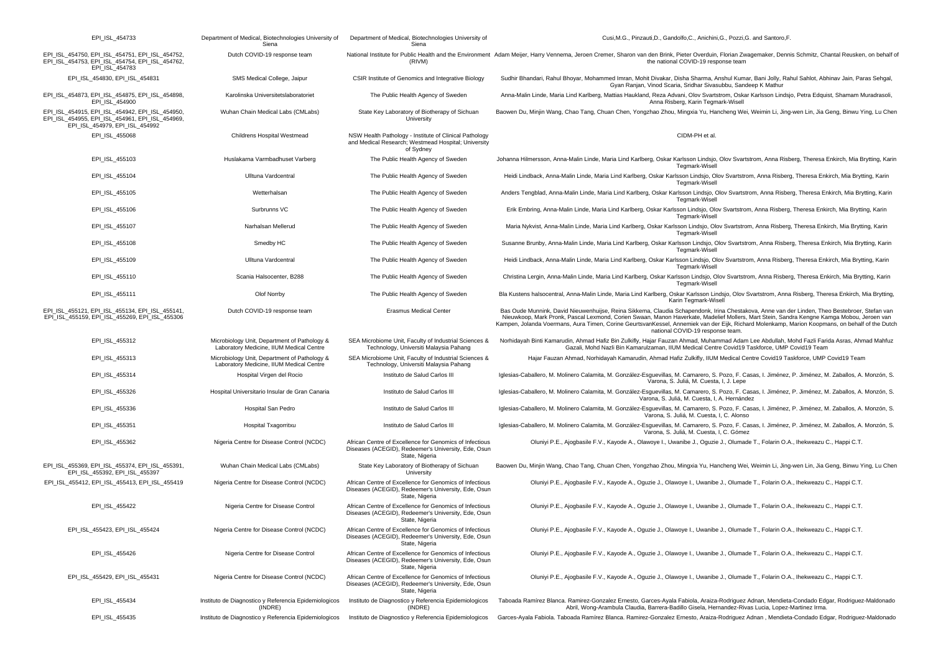| EPI_ISL_454733                                                                                                                       | Department of Medical, Biotechnologies University of<br>Siena                            | Department of Medical, Biotechnologies University of<br>Siena                                                                    | Cusi, M.G., Pinzauti, D., Gandolfo, C., Anichini, G., Pozzi, G. and Santoro, F.                                                                                                                                                                                                                                                                                                                                                                                                   |
|--------------------------------------------------------------------------------------------------------------------------------------|------------------------------------------------------------------------------------------|----------------------------------------------------------------------------------------------------------------------------------|-----------------------------------------------------------------------------------------------------------------------------------------------------------------------------------------------------------------------------------------------------------------------------------------------------------------------------------------------------------------------------------------------------------------------------------------------------------------------------------|
| EPI_ISL_454750, EPI_ISL_454751, EPI_ISL_454752,<br>EPI_ISL_454753, EPI_ISL_454754, EPI_ISL_454762,<br>EPI_ISL_454783                 | Dutch COVID-19 response team                                                             | (RIVM)                                                                                                                           | National Institute for Public Health and the Environment Adam Meijer, Harry Vennema, Jeroen Cremer, Sharon van den Brink, Pieter Overduin, Florian Zwagemaker, Dennis Schmitz, Chantal Reusken, on behalf of<br>the national COVID-19 response team                                                                                                                                                                                                                               |
| EPI_ISL_454830, EPI_ISL_454831                                                                                                       | SMS Medical College, Jaipur                                                              | CSIR Institute of Genomics and Integrative Biology                                                                               | Sudhir Bhandari, Rahul Bhoyar, Mohammed Imran, Mohit Divakar, Disha Sharma, Anshul Kumar, Bani Jolly, Rahul Sahlot, Abhinav Jain, Paras Sehgal,<br>Gyan Ranjan, Vinod Scaria, Sridhar Sivasubbu, Sandeep K Mathur                                                                                                                                                                                                                                                                 |
| EPI_ISL_454873, EPI_ISL_454875, EPI_ISL_454898,<br>EPI_ISL_454900                                                                    | Karolinska Universitetslaboratoriet                                                      | The Public Health Agency of Sweden                                                                                               | Anna-Malin Linde, Maria Lind Karlberg, Mattias Haukland, Reza Advani, Olov Svartstrom, Oskar Karlsson Lindsjo, Petra Edquist, Shamam Muradrasoli,<br>Anna Risberg, Karin Tegmark-Wisell                                                                                                                                                                                                                                                                                           |
| EPI ISL 454915, EPI ISL 454942, EPI ISL 454950,<br>EPI_ISL_454955, EPI_ISL_454961, EPI_ISL_454969,<br>EPI_ISL_454979, EPI_ISL_454992 | Wuhan Chain Medical Labs (CMLabs)                                                        | State Key Laboratory of Biotherapy of Sichuan<br>University                                                                      | Baowen Du, Minjin Wang, Chao Tang, Chuan Chen, Yongzhao Zhou, Mingxia Yu, Hancheng Wei, Weimin Li, Jing-wen Lin, Jia Geng, Binwu Ying, Lu Chen                                                                                                                                                                                                                                                                                                                                    |
| EPI_ISL_455068                                                                                                                       | Childrens Hospital Westmead                                                              | NSW Health Pathology - Institute of Clinical Pathology<br>and Medical Research; Westmead Hospital; University<br>of Sydney       | CIDM-PH et al.                                                                                                                                                                                                                                                                                                                                                                                                                                                                    |
| EPI_ISL_455103                                                                                                                       | Huslakarna Varmbadhuset Varberg                                                          | The Public Health Agency of Sweden                                                                                               | Johanna Hilmersson, Anna-Malin Linde, Maria Lind Karlberg, Oskar Karlsson Lindsjo, Olov Svartstrom, Anna Risberg, Theresa Enkirch, Mia Brytting, Karin<br>Tegmark-Wisell                                                                                                                                                                                                                                                                                                          |
| EPI_ISL_455104                                                                                                                       | Ulltuna Vardcentral                                                                      | The Public Health Agency of Sweden                                                                                               | Heidi Lindback, Anna-Malin Linde, Maria Lind Karlberg, Oskar Karlsson Lindsjo, Olov Svartstrom, Anna Risberg, Theresa Enkirch, Mia Brytting, Karin<br>Tegmark-Wisell                                                                                                                                                                                                                                                                                                              |
| EPI_ISL_455105                                                                                                                       | Wetterhalsan                                                                             | The Public Health Agency of Sweden                                                                                               | Anders Tengblad, Anna-Malin Linde, Maria Lind Karlberg, Oskar Karlsson Lindsjo, Olov Svartstrom, Anna Risberg, Theresa Enkirch, Mia Brytting, Karin<br>Tegmark-Wisell                                                                                                                                                                                                                                                                                                             |
| EPI_ISL_455106                                                                                                                       | Surbrunns VC                                                                             | The Public Health Agency of Sweden                                                                                               | Erik Embring, Anna-Malin Linde, Maria Lind Karlberg, Oskar Karlsson Lindsjo, Olov Svartstrom, Anna Risberg, Theresa Enkirch, Mia Brytting, Karin<br>Tegmark-Wisell                                                                                                                                                                                                                                                                                                                |
| EPI_ISL_455107                                                                                                                       | Narhalsan Mellerud                                                                       | The Public Health Agency of Sweden                                                                                               | Maria Nykvist, Anna-Malin Linde, Maria Lind Karlberg, Oskar Karlsson Lindsjo, Olov Svartstrom, Anna Risberg, Theresa Enkirch, Mia Brytting, Karin<br>Tegmark-Wisell                                                                                                                                                                                                                                                                                                               |
| EPI_ISL_455108                                                                                                                       | Smedby HC                                                                                | The Public Health Agency of Sweden                                                                                               | Susanne Brunby, Anna-Malin Linde, Maria Lind Karlberg, Oskar Karlsson Lindsjo, Olov Svartstrom, Anna Risberg, Theresa Enkirch, Mia Brytting, Karin<br>Tegmark-Wisell                                                                                                                                                                                                                                                                                                              |
| EPI_ISL_455109                                                                                                                       | Ulltuna Vardcentral                                                                      | The Public Health Agency of Sweden                                                                                               | Heidi Lindback, Anna-Malin Linde, Maria Lind Karlberg, Oskar Karlsson Lindsjo, Olov Svartstrom, Anna Risberg, Theresa Enkirch, Mia Brytting, Karin<br>Tegmark-Wisell                                                                                                                                                                                                                                                                                                              |
| EPI_ISL_455110                                                                                                                       | Scania Halsocenter, B288                                                                 | The Public Health Agency of Sweden                                                                                               | Christina Lergin, Anna-Malin Linde, Maria Lind Karlberg, Oskar Karlsson Lindsjo, Olov Svartstrom, Anna Risberg, Theresa Enkirch, Mia Brytting, Karin<br>Tegmark-Wisell                                                                                                                                                                                                                                                                                                            |
| EPI_ISL_455111                                                                                                                       | Olof Norrby                                                                              | The Public Health Agency of Sweden                                                                                               | Bla Kustens halsocentral, Anna-Malin Linde, Maria Lind Karlberg, Oskar Karlsson Lindsjo, Olov Svartstrom, Anna Risberg, Theresa Enkirch, Mia Brytting,<br>Karin Tegmark-Wisell                                                                                                                                                                                                                                                                                                    |
| EPI_ISL_455121, EPI_ISL_455134, EPI_ISL_455141,<br>EPI_ISL_455159, EPI_ISL_455269, EPI_ISL_455306                                    | Dutch COVID-19 response team                                                             | <b>Erasmus Medical Center</b>                                                                                                    | Bas Oude Munnink, David Nieuwenhuijse, Reina Sikkema, Claudia Schapendonk, Irina Chestakova, Anne van der Linden, Theo Bestebroer, Stefan van<br>Nieuwkoop, Mark Pronk, Pascal Lexmond, Corien Swaan, Manon Haverkate, Madelief Mollers, Mart Stein, Sandra Kengne Kamga Mobou, Jeroen van<br>Kampen, Jolanda Voermans, Aura Timen, Corine GeurtsvanKessel, Annemiek van der Eijk, Richard Molenkamp, Marion Koopmans, on behalf of the Dutch<br>national COVID-19 response team. |
| EPI_ISL_455312                                                                                                                       | Microbiology Unit, Department of Pathology &<br>Laboratory Medicine, IIUM Medical Centre | SEA Microbiome Unit, Faculty of Industrial Sciences &<br>Technology, Universiti Malaysia Pahang                                  | Norhidayah Binti Kamarudin, Ahmad Hafiz Bin Zulkifly, Hajar Fauzan Ahmad, Muhammad Adam Lee Abdullah, Mohd Fazli Farida Asras, Ahmad Mahfuz<br>Gazali, Mohd Nazli Bin Kamarulzaman, IIUM Medical Centre Covid19 Taskforce, UMP Covid19 Team                                                                                                                                                                                                                                       |
| EPI_ISL_455313                                                                                                                       | Microbiology Unit, Department of Pathology &<br>Laboratory Medicine, IIUM Medical Centre | SEA Microbiome Unit, Faculty of Industrial Sciences &<br>Technology, Universiti Malaysia Pahang                                  | Hajar Fauzan Ahmad, Norhidayah Kamarudin, Ahmad Hafiz Zulkifly, IIUM Medical Centre Covid19 Taskforce, UMP Covid19 Team                                                                                                                                                                                                                                                                                                                                                           |
| EPI_ISL_455314                                                                                                                       | Hospital Virgen del Rocio                                                                | Instituto de Salud Carlos III                                                                                                    | Iglesias-Caballero, M. Molinero Calamita, M. González-Esguevillas, M. Camarero, S. Pozo, F. Casas, I. Jiménez, P. Jiménez, M. Zaballos, A. Monzón, S.<br>Varona, S. Juliá, M. Cuesta, I, J. Lepe                                                                                                                                                                                                                                                                                  |
| EPI_ISL_455326                                                                                                                       | Hospital Universitario Insular de Gran Canaria                                           | Instituto de Salud Carlos III                                                                                                    | Iglesias-Caballero, M. Molinero Calamita, M. González-Esguevillas, M. Camarero, S. Pozo, F. Casas, I. Jiménez, P. Jiménez, M. Zaballos, A. Monzón, S.<br>Varona, S. Juliá, M. Cuesta, I, A. Hernández                                                                                                                                                                                                                                                                             |
| EPI_ISL_455336                                                                                                                       | Hospital San Pedro                                                                       | Instituto de Salud Carlos III                                                                                                    | Iglesias-Caballero, M. Molinero Calamita, M. González-Esguevillas, M. Camarero, S. Pozo, F. Casas, I. Jiménez, P. Jiménez, M. Zaballos, A. Monzón, S.<br>Varona, S. Juliá, M. Cuesta, I, C. Alonso                                                                                                                                                                                                                                                                                |
| EPI_ISL_455351                                                                                                                       | Hospital Txagorritxu                                                                     | Instituto de Salud Carlos III                                                                                                    | Iglesias-Caballero, M. Molinero Calamita, M. González-Esguevillas, M. Camarero, S. Pozo, F. Casas, I. Jiménez, P. Jiménez, M. Zaballos, A. Monzón, S.<br>Varona, S. Juliá, M. Cuesta, I, C. Gómez                                                                                                                                                                                                                                                                                 |
| EPI_ISL_455362                                                                                                                       | Nigeria Centre for Disease Control (NCDC)                                                | African Centre of Excellence for Genomics of Infectious<br>Diseases (ACEGID), Redeemer's University, Ede, Osun<br>State, Nigeria | Oluniyi P.E., Ajogbasile F.V., Kayode A., Olawoye I., Uwanibe J., Oguzie J., Olumade T., Folarin O.A., Ihekweazu C., Happi C.T.                                                                                                                                                                                                                                                                                                                                                   |
| EPI_ISL_455369, EPI_ISL_455374, EPI_ISL_455391,<br>EPI ISL 455392, EPI ISL 455397                                                    | Wuhan Chain Medical Labs (CMLabs)                                                        | State Key Laboratory of Biotherapy of Sichuan<br>University                                                                      | Baowen Du, Minjin Wang, Chao Tang, Chuan Chen, Yongzhao Zhou, Mingxia Yu, Hancheng Wei, Weimin Li, Jing-wen Lin, Jia Geng, Binwu Ying, Lu Chen                                                                                                                                                                                                                                                                                                                                    |
| EPI ISL 455412, EPI ISL 455413, EPI ISL 455419                                                                                       | Nigeria Centre for Disease Control (NCDC)                                                | African Centre of Excellence for Genomics of Infectious<br>Diseases (ACEGID), Redeemer's University, Ede, Osun<br>State, Nigeria | Oluniyi P.E., Ajogbasile F.V., Kayode A., Oguzie J., Olawoye I., Uwanibe J., Olumade T., Folarin O.A., Ihekweazu C., Happi C.T.                                                                                                                                                                                                                                                                                                                                                   |
| EPI_ISL_455422                                                                                                                       | Nigeria Centre for Disease Control                                                       | African Centre of Excellence for Genomics of Infectious<br>Diseases (ACEGID), Redeemer's University, Ede, Osun<br>State, Nigeria | Oluniyi P.E., Ajogbasile F.V., Kayode A., Oguzie J., Olawoye I., Uwanibe J., Olumade T., Folarin O.A., Ihekweazu C., Happi C.T.                                                                                                                                                                                                                                                                                                                                                   |
| EPI ISL 455423, EPI ISL 455424                                                                                                       | Nigeria Centre for Disease Control (NCDC)                                                | African Centre of Excellence for Genomics of Infectious<br>Diseases (ACEGID), Redeemer's University, Ede, Osun<br>State, Nigeria | Oluniyi P.E., Ajogbasile F.V., Kayode A., Oguzie J., Olawoye I., Uwanibe J., Olumade T., Folarin O.A., Ihekweazu C., Happi C.T.                                                                                                                                                                                                                                                                                                                                                   |
| EPI_ISL_455426                                                                                                                       | Nigeria Centre for Disease Control                                                       | African Centre of Excellence for Genomics of Infectious<br>Diseases (ACEGID), Redeemer's University, Ede, Osun<br>State, Nigeria | Oluniyi P.E., Ajogbasile F.V., Kayode A., Oguzie J., Olawoye I., Uwanibe J., Olumade T., Folarin O.A., Ihekweazu C., Happi C.T.                                                                                                                                                                                                                                                                                                                                                   |
| EPI ISL 455429, EPI ISL 455431                                                                                                       | Nigeria Centre for Disease Control (NCDC)                                                | African Centre of Excellence for Genomics of Infectious<br>Diseases (ACEGID), Redeemer's University, Ede, Osun<br>State, Nigeria | Oluniyi P.E., Ajogbasile F.V., Kayode A., Oguzie J., Olawoye I., Uwanibe J., Olumade T., Folarin O.A., Ihekweazu C., Happi C.T.                                                                                                                                                                                                                                                                                                                                                   |
| EPI_ISL_455434                                                                                                                       | Instituto de Diagnostico y Referencia Epidemiologicos<br>(INDRE)                         | Instituto de Diagnostico y Referencia Epidemiologicos<br>(INDRE)                                                                 | Taboada Ramírez Blanca. Ramirez-Gonzalez Ernesto, Garces-Ayala Fabiola, Araiza-Rodriguez Adnan, Mendieta-Condado Edgar, Rodriguez-Maldonado<br>Abril, Wong-Arambula Claudia, Barrera-Badillo Gisela, Hernandez-Rivas Lucia, Lopez-Martinez Irma.                                                                                                                                                                                                                                  |
| EPI_ISL_455435                                                                                                                       | Instituto de Diagnostico y Referencia Epidemiologicos                                    | Instituto de Diagnostico y Referencia Epidemiologicos                                                                            | Garces-Ayala Fabiola. Taboada Ramírez Blanca. Ramirez-Gonzalez Ernesto, Araiza-Rodriguez Adnan, Mendieta-Condado Edgar, Rodriguez-Maldonado                                                                                                                                                                                                                                                                                                                                       |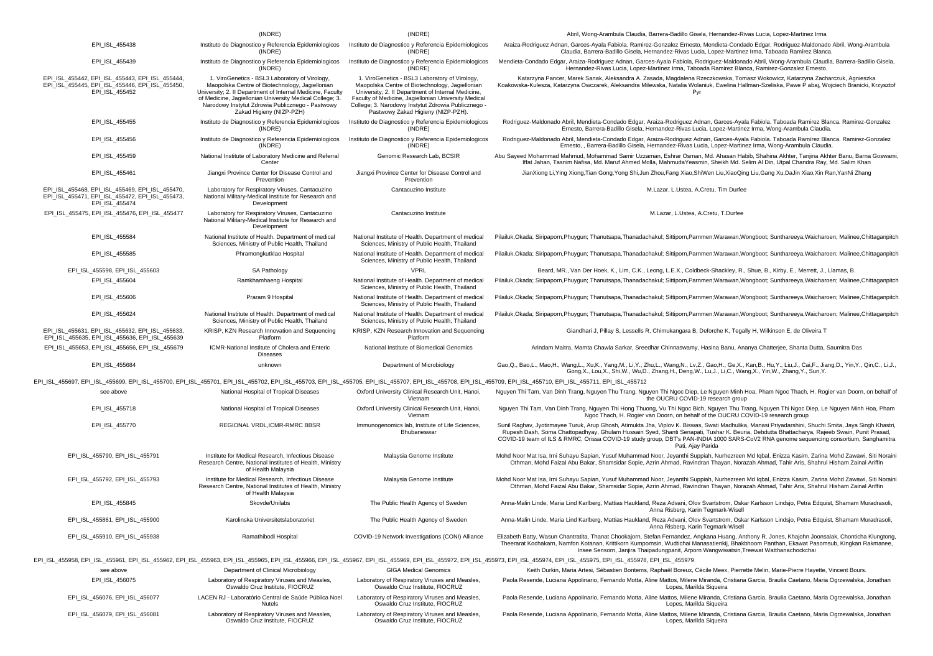|                                                                                                                                                                                                                                | (INDRE)                                                                                                                                                                                                                                                                                                     | (INDRE)                                                                                                                                                                                                                                                                                                      | Abril, Wong-Arambula Claudia, Barrera-Badillo Gisela, Hernandez-Rivas Lucia, Lopez-Martinez Irma                                                                                                                                                                                                                                                                                                                                                                    |
|--------------------------------------------------------------------------------------------------------------------------------------------------------------------------------------------------------------------------------|-------------------------------------------------------------------------------------------------------------------------------------------------------------------------------------------------------------------------------------------------------------------------------------------------------------|--------------------------------------------------------------------------------------------------------------------------------------------------------------------------------------------------------------------------------------------------------------------------------------------------------------|---------------------------------------------------------------------------------------------------------------------------------------------------------------------------------------------------------------------------------------------------------------------------------------------------------------------------------------------------------------------------------------------------------------------------------------------------------------------|
| EPI_ISL_455438                                                                                                                                                                                                                 | Instituto de Diagnostico y Referencia Epidemiologicos<br>(INDRE)                                                                                                                                                                                                                                            | Instituto de Diagnostico y Referencia Epidemiologicos<br>(INDRE)                                                                                                                                                                                                                                             | Araiza-Rodriguez Adnan, Garces-Ayala Fabiola. Ramirez-Gonzalez Ernesto, Mendieta-Condado Edgar, Rodriguez-Maldonado Abril, Wong-Arambula<br>Claudia, Barrera-Badillo Gisela, Hernandez-Rivas Lucia, Lopez-Martinez Irma, Taboada Ramírez Blanca.                                                                                                                                                                                                                    |
| EPI ISL 455439                                                                                                                                                                                                                 | Instituto de Diagnostico y Referencia Epidemiologicos<br>(INDRE)                                                                                                                                                                                                                                            | Instituto de Diagnostico y Referencia Epidemiologicos<br>(INDEX)                                                                                                                                                                                                                                             | Mendieta-Condado Edgar, Araiza-Rodriguez Adnan, Garces-Ayala Fabiola, Rodriguez-Maldonado Abril, Wong-Arambula Claudia, Barrera-Badillo Gisela<br>Hernandez-Rivas Lucia, Lopez-Martinez Irma, Taboada Ramirez Blanca, Ramirez-Gonzalez Ernesto.                                                                                                                                                                                                                     |
| EPI ISL 455442, EPI ISL 455443, EPI ISL 455444,<br>EPI ISL 455445, EPI ISL 455446, EPI ISL 455450,<br>EPI ISL 455452                                                                                                           | 1. ViroGenetics - BSL3 Laboratory of Virology,<br>Maopolska Centre of Biotechnology, Jagiellonian<br>University; 2. Il Department of Internal Medicine, Faculty<br>of Medicine, Jaqiellonian University Medical College; 3.<br>Narodowy Instytut Zdrowia Publicznego - Pastwowy<br>Zakad Higieny (NIZP-PZH) | 1. ViroGenetics - BSL3 Laboratory of Virology,<br>Maopolska Centre of Biotechnology, Jagiellonian<br>University; 2. Il Department of Internal Medicine,<br>Faculty of Medicine, Jagiellonian University Medical<br>College; 3. Narodowy Instytut Zdrowia Publicznego -<br>Pastwowy Zakad Higieny (NIZP-PZH). | Katarzyna Pancer, Marek Sanak, Aleksandra A. Zasada, Magdalena Rzeczkowska, Tomasz Wokowicz, Katarzyna Zacharczuk, Agnieszka<br>Koakowska-Kulesza, Katarzyna Owczarek, Aleksandra Milewska, Natalia Wolaniuk, Ewelina Hallman-Szeliska, Pawe Pabaj, Wojciech Branicki, Krzysztof<br>Pyr                                                                                                                                                                             |
| EPI_ISL_455455                                                                                                                                                                                                                 | Instituto de Diagnostico y Referencia Epidemiologicos<br>(INDRE)                                                                                                                                                                                                                                            | Instituto de Diagnostico y Referencia Epidemiologicos<br>(INDRE)                                                                                                                                                                                                                                             | Rodriguez-Maldonado Abril, Mendieta-Condado Edgar, Araiza-Rodriguez Adnan, Garces-Ayala Fabiola. Taboada Ramirez Blanca. Ramirez-Gonzalez<br>Ernesto, Barrera-Badillo Gisela, Hernandez-Rivas Lucia, Lopez-Martinez Irma, Wong-Arambula Claudia.                                                                                                                                                                                                                    |
| EPI_ISL_455456                                                                                                                                                                                                                 | Instituto de Diagnostico y Referencia Epidemiologicos<br>(INDRE)                                                                                                                                                                                                                                            | Instituto de Diagnostico y Referencia Epidemiologicos<br>(INDRE)                                                                                                                                                                                                                                             | Rodriguez-Maldonado Abril, Mendieta-Condado Edgar, Araiza-Rodriguez Adnan, Garces-Ayala Fabiola. Taboada Ramírez Blanca. Ramirez-Gonzalez<br>Ernesto, , Barrera-Badillo Gisela, Hernandez-Rivas Lucia, Lopez-Martinez Irma, Wong-Arambula Claudia.                                                                                                                                                                                                                  |
| EPI_ISL_455459                                                                                                                                                                                                                 | National Institute of Laboratory Medicine and Referral<br>Center                                                                                                                                                                                                                                            | Genomic Research Lab, BCSIR                                                                                                                                                                                                                                                                                  | Abu Sayeed Mohammad Mahmud, Mohammad Samir Uzzaman, Eshrar Osman, Md. Ahasan Habib, Shahina Akhter, Tanjina Akhter Banu, Barna Goswami,<br>Iffat Jahan, Tasnim Nafisa, Md. Maruf Ahmed Molla, MahmudaYeasmin, Sheikh Md. Selim Al Din, Utpal Chandra Ray, Md. Salim Khan                                                                                                                                                                                            |
| EPI_ISL_455461                                                                                                                                                                                                                 | Jiangxi Province Center for Disease Control and<br>Prevention                                                                                                                                                                                                                                               | Jiangxi Province Center for Disease Control and<br>Prevention                                                                                                                                                                                                                                                | JianXiong Li, Ying Xiong, Tian Gong, Yong Shi, Jun Zhou, Fang Xiao, ShiWen Liu, XiaoQing Liu, Gang Xu, DaJin Xiao, Xin Ran, YanNi Zhang                                                                                                                                                                                                                                                                                                                             |
| EPI_ISL_455468, EPI_ISL_455469, EPI_ISL_455470,<br>EPI_ISL_455471, EPI_ISL_455472, EPI_ISL_455473,<br>EPI_ISL_455474                                                                                                           | Laboratory for Respiratory Viruses, Cantacuzino<br>National Military-Medical Institute for Research and<br>Development                                                                                                                                                                                      | Cantacuzino Institute                                                                                                                                                                                                                                                                                        | M.Lazar, L.Ustea, A.Cretu, Tim Durfee                                                                                                                                                                                                                                                                                                                                                                                                                               |
| EPI_ISL_455475, EPI_ISL_455476, EPI_ISL_455477                                                                                                                                                                                 | Laboratory for Respiratory Viruses, Cantacuzino<br>National Military-Medical Institute for Research and<br>Development                                                                                                                                                                                      | Cantacuzino Institute                                                                                                                                                                                                                                                                                        | M.Lazar, L.Ustea, A.Cretu, T.Durfee                                                                                                                                                                                                                                                                                                                                                                                                                                 |
| EPI_ISL_455584                                                                                                                                                                                                                 | National Institute of Health. Department of medical<br>Sciences, Ministry of Public Health, Thailand                                                                                                                                                                                                        | National Institute of Health. Department of medical<br>Sciences, Ministry of Public Health, Thailand                                                                                                                                                                                                         | Pilailuk,Okada; Siripaporn,Phuygun; Thanutsapa,Thanadachakul; Sittiporn,Parnmen;Warawan,Wongboot; Sunthareeya,Waicharoen; Malinee,Chittaganpitch                                                                                                                                                                                                                                                                                                                    |
| EPI_ISL_455585                                                                                                                                                                                                                 | Phramongkutklao Hospital                                                                                                                                                                                                                                                                                    | National Institute of Health. Department of medical<br>Sciences, Ministry of Public Health, Thailand                                                                                                                                                                                                         | Pilailuk,Okada; Siripaporn,Phuygun; Thanutsapa,Thanadachakul; Sittiporn,Parnmen;Warawan,Wongboot; Sunthareeya,Waicharoen; Malinee,Chittaganpitch                                                                                                                                                                                                                                                                                                                    |
| EPI ISL 455598, EPI ISL 455603                                                                                                                                                                                                 | SA Pathology                                                                                                                                                                                                                                                                                                | <b>VPRL</b>                                                                                                                                                                                                                                                                                                  | Beard, MR., Van Der Hoek, K., Lim, C.K., Leong, L.E.X., Coldbeck-Shackley, R., Shue, B., Kirby, E., Merrett, J., Llamas, B.                                                                                                                                                                                                                                                                                                                                         |
| EPI_ISL_455604                                                                                                                                                                                                                 | Ramkhamhaeng Hospital                                                                                                                                                                                                                                                                                       | National Institute of Health. Department of medical<br>Sciences, Ministry of Public Health, Thailand                                                                                                                                                                                                         | Pilailuk,Okada; Siripaporn,Phuygun; Thanutsapa,Thanadachakul; Sittiporn,Parnmen;Warawan,Wongboot; Sunthareeya,Waicharoen; Malinee,Chittaganpitch                                                                                                                                                                                                                                                                                                                    |
| EPI_ISL_455606                                                                                                                                                                                                                 | Praram 9 Hospital                                                                                                                                                                                                                                                                                           | National Institute of Health. Department of medical<br>Sciences, Ministry of Public Health, Thailand                                                                                                                                                                                                         | Pilailuk,Okada; Siripaporn,Phuygun; Thanutsapa,Thanadachakul; Sittiporn,Parnmen;Warawan,Wongboot; Sunthareeya,Waicharoen; Malinee,Chittaganpitch                                                                                                                                                                                                                                                                                                                    |
| EPI_ISL_455624                                                                                                                                                                                                                 | National Institute of Health. Department of medical<br>Sciences, Ministry of Public Health, Thailand                                                                                                                                                                                                        | National Institute of Health. Department of medical<br>Sciences, Ministry of Public Health, Thailand                                                                                                                                                                                                         | Pilailuk, Okada; Siripaporn, Phuyqun; Thanutsapa, Thanadachakul; Sittiporn, Parnmen; Warawan, Wongboot; Sunthareeya, Waicharoen; Malinee, Chittaganpitch                                                                                                                                                                                                                                                                                                            |
| EPI ISL 455631, EPI ISL 455632, EPI ISL 455633,<br>EPI ISL 455635, EPI ISL 455636, EPI ISL 455639                                                                                                                              | KRISP, KZN Research Innovation and Sequencing<br>Platform                                                                                                                                                                                                                                                   | KRISP, KZN Research Innovation and Sequencing<br>Platform                                                                                                                                                                                                                                                    | Giandhari J, Pillay S, Lessells R, Chimukangara B, Deforche K, Tegally H, Wilkinson E, de Oliveira T                                                                                                                                                                                                                                                                                                                                                                |
| EPI_ISL_455653, EPI_ISL_455656, EPI_ISL_455679                                                                                                                                                                                 | ICMR-National Institute of Cholera and Enteric<br><b>Diseases</b>                                                                                                                                                                                                                                           | National Institute of Biomedical Genomics                                                                                                                                                                                                                                                                    | Arindam Maitra, Mamta Chawla Sarkar, Sreedhar Chinnaswamy, Hasina Banu, Ananya Chatterjee, Shanta Dutta, Saumitra Das                                                                                                                                                                                                                                                                                                                                               |
| EPI_ISL_455684                                                                                                                                                                                                                 | unknown                                                                                                                                                                                                                                                                                                     | Department of Microbiology                                                                                                                                                                                                                                                                                   | Gao,Q., Bao,L., Mao,H., Wang,L., Xu,K., Yang,M., Li,Y., Zhu,L., Wang,N., Lv,Z., Gao,H., Ge,X., Kan,B., Hu,Y., Liu,J., Cai,F., Jiang,D., Yin,Y., Qin,C., Li,J.,<br>Gong, X., Lou, X., Shi, W., Wu, D., Zhang, H., Deng, W., Lu, J., Li, C., Wang, X., Yin, W., Zhang, Y., Sun, Y.                                                                                                                                                                                    |
| EPI_ISL_455697, EPI_ISL_455699, EPI_ISL_455700, EPI_ISL_455701, EPI_ISL_455702, EPI_ISL_455703, EPI_ISL_455705, EPI_ISL_455707, EPI_ISL_455708, EPI_ISL_455709, EPI_ISL_455707, EPI_ISL_455707, EPI_ISL_455710, EPI_ISL_455711 |                                                                                                                                                                                                                                                                                                             |                                                                                                                                                                                                                                                                                                              |                                                                                                                                                                                                                                                                                                                                                                                                                                                                     |
| see above                                                                                                                                                                                                                      | National Hospital of Tropical Diseases                                                                                                                                                                                                                                                                      | Oxford University Clinical Research Unit, Hanoi,<br>Vietnam                                                                                                                                                                                                                                                  | Nguyen Thi Tam, Van Dinh Trang, Nguyen Thu Trang, Nguyen Thi Ngoc Diep, Le Nguyen Minh Hoa, Pham Ngoc Thach, H. Rogier van Doorn, on behalf of<br>the OUCRU COVID-19 research group                                                                                                                                                                                                                                                                                 |
| EPI ISL 455718                                                                                                                                                                                                                 | National Hospital of Tropical Diseases                                                                                                                                                                                                                                                                      | Oxford University Clinical Research Unit, Hanoi,<br>Vietnam                                                                                                                                                                                                                                                  | Nguyen Thi Tam, Van Dinh Trang, Nguyen Thi Hong Thuong, Vu Thi Ngoc Bich, Nguyen Thu Trang, Nguyen Thi Ngoc Diep, Le Nguyen Minh Hoa, Pham<br>Ngoc Thach, H. Rogier van Doorn, on behalf of the OUCRU COVID-19 research group                                                                                                                                                                                                                                       |
| EPI_ISL_455770                                                                                                                                                                                                                 | REGIONAL VRDL, ICMR-RMRC BBSR                                                                                                                                                                                                                                                                               | Immunogenomics lab, Institute of Life Sciences,<br>Bhubaneswar                                                                                                                                                                                                                                               | Sunil Raghav, Jyotirmayee Turuk, Arup Ghosh, Atimukta Jha, Viplov K. Biswas, Swati Madhulika, Manasi Priyadarshini, Shuchi Smita, Jaya Singh Khastri,<br>Rupesh Dash, Soma Chattopadhyay, Ghulam Hussain Syed, Shanti Senapati, Tushar K. Beuria, Debdutta Bhattacharya, Rajeeb Swain, Punit Prasad,<br>COVID-19 team of ILS & RMRC, Orissa COVID-19 study group, DBT's PAN-INDIA 1000 SARS-CoV2 RNA genome sequencing consortium, Sanghamitra<br>Pati, Ajay Parida |
| EPI ISL 455790, EPI ISL 455791                                                                                                                                                                                                 | Institute for Medical Research, Infectious Disease<br>Research Centre, National Institutes of Health, Ministry<br>of Health Malaysia                                                                                                                                                                        | Malaysia Genome Institute                                                                                                                                                                                                                                                                                    | Mohd Noor Mat Isa, Irni Suhayu Sapian, Yusuf Muhammad Noor, Jeyanthi Suppiah, Nurhezreen Md Iqbal, Enizza Kasim, Zarina Mohd Zawawi, Siti Noraini<br>Othman, Mohd Faizal Abu Bakar, Shamsidar Sopie, Azrin Ahmad, Ravindran Thayan, Norazah Ahmad, Tahir Aris, Shahrul Hisham Zainal Ariffin                                                                                                                                                                        |
| EPI ISL 455792, EPI ISL 455793                                                                                                                                                                                                 | Institute for Medical Research, Infectious Disease<br>Research Centre, National Institutes of Health, Ministry<br>of Health Malaysia                                                                                                                                                                        | Malaysia Genome Institute                                                                                                                                                                                                                                                                                    | Mohd Noor Mat Isa, Irni Suhayu Sapian, Yusuf Muhammad Noor, Jeyanthi Suppiah, Nurhezreen Md Iqbal, Enizza Kasim, Zarina Mohd Zawawi, Siti Noraini<br>Othman, Mohd Faizal Abu Bakar, Shamsidar Sopie, Azrin Ahmad, Ravindran Thayan, Norazah Ahmad, Tahir Aris, Shahrul Hisham Zainal Ariffin                                                                                                                                                                        |
| EPI_ISL_455845                                                                                                                                                                                                                 | Skovde/Unilabs                                                                                                                                                                                                                                                                                              | The Public Health Agency of Sweden                                                                                                                                                                                                                                                                           | Anna-Malin Linde, Maria Lind Karlberg, Mattias Haukland, Reza Advani, Olov Svartstrom, Oskar Karlsson Lindsjo, Petra Edquist, Shamam Muradrasoli,<br>Anna Risberg, Karin Tegmark-Wisell                                                                                                                                                                                                                                                                             |
| EPI_ISL_455861, EPI_ISL_455900                                                                                                                                                                                                 | Karolinska Universitetslaboratoriet                                                                                                                                                                                                                                                                         | The Public Health Agency of Sweden                                                                                                                                                                                                                                                                           | Anna-Malin Linde, Maria Lind Karlberg, Mattias Haukland, Reza Advani, Olov Svartstrom, Oskar Karlsson Lindsjo, Petra Edquist, Shamam Muradrasoli,<br>Anna Risberg, Karin Tegmark-Wisell                                                                                                                                                                                                                                                                             |
| EPI_ISL_455910, EPI_ISL_455938                                                                                                                                                                                                 | Ramathibodi Hospital                                                                                                                                                                                                                                                                                        | COVID-19 Network Investigations (CONI) Alliance                                                                                                                                                                                                                                                              | Elizabeth Batty, Wasun Chantratita, Thanat Chookajorn, Stefan Fernandez, Angkana Huang, Anthony R. Jones, Khajohn Joonsalak, Chonticha Klungtong<br>Theerarat Kochakarn, Namfon Kotanan, Krittikorn Kumpornsin, Wudtichai Manasatienkii, Bhakbhoom Panthan, Ekawat Pasomsub, Kingkan Rakmanee,<br>Insee Sensorn, Janjira Thaipadungpanit, Arporn Wangwiwatsin, Treewat Watthanachockchai                                                                            |
|                                                                                                                                                                                                                                |                                                                                                                                                                                                                                                                                                             |                                                                                                                                                                                                                                                                                                              | EPI_ISL_455958, EPI_ISL_455961, EPI_ISL_455962, EPI_ISL_455963, EPI_ISL_455965, EPI_ISL_455966, EPI_ISL_455967, EPI_ISL_455969, EPI_ISL_455972, EPI_ISL_455973, EPI_ISL_455974, EPI_ISL_455975, EPI_ISL_455978, EPI_ISL_455978                                                                                                                                                                                                                                      |
| see above                                                                                                                                                                                                                      | Department of Clinical Microbiology                                                                                                                                                                                                                                                                         | <b>GIGA Medical Genomics</b>                                                                                                                                                                                                                                                                                 | Keith Durkin, Maria Artesi, Sébastien Bontems, Raphaël Boreux, Cécile Meex, Pierrette Melin, Marie-Pierre Hayette, Vincent Bours.                                                                                                                                                                                                                                                                                                                                   |
| EPI_ISL_456075                                                                                                                                                                                                                 | Laboratory of Respiratory Viruses and Measles,<br>Oswaldo Cruz Institute, FIOCRUZ                                                                                                                                                                                                                           | Laboratory of Respiratory Viruses and Measles,<br>Oswaldo Cruz Institute, FIOCRUZ                                                                                                                                                                                                                            | Paola Resende, Luciana Appolinario, Fernando Motta, Aline Mattos, Milene Miranda, Cristiana Garcia, Braulia Caetano, Maria Ogrzewalska, Jonathan<br>Lopes, Marilda Siqueira                                                                                                                                                                                                                                                                                         |
| EPI_ISL_456076, EPI_ISL_456077                                                                                                                                                                                                 | LACEN RJ - Laboratório Central de Saúde Pública Noel<br><b>Nutels</b>                                                                                                                                                                                                                                       | Laboratory of Respiratory Viruses and Measles,<br>Oswaldo Cruz Institute, FIOCRUZ                                                                                                                                                                                                                            | Paola Resende, Luciana Appolinario, Fernando Motta, Aline Mattos, Milene Miranda, Cristiana Garcia, Braulia Caetano, Maria Ogrzewalska, Jonathan<br>Lopes, Marilda Siqueira                                                                                                                                                                                                                                                                                         |
| EPI_ISL_456079, EPI_ISL_456081                                                                                                                                                                                                 | Laboratory of Respiratory Viruses and Measles,<br>Oswaldo Cruz Institute, FIOCRUZ                                                                                                                                                                                                                           | Laboratory of Respiratory Viruses and Measles,<br>Oswaldo Cruz Institute, FIOCRUZ                                                                                                                                                                                                                            | Paola Resende, Luciana Appolinario, Fernando Motta, Aline Mattos, Milene Miranda, Cristiana Garcia, Braulia Caetano, Maria Ogrzewalska, Jonathan<br>Lopes, Marilda Siqueira                                                                                                                                                                                                                                                                                         |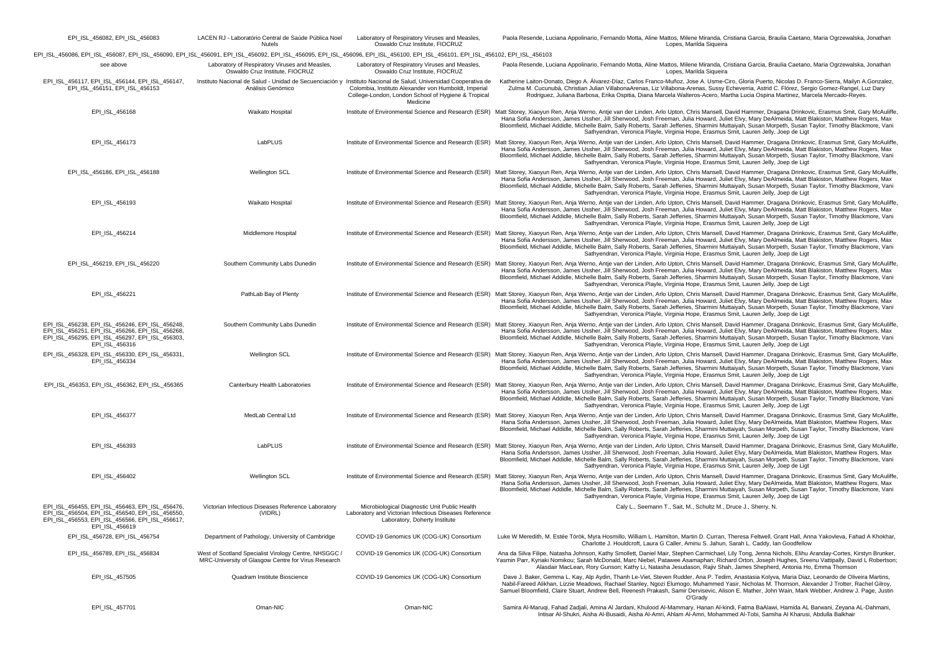| EPI_ISL_456082, EPI_ISL_456083                                                                                                                                                 | LACEN RJ - Laboratório Central de Saúde Pública Noel<br><b>Nutels</b>                                        | Laboratory of Respiratory Viruses and Measles,<br>Oswaldo Cruz Institute, FIOCRUZ                                                                                                                                                          | Paola Resende, Luciana Appolinario, Fernando Motta, Aline Mattos, Milene Miranda, Cristiana Garcia, Braulia Caetano, Maria Ogrzewalska, Jonathan<br>Lopes, Marilda Siqueira                                                                                                                                                                                                                                                                                                                                                                                                                                     |
|--------------------------------------------------------------------------------------------------------------------------------------------------------------------------------|--------------------------------------------------------------------------------------------------------------|--------------------------------------------------------------------------------------------------------------------------------------------------------------------------------------------------------------------------------------------|-----------------------------------------------------------------------------------------------------------------------------------------------------------------------------------------------------------------------------------------------------------------------------------------------------------------------------------------------------------------------------------------------------------------------------------------------------------------------------------------------------------------------------------------------------------------------------------------------------------------|
| EPI_ISL_456086, EPI_ISL_456087, EPI_ISL_456090, EPI_ISL_456091, EPI_ISL_456092, EPI_ISL_456095, EPI_ISL_456096, EPI_ISL_456100, EPI_ISL_456101, EPI_ISL_456102, EPI_ISL_456103 |                                                                                                              |                                                                                                                                                                                                                                            |                                                                                                                                                                                                                                                                                                                                                                                                                                                                                                                                                                                                                 |
| see above                                                                                                                                                                      | Laboratory of Respiratory Viruses and Measles,<br>Oswaldo Cruz Institute, FIOCRUZ                            | Laboratory of Respiratory Viruses and Measles,<br>Oswaldo Cruz Institute, FIOCRUZ                                                                                                                                                          | Paola Resende, Luciana Appolinario, Fernando Motta, Aline Mattos, Milene Miranda, Cristiana Garcia, Braulia Caetano, Maria Ogrzewalska, Jonathan<br>Lopes, Marilda Siqueira                                                                                                                                                                                                                                                                                                                                                                                                                                     |
| EPI_ISL_456117, EPI_ISL_456144, EPI_ISL_456147,<br>EPI_ISL_456151, EPI_ISL_456153                                                                                              | Análisis Genómico                                                                                            | Instituto Nacional de Salud - Unidad de Secuenciación y Instituto Nacional de Salud, Universidad Cooperativa de<br>Colombia, Instituto Alexander von Humboldt, Imperial<br>College-London, London School of Hygiene & Tropical<br>Medicine | Katherine Laiton-Donato, Diego A. Álvarez-Díaz, Carlos Franco-Muñoz, Jose A. Usme-Ciro, Gloria Puerto, Nicolas D. Franco-Sierra, Mailyn A.Gonzalez<br>Zulma M. Cucunubá, Christian Julian VillabonaArenas, Liz Villabona-Arenas, Sussy Echeverria, Astrid C. Flórez, Sergio Gomez-Rangel, Luz Dary<br>Rodriguez, Juliana Barbosa, Erika Ospitia, Diana Marcela Walteros-Acero, Martha Lucia Ospina Martinez, Marcela Mercado-Reyes.                                                                                                                                                                             |
| EPI_ISL_456168                                                                                                                                                                 | Waikato Hospital                                                                                             |                                                                                                                                                                                                                                            | Institute of Environmental Science and Research (ESR) Matt Storey, Xiaoyun Ren, Anja Werno, Antje van der Linden, Arlo Upton, Chris Mansell, David Hammer, Dragana Drinkovic, Erasmus Smit, Gary McAuliffe,<br>Hana Sofia Andersson, James Ussher, Jill Sherwood, Josh Freeman, Julia Howard, Juliet Elvy, Mary DeAlmeida, Matt Blakiston, Matthew Rogers, Max<br>Bloomfield, Michael Addidle, Michelle Balm, Sally Roberts, Sarah Jefferies, Sharmini Muttaiyah, Susan Morpeth, Susan Taylor, Timothy Blackmore, Vani<br>Sathyendran, Veronica Playle, Virginia Hope, Erasmus Smit, Lauren Jelly, Joep de Ligt |
| EPI_ISL_456173                                                                                                                                                                 | LabPLUS                                                                                                      |                                                                                                                                                                                                                                            | Institute of Environmental Science and Research (ESR) Matt Storey, Xiaoyun Ren, Anja Werno, Antje van der Linden, Arlo Upton, Chris Mansell, David Hammer, Dragana Drinkovic, Erasmus Smit, Gary McAuliffe,<br>Hana Sofia Andersson, James Ussher, Jill Sherwood, Josh Freeman, Julia Howard, Juliet Elvy, Mary DeAlmeida, Matt Blakiston, Matthew Rogers, Max<br>Bloomfield, Michael Addidle, Michelle Balm, Sally Roberts, Sarah Jefferies, Sharmini Muttaiyah, Susan Morpeth, Susan Taylor, Timothy Blackmore, Vani<br>Sathyendran, Veronica Playle, Virginia Hope, Erasmus Smit, Lauren Jelly, Joep de Ligt |
| EPI_ISL_456186, EPI_ISL_456188                                                                                                                                                 | Wellington SCL                                                                                               |                                                                                                                                                                                                                                            | Institute of Environmental Science and Research (ESR) Matt Storey, Xiaoyun Ren, Anja Werno, Antje van der Linden, Arlo Upton, Chris Mansell, David Hammer, Dragana Drinkovic, Erasmus Smit, Gary McAuliffe,<br>Hana Sofia Andersson, James Ussher, Jill Sherwood, Josh Freeman, Julia Howard, Juliet Elvy, Mary DeAlmeida, Matt Blakiston, Matthew Rogers, Max<br>Bloomfield, Michael Addidle, Michelle Balm, Sally Roberts, Sarah Jefferies, Sharmini Muttaiyah, Susan Morpeth, Susan Taylor, Timothy Blackmore, Vani<br>Sathyendran, Veronica Playle, Virginia Hope, Erasmus Smit, Lauren Jelly, Joep de Ligt |
| EPI_ISL_456193                                                                                                                                                                 | Waikato Hospital                                                                                             |                                                                                                                                                                                                                                            | Institute of Environmental Science and Research (ESR) Matt Storey, Xiaoyun Ren, Anja Werno, Antje van der Linden, Arlo Upton, Chris Mansell, David Hammer, Dragana Drinkovic, Erasmus Smit, Gary McAuliffe,<br>Hana Sofia Andersson, James Ussher, Jill Sherwood, Josh Freeman, Julia Howard, Juliet Elvy, Mary DeAlmeida, Matt Blakiston, Matthew Rogers, Max<br>Bloomfield, Michael Addidle, Michelle Balm, Sally Roberts, Sarah Jefferies, Sharmini Muttaiyah, Susan Morpeth, Susan Taylor, Timothy Blackmore, Vani<br>Sathyendran, Veronica Playle, Virginia Hope, Erasmus Smit, Lauren Jelly, Joep de Ligt |
| EPI_ISL_456214                                                                                                                                                                 | Middlemore Hospital                                                                                          |                                                                                                                                                                                                                                            | Institute of Environmental Science and Research (ESR) Matt Storey, Xiaoyun Ren, Anja Werno, Antje van der Linden, Arlo Upton, Chris Mansell, David Hammer, Dragana Drinkovic, Erasmus Smit, Gary McAuliffe,<br>Hana Sofia Andersson, James Ussher, Jill Sherwood, Josh Freeman, Julia Howard, Juliet Elvy, Mary DeAlmeida, Matt Blakiston, Matthew Rogers, Max<br>Bloomfield, Michael Addidle, Michelle Balm, Sally Roberts, Sarah Jefferies, Sharmini Muttaiyah, Susan Morpeth, Susan Taylor, Timothy Blackmore, Vani<br>Sathyendran, Veronica Playle, Virginia Hope, Erasmus Smit, Lauren Jelly, Joep de Ligt |
| EPI_ISL_456219, EPI_ISL_456220                                                                                                                                                 | Southern Community Labs Dunedin                                                                              |                                                                                                                                                                                                                                            | Institute of Environmental Science and Research (ESR) Matt Storey, Xiaoyun Ren, Anja Werno, Antje van der Linden, Arlo Upton, Chris Mansell, David Hammer, Dragana Drinkovic, Erasmus Smit, Gary McAuliffe,<br>Hana Sofia Andersson, James Ussher, Jill Sherwood, Josh Freeman, Julia Howard, Juliet Elvy, Mary DeAlmeida, Matt Blakiston, Matthew Rogers, Max<br>Bloomfield, Michael Addidle, Michelle Balm, Sally Roberts, Sarah Jefferies, Sharmini Muttaiyah, Susan Morpeth, Susan Taylor, Timothy Blackmore, Vani<br>Sathyendran, Veronica Playle, Virginia Hope, Erasmus Smit, Lauren Jelly, Joep de Ligt |
| EPI_ISL_456221                                                                                                                                                                 | PathLab Bay of Plenty                                                                                        |                                                                                                                                                                                                                                            | Institute of Environmental Science and Research (ESR) Matt Storey, Xiaoyun Ren, Anja Werno, Antje van der Linden, Arlo Upton, Chris Mansell, David Hammer, Dragana Drinkovic, Erasmus Smit, Gary McAuliffe,<br>Hana Sofia Andersson, James Ussher, Jill Sherwood, Josh Freeman, Julia Howard, Juliet Elvy, Mary DeAlmeida, Matt Blakiston, Matthew Rogers, Max<br>Bloomfield, Michael Addidle, Michelle Balm, Sally Roberts, Sarah Jefferies, Sharmini Muttaivah, Susan Morpeth, Susan Taylor, Timothy Blackmore, Vani<br>Sathyendran, Veronica Playle, Virginia Hope, Erasmus Smit, Lauren Jelly, Joep de Ligt |
| EPI ISL 456238, EPI ISL 456246, EPI ISL 456248,<br>EPI ISL 456251, EPI ISL 456266, EPI ISL 456268,<br>EPI_ISL_456295, EPI_ISL_456297, EPI_ISL_456303,<br>EPI ISL 456316        | Southern Community Labs Dunedin                                                                              |                                                                                                                                                                                                                                            | Institute of Environmental Science and Research (ESR) Matt Storey, Xiaovun Ren. Ania Werno, Antie van der Linden, Arlo Upton, Chris Mansell, David Hammer, Dragana Drinkovic, Erasmus Smit, Gary McAuliffe,<br>Hana Sofia Andersson, James Ussher, Jill Sherwood, Josh Freeman, Julia Howard, Juliet Elvy, Mary DeAlmeida, Matt Blakiston, Matthew Rogers, Max<br>Bloomfield, Michael Addidle, Michelle Balm, Sally Roberts, Sarah Jefferies, Sharmini Muttaiyah, Susan Morpeth, Susan Taylor, Timothy Blackmore, Vani<br>Sathyendran, Veronica Playle, Virginia Hope, Erasmus Smit, Lauren Jelly, Joep de Ligt |
| EPI ISL 456328, EPI ISL 456330, EPI ISL 456331,<br>EPI ISL 456334                                                                                                              | <b>Wellington SCL</b>                                                                                        |                                                                                                                                                                                                                                            | Institute of Environmental Science and Research (ESR) Matt Storey, Xiaoyun Ren, Anja Werno, Antie van der Linden, Arlo Upton, Chris Mansell, David Hammer, Dragana Drinkovic, Erasmus Smit, Gary McAuliffe,<br>Hana Sofia Andersson, James Ussher, Jill Sherwood, Josh Freeman, Julia Howard, Juliet Elvy, Mary DeAlmeida, Matt Blakiston, Matthew Rogers, Max<br>Bloomfield, Michael Addidle, Michelle Balm, Sally Roberts, Sarah Jefferies, Sharmini Muttaiyah, Susan Morpeth, Susan Taylor, Timothy Blackmore, Vani<br>Sathyendran, Veronica Playle, Virginia Hope, Erasmus Smit, Lauren Jelly, Joep de Ligt |
| EPI_ISL_456353, EPI_ISL_456362, EPI_ISL_456365                                                                                                                                 | Canterbury Health Laboratories                                                                               |                                                                                                                                                                                                                                            | Institute of Environmental Science and Research (ESR) Matt Storey, Xiaoyun Ren, Anja Werno, Antje van der Linden, Arlo Upton, Chris Mansell, David Hammer, Dragana Drinkovic, Erasmus Smit, Gary McAuliffe,<br>Hana Sofia Andersson, James Ussher, Jill Sherwood, Josh Freeman, Julia Howard, Juliet Elvy, Mary DeAlmeida, Matt Blakiston, Matthew Rogers, Max<br>Bloomfield, Michael Addidle, Michelle Balm, Sally Roberts, Sarah Jefferies, Sharmini Muttaiyah, Susan Morpeth, Susan Taylor, Timothy Blackmore, Vani<br>Sathyendran, Veronica Playle, Virginia Hope, Erasmus Smit, Lauren Jelly, Joep de Ligt |
| EPI_ISL_456377                                                                                                                                                                 | MedLab Central Ltd                                                                                           |                                                                                                                                                                                                                                            | Institute of Environmental Science and Research (ESR) Matt Storey, Xiaoyun Ren, Anja Werno, Antje van der Linden, Arlo Upton, Chris Mansell, David Hammer, Dragana Drinkovic, Erasmus Smit, Gary McAuliffe,<br>Hana Sofia Andersson, James Ussher, Jill Sherwood, Josh Freeman, Julia Howard, Juliet Elvy, Mary DeAlmeida, Matt Blakiston, Matthew Rogers, Max<br>Bloomfield, Michael Addidle, Michelle Balm, Sally Roberts, Sarah Jefferies, Sharmini Muttaiyah, Susan Morpeth, Susan Taylor, Timothy Blackmore, Vani<br>Sathyendran, Veronica Playle, Virginia Hope, Erasmus Smit, Lauren Jelly, Joep de Ligt |
| EPI_ISL_456393                                                                                                                                                                 | LabPLUS                                                                                                      |                                                                                                                                                                                                                                            | Institute of Environmental Science and Research (ESR) Matt Storey, Xiaoyun Ren, Anja Werno, Antje van der Linden, Arlo Upton, Chris Mansell, David Hammer, Dragana Drinkovic, Erasmus Smit, Gary McAuliffe,<br>Hana Sofia Andersson, James Ussher, Jill Sherwood, Josh Freeman, Julia Howard, Juliet Elvy, Mary DeAlmeida, Matt Blakiston, Matthew Rogers, Max<br>Bloomfield, Michael Addidle, Michelle Balm, Sally Roberts, Sarah Jefferies, Sharmini Muttaiyah, Susan Morpeth, Susan Taylor, Timothy Blackmore, Vani<br>Sathyendran, Veronica Playle, Virginia Hope, Erasmus Smit, Lauren Jelly, Joep de Ligt |
| EPI_ISL_456402                                                                                                                                                                 | <b>Wellington SCL</b>                                                                                        |                                                                                                                                                                                                                                            | Institute of Environmental Science and Research (ESR) Matt Storey, Xiaoyun Ren, Anja Werno, Antje van der Linden, Arlo Upton, Chris Mansell, David Hammer, Dragana Drinkovic, Erasmus Smit, Gary McAuliffe,<br>Hana Sofia Andersson, James Ussher, Jill Sherwood, Josh Freeman, Julia Howard, Juliet Elvy, Mary DeAlmeida, Matt Blakiston, Matthew Rogers, Max<br>Bloomfield, Michael Addidle, Michelle Balm, Sally Roberts, Sarah Jefferies, Sharmini Muttaiyah, Susan Morpeth, Susan Taylor, Timothy Blackmore, Vani<br>Sathyendran, Veronica Playle, Virginia Hope, Erasmus Smit, Lauren Jelly, Joep de Ligt |
| EPI ISL 456455, EPI ISL 456463, EPI ISL 456476.<br>EPI_ISL_456504, EPI_ISL_456540, EPI_ISL_456550,<br>EPI_ISL_456553, EPI_ISL_456566, EPI_ISL_456617,<br>EPI ISL 456619        | Victorian Infectious Diseases Reference Laboratory<br>(VIDRL)                                                | Microbiological Diagnostic Unit Public Health<br>Laboratory and Victorian Infectious Diseases Reference<br>Laboratory, Doherty Institute                                                                                                   | Caly L., Seemann T., Sait, M., Schultz M., Druce J., Sherry, N.                                                                                                                                                                                                                                                                                                                                                                                                                                                                                                                                                 |
| EPI_ISL_456728, EPI_ISL_456754                                                                                                                                                 | Department of Pathology, University of Cambridge                                                             | COVID-19 Genomics UK (COG-UK) Consortium                                                                                                                                                                                                   | Luke W Meredith, M. Estée Török, Myra Hosmillo, William L. Hamilton, Martin D. Curran, Theresa Feltwell, Grant Hall, Anna Yakovleva, Fahad A Khokhar,<br>Charlotte J. Houldcroft, Laura G Caller, Aminu S. Jahun, Sarah L. Caddy, Ian Goodfellow                                                                                                                                                                                                                                                                                                                                                                |
| EPI_ISL_456789, EPI_ISL_456834                                                                                                                                                 | West of Scotland Specialist Virology Centre, NHSGGC /<br>MRC-University of Glasgow Centre for Virus Research | COVID-19 Genomics UK (COG-UK) Consortium                                                                                                                                                                                                   | Ana da Silva Filipe, Natasha Johnson, Kathy Smollett, Daniel Mair, Stephen Carmichael, Lily Tong, Jenna Nichols, Elihu Aranday-Cortes, Kirstyn Brunker,<br>Yasmin Parr, Kyriaki Nomikou; Sarah McDonald, Marc Niebel, Patawee Asamaphan; Richard Orton, Joseph Hughes, Sreenu Vattipally, David L Robertson;<br>Alasdair MacLean, Rory Gunson; Kathy Li, Natasha Jesudason, Rajiv Shah, James Shepherd, Antonia Ho, Emma Thomson                                                                                                                                                                                |
| EPI_ISL_457505                                                                                                                                                                 | Quadram Institute Bioscience                                                                                 | COVID-19 Genomics UK (COG-UK) Consortium                                                                                                                                                                                                   | Dave J. Baker, Gemma L. Kay, Alp Aydin, Thanh Le-Viet, Steven Rudder, Ana P. Tedim, Anastasia Kolyva, Maria Diaz, Leonardo de Oliveira Martins,<br>Nabil-Fareed Alikhan, Lizzie Meadows, Rachael Stanley, Ngozi Elumogo, Muhammed Yasir, Nicholas M. Thomson, Alexander J Trotter, Rachel Gilroy,<br>Samuel Bloomfield, Claire Stuart, Andrew Bell, Reenesh Prakash, Samir Dervisevic, Alison E. Mather, John Wain, Mark Webber, Andrew J. Page, Justin<br>O'Grady                                                                                                                                              |
| EPI_ISL_457701                                                                                                                                                                 | Oman-NIC                                                                                                     | Oman-NIC                                                                                                                                                                                                                                   | Samira Al-Marugi, Fahad Zadiali, Amina Al Jardani, Khulood Al-Mammary, Hanan Al-kindi, Fatma BaAlawi, Hamida AL Barwani, Zeyana AL-Dahmani,<br>Intisar Al-Shukri, Aisha Al-Busaidi, Aisha Al-Amri, Ahlam Al-Amri, Mohammed Al-Tobi, Samiha Al Kharusi, Abdulla Balkhair                                                                                                                                                                                                                                                                                                                                         |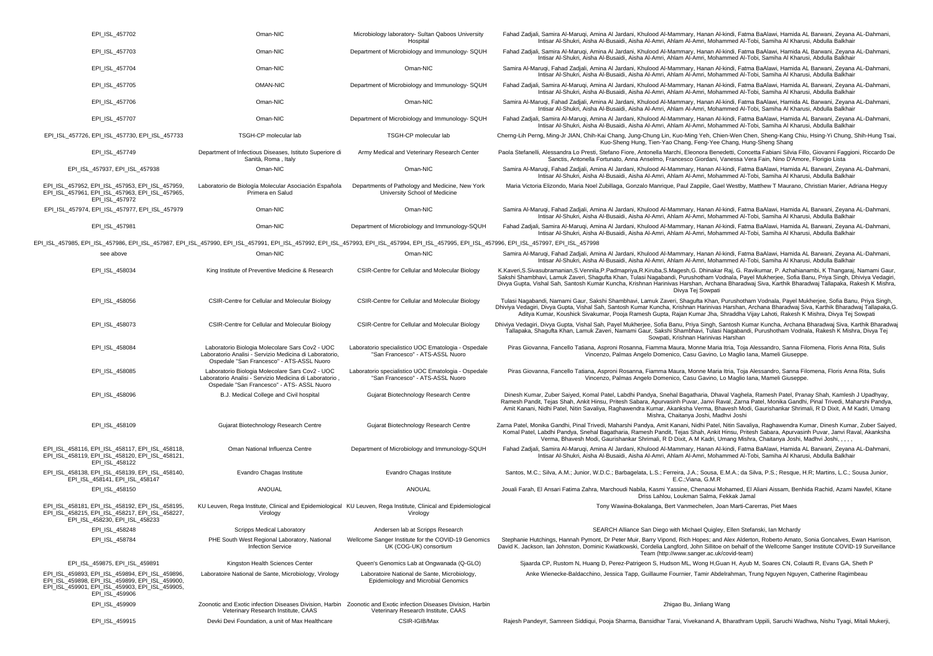| EPI ISL 457702                                                                                                                                                                                 | Oman-NIC                                                                                                                                                 | Microbiology laboratory- Sultan Qaboos University<br>Hospital                           | Fahad Zadjali, Samira Al-Maruqi, Amina Al Jardani, Khulood Al-Mammary, Hanan Al-kindi, Fatma BaAlawi, Hamida AL Barwani, Zeyana AL-Dahmani,<br>Intisar Al-Shukri, Aisha Al-Busaidi, Aisha Al-Amri, Ahlam Al-Amri, Mohammed Al-Tobi, Samiha Al Kharusi, Abdulla Balkhair                                                                                                                                                                                                                   |
|------------------------------------------------------------------------------------------------------------------------------------------------------------------------------------------------|----------------------------------------------------------------------------------------------------------------------------------------------------------|-----------------------------------------------------------------------------------------|-------------------------------------------------------------------------------------------------------------------------------------------------------------------------------------------------------------------------------------------------------------------------------------------------------------------------------------------------------------------------------------------------------------------------------------------------------------------------------------------|
| EPI_ISL_457703                                                                                                                                                                                 | Oman-NIC                                                                                                                                                 | Department of Microbiology and Immunology- SQUH                                         | Fahad Zadjali, Samira Al-Maruqi, Amina Al Jardani, Khulood Al-Mammary, Hanan Al-kindi, Fatma BaAlawi, Hamida AL Barwani, Zeyana AL-Dahmani,<br>Intisar Al-Shukri, Aisha Al-Busaidi, Aisha Al-Amri, Ahlam Al-Amri, Mohammed Al-Tobi, Samiha Al Kharusi, Abdulla Balkhair                                                                                                                                                                                                                   |
| EPI_ISL_457704                                                                                                                                                                                 | Oman-NIC                                                                                                                                                 | Oman-NIC                                                                                | Samira Al-Maruqi, Fahad Zadjali, Amina Al Jardani, Khulood Al-Mammary, Hanan Al-kindi, Fatma BaAlawi, Hamida AL Barwani, Zeyana AL-Dahmani,<br>Intisar Al-Shukri, Aisha Al-Busaidi, Aisha Al-Amri, Ahlam Al-Amri, Mohammed Al-Tobi, Samiha Al Kharusi, Abdulla Balkhair                                                                                                                                                                                                                   |
| EPI_ISL_457705                                                                                                                                                                                 | OMAN-NIC                                                                                                                                                 | Department of Microbiology and Immunology-SQUH                                          | Fahad Zadjali, Samira Al-Maruqi, Amina Al Jardani, Khulood Al-Mammary, Hanan Al-kindi, Fatma BaAlawi, Hamida AL Barwani, Zeyana AL-Dahmani,<br>Intisar Al-Shukri, Aisha Al-Busaidi, Aisha Al-Amri, Ahlam Al-Amri, Mohammed Al-Tobi, Samiha Al Kharusi, Abdulla Balkhair                                                                                                                                                                                                                   |
| EPI ISL 457706                                                                                                                                                                                 | Oman-NIC                                                                                                                                                 | Oman-NIC                                                                                | Samira Al-Maruqi, Fahad Zadjali, Amina Al Jardani, Khulood Al-Mammary, Hanan Al-kindi, Fatma BaAlawi, Hamida AL Barwani, Zeyana AL-Dahmani,<br>Intisar Al-Shukri, Aisha Al-Busaidi, Aisha Al-Amri, Ahlam Al-Amri, Mohammed Al-Tobi, Samiha Al Kharusi, Abdulla Balkhair                                                                                                                                                                                                                   |
| EPI_ISL_457707                                                                                                                                                                                 | Oman-NIC                                                                                                                                                 | Department of Microbiology and Immunology-SQUH                                          | Fahad Zadjali, Samira Al-Maruqi, Amina Al Jardani, Khulood Al-Mammary, Hanan Al-kindi, Fatma BaAlawi, Hamida AL Barwani, Zeyana AL-Dahmani,<br>Intisar Al-Shukri, Aisha Al-Busaidi, Aisha Al-Amri, Ahlam Al-Amri, Mohammed Al-Tobi, Samiha Al Kharusi, Abdulla Balkhair                                                                                                                                                                                                                   |
| EPI_ISL_457726, EPI_ISL_457730, EPI_ISL_457733                                                                                                                                                 | TSGH-CP molecular lab                                                                                                                                    | TSGH-CP molecular lab                                                                   | Cherng-Lih Perng, Ming-Jr JIAN, Chih-Kai Chang, Jung-Chung Lin, Kuo-Ming Yeh, Chien-Wen Chen, Sheng-Kang Chiu, Hsing-Yi Chung, Shih-Hung Tsai,<br>Kuo-Sheng Hung, Tien-Yao Chang, Feng-Yee Chang, Hung-Sheng Shang                                                                                                                                                                                                                                                                        |
| EPI_ISL_457749                                                                                                                                                                                 | Department of Infectious Diseases, Istituto Superiore di<br>Sanità, Roma, Italy                                                                          | Army Medical and Veterinary Research Center                                             | Paola Stefanelli, Alessandra Lo Presti, Stefano Fiore, Antonella Marchi, Eleonora Benedetti, Concetta Fabiani Silvia Fillo, Giovanni Faggioni, Riccardo De<br>Sanctis, Antonella Fortunato, Anna Anselmo, Francesco Giordani, Vanessa Vera Fain, Nino D'Amore, Florigio Lista                                                                                                                                                                                                             |
| EPI_ISL_457937, EPI_ISL_457938                                                                                                                                                                 | Oman-NIC                                                                                                                                                 | Oman-NIC                                                                                | Samira Al-Maruqi, Fahad Zadjali, Amina Al Jardani, Khulood Al-Mammary, Hanan Al-kindi, Fatma BaAlawi, Hamida AL Barwani, Zeyana AL-Dahmani,<br>Intisar Al-Shukri, Aisha Al-Busaidi, Aisha Al-Amri, Ahlam Al-Amri, Mohammed Al-Tobi, Samiha Al Kharusi, Abdulla Balkhair                                                                                                                                                                                                                   |
| EPI_ISL_457952, EPI_ISL_457953, EPI_ISL_457959,<br>EPI ISL 457961, EPI ISL 457963, EPI ISL 457965,<br>EPI_ISL_457972                                                                           | Laboratorio de Biología Molecular Asociación Española<br>Primera en Salud                                                                                | Departments of Pathology and Medicine, New York<br>University School of Medicine        | Maria Victoria Elizondo, Maria Noel Zubillaga, Gonzalo Manrique, Paul Zappile, Gael Westby, Matthew T Maurano, Christian Marier, Adriana Heguy                                                                                                                                                                                                                                                                                                                                            |
| EPI_ISL_457974, EPI_ISL_457977, EPI_ISL_457979                                                                                                                                                 | Oman-NIC                                                                                                                                                 | Oman-NIC                                                                                | Samira Al-Maruqi, Fahad Zadjali, Amina Al Jardani, Khulood Al-Mammary, Hanan Al-kindi, Fatma BaAlawi, Hamida AL Barwani, Zeyana AL-Dahmani,<br>Intisar Al-Shukri, Aisha Al-Busaidi, Aisha Al-Amri, Ahlam Al-Amri, Mohammed Al-Tobi, Samiha Al Kharusi, Abdulla Balkhair                                                                                                                                                                                                                   |
| EPI_ISL_457981                                                                                                                                                                                 | Oman-NIC                                                                                                                                                 | Department of Microbiology and Immunology-SQUH                                          | Fahad Zadjali, Samira Al-Maruqi, Amina Al Jardani, Khulood Al-Mammary, Hanan Al-kindi, Fatma BaAlawi, Hamida AL Barwani, Zeyana AL-Dahmani,<br>Intisar Al-Shukri, Aisha Al-Busaidi, Aisha Al-Amri, Ahlam Al-Amri, Mohammed Al-Tobi, Samiha Al Kharusi, Abdulla Balkhair                                                                                                                                                                                                                   |
| EPI_ISL_457985, EPI_ISL_457986, EPI_ISL_457987, EPI_ISL_457990, EPI_ISL_457991, EPI_ISL_457992, EPI_ISL_457993, EPI_ISL_457994, EPI_ISL_457995, EPI_ISL_457996, EPI_ISL_457997, EPI_ISL_457998 |                                                                                                                                                          |                                                                                         |                                                                                                                                                                                                                                                                                                                                                                                                                                                                                           |
| see above                                                                                                                                                                                      | Oman-NIC                                                                                                                                                 | Oman-NIC                                                                                | Samira Al-Maruqi, Fahad Zadjali, Amina Al Jardani, Khulood Al-Mammary, Hanan Al-kindi, Fatma BaAlawi, Hamida AL Barwani, Zeyana AL-Dahmani,<br>Intisar Al-Shukri, Aisha Al-Busaidi, Aisha Al-Amri, Ahlam Al-Amri, Mohammed Al-Tobi, Samiha Al Kharusi, Abdulla Balkhair                                                                                                                                                                                                                   |
| EPI ISL 458034                                                                                                                                                                                 | King Institute of Preventive Medicine & Research                                                                                                         | CSIR-Centre for Cellular and Molecular Biology                                          | K.Kaveri,S.Sivasubramanian,S.Vennila,P.Padmapriya,R.Kiruba,S.Magesh,G. Dhinakar Raj, G. Ravikumar, P. Azhahianambi, K Thangaraj, Namami Gaur,<br>Sakshi Shambhavi, Lamuk Zaveri, Shaqufta Khan, Tulasi Naqabandi, Purushotham Vodnala, Payel Mukherjee, Sofia Banu, Priya Singh, Dhiviya Vedagiri<br>Diyya Gupta, Vishal Sah, Santosh Kumar Kuncha, Krishnan Hariniyas Harshan, Archana Bharadwai Siya, Karthik Bharadwai Tallapaka, Rakesh K Mishra,<br>Divya Tej Sowpati                |
| EPI_ISL_458056                                                                                                                                                                                 | CSIR-Centre for Cellular and Molecular Biology                                                                                                           | CSIR-Centre for Cellular and Molecular Biology                                          | Tulasi Nagabandi, Namami Gaur, Sakshi Shambhavi, Lamuk Zaveri, Shagufta Khan, Purushotham Vodnala, Payel Mukherjee, Sofia Banu, Priya Singh,<br>Dhiviya Vedagiri, Divya Gupta, Vishal Sah, Santosh Kumar Kuncha, Krishnan Harinivas Harshan, Archana Bharadwaj Siva, Karthik Bharadwaj Tallapaka, G.<br>Aditya Kumar, Koushick Sivakumar, Pooja Ramesh Gupta, Rajan Kumar Jha, Shraddha Vijay Lahoti, Rakesh K Mishra, Divya Tej Sowpati                                                  |
| EPI_ISL_458073                                                                                                                                                                                 | CSIR-Centre for Cellular and Molecular Biology                                                                                                           | CSIR-Centre for Cellular and Molecular Biology                                          | Dhiviya Vedagiri, Divya Gupta, Vishal Sah, Payel Mukherjee, Sofia Banu, Priya Singh, Santosh Kumar Kuncha, Archana Bharadwaj Siva, Karthik Bharadwa<br>Tallapaka, Shagufta Khan, Lamuk Zaveri, Namami Gaur, Sakshi Shambhavi, Tulasi Nagabandi, Purushotham Vodnala, Rakesh K Mishra, Divya Tej<br>Sowpati, Krishnan Harinivas Harshan                                                                                                                                                    |
| EPI_ISL_458084                                                                                                                                                                                 | Laboratorio Biologia Molecolare Sars Cov2 - UOC<br>Laboratorio Analisi - Servizio Medicina di Laboratorio,<br>Ospedale "San Francesco" - ATS-ASSL Nuoro  | Laboratorio specialistico UOC Ematologia - Ospedale<br>"San Francesco" - ATS-ASSL Nuoro | Piras Giovanna, Fancello Tatiana, Asproni Rosanna, Fiamma Maura, Monne Maria Itria, Toja Alessandro, Sanna Filomena, Floris Anna Rita, Sulis<br>Vincenzo, Palmas Angelo Domenico, Casu Gavino, Lo Maglio lana, Mameli Giuseppe.                                                                                                                                                                                                                                                           |
| EPI_ISL_458085                                                                                                                                                                                 | Laboratorio Biologia Molecolare Sars Cov2 - UOC<br>Laboratorio Analisi - Servizio Medicina di Laboratorio,<br>Ospedale "San Francesco" - ATS- ASSL Nuoro | Laboratorio specialistico UOC Ematologia - Ospedale<br>"San Francesco" - ATS-ASSL Nuoro | Piras Giovanna, Fancello Tatiana, Asproni Rosanna, Fiamma Maura, Monne Maria Itria, Toja Alessandro, Sanna Filomena, Floris Anna Rita, Sulis<br>Vincenzo, Palmas Angelo Domenico, Casu Gavino, Lo Maglio lana, Mameli Giuseppe.                                                                                                                                                                                                                                                           |
| EPI_ISL_458096                                                                                                                                                                                 | B.J. Medical College and Civil hospital                                                                                                                  | Gujarat Biotechnology Research Centre                                                   | Dinesh Kumar, Zuber Saiyed, Komal Patel, Labdhi Pandya, Snehal Bagatharia, Dhaval Vaghela, Ramesh Patel, Pranay Shah, Kamlesh J Upadhyay,<br>Ramesh Pandit, Tejas Shah, Ankit Hinsu, Pritesh Sabara, Apurvasinh Puvar, Janvi Raval, Zarna Patel, Monika Gandhi, Pinal Trivedi, Maharshi Pandya,<br>Amit Kanani, Nidhi Patel, Nitin Savaliya, Raghawendra Kumar, Akanksha Verma, Bhavesh Modi, Gaurishankar Shrimali, R D Dixit, A M Kadri, Umang<br>Mishra, Chaitanya Joshi, Madhvi Joshi |
| EPI ISL 458109                                                                                                                                                                                 | Gujarat Biotechnology Research Centre                                                                                                                    | Gujarat Biotechnology Research Centre                                                   | Zarna Patel, Monika Gandhi, Pinal Trivedi, Maharshi Pandya, Amit Kanani, Nidhi Patel, Nitin Savaliya, Raghawendra Kumar, Dinesh Kumar, Zuber Saiyed,<br>Komal Patel, Labdhi Pandya, Snehal Bagatharia, Ramesh Pandit, Tejas Shah, Ankit Hinsu, Pritesh Sabara, Apurvasinh Puvar, Janvi Raval, Akanksha<br>Verma, Bhavesh Modi, Gaurishankar Shrimali, R D Dixit, A M Kadri, Umang Mishra, Chaitanya Joshi, Madhvi Joshi, , , ,                                                            |
| EPI ISL 458116, EPI ISL 458117, EPI ISL 458118,<br>EPI_ISL_458119, EPI_ISL_458120, EPI_ISL_458121,<br>EPI_ISL_458122                                                                           | Oman National Influenza Centre                                                                                                                           | Department of Microbiology and Immunology-SQUH                                          | Fahad Zadjali, Samira Al-Maruqi, Amina Al Jardani, Khulood Al-Mammary, Hanan Al-kindi, Fatma BaAlawi, Hamida AL Barwani, Zeyana AL-Dahmani,<br>Intisar Al-Shukri, Aisha Al-Busaidi, Aisha Al-Amri, Ahlam Al-Amri, Mohammed Al-Tobi, Samiha Al Kharusi, Abdulla Balkhair                                                                                                                                                                                                                   |
| EPI_ISL_458138, EPI_ISL_458139, EPI_ISL_458140,<br>EPI_ISL_458141, EPI_ISL_458147                                                                                                              | Evandro Chagas Institute                                                                                                                                 | Evandro Chagas Institute                                                                | Santos, M.C.; Silva, A.M.; Junior, W.D.C.; Barbagelata, L.S.; Ferreira, J.A.; Sousa, E.M.A.; da Silva, P.S.; Resque, H.R; Martins, L.C.; Sousa Junior,<br>E.C.; Viana, G.M.R                                                                                                                                                                                                                                                                                                              |
| EPI_ISL_458150                                                                                                                                                                                 | ANOUAL                                                                                                                                                   | ANOUAL                                                                                  | Jouali Farah, El Ansari Fatima Zahra, Marchoudi Nabila, Kasmi Yassine, Chenaoui Mohamed, El Aliani Aissam, Benhida Rachid, Azami Nawfel, Kitane<br>Driss Lahlou, Loukman Salma, Fekkak Jamal                                                                                                                                                                                                                                                                                              |
| EPI_ISL_458181, EPI_ISL_458192, EPI_ISL_458195,<br>EPI_ISL_458215, EPI_ISL_458217, EPI_ISL_458227,<br>EPI ISL 458230, EPI ISL 458233                                                           | KU Leuven, Rega Institute, Clinical and Epidemiological KU Leuven, Rega Institute, Clinical and Epidemiological<br>Virology                              | Virology                                                                                | Tony Wawina-Bokalanga, Bert Vanmechelen, Joan Marti-Carerras, Piet Maes                                                                                                                                                                                                                                                                                                                                                                                                                   |
| EPI_ISL_458248                                                                                                                                                                                 | Scripps Medical Laboratory                                                                                                                               | Andersen lab at Scripps Research                                                        | SEARCH Alliance San Diego with Michael Quigley, Ellen Stefanski, Ian Mchardy                                                                                                                                                                                                                                                                                                                                                                                                              |
| EPI ISL 458784                                                                                                                                                                                 | PHE South West Regional Laboratory, National<br><b>Infection Service</b>                                                                                 | Wellcome Sanger Institute for the COVID-19 Genomics<br>UK (COG-UK) consortium           | Stephanie Hutchings, Hannah Pymont, Dr Peter Muir, Barry Vipond, Rich Hopes; and Alex Alderton, Roberto Amato, Sonia Goncalves, Ewan Harrison<br>David K. Jackson, Ian Johnston, Dominic Kwiatkowski, Cordelia Langford, John Sillitoe on behalf of the Wellcome Sanger Institute COVID-19 Surveillance<br>Team (http://www.sanger.ac.uk/covid-team)                                                                                                                                      |
| EPI_ISL_459875, EPI_ISL_459891                                                                                                                                                                 | Kingston Health Sciences Center                                                                                                                          | Queen's Genomics Lab at Ongwanada (Q-GLO)                                               | Sjaarda CP, Rustom N, Huang D, Perez-Patrigeon S, Hudson ML, Wong H,Guan H, Ayub M, Soares CN, Colautti R, Evans GA, Sheth P                                                                                                                                                                                                                                                                                                                                                              |
| EPI ISL 459893, EPI ISL 459894, EPI ISL 459896,<br>EPI ISL 459898, EPI ISL 459899, EPI ISL 459900,<br>EPI ISL 459901, EPI ISL 459903, EPI ISL 459905,<br>EPI_ISL_459906                        | Laboratoire National de Sante, Microbiology, Virology                                                                                                    | Laboratoire National de Sante, Microbiology,<br>Epidemiology and Microbial Genomics     | Anke Wienecke-Baldacchino, Jessica Tapp, Guillaume Fournier, Tamir Abdelrahman, Trung Nguyen Nguyen, Catherine Ragimbeau                                                                                                                                                                                                                                                                                                                                                                  |
| EPI_ISL_459909                                                                                                                                                                                 | Zoonotic and Exotic infection Diseases Division, Harbin Zoonotic and Exotic infection Diseases Division, Harbin<br>Veterinary Research Institute, CAAS   | Veterinary Research Institute, CAAS                                                     | Zhigao Bu, Jinliang Wang                                                                                                                                                                                                                                                                                                                                                                                                                                                                  |
| EPI_ISL_459915                                                                                                                                                                                 | Devki Devi Foundation, a unit of Max Healthcare                                                                                                          | CSIR-IGIB/Max                                                                           | Rajesh Pandey#, Samreen Siddiqui, Pooja Sharma, Bansidhar Tarai, Vivekanand A, Bharathram Uppili, Saruchi Wadhwa, Nishu Tyagi, Mitali Mukerji,                                                                                                                                                                                                                                                                                                                                            |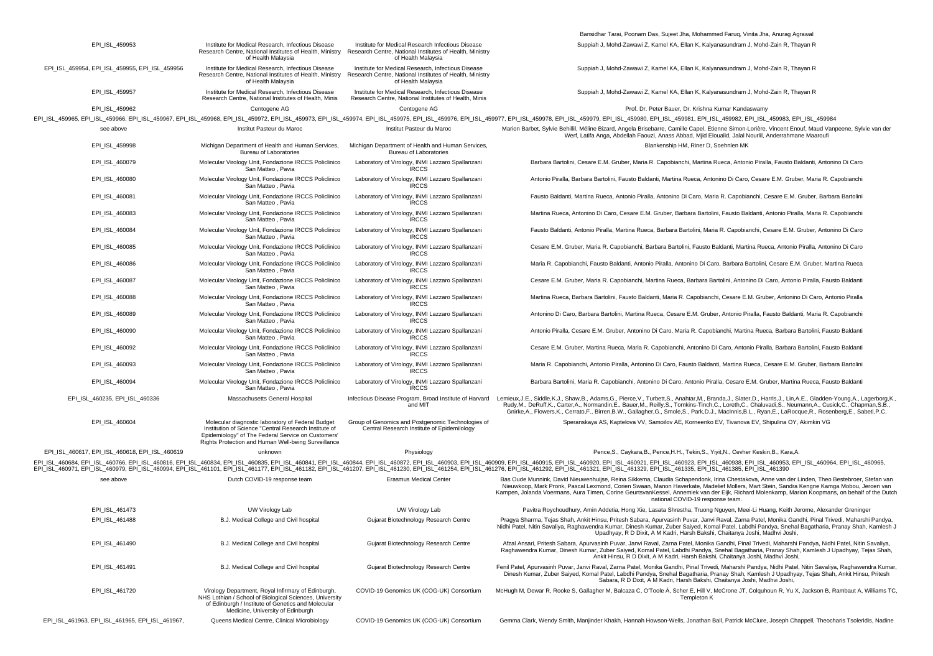|                                                 |                                                                                                                                                                                                                         |                                                                                                                                      | Bansidhar Tarai, Poonam Das, Sujeet Jha, Mohammed Faruq, Vinita Jha, Anurag Agrawal                                                                                                                                                                                                                                                                                                                                                                                                                                                                 |
|-------------------------------------------------|-------------------------------------------------------------------------------------------------------------------------------------------------------------------------------------------------------------------------|--------------------------------------------------------------------------------------------------------------------------------------|-----------------------------------------------------------------------------------------------------------------------------------------------------------------------------------------------------------------------------------------------------------------------------------------------------------------------------------------------------------------------------------------------------------------------------------------------------------------------------------------------------------------------------------------------------|
| EPI_ISL_459953                                  | Institute for Medical Research, Infectious Disease<br>Research Centre, National Institutes of Health, Ministry<br>of Health Malaysia                                                                                    | Institute for Medical Research Infectious Disease<br>Research Centre, National Institutes of Health, Ministry<br>of Health Malaysia  | Suppiah J, Mohd-Zawawi Z, Kamel KA, Ellan K, Kalyanasundram J, Mohd-Zain R, Thayan R                                                                                                                                                                                                                                                                                                                                                                                                                                                                |
| EPI_ISL_459954, EPI_ISL_459955, EPI_ISL_459956  | Institute for Medical Research, Infectious Disease<br>Research Centre, National Institutes of Health, Ministry<br>of Health Malaysia                                                                                    | Institute for Medical Research, Infectious Disease<br>Research Centre, National Institutes of Health, Ministry<br>of Health Malaysia | Suppiah J, Mohd-Zawawi Z, Kamel KA, Ellan K, Kalyanasundram J, Mohd-Zain R, Thayan R                                                                                                                                                                                                                                                                                                                                                                                                                                                                |
| EPI_ISL_459957                                  | Institute for Medical Research, Infectious Disease<br>Research Centre, National Institutes of Health, Minis                                                                                                             | Institute for Medical Research, Infectious Disease<br>Research Centre, National Institutes of Health, Minis                          | Suppiah J, Mohd-Zawawi Z, Kamel KA, Ellan K, Kalyanasundram J, Mohd-Zain R, Thayan R                                                                                                                                                                                                                                                                                                                                                                                                                                                                |
| EPI_ISL_459962                                  | Centogene AG                                                                                                                                                                                                            | Centogene AG                                                                                                                         | Prof. Dr. Peter Bauer, Dr. Krishna Kumar Kandaswamy                                                                                                                                                                                                                                                                                                                                                                                                                                                                                                 |
|                                                 |                                                                                                                                                                                                                         |                                                                                                                                      | EPI_ISL_459965, EPI_ISL_459966, EPI_ISL_459967, EPI_ISL_459968, EPI_ISL_459972, EPI_ISL_459973, EPI_ISL_459974, EPI_ISL_459975, EPI_ISL_459976, EPI_ISL_459977, EPI_ISL_459978, EPI_ISL_459978, EPI_ISL_459976, EPI_ISL_459976                                                                                                                                                                                                                                                                                                                      |
| see above                                       | Institut Pasteur du Maroc                                                                                                                                                                                               | Institut Pasteur du Maroc                                                                                                            | Marion Barbet, Sylvie Behillil, Méline Bizard, Angela Brisebarre, Camille Capel, Etienne Simon-Lorière, Vincent Enouf, Maud Vanpeene, Sylvie van der<br>Werf, Latifa Anga, Abdellah Faouzi, Anass Abbad, Mjid Eloualid, Jalal Nourlil, Anderrahmane Maaroufi                                                                                                                                                                                                                                                                                        |
| EPI ISL 459998                                  | Michigan Department of Health and Human Services,<br><b>Bureau of Laboratories</b>                                                                                                                                      | Michigan Department of Health and Human Services,<br><b>Bureau of Laboratories</b>                                                   | Blankenship HM, Riner D, Soehnlen MK                                                                                                                                                                                                                                                                                                                                                                                                                                                                                                                |
| EPI_ISL_460079                                  | Molecular Virology Unit, Fondazione IRCCS Policlinico<br>San Matteo, Pavia                                                                                                                                              | Laboratory of Virology, INMI Lazzaro Spallanzani<br><b>IRCCS</b>                                                                     | Barbara Bartolini, Cesare E.M. Gruber, Maria R. Capobianchi, Martina Rueca, Antonio Piralla, Fausto Baldanti, Antonino Di Caro                                                                                                                                                                                                                                                                                                                                                                                                                      |
| EPI_ISL_460080                                  | Molecular Virology Unit, Fondazione IRCCS Policlinico<br>San Matteo, Pavia                                                                                                                                              | Laboratory of Virology, INMI Lazzaro Spallanzani<br><b>IRCCS</b>                                                                     | Antonio Piralla, Barbara Bartolini, Fausto Baldanti, Martina Rueca, Antonino Di Caro, Cesare E.M. Gruber, Maria R. Capobianchi                                                                                                                                                                                                                                                                                                                                                                                                                      |
| EPI_ISL_460081                                  | Molecular Virology Unit, Fondazione IRCCS Policlinico<br>San Matteo, Pavia                                                                                                                                              | Laboratory of Virology, INMI Lazzaro Spallanzani<br><b>IRCCS</b>                                                                     | Fausto Baldanti, Martina Rueca, Antonio Piralla, Antonino Di Caro, Maria R. Capobianchi, Cesare E.M. Gruber, Barbara Bartolini                                                                                                                                                                                                                                                                                                                                                                                                                      |
| EPI_ISL_460083                                  | Molecular Virology Unit, Fondazione IRCCS Policlinico<br>San Matteo, Pavia                                                                                                                                              | Laboratory of Virology, INMI Lazzaro Spallanzani<br><b>IRCCS</b>                                                                     | Martina Rueca, Antonino Di Caro, Cesare E.M. Gruber, Barbara Bartolini, Fausto Baldanti, Antonio Piralla, Maria R. Capobianchi                                                                                                                                                                                                                                                                                                                                                                                                                      |
| EPI_ISL_460084                                  | Molecular Virology Unit, Fondazione IRCCS Policlinico<br>San Matteo, Pavia                                                                                                                                              | Laboratory of Virology, INMI Lazzaro Spallanzani<br><b>IRCCS</b>                                                                     | Fausto Baldanti, Antonio Piralla, Martina Rueca, Barbara Bartolini, Maria R. Capobianchi, Cesare E.M. Gruber, Antonino Di Caro                                                                                                                                                                                                                                                                                                                                                                                                                      |
| EPI ISL 460085                                  | Molecular Virology Unit, Fondazione IRCCS Policlinico<br>San Matteo, Pavia                                                                                                                                              | Laboratory of Virology, INMI Lazzaro Spallanzani<br><b>IRCCS</b>                                                                     | Cesare E.M. Gruber, Maria R. Capobianchi, Barbara Bartolini, Fausto Baldanti, Martina Rueca, Antonio Piralla, Antonino Di Caro                                                                                                                                                                                                                                                                                                                                                                                                                      |
| EPI_ISL_460086                                  | Molecular Virology Unit, Fondazione IRCCS Policlinico<br>San Matteo, Pavia                                                                                                                                              | Laboratory of Virology, INMI Lazzaro Spallanzani<br><b>IRCCS</b>                                                                     | Maria R. Capobianchi, Fausto Baldanti, Antonio Piralla, Antonino Di Caro, Barbara Bartolini, Cesare E.M. Gruber, Martina Rueca                                                                                                                                                                                                                                                                                                                                                                                                                      |
| EPI_ISL_460087                                  | Molecular Virology Unit, Fondazione IRCCS Policlinico<br>San Matteo, Pavia                                                                                                                                              | Laboratory of Virology, INMI Lazzaro Spallanzani<br><b>IRCCS</b>                                                                     | Cesare E.M. Gruber, Maria R. Capobianchi, Martina Rueca, Barbara Bartolini, Antonino Di Caro, Antonio Piralla, Fausto Baldanti                                                                                                                                                                                                                                                                                                                                                                                                                      |
| EPI_ISL_460088                                  | Molecular Virology Unit, Fondazione IRCCS Policlinico<br>San Matteo, Pavia                                                                                                                                              | Laboratory of Virology, INMI Lazzaro Spallanzani<br><b>IRCCS</b>                                                                     | Martina Rueca, Barbara Bartolini, Fausto Baldanti, Maria R. Capobianchi, Cesare E.M. Gruber, Antonino Di Caro, Antonio Piralla                                                                                                                                                                                                                                                                                                                                                                                                                      |
| EPI_ISL_460089                                  | Molecular Virology Unit, Fondazione IRCCS Policlinico<br>San Matteo, Pavia                                                                                                                                              | Laboratory of Virology, INMI Lazzaro Spallanzani<br><b>IRCCS</b>                                                                     | Antonino Di Caro, Barbara Bartolini, Martina Rueca, Cesare E.M. Gruber, Antonio Piralla, Fausto Baldanti, Maria R. Capobianchi                                                                                                                                                                                                                                                                                                                                                                                                                      |
| EPI_ISL_460090                                  | Molecular Virology Unit, Fondazione IRCCS Policlinico<br>San Matteo, Pavia                                                                                                                                              | Laboratory of Virology, INMI Lazzaro Spallanzani<br><b>IRCCS</b>                                                                     | Antonio Piralla, Cesare E.M. Gruber, Antonino Di Caro, Maria R. Capobianchi, Martina Rueca, Barbara Bartolini, Fausto Baldanti                                                                                                                                                                                                                                                                                                                                                                                                                      |
| EPI_ISL_460092                                  | Molecular Virology Unit, Fondazione IRCCS Policlinico<br>San Matteo, Pavia                                                                                                                                              | Laboratory of Virology, INMI Lazzaro Spallanzani<br><b>IRCCS</b>                                                                     | Cesare E.M. Gruber, Martina Rueca, Maria R. Capobianchi, Antonino Di Caro, Antonio Piralla, Barbara Bartolini, Fausto Baldanti                                                                                                                                                                                                                                                                                                                                                                                                                      |
| EPI_ISL_460093                                  | Molecular Virology Unit, Fondazione IRCCS Policlinico<br>San Matteo, Pavia                                                                                                                                              | Laboratory of Virology, INMI Lazzaro Spallanzani<br><b>IRCCS</b>                                                                     | Maria R. Capobianchi, Antonio Piralla, Antonino Di Caro, Fausto Baldanti, Martina Rueca, Cesare E.M. Gruber, Barbara Bartolini                                                                                                                                                                                                                                                                                                                                                                                                                      |
| EPI_ISL_460094                                  | Molecular Virology Unit, Fondazione IRCCS Policlinico<br>San Matteo, Pavia                                                                                                                                              | Laboratory of Virology, INMI Lazzaro Spallanzani<br><b>IRCCS</b>                                                                     | Barbara Bartolini, Maria R. Capobianchi, Antonino Di Caro, Antonio Piralla, Cesare E.M. Gruber, Martina Rueca, Fausto Baldanti                                                                                                                                                                                                                                                                                                                                                                                                                      |
| EPI_ISL_460235, EPI_ISL_460336                  | Massachusetts General Hospital                                                                                                                                                                                          | and MIT                                                                                                                              | Infectious Disease Program, Broad Institute of Harvard Lemieux, J.E., Siddle, K.J., Shaw, B., Adams, G., Pierce, V., Turbett, S., Anahtar, M., Branda, J., Slater, D., Harris, J., Lin, A.E., Gladden-Young, A., Lagerborg, K.<br>Rudy, M., DeRuff, K., Carter, A., Normandin, E., Bauer, M., Reilly, S., Tomkins-Tinch, C., Loreth, C., Chaluvadi, S., Neumann, A., Cusick, C., Chapman, S.B.<br>Gnirke,A., Flowers,K., Cerrato,F., Birren,B.W., Gallagher,G., Smole,S., Park,D.J., MacInnis,B.L., Ryan,E., LaRocque,R., Rosenberg,E., Sabeti,P.C. |
| EPI_ISL_460604                                  | Molecular diagnostic laboratory of Federal Budget<br>Institution of Science "Central Research Institute of<br>Epidemiology" of The Federal Service on Customers'<br>Rights Protection and Human Well-being Surveillance | Group of Genomics and Postgenomic Technologies of<br>Central Research Institute of Epidemilology                                     | Speranskaya AS, Kaptelova VV, Samoilov AE, Korneenko EV, Tivanova EV, Shipulina OY, Akimkin VG                                                                                                                                                                                                                                                                                                                                                                                                                                                      |
| EPI_ISL_460617, EPI_ISL_460618, EPI_ISL_460619  | unknown                                                                                                                                                                                                                 | Physiology                                                                                                                           | Pence, S., Caykara, B., Pence, H.H., Tekin, S., Yiyit, N., Cevher Keskin, B., Kara, A.                                                                                                                                                                                                                                                                                                                                                                                                                                                              |
|                                                 |                                                                                                                                                                                                                         |                                                                                                                                      | EPI_ISL_460684, EPI_ISL_460766, EPI_ISL_460816, EPI_ISL_460834, EPI_ISL_460835, EPI_ISL_460845, EPI_ISL_460844, EPI_ISL_460872, EPI_ISL_460903, EPI_ISL_460903, EPI_ISL_460905, EPI_ISL_460923, EPI_ISL_460923, EPI_ISL_460938<br>EPI_ISL_460971, EPI_ISL_460979, EPI_ISL_460994, EPI_ISL_461101, EPI_ISL_461177, EPI_ISL_461182, EPI_ISL_461207, EPI_ISL_461230, EPI_ISL_461234, EPI_ISL_461276, EPI_ISL_461276, EPI_ISL_461276, EPI_ISL_461321, EPI_ISL_461321                                                                                    |
| see above                                       | Dutch COVID-19 response team                                                                                                                                                                                            | <b>Erasmus Medical Center</b>                                                                                                        | Bas Oude Munnink, David Nieuwenhuijse, Reina Sikkema, Claudia Schapendonk, Irina Chestakova, Anne van der Linden, Theo Bestebroer, Stefan van<br>Nieuwkoop, Mark Pronk, Pascal Lexmond, Corien Swaan, Manon Haverkate, Madelief Mollers, Mart Stein, Sandra Kengne Kamga Mobou, Jeroen van<br>Kampen, Jolanda Voermans, Aura Timen, Corine GeurtsvanKessel, Annemiek van der Eijk, Richard Molenkamp, Marion Koopmans, on behalf of the Dutch<br>national COVID-19 response team.                                                                   |
| EPI_ISL_461473                                  | UW Virology Lab                                                                                                                                                                                                         | UW Virology Lab                                                                                                                      | Pavitra Roychoudhury, Amin Addetia, Hong Xie, Lasata Shrestha, Truong Nguyen, Meei-Li Huang, Keith Jerome, Alexander Greninger                                                                                                                                                                                                                                                                                                                                                                                                                      |
| EPI_ISL_461488                                  | B.J. Medical College and Civil hospital                                                                                                                                                                                 | Gujarat Biotechnology Research Centre                                                                                                | Pragya Sharma, Tejas Shah, Ankit Hinsu, Pritesh Sabara, Apurvasinh Puvar, Janvi Raval, Zarna Patel, Monika Gandhi, Pinal Trivedi, Maharshi Pandya<br>Nidhi Patel, Nitin Savaliya, Raghawendra Kumar, Dinesh Kumar, Zuber Saiyed, Komal Patel, Labdhi Pandya, Snehal Bagatharia, Pranay Shah, Kamlesh J<br>Upadhyay, R D Dixit, A M Kadri, Harsh Bakshi, Chaitanya Joshi, Madhvi Joshi,                                                                                                                                                              |
| EPI_ISL_461490                                  | B.J. Medical College and Civil hospital                                                                                                                                                                                 | Gujarat Biotechnology Research Centre                                                                                                | Afzal Ansari, Pritesh Sabara, Apurvasinh Puvar, Janvi Raval, Zarna Patel, Monika Gandhi, Pinal Trivedi, Maharshi Pandya, Nidhi Patel, Nitin Savaliya,<br>Raghawendra Kumar, Dinesh Kumar, Zuber Saiyed, Komal Patel, Labdhi Pandya, Snehal Bagatharia, Pranay Shah, Kamlesh J Upadhyay, Tejas Shah,<br>Ankit Hinsu, R D Dixit, A M Kadri, Harsh Bakshi, Chaitanya Joshi, Madhvi Joshi,                                                                                                                                                              |
| EPI ISL 461491                                  | B.J. Medical College and Civil hospital                                                                                                                                                                                 | Gujarat Biotechnology Research Centre                                                                                                | Fenil Patel, Apurvasinh Puvar, Janvi Raval, Zarna Patel, Monika Gandhi, Pinal Trivedi, Maharshi Pandya, Nidhi Patel, Nitin Savaliya, Raghawendra Kumar,<br>Dinesh Kumar, Zuber Saiyed, Komal Patel, Labdhi Pandya, Snehal Bagatharia, Pranay Shah, Kamlesh J Upadhyay, Tejas Shah, Ankit Hinsu, Pritesh<br>Sabara, R D Dixit, A M Kadri, Harsh Bakshi, Chaitanya Joshi, Madhvi Joshi,                                                                                                                                                               |
| EPI_ISL_461720                                  | Virology Department, Royal Infirmary of Edinburgh,<br>NHS Lothian / School of Biological Sciences, University<br>of Edinburgh / Institute of Genetics and Molecular<br>Medicine, University of Edinburgh                | COVID-19 Genomics UK (COG-UK) Consortium                                                                                             | McHugh M, Dewar R, Rooke S, Gallagher M, Balcaza C, O'Toole Á, Scher E, Hill V, McCrone JT, Colquhoun R, Yu X, Jackson B, Rambaut A, Williams TC.<br>Templeton K                                                                                                                                                                                                                                                                                                                                                                                    |
| EPI_ISL_461963, EPI_ISL_461965, EPI_ISL_461967, | Queens Medical Centre, Clinical Microbiology                                                                                                                                                                            | COVID-19 Genomics UK (COG-UK) Consortium                                                                                             | Gemma Clark, Wendy Smith, Manjinder Khakh, Hannah Howson-Wells, Jonathan Ball, Patrick McClure, Joseph Chappell, Theocharis Tsoleridis, Nadine                                                                                                                                                                                                                                                                                                                                                                                                      |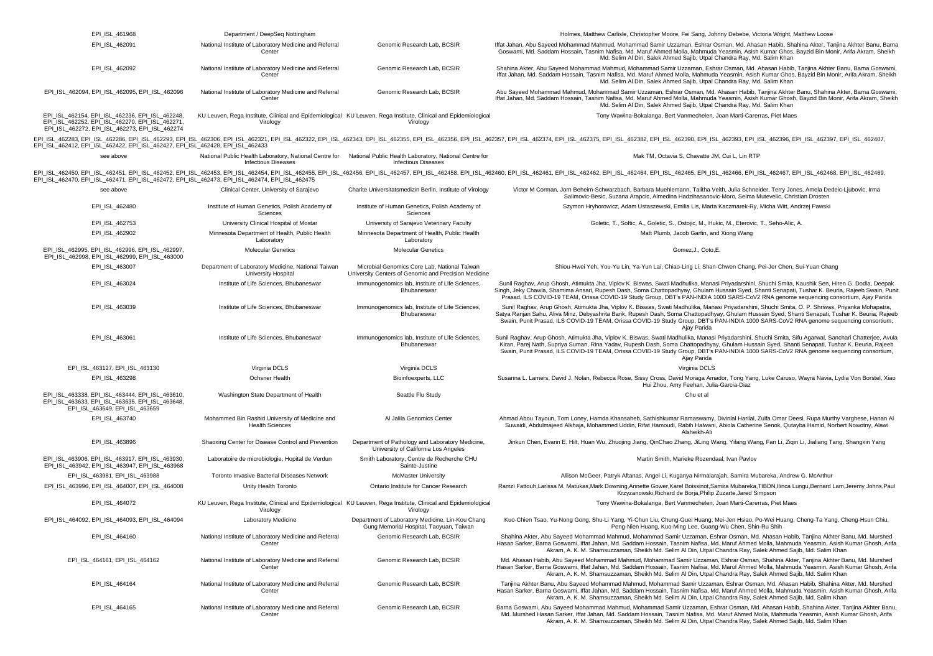| EPI_ISL_461968                                                                                                                                       | Department / DeepSeq Nottingham                                                                                                             |                                                                                                      | Holmes, Matthew Carlisle, Christopher Moore, Fei Sang, Johnny Debebe, Victoria Wright, Matthew Loose                                                                                                                                                                                                                                                                                                                                                             |
|------------------------------------------------------------------------------------------------------------------------------------------------------|---------------------------------------------------------------------------------------------------------------------------------------------|------------------------------------------------------------------------------------------------------|------------------------------------------------------------------------------------------------------------------------------------------------------------------------------------------------------------------------------------------------------------------------------------------------------------------------------------------------------------------------------------------------------------------------------------------------------------------|
| EPI ISL 462091                                                                                                                                       | National Institute of Laboratory Medicine and Referral<br>Center                                                                            | Genomic Research Lab, BCSIR                                                                          | Iffat Jahan, Abu Sayeed Mohammad Mahmud, Mohammad Samir Uzzaman, Eshrar Osman, Md. Ahasan Habib, Shahina Akter, Tanjina Akhter Banu, Barna<br>Goswami, Md. Saddam Hossain, Tasnim Nafisa, Md. Maruf Ahmed Molla, Mahmuda Yeasmin, Asish Kumar Ghos, Bayzid Bin Monir, Arifa Akram, Sheikh<br>Md. Selim Al Din, Salek Ahmed Sajib, Utpal Chandra Ray, Md. Salim Khan                                                                                              |
| EPI_ISL_462092                                                                                                                                       | National Institute of Laboratory Medicine and Referral<br>Center                                                                            | Genomic Research Lab, BCSIR                                                                          | Shahina Akter, Abu Sayeed Mohammad Mahmud, Mohammad Samir Uzzaman, Eshrar Osman, Md. Ahasan Habib, Tanjina Akhter Banu, Barna Goswami,<br>Iffat Jahan, Md. Saddam Hossain, Tasnim Nafisa, Md. Maruf Ahmed Molla, Mahmuda Yeasmin, Asish Kumar Ghos, Bayzid Bin Monir, Arifa Akram, Sheikh<br>Md. Selim Al Din, Salek Ahmed Sajib, Utpal Chandra Ray, Md. Salim Khan                                                                                              |
| EPI_ISL_462094, EPI_ISL_462095, EPI_ISL_462096                                                                                                       | National Institute of Laboratory Medicine and Referral<br>Center                                                                            | Genomic Research Lab, BCSIR                                                                          | Abu Sayeed Mohammad Mahmud, Mohammad Samir Uzzaman, Eshrar Osman, Md. Ahasan Habib, Tanjina Akhter Banu, Shahina Akter, Barna Goswami.<br>Iffat Jahan, Md. Saddam Hossain, Tasnim Nafisa, Md. Maruf Ahmed Molla, Mahmuda Yeasmin, Asish Kumar Ghosh, Bayzid Bin Monir, Arifa Akram, Sheikh<br>Md. Selim Al Din, Salek Ahmed Sajib, Utpal Chandra Ray, Md. Salim Khan                                                                                             |
| EPI_ISL_462154, EPI_ISL_462236, EPI_ISL_462248,<br>EPI_ISL_462252, EPI_ISL_462270, EPI_ISL_462271,<br>EPI_ISL_462272, EPI_ISL_462273, EPI_ISL_462274 | KU Leuven, Rega Institute, Clinical and Epidemiological KU Leuven, Rega Institute, Clinical and Epidemiological<br>Virology                 | Virology                                                                                             | Tony Wawina-Bokalanga, Bert Vanmechelen, Joan Marti-Carerras, Piet Maes                                                                                                                                                                                                                                                                                                                                                                                          |
| EPI_ISL_462412, EPI_ISL_462422, EPI_ISL_462427, EPI_ISL_462428, EPI_ISL_462433                                                                       |                                                                                                                                             |                                                                                                      | EPI_ISL_462283, EPI_ISL_462286, EPI_ISL_462293, EPI_ISL_462306, EPI_ISL_462321, EPI_ISL_462322, EPI_ISL_462335, EPI_ISL_462355, EPI_ISL_462356, EPI_ISL_462356, EPI_ISL_462377, EPI_ISL_462377, EPI_ISL_462377, EPI_ISL_462377                                                                                                                                                                                                                                   |
| see above                                                                                                                                            | National Public Health Laboratory, National Centre for National Public Health Laboratory, National Centre for<br><b>Infectious Diseases</b> | <b>Infectious Diseases</b>                                                                           | Mak TM, Octavia S, Chavatte JM, Cui L, Lin RTP                                                                                                                                                                                                                                                                                                                                                                                                                   |
| EPI ISL 462470, EPI ISL 462471, EPI ISL 462472, EPI ISL 462473, EPI ISL 462474, EPI ISL 462475                                                       |                                                                                                                                             |                                                                                                      | EPI ISL 462450, EPI ISL 462451, EPI ISL 462452, EPI ISL 462453, EPI ISL 462456, EPI ISL 462456, EPI ISL 462458, EPI ISL 462458, EPI ISL 462458, EPI ISL 462458, EPI ISL 462458, EPI ISL 462454, EPI ISL 4624548, EPI ISL 46245                                                                                                                                                                                                                                   |
| see above                                                                                                                                            | Clinical Center, University of Saraievo                                                                                                     | Charite Universitatsmedizin Berlin, Institute of Virology                                            | Victor M Corman, Jorn Beheim-Schwarzbach, Barbara Muehlemann, Talitha Veith, Julia Schneider, Terry Jones, Amela Dedeic-Ljubovic, Irma<br>Salimovic-Besic, Suzana Arapcic, Almedina Hadzihasanovic-Moro, Selma Mutevelic, Christian Drosten                                                                                                                                                                                                                      |
| EPI ISL 462480                                                                                                                                       | Institute of Human Genetics, Polish Academy of<br>Sciences                                                                                  | Institute of Human Genetics, Polish Academy of<br>Sciences                                           | Szymon Hryhorowicz, Adam Ustaszewski, Emilia Lis, Marta Kaczmarek-Ry, Micha Witt, Andrzej Pawski                                                                                                                                                                                                                                                                                                                                                                 |
| EPI_ISL_462753                                                                                                                                       | University Clinical Hospital of Mostar                                                                                                      | University of Sarajevo Veterinary Faculty                                                            | Goletic, T., Softic, A., Goletic, S., Ostojic, M., Hukic, M., Eterovic, T., Seho-Alic, A.                                                                                                                                                                                                                                                                                                                                                                        |
| EPI_ISL_462902                                                                                                                                       | Minnesota Department of Health, Public Health<br>Laboratory                                                                                 | Minnesota Department of Health, Public Health<br>Laboratory                                          | Matt Plumb, Jacob Garfin, and Xiong Wang                                                                                                                                                                                                                                                                                                                                                                                                                         |
| EPI_ISL_462995, EPI_ISL_462996, EPI_ISL_462997,<br>EPI ISL 462998, EPI ISL 462999, EPI ISL 463000                                                    | <b>Molecular Genetics</b>                                                                                                                   | <b>Molecular Genetics</b>                                                                            | Gomez, J., Coto, E.                                                                                                                                                                                                                                                                                                                                                                                                                                              |
| EPI_ISL_463007                                                                                                                                       | Department of Laboratory Medicine, National Taiwan<br><b>University Hospital</b>                                                            | Microbial Genomics Core Lab, National Taiwan<br>University Centers of Genomic and Precision Medicine | Shiou-Hwei Yeh, You-Yu Lin, Ya-Yun Lai, Chiao-Ling Li, Shan-Chwen Chang, Pei-Jer Chen, Sui-Yuan Chang                                                                                                                                                                                                                                                                                                                                                            |
| EPI_ISL_463024                                                                                                                                       | Institute of Life Sciences, Bhubaneswar                                                                                                     | Immunogenomics lab, Institute of Life Sciences,<br>Bhubaneswar                                       | Sunil Raghav, Arup Ghosh, Atimukta Jha, Viplov K. Biswas, Swati Madhulika, Manasi Priyadarshini, Shuchi Smita, Kaushik Sen, Hiren G. Dodia, Deepak<br>Singh, Jeky Chawla, Shamima Ansari, Rupesh Dash, Soma Chattopadhyay, Ghulam Hussain Syed, Shanti Senapati, Tushar K. Beuria, Rajeeb Swain, Puni<br>Prasad, ILS COVID-19 TEAM, Orissa COVID-19 Study Group, DBT's PAN-INDIA 1000 SARS-CoV2 RNA genome sequencing consortium, Ajay Parida                    |
| EPI_ISL_463039                                                                                                                                       | Institute of Life Sciences, Bhubaneswar                                                                                                     | Immunogenomics lab, Institute of Life Sciences,<br>Bhubaneswar                                       | Sunil Raghav, Arup Ghosh, Atimukta Jha, Viplov K. Biswas, Swati Madhulika, Manasi Priyadarshini, Shuchi Smita, O. P. Shriwas, Priyanka Mohapatra,<br>Satya Ranjan Sahu, Aliva Minz, Debyashrita Barik, Rupesh Dash, Soma Chattopadhyay, Ghulam Hussain Syed, Shanti Senapati, Tushar K. Beuria, Rajeeb<br>Swain, Punit Prasad, ILS COVID-19 TEAM, Orissa COVID-19 Study Group, DBT's PAN-INDIA 1000 SARS-CoV2 RNA genome sequencing consortium,<br>Ajay Parida   |
| EPI_ISL_463061                                                                                                                                       | Institute of Life Sciences, Bhubaneswar                                                                                                     | Immunogenomics lab, Institute of Life Sciences,<br>Bhubaneswar                                       | Sunil Raghav, Arup Ghosh, Atimukta Jha, Viplov K. Biswas, Swati Madhulika, Manasi Priyadarshini, Shuchi Smita, Sifu Agarwal, Sanchari Chatterjee, Avula<br>Kiran, Parej Nath, Supriya Suman, Rina Yadav, Rupesh Dash, Soma Chattopadhyay, Ghulam Hussain Syed, Shanti Senapati, Tushar K. Beuria, Rajeeb<br>Swain, Punit Prasad, ILS COVID-19 TEAM, Orissa COVID-19 Study Group, DBT's PAN-INDIA 1000 SARS-CoV2 RNA genome sequencing consortium,<br>Ajay Parida |
| EPI_ISL_463127, EPI_ISL_463130                                                                                                                       | Virginia DCLS                                                                                                                               | Virginia DCLS                                                                                        | Virginia DCLS                                                                                                                                                                                                                                                                                                                                                                                                                                                    |
| EPI_ISL_463298                                                                                                                                       | <b>Ochsner Health</b>                                                                                                                       | Bioinfoexperts, LLC                                                                                  | Susanna L. Lamers, David J. Nolan, Rebecca Rose, Sissy Cross, David Moraga Amador, Tong Yang, Luke Caruso, Wayra Navia, Lydia Von Borstel, Xiao<br>Hui Zhou, Amy Feehan, Julia-Garcia-Diaz                                                                                                                                                                                                                                                                       |
| EPI ISL 463338, EPI ISL 463444, EPI ISL 463610,<br>EPI ISL 463633, EPI ISL 463635, EPI ISL 463648,<br>EPI_ISL_463649, EPI_ISL_463659                 | Washington State Department of Health                                                                                                       | Seattle Flu Study                                                                                    | Chu et al                                                                                                                                                                                                                                                                                                                                                                                                                                                        |
| EPI_ISL_463740                                                                                                                                       | Mohammed Bin Rashid University of Medicine and<br><b>Health Sciences</b>                                                                    | Al Jalila Genomics Center                                                                            | Ahmad Abou Tayoun, Tom Loney, Hamda Khansaheb, Sathishkumar Ramaswamy, Divinlal Harilal, Zulfa Omar Deesi, Rupa Murthy Varghese, Hanan A<br>Suwaidi, Abdulmajeed Alkhaja, Mohammed Uddin, Rifat Hamoudi, Rabih Halwani, Abiola Catherine Senok, Qutayba Hamid, Norbert Nowotny, Alawi<br>Alsheikh-Ali                                                                                                                                                            |
| EPI_ISL_463896                                                                                                                                       | Shaoxing Center for Disease Control and Prevention                                                                                          | Department of Pathology and Laboratory Medicine,<br>University of California Los Angeles             | Jinkun Chen, Evann E. Hilt, Huan Wu, Zhuojing Jiang, QinChao Zhang, JiLing Wang, Yifang Wang, Fan Li, Ziqin Li, Jialiang Tang, Shangxin Yang                                                                                                                                                                                                                                                                                                                     |
| EPI ISL 463906, EPI ISL 463917, EPI ISL 463930,<br>EPI_ISL_463942, EPI_ISL_463947, EPI_ISL_463968                                                    | Laboratoire de microbiologie, Hopital de Verdun                                                                                             | Smith Laboratory, Centre de Recherche CHU<br>Sainte-Justine                                          | Martin Smith, Marieke Rozendaal, Ivan Pavlov                                                                                                                                                                                                                                                                                                                                                                                                                     |
| EPI_ISL_463981, EPI_ISL_463988                                                                                                                       | Toronto Invasive Bacterial Diseases Network                                                                                                 | <b>McMaster University</b>                                                                           | Allison McGeer, Patryk Aftanas, Angel Li, Kuganya Nirmalarajah, Samira Mubareka, Andrew G. McArthur                                                                                                                                                                                                                                                                                                                                                              |
| EPI_ISL_463996, EPI_ISL_464007, EPI_ISL_464008                                                                                                       | Unity Health Toronto                                                                                                                        | Ontario Institute for Cancer Research                                                                | Ramzi Fattouh, Larissa M. Matukas, Mark Downing, Annette Gower, Karel Boissinot, Samira Mubareka, TIBDN, Ilinca Lungu, Bernard Lam, Jeremy Johns, Paul<br>Krzyzanowski, Richard de Borja, Philip Zuzarte, Jared Simpson                                                                                                                                                                                                                                          |
| EPI_ISL_464072                                                                                                                                       | KU Leuven, Rega Institute, Clinical and Epidemiological KU Leuven, Rega Institute, Clinical and Epidemiological<br>Virology                 | Virology                                                                                             | Tony Wawina-Bokalanga, Bert Vanmechelen, Joan Marti-Carerras, Piet Maes                                                                                                                                                                                                                                                                                                                                                                                          |
| EPI ISL 464092, EPI ISL 464093, EPI ISL 464094                                                                                                       | Laboratory Medicine                                                                                                                         | Department of Laboratory Medicine, Lin-Kou Chang<br>Gung Memorial Hospital, Taoyuan, Taiwan          | Kuo-Chien Tsao, Yu-Nong Gong, Shu-Li Yang, Yi-Chun Liu, Chung-Guei Huang, Mei-Jen Hsiao, Po-Wei Huang, Cheng-Ta Yang, Cheng-Hsun Chiu,<br>Peng-Nien Huang, Kuo-Ming Lee, Guang-Wu Chen, Shin-Ru Shih                                                                                                                                                                                                                                                             |
| EPI_ISL_464160                                                                                                                                       | National Institute of Laboratory Medicine and Referral<br>Center                                                                            | Genomic Research Lab, BCSIR                                                                          | Shahina Akter, Abu Sayeed Mohammad Mahmud, Mohammad Samir Uzzaman, Eshrar Osman, Md. Ahasan Habib, Tanjina Akhter Banu, Md. Murshed<br>Hasan Sarker, Barna Goswami, Iffat Jahan, Md. Saddam Hossain, Tasnim Nafisa, Md. Maruf Ahmed Molla, Mahmuda Yeasmin, Asish Kumar Ghosh, Arifa<br>Akram, A. K. M. Shamsuzzaman, Sheikh Md. Selim Al Din, Utpal Chandra Ray, Salek Ahmed Sajib, Md. Salim Khan                                                              |
| EPI_ISL_464161, EPI_ISL_464162                                                                                                                       | National Institute of Laboratory Medicine and Referral<br>Center                                                                            | Genomic Research Lab, BCSIR                                                                          | Md. Ahasan Habib, Abu Sayeed Mohammad Mahmud, Mohammad Samir Uzzaman, Eshrar Osman, Shahina Akter, Tanjina Akhter Banu, Md. Murshed<br>Hasan Sarker, Barna Goswami, Iffat Jahan, Md. Saddam Hossain, Tasnim Nafisa, Md. Maruf Ahmed Molla, Mahmuda Yeasmin, Asish Kumar Ghosh, Arifa<br>Akram, A. K. M. Shamsuzzaman, Sheikh Md. Selim Al Din, Utpal Chandra Ray, Salek Ahmed Sajib, Md. Salim Khan                                                              |
| EPI_ISL_464164                                                                                                                                       | National Institute of Laboratory Medicine and Referral<br>Center                                                                            | Genomic Research Lab, BCSIR                                                                          | Tanjina Akhter Banu, Abu Sayeed Mohammad Mahmud, Mohammad Samir Uzzaman, Eshrar Osman, Md. Ahasan Habib, Shahina Akter, Md. Murshed<br>Hasan Sarker, Barna Goswami, Iffat Jahan, Md. Saddam Hossain, Tasnim Nafisa, Md. Maruf Ahmed Molla, Mahmuda Yeasmin, Asish Kumar Ghosh, Arifa<br>Akram, A. K. M. Shamsuzzaman, Sheikh Md. Selim Al Din, Utpal Chandra Ray, Salek Ahmed Sajib, Md. Salim Khan                                                              |
| EPI_ISL_464165                                                                                                                                       | National Institute of Laboratory Medicine and Referral<br>Center                                                                            | Genomic Research Lab, BCSIR                                                                          | Barna Goswami, Abu Sayeed Mohammad Mahmud, Mohammad Samir Uzzaman, Eshrar Osman, Md. Ahasan Habib, Shahina Akter, Tanjina Akhter Banu,<br>Md. Murshed Hasan Sarker, Iffat Jahan, Md. Saddam Hossain, Tasnim Nafisa, Md. Maruf Ahmed Molla, Mahmuda Yeasmin, Asish Kumar Ghosh, Arifa<br>Akram, A. K. M. Shamsuzzaman, Sheikh Md. Selim Al Din, Utpal Chandra Ray, Salek Ahmed Sajib, Md. Salim Khan                                                              |